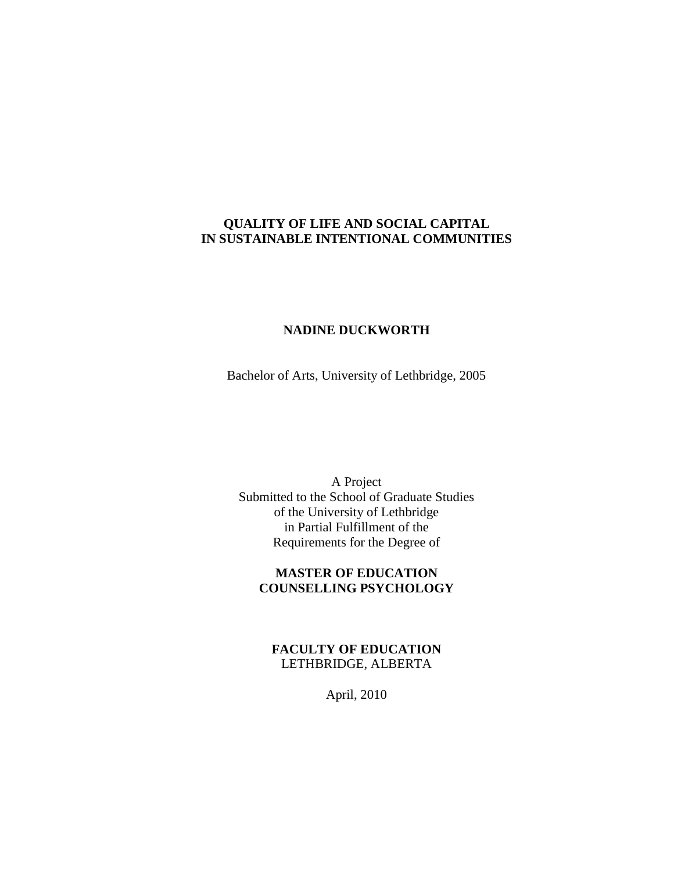# **QUALITY OF LIFE AND SOCIAL CAPITAL IN SUSTAINABLE INTENTIONAL COMMUNITIES**

# **NADINE DUCKWORTH**

Bachelor of Arts, University of Lethbridge, 2005

A Project Submitted to the School of Graduate Studies of the University of Lethbridge in Partial Fulfillment of the Requirements for the Degree of

## **MASTER OF EDUCATION COUNSELLING PSYCHOLOGY**

**FACULTY OF EDUCATION** LETHBRIDGE, ALBERTA

April, 2010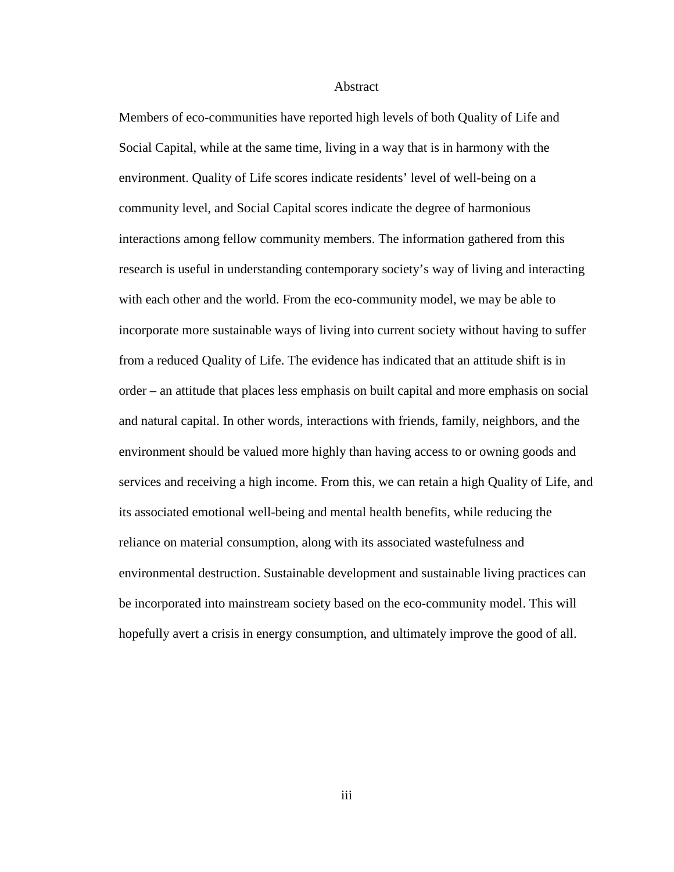## Abstract

Members of eco-communities have reported high levels of both Quality of Life and Social Capital, while at the same time, living in a way that is in harmony with the environment. Quality of Life scores indicate residents' level of well-being on a community level, and Social Capital scores indicate the degree of harmonious interactions among fellow community members. The information gathered from this research is useful in understanding contemporary society's way of living and interacting with each other and the world. From the eco-community model, we may be able to incorporate more sustainable ways of living into current society without having to suffer from a reduced Quality of Life. The evidence has indicated that an attitude shift is in order – an attitude that places less emphasis on built capital and more emphasis on social and natural capital. In other words, interactions with friends, family, neighbors, and the environment should be valued more highly than having access to or owning goods and services and receiving a high income. From this, we can retain a high Quality of Life, and its associated emotional well-being and mental health benefits, while reducing the reliance on material consumption, along with its associated wastefulness and environmental destruction. Sustainable development and sustainable living practices can be incorporated into mainstream society based on the eco-community model. This will hopefully avert a crisis in energy consumption, and ultimately improve the good of all.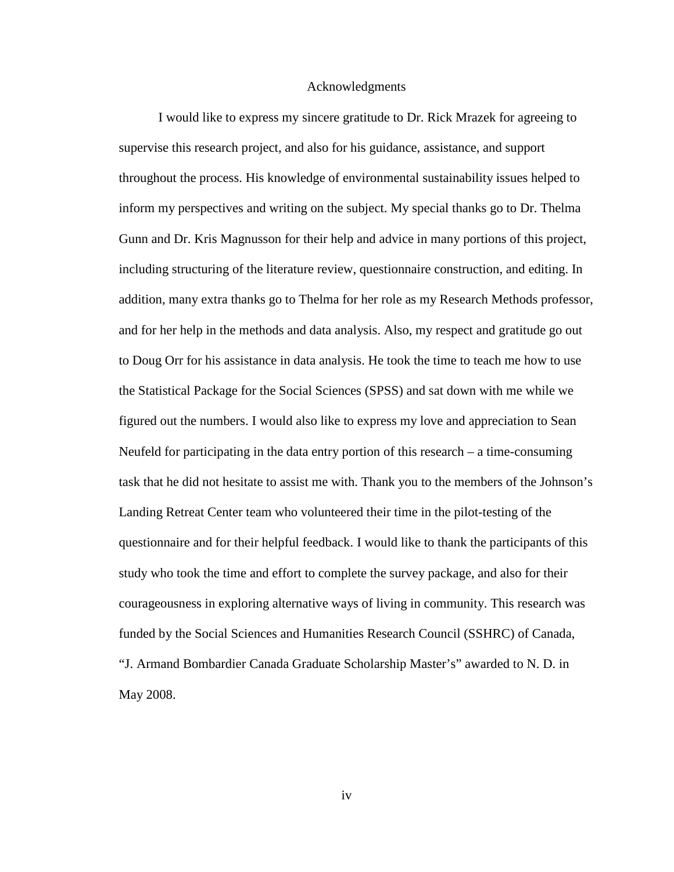#### Acknowledgments

I would like to express my sincere gratitude to Dr. Rick Mrazek for agreeing to supervise this research project, and also for his guidance, assistance, and support throughout the process. His knowledge of environmental sustainability issues helped to inform my perspectives and writing on the subject. My special thanks go to Dr. Thelma Gunn and Dr. Kris Magnusson for their help and advice in many portions of this project, including structuring of the literature review, questionnaire construction, and editing. In addition, many extra thanks go to Thelma for her role as my Research Methods professor, and for her help in the methods and data analysis. Also, my respect and gratitude go out to Doug Orr for his assistance in data analysis. He took the time to teach me how to use the Statistical Package for the Social Sciences (SPSS) and sat down with me while we figured out the numbers. I would also like to express my love and appreciation to Sean Neufeld for participating in the data entry portion of this research – a time-consuming task that he did not hesitate to assist me with. Thank you to the members of the Johnson's Landing Retreat Center team who volunteered their time in the pilot-testing of the questionnaire and for their helpful feedback. I would like to thank the participants of this study who took the time and effort to complete the survey package, and also for their courageousness in exploring alternative ways of living in community. This research was funded by the Social Sciences and Humanities Research Council (SSHRC) of Canada, "J. Armand Bombardier Canada Graduate Scholarship Master's" awarded to N. D. in May 2008.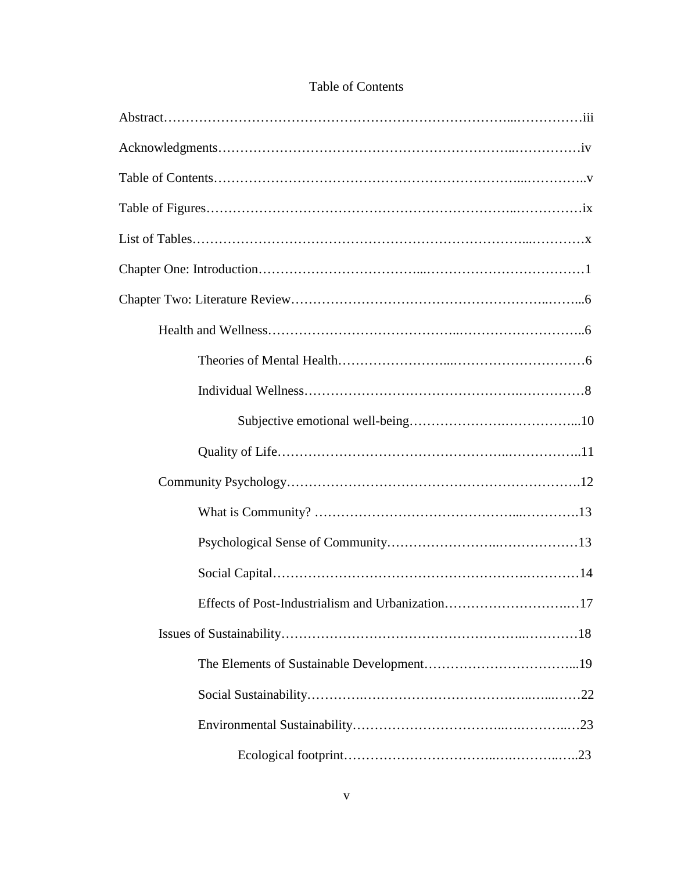| Effects of Post-Industrialism and Urbanization<br>.17 |
|-------------------------------------------------------|
|                                                       |
|                                                       |
|                                                       |
|                                                       |
|                                                       |

# Table of Contents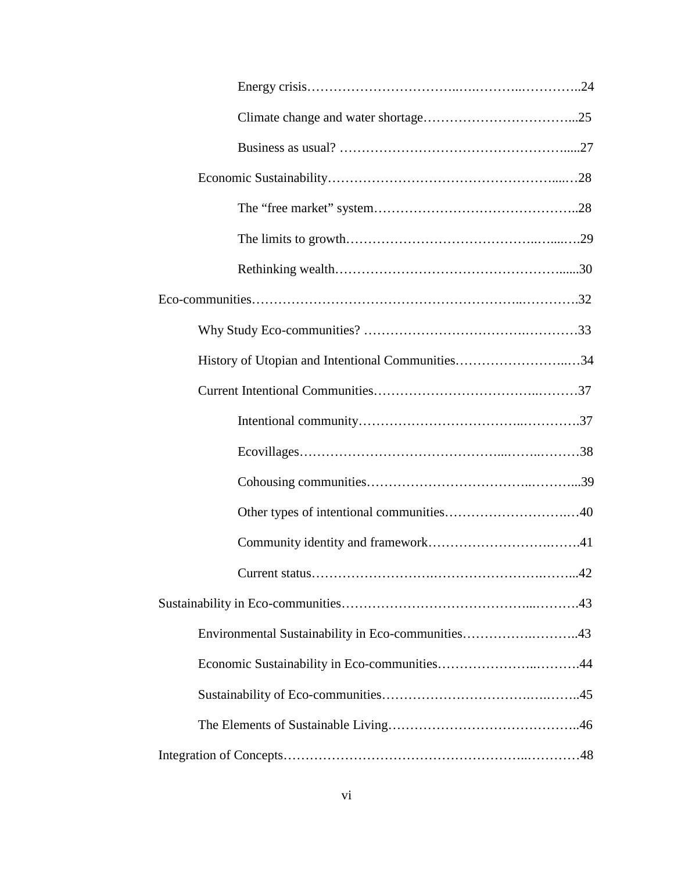| History of Utopian and Intentional Communities34  |  |
|---------------------------------------------------|--|
|                                                   |  |
|                                                   |  |
|                                                   |  |
|                                                   |  |
|                                                   |  |
|                                                   |  |
|                                                   |  |
|                                                   |  |
| Environmental Sustainability in Eco-communities43 |  |
|                                                   |  |
|                                                   |  |
|                                                   |  |
|                                                   |  |
|                                                   |  |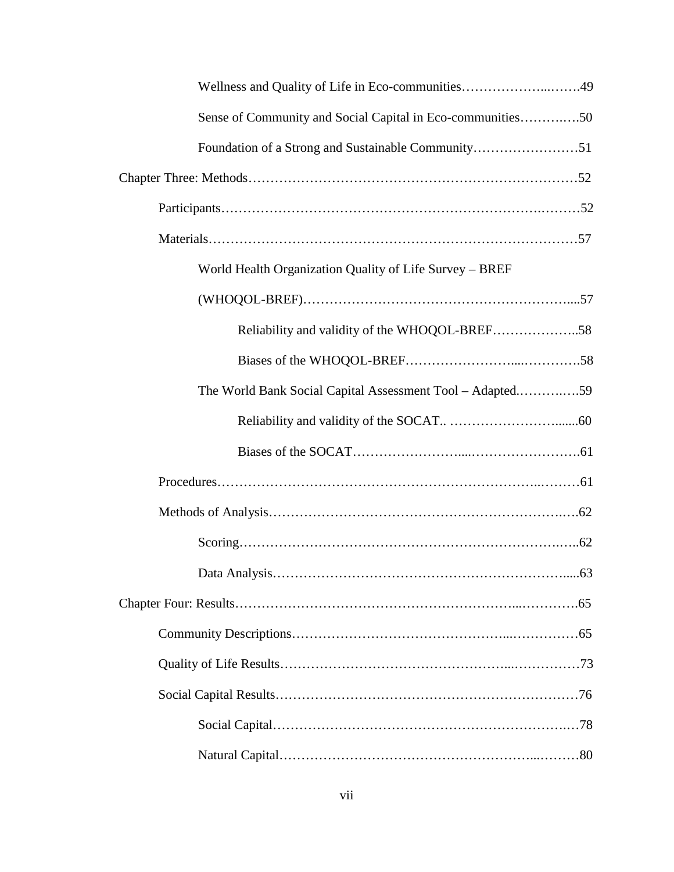| Wellness and Quality of Life in Eco-communities49          |
|------------------------------------------------------------|
| Sense of Community and Social Capital in Eco-communities50 |
| Foundation of a Strong and Sustainable Community51         |
|                                                            |
|                                                            |
|                                                            |
| World Health Organization Quality of Life Survey - BREF    |
|                                                            |
|                                                            |
|                                                            |
| The World Bank Social Capital Assessment Tool - Adapted59  |
|                                                            |
|                                                            |
|                                                            |
|                                                            |
|                                                            |
|                                                            |
|                                                            |
|                                                            |
|                                                            |
|                                                            |
|                                                            |
|                                                            |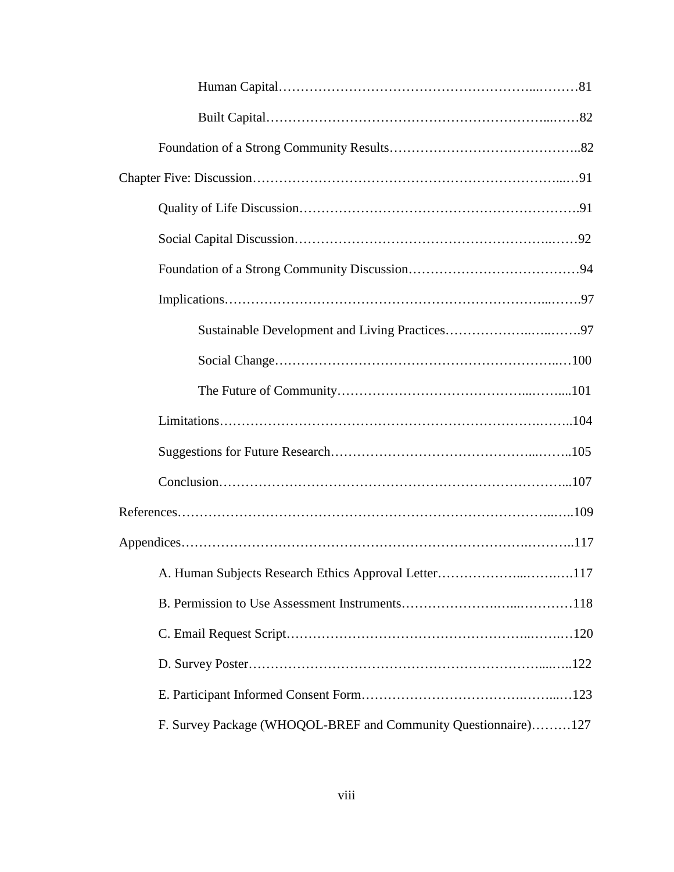| A. Human Subjects Research Ethics Approval Letter117           |
|----------------------------------------------------------------|
|                                                                |
|                                                                |
|                                                                |
|                                                                |
| F. Survey Package (WHOQOL-BREF and Community Questionnaire)127 |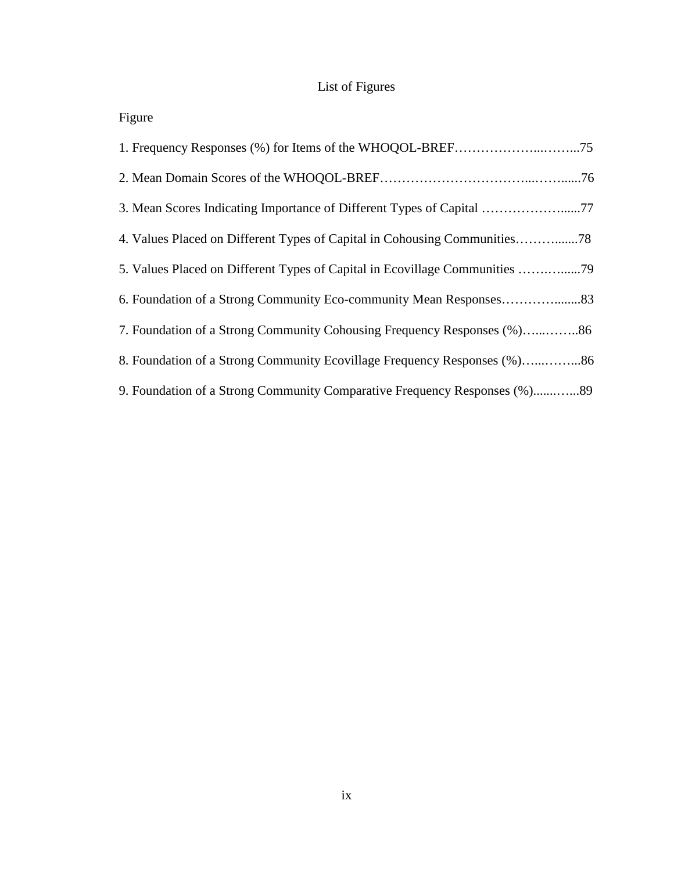# List of Figures

| Figure                                                                    |  |
|---------------------------------------------------------------------------|--|
|                                                                           |  |
|                                                                           |  |
| 3. Mean Scores Indicating Importance of Different Types of Capital 77     |  |
|                                                                           |  |
| 5. Values Placed on Different Types of Capital in Ecovillage Communities  |  |
|                                                                           |  |
|                                                                           |  |
| 8. Foundation of a Strong Community Ecovillage Frequency Responses (%)86  |  |
| 9. Foundation of a Strong Community Comparative Frequency Responses (%)89 |  |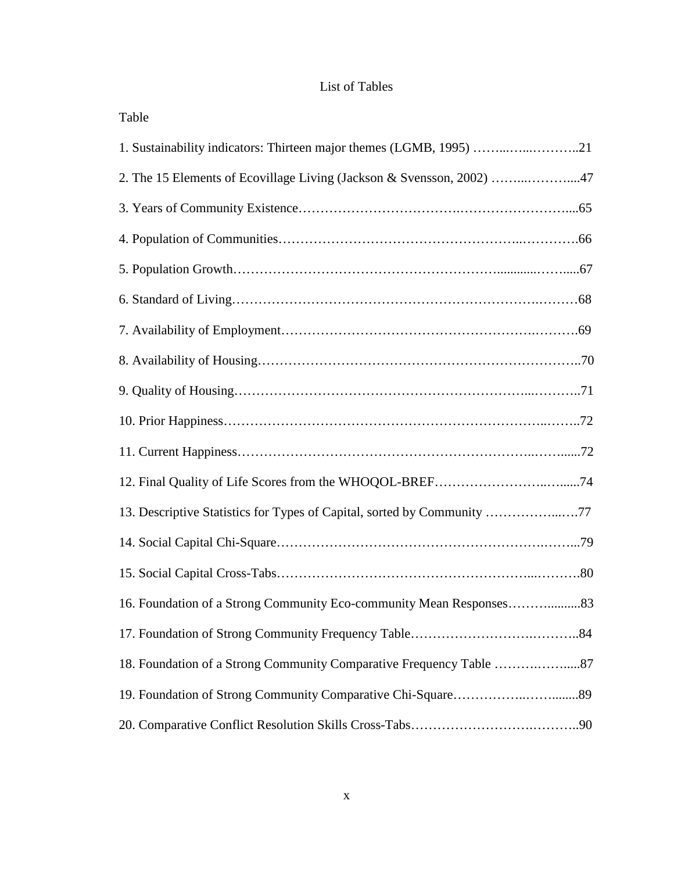# List of Tables

| Table                                                                   |
|-------------------------------------------------------------------------|
| 1. Sustainability indicators: Thirteen major themes (LGMB, 1995) 21     |
| 2. The 15 Elements of Ecovillage Living (Jackson & Svensson, 2002) 47   |
|                                                                         |
|                                                                         |
|                                                                         |
|                                                                         |
|                                                                         |
|                                                                         |
|                                                                         |
|                                                                         |
|                                                                         |
|                                                                         |
| 13. Descriptive Statistics for Types of Capital, sorted by Community 77 |
|                                                                         |
|                                                                         |
|                                                                         |
|                                                                         |
|                                                                         |
|                                                                         |
|                                                                         |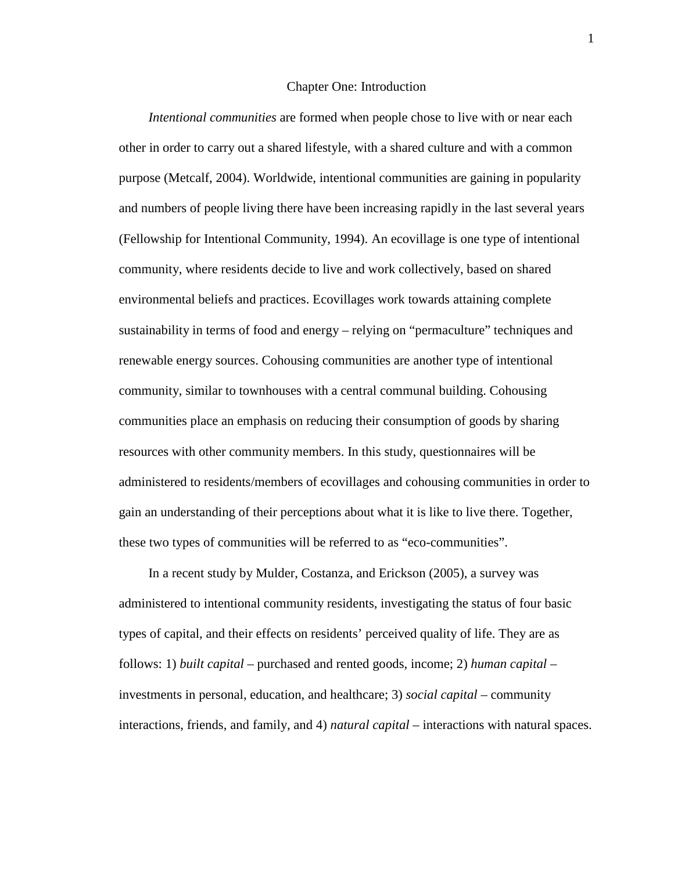#### Chapter One: Introduction

*Intentional communities* are formed when people chose to live with or near each other in order to carry out a shared lifestyle, with a shared culture and with a common purpose (Metcalf, 2004). Worldwide, intentional communities are gaining in popularity and numbers of people living there have been increasing rapidly in the last several years (Fellowship for Intentional Community, 1994). An ecovillage is one type of intentional community, where residents decide to live and work collectively, based on shared environmental beliefs and practices. Ecovillages work towards attaining complete sustainability in terms of food and energy – relying on "permaculture" techniques and renewable energy sources. Cohousing communities are another type of intentional community, similar to townhouses with a central communal building. Cohousing communities place an emphasis on reducing their consumption of goods by sharing resources with other community members. In this study, questionnaires will be administered to residents/members of ecovillages and cohousing communities in order to gain an understanding of their perceptions about what it is like to live there. Together, these two types of communities will be referred to as "eco-communities".

In a recent study by Mulder, Costanza, and Erickson (2005), a survey was administered to intentional community residents, investigating the status of four basic types of capital, and their effects on residents' perceived quality of life. They are as follows: 1) *built capital* – purchased and rented goods, income; 2) *human capital* – investments in personal, education, and healthcare; 3) *social capital* – community interactions, friends, and family, and 4) *natural capital* – interactions with natural spaces.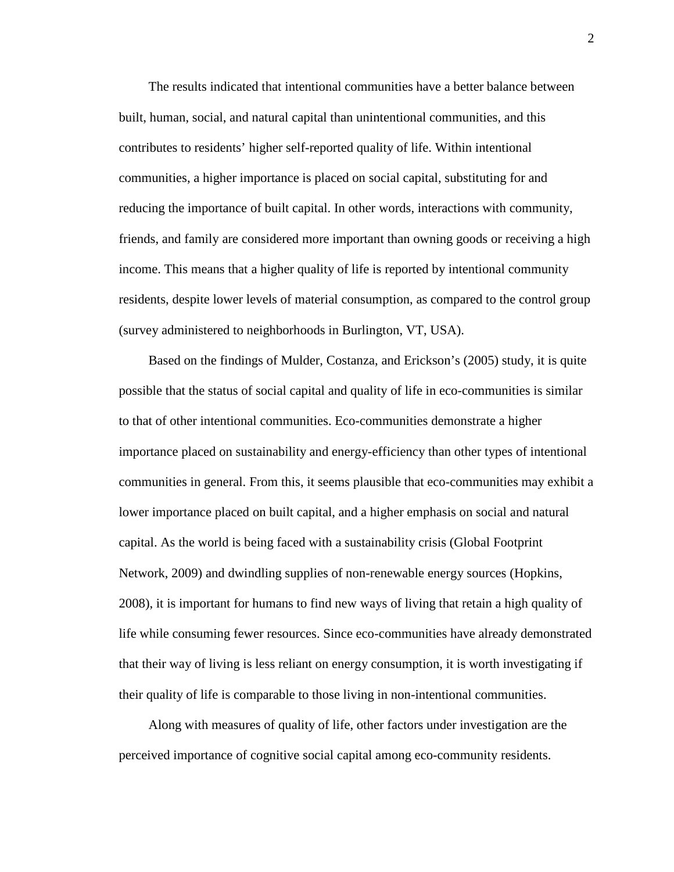The results indicated that intentional communities have a better balance between built, human, social, and natural capital than unintentional communities, and this contributes to residents' higher self-reported quality of life. Within intentional communities, a higher importance is placed on social capital, substituting for and reducing the importance of built capital. In other words, interactions with community, friends, and family are considered more important than owning goods or receiving a high income. This means that a higher quality of life is reported by intentional community residents, despite lower levels of material consumption, as compared to the control group (survey administered to neighborhoods in Burlington, VT, USA).

Based on the findings of Mulder, Costanza, and Erickson's (2005) study, it is quite possible that the status of social capital and quality of life in eco-communities is similar to that of other intentional communities. Eco-communities demonstrate a higher importance placed on sustainability and energy-efficiency than other types of intentional communities in general. From this, it seems plausible that eco-communities may exhibit a lower importance placed on built capital, and a higher emphasis on social and natural capital. As the world is being faced with a sustainability crisis (Global Footprint Network, 2009) and dwindling supplies of non-renewable energy sources (Hopkins, 2008), it is important for humans to find new ways of living that retain a high quality of life while consuming fewer resources. Since eco-communities have already demonstrated that their way of living is less reliant on energy consumption, it is worth investigating if their quality of life is comparable to those living in non-intentional communities.

Along with measures of quality of life, other factors under investigation are the perceived importance of cognitive social capital among eco-community residents.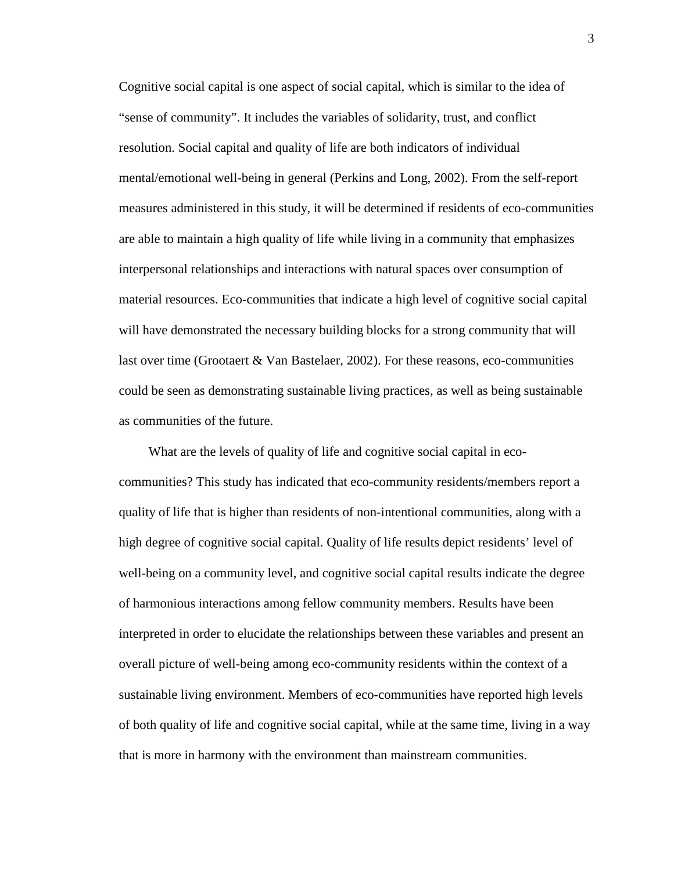Cognitive social capital is one aspect of social capital, which is similar to the idea of "sense of community". It includes the variables of solidarity, trust, and conflict resolution. Social capital and quality of life are both indicators of individual mental/emotional well-being in general (Perkins and Long, 2002). From the self-report measures administered in this study, it will be determined if residents of eco-communities are able to maintain a high quality of life while living in a community that emphasizes interpersonal relationships and interactions with natural spaces over consumption of material resources. Eco-communities that indicate a high level of cognitive social capital will have demonstrated the necessary building blocks for a strong community that will last over time (Grootaert & Van Bastelaer, 2002). For these reasons, eco-communities could be seen as demonstrating sustainable living practices, as well as being sustainable as communities of the future.

What are the levels of quality of life and cognitive social capital in ecocommunities? This study has indicated that eco-community residents/members report a quality of life that is higher than residents of non-intentional communities, along with a high degree of cognitive social capital. Quality of life results depict residents' level of well-being on a community level, and cognitive social capital results indicate the degree of harmonious interactions among fellow community members. Results have been interpreted in order to elucidate the relationships between these variables and present an overall picture of well-being among eco-community residents within the context of a sustainable living environment. Members of eco-communities have reported high levels of both quality of life and cognitive social capital, while at the same time, living in a way that is more in harmony with the environment than mainstream communities.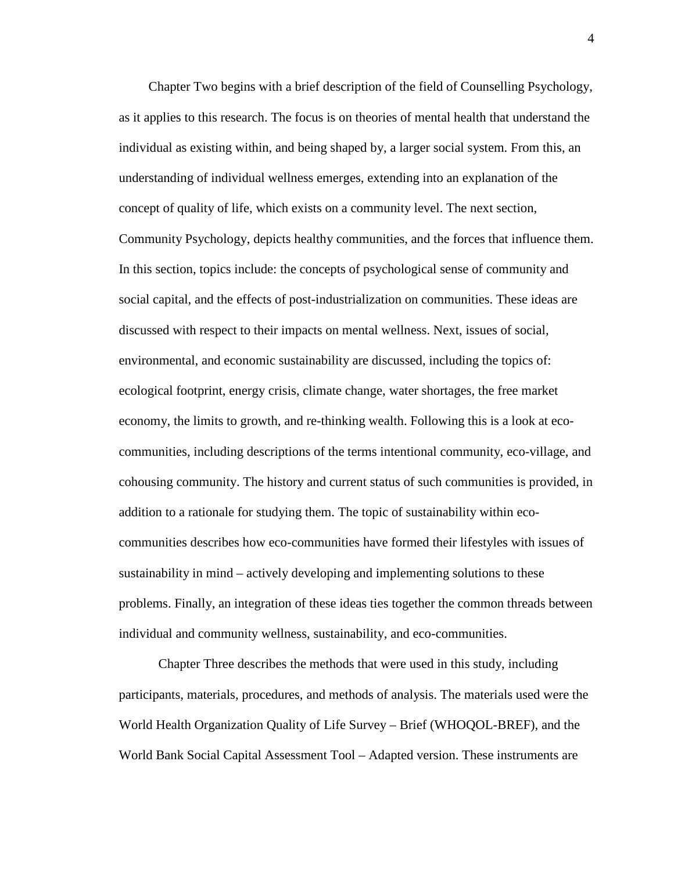Chapter Two begins with a brief description of the field of Counselling Psychology, as it applies to this research. The focus is on theories of mental health that understand the individual as existing within, and being shaped by, a larger social system. From this, an understanding of individual wellness emerges, extending into an explanation of the concept of quality of life, which exists on a community level. The next section, Community Psychology, depicts healthy communities, and the forces that influence them. In this section, topics include: the concepts of psychological sense of community and social capital, and the effects of post-industrialization on communities. These ideas are discussed with respect to their impacts on mental wellness. Next, issues of social, environmental, and economic sustainability are discussed, including the topics of: ecological footprint, energy crisis, climate change, water shortages, the free market economy, the limits to growth, and re-thinking wealth. Following this is a look at ecocommunities, including descriptions of the terms intentional community, eco-village, and cohousing community. The history and current status of such communities is provided, in addition to a rationale for studying them. The topic of sustainability within ecocommunities describes how eco-communities have formed their lifestyles with issues of sustainability in mind – actively developing and implementing solutions to these problems. Finally, an integration of these ideas ties together the common threads between individual and community wellness, sustainability, and eco-communities.

Chapter Three describes the methods that were used in this study, including participants, materials, procedures, and methods of analysis. The materials used were the World Health Organization Quality of Life Survey – Brief (WHOQOL-BREF), and the World Bank Social Capital Assessment Tool – Adapted version. These instruments are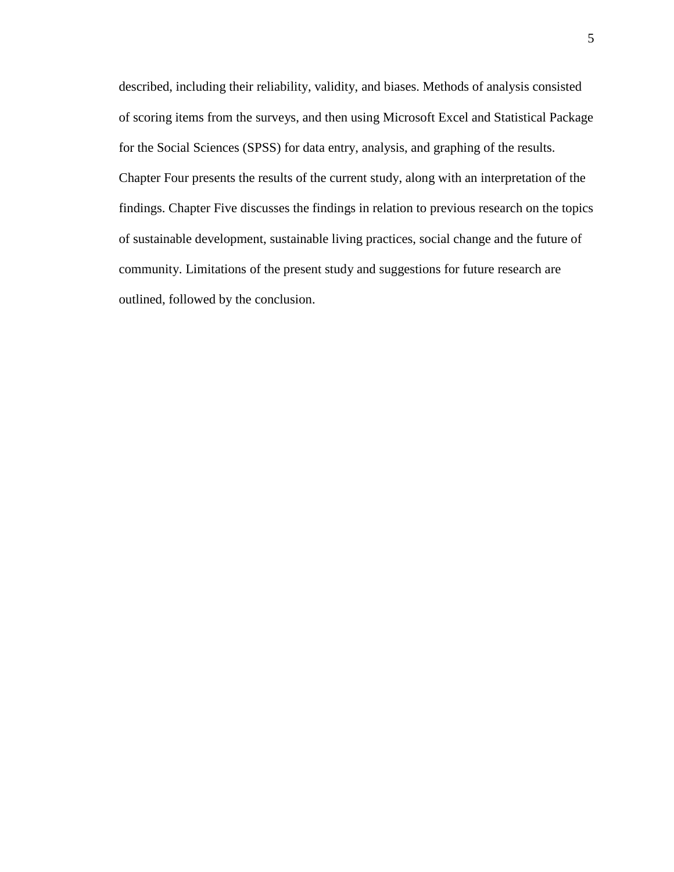described, including their reliability, validity, and biases. Methods of analysis consisted of scoring items from the surveys, and then using Microsoft Excel and Statistical Package for the Social Sciences (SPSS) for data entry, analysis, and graphing of the results. Chapter Four presents the results of the current study, along with an interpretation of the findings. Chapter Five discusses the findings in relation to previous research on the topics of sustainable development, sustainable living practices, social change and the future of community. Limitations of the present study and suggestions for future research are outlined, followed by the conclusion.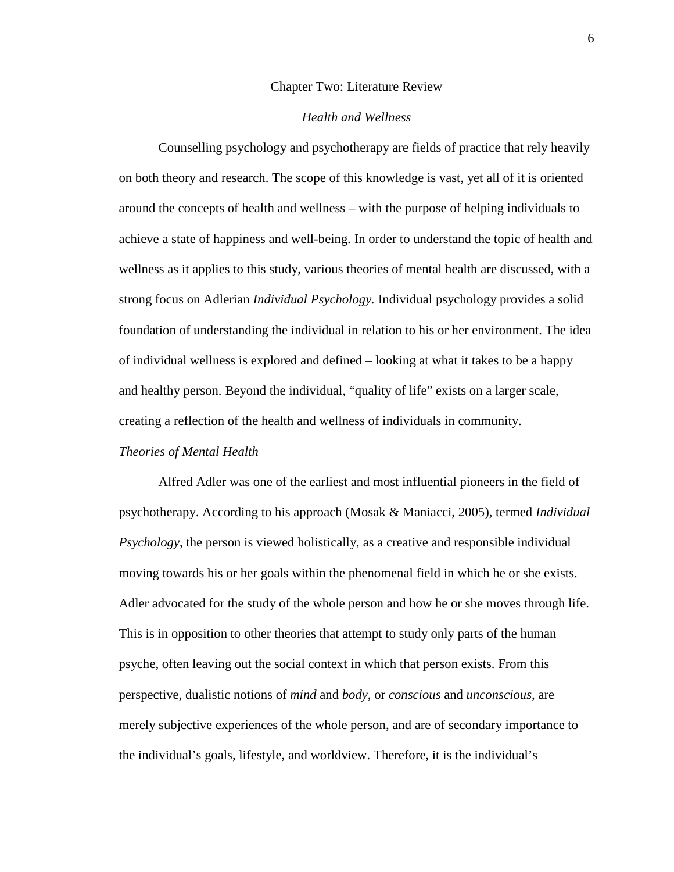#### Chapter Two: Literature Review

## *Health and Wellness*

Counselling psychology and psychotherapy are fields of practice that rely heavily on both theory and research. The scope of this knowledge is vast, yet all of it is oriented around the concepts of health and wellness – with the purpose of helping individuals to achieve a state of happiness and well-being. In order to understand the topic of health and wellness as it applies to this study, various theories of mental health are discussed, with a strong focus on Adlerian *Individual Psychology.* Individual psychology provides a solid foundation of understanding the individual in relation to his or her environment. The idea of individual wellness is explored and defined – looking at what it takes to be a happy and healthy person. Beyond the individual, "quality of life" exists on a larger scale, creating a reflection of the health and wellness of individuals in community.

## *Theories of Mental Health*

Alfred Adler was one of the earliest and most influential pioneers in the field of psychotherapy. According to his approach (Mosak & Maniacci, 2005), termed *Individual Psychology*, the person is viewed holistically, as a creative and responsible individual moving towards his or her goals within the phenomenal field in which he or she exists. Adler advocated for the study of the whole person and how he or she moves through life. This is in opposition to other theories that attempt to study only parts of the human psyche, often leaving out the social context in which that person exists. From this perspective, dualistic notions of *mind* and *body*, or *conscious* and *unconscious*, are merely subjective experiences of the whole person, and are of secondary importance to the individual's goals, lifestyle, and worldview. Therefore, it is the individual's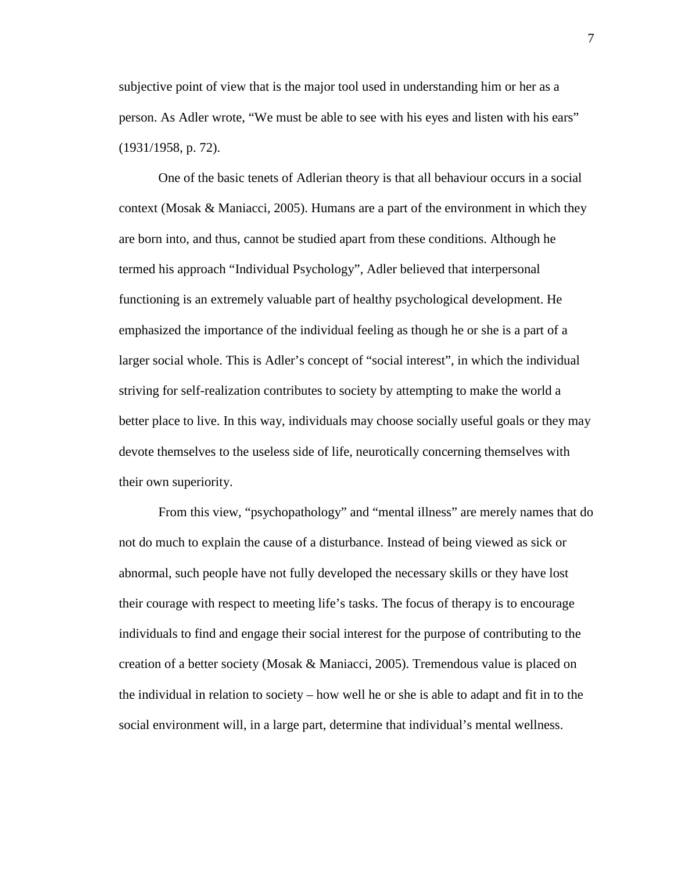subjective point of view that is the major tool used in understanding him or her as a person. As Adler wrote, "We must be able to see with his eyes and listen with his ears" (1931/1958, p. 72).

One of the basic tenets of Adlerian theory is that all behaviour occurs in a social context (Mosak & Maniacci, 2005). Humans are a part of the environment in which they are born into, and thus, cannot be studied apart from these conditions. Although he termed his approach "Individual Psychology", Adler believed that interpersonal functioning is an extremely valuable part of healthy psychological development. He emphasized the importance of the individual feeling as though he or she is a part of a larger social whole. This is Adler's concept of "social interest", in which the individual striving for self-realization contributes to society by attempting to make the world a better place to live. In this way, individuals may choose socially useful goals or they may devote themselves to the useless side of life, neurotically concerning themselves with their own superiority.

From this view, "psychopathology" and "mental illness" are merely names that do not do much to explain the cause of a disturbance. Instead of being viewed as sick or abnormal, such people have not fully developed the necessary skills or they have lost their courage with respect to meeting life's tasks. The focus of therapy is to encourage individuals to find and engage their social interest for the purpose of contributing to the creation of a better society (Mosak & Maniacci, 2005). Tremendous value is placed on the individual in relation to society – how well he or she is able to adapt and fit in to the social environment will, in a large part, determine that individual's mental wellness.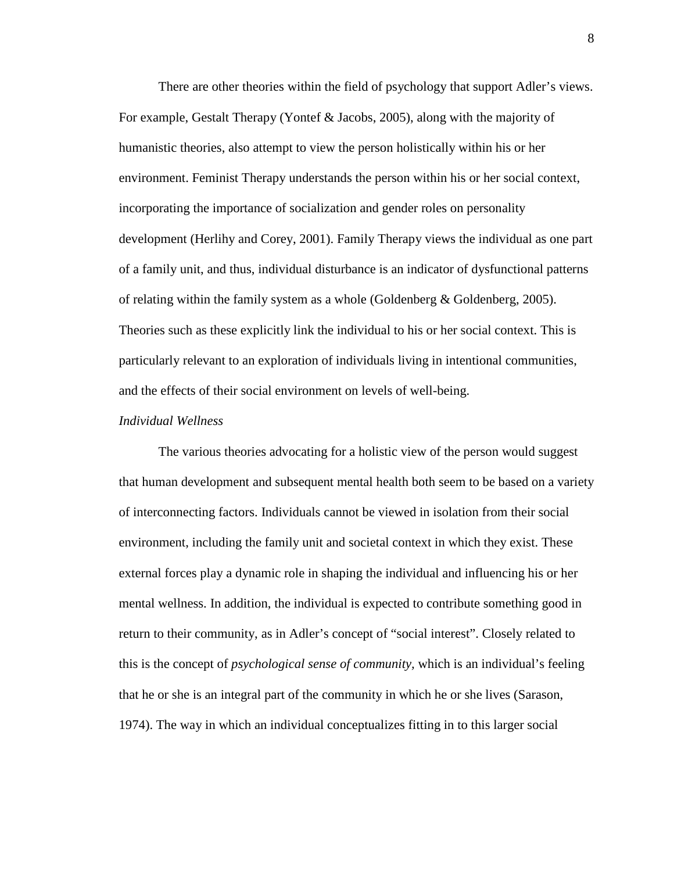There are other theories within the field of psychology that support Adler's views. For example, Gestalt Therapy (Yontef & Jacobs, 2005), along with the majority of humanistic theories, also attempt to view the person holistically within his or her environment. Feminist Therapy understands the person within his or her social context, incorporating the importance of socialization and gender roles on personality development (Herlihy and Corey, 2001). Family Therapy views the individual as one part of a family unit, and thus, individual disturbance is an indicator of dysfunctional patterns of relating within the family system as a whole (Goldenberg & Goldenberg, 2005). Theories such as these explicitly link the individual to his or her social context. This is particularly relevant to an exploration of individuals living in intentional communities, and the effects of their social environment on levels of well-being.

## *Individual Wellness*

The various theories advocating for a holistic view of the person would suggest that human development and subsequent mental health both seem to be based on a variety of interconnecting factors. Individuals cannot be viewed in isolation from their social environment, including the family unit and societal context in which they exist. These external forces play a dynamic role in shaping the individual and influencing his or her mental wellness. In addition, the individual is expected to contribute something good in return to their community, as in Adler's concept of "social interest". Closely related to this is the concept of *psychological sense of community,* which is an individual's feeling that he or she is an integral part of the community in which he or she lives (Sarason, 1974). The way in which an individual conceptualizes fitting in to this larger social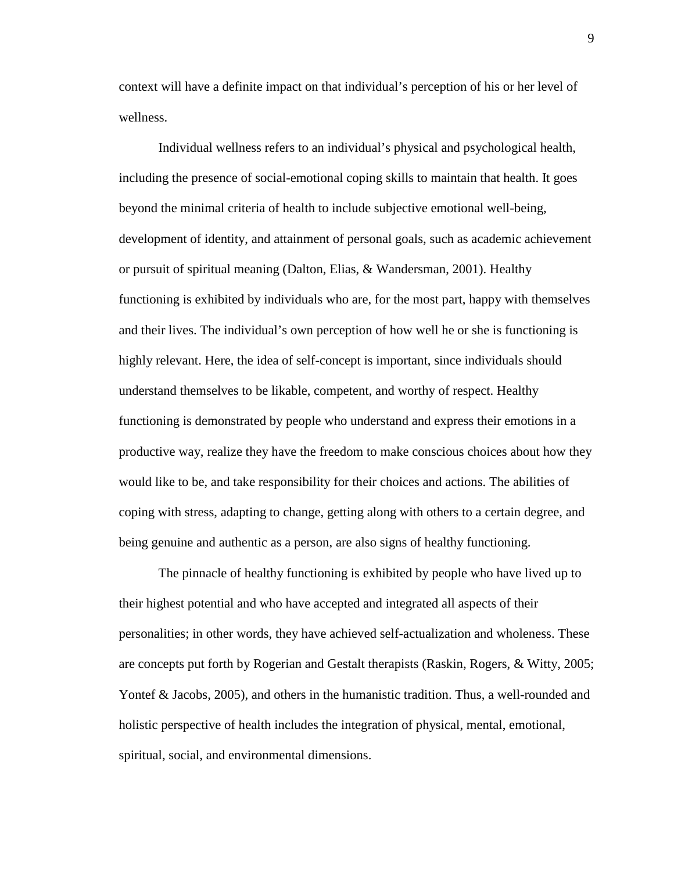context will have a definite impact on that individual's perception of his or her level of wellness.

Individual wellness refers to an individual's physical and psychological health, including the presence of social-emotional coping skills to maintain that health. It goes beyond the minimal criteria of health to include subjective emotional well-being, development of identity, and attainment of personal goals, such as academic achievement or pursuit of spiritual meaning (Dalton, Elias, & Wandersman, 2001). Healthy functioning is exhibited by individuals who are, for the most part, happy with themselves and their lives. The individual's own perception of how well he or she is functioning is highly relevant. Here, the idea of self-concept is important, since individuals should understand themselves to be likable, competent, and worthy of respect. Healthy functioning is demonstrated by people who understand and express their emotions in a productive way, realize they have the freedom to make conscious choices about how they would like to be, and take responsibility for their choices and actions. The abilities of coping with stress, adapting to change, getting along with others to a certain degree, and being genuine and authentic as a person, are also signs of healthy functioning.

The pinnacle of healthy functioning is exhibited by people who have lived up to their highest potential and who have accepted and integrated all aspects of their personalities; in other words, they have achieved self-actualization and wholeness. These are concepts put forth by Rogerian and Gestalt therapists (Raskin, Rogers, & Witty, 2005; Yontef & Jacobs, 2005), and others in the humanistic tradition. Thus, a well-rounded and holistic perspective of health includes the integration of physical, mental, emotional, spiritual, social, and environmental dimensions.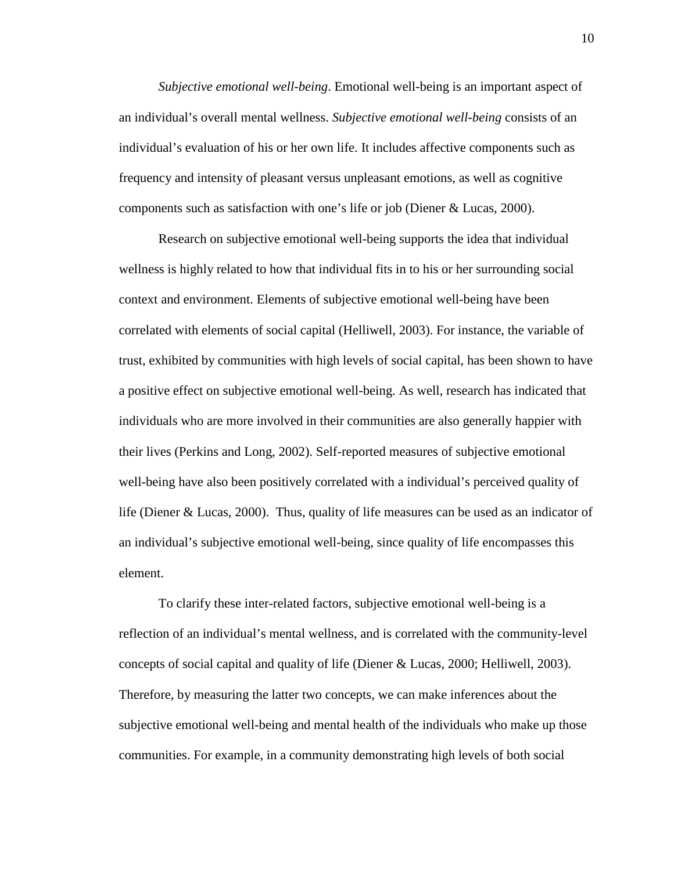*Subjective emotional well-being*. Emotional well-being is an important aspect of an individual's overall mental wellness. *Subjective emotional well-being* consists of an individual's evaluation of his or her own life. It includes affective components such as frequency and intensity of pleasant versus unpleasant emotions, as well as cognitive components such as satisfaction with one's life or job (Diener & Lucas, 2000).

Research on subjective emotional well-being supports the idea that individual wellness is highly related to how that individual fits in to his or her surrounding social context and environment. Elements of subjective emotional well-being have been correlated with elements of social capital (Helliwell, 2003). For instance, the variable of trust, exhibited by communities with high levels of social capital, has been shown to have a positive effect on subjective emotional well-being. As well, research has indicated that individuals who are more involved in their communities are also generally happier with their lives (Perkins and Long, 2002). Self-reported measures of subjective emotional well-being have also been positively correlated with a individual's perceived quality of life (Diener & Lucas, 2000). Thus, quality of life measures can be used as an indicator of an individual's subjective emotional well-being, since quality of life encompasses this element.

To clarify these inter-related factors, subjective emotional well-being is a reflection of an individual's mental wellness, and is correlated with the community-level concepts of social capital and quality of life (Diener & Lucas, 2000; Helliwell, 2003). Therefore, by measuring the latter two concepts, we can make inferences about the subjective emotional well-being and mental health of the individuals who make up those communities. For example, in a community demonstrating high levels of both social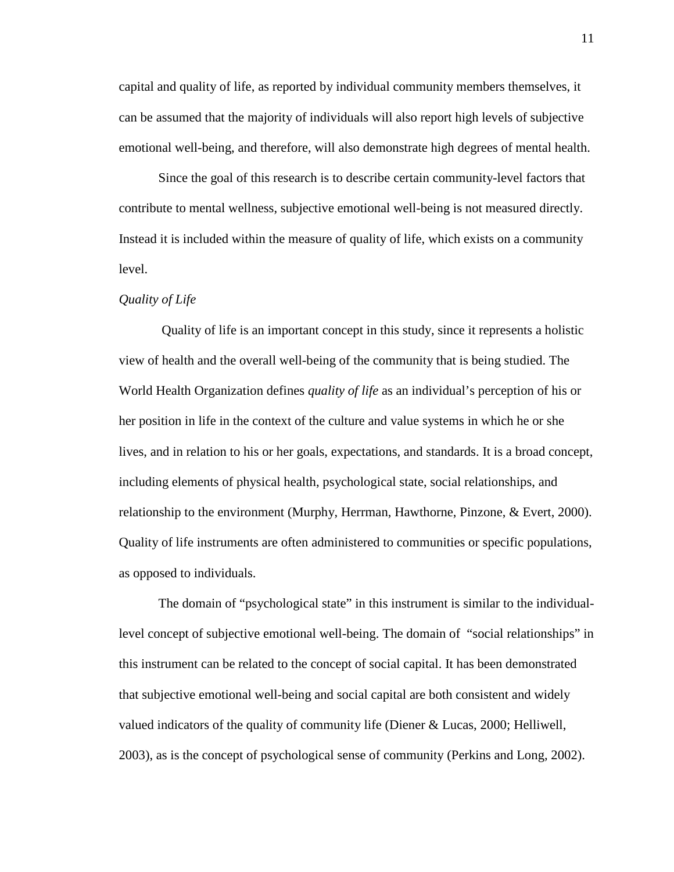capital and quality of life, as reported by individual community members themselves, it can be assumed that the majority of individuals will also report high levels of subjective emotional well-being, and therefore, will also demonstrate high degrees of mental health.

Since the goal of this research is to describe certain community-level factors that contribute to mental wellness, subjective emotional well-being is not measured directly. Instead it is included within the measure of quality of life, which exists on a community level.

## *Quality of Life*

Quality of life is an important concept in this study, since it represents a holistic view of health and the overall well-being of the community that is being studied. The World Health Organization defines *quality of life* as an individual's perception of his or her position in life in the context of the culture and value systems in which he or she lives, and in relation to his or her goals, expectations, and standards. It is a broad concept, including elements of physical health, psychological state, social relationships, and relationship to the environment (Murphy, Herrman, Hawthorne, Pinzone, & Evert, 2000). Quality of life instruments are often administered to communities or specific populations, as opposed to individuals.

The domain of "psychological state" in this instrument is similar to the individuallevel concept of subjective emotional well-being. The domain of "social relationships" in this instrument can be related to the concept of social capital. It has been demonstrated that subjective emotional well-being and social capital are both consistent and widely valued indicators of the quality of community life (Diener & Lucas, 2000; Helliwell, 2003), as is the concept of psychological sense of community (Perkins and Long, 2002).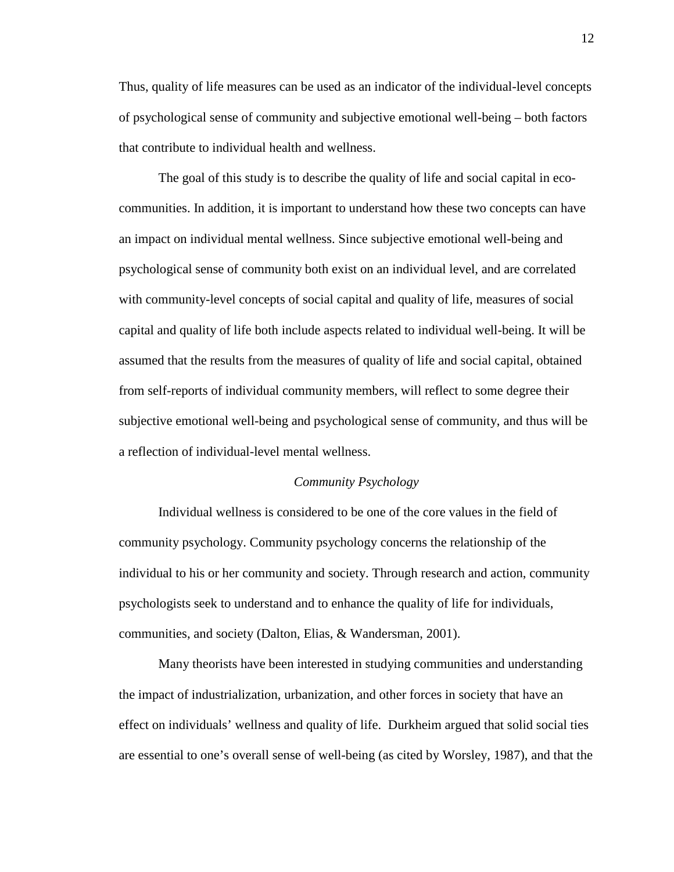Thus, quality of life measures can be used as an indicator of the individual-level concepts of psychological sense of community and subjective emotional well-being – both factors that contribute to individual health and wellness.

The goal of this study is to describe the quality of life and social capital in ecocommunities. In addition, it is important to understand how these two concepts can have an impact on individual mental wellness. Since subjective emotional well-being and psychological sense of community both exist on an individual level, and are correlated with community-level concepts of social capital and quality of life, measures of social capital and quality of life both include aspects related to individual well-being. It will be assumed that the results from the measures of quality of life and social capital, obtained from self-reports of individual community members, will reflect to some degree their subjective emotional well-being and psychological sense of community, and thus will be a reflection of individual-level mental wellness.

## *Community Psychology*

Individual wellness is considered to be one of the core values in the field of community psychology. Community psychology concerns the relationship of the individual to his or her community and society. Through research and action, community psychologists seek to understand and to enhance the quality of life for individuals, communities, and society (Dalton, Elias, & Wandersman, 2001).

Many theorists have been interested in studying communities and understanding the impact of industrialization, urbanization, and other forces in society that have an effect on individuals' wellness and quality of life. Durkheim argued that solid social ties are essential to one's overall sense of well-being (as cited by Worsley, 1987), and that the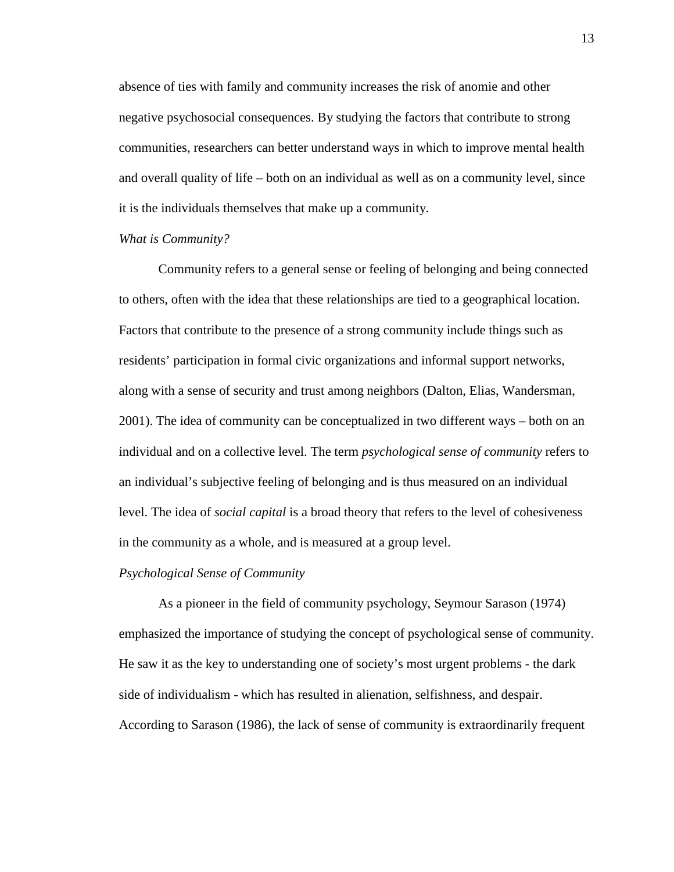absence of ties with family and community increases the risk of anomie and other negative psychosocial consequences. By studying the factors that contribute to strong communities, researchers can better understand ways in which to improve mental health and overall quality of life – both on an individual as well as on a community level, since it is the individuals themselves that make up a community.

#### *What is Community?*

Community refers to a general sense or feeling of belonging and being connected to others, often with the idea that these relationships are tied to a geographical location. Factors that contribute to the presence of a strong community include things such as residents' participation in formal civic organizations and informal support networks, along with a sense of security and trust among neighbors (Dalton, Elias, Wandersman, 2001). The idea of community can be conceptualized in two different ways – both on an individual and on a collective level. The term *psychological sense of community* refers to an individual's subjective feeling of belonging and is thus measured on an individual level. The idea of *social capital* is a broad theory that refers to the level of cohesiveness in the community as a whole, and is measured at a group level.

## *Psychological Sense of Community*

As a pioneer in the field of community psychology, Seymour Sarason (1974) emphasized the importance of studying the concept of psychological sense of community. He saw it as the key to understanding one of society's most urgent problems - the dark side of individualism - which has resulted in alienation, selfishness, and despair. According to Sarason (1986), the lack of sense of community is extraordinarily frequent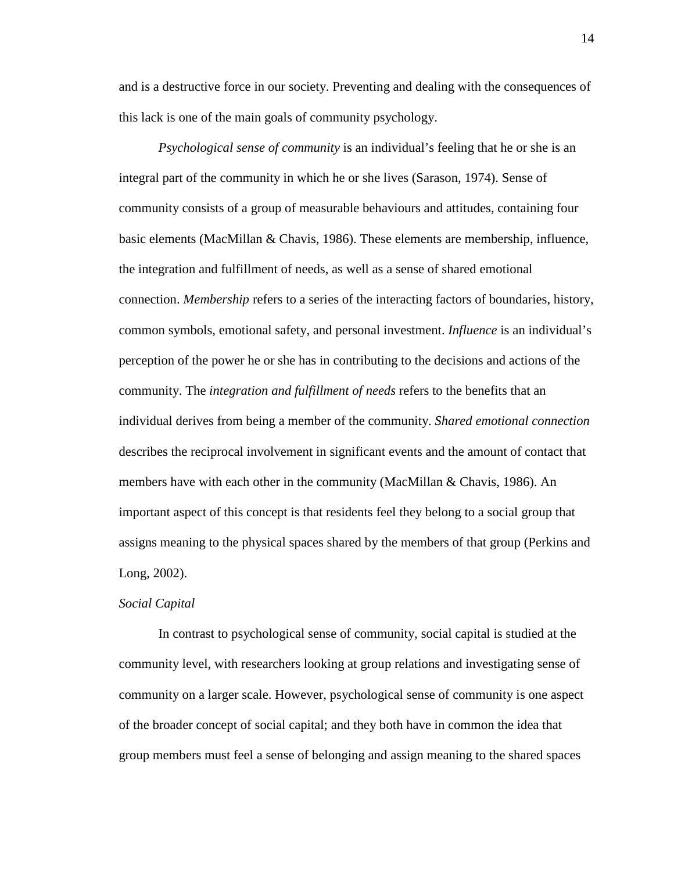and is a destructive force in our society. Preventing and dealing with the consequences of this lack is one of the main goals of community psychology.

*Psychological sense of community* is an individual's feeling that he or she is an integral part of the community in which he or she lives (Sarason, 1974). Sense of community consists of a group of measurable behaviours and attitudes, containing four basic elements (MacMillan & Chavis, 1986). These elements are membership, influence, the integration and fulfillment of needs, as well as a sense of shared emotional connection. *Membership* refers to a series of the interacting factors of boundaries, history, common symbols, emotional safety, and personal investment. *Influence* is an individual's perception of the power he or she has in contributing to the decisions and actions of the community. The *integration and fulfillment of needs* refers to the benefits that an individual derives from being a member of the community. *Shared emotional connection* describes the reciprocal involvement in significant events and the amount of contact that members have with each other in the community (MacMillan & Chavis, 1986). An important aspect of this concept is that residents feel they belong to a social group that assigns meaning to the physical spaces shared by the members of that group (Perkins and Long, 2002).

## *Social Capital*

In contrast to psychological sense of community, social capital is studied at the community level, with researchers looking at group relations and investigating sense of community on a larger scale. However, psychological sense of community is one aspect of the broader concept of social capital; and they both have in common the idea that group members must feel a sense of belonging and assign meaning to the shared spaces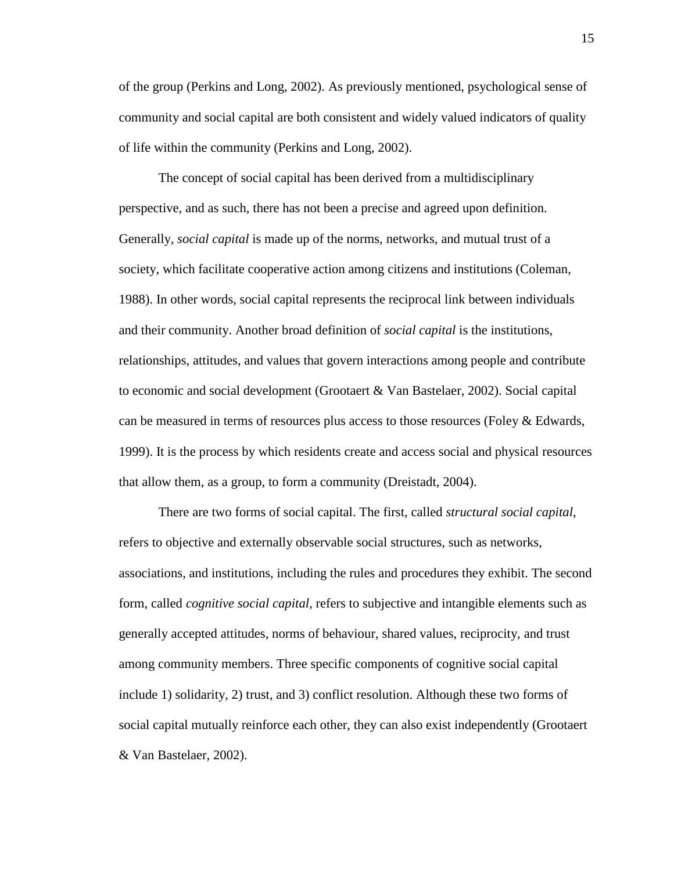of the group (Perkins and Long, 2002). As previously mentioned, psychological sense of community and social capital are both consistent and widely valued indicators of quality of life within the community (Perkins and Long, 2002).

The concept of social capital has been derived from a multidisciplinary perspective, and as such, there has not been a precise and agreed upon definition. Generally, *social capital* is made up of the norms, networks, and mutual trust of a society, which facilitate cooperative action among citizens and institutions (Coleman, 1988). In other words, social capital represents the reciprocal link between individuals and their community. Another broad definition of *social capital* is the institutions, relationships, attitudes, and values that govern interactions among people and contribute to economic and social development (Grootaert & Van Bastelaer, 2002). Social capital can be measured in terms of resources plus access to those resources (Foley  $\&$  Edwards, 1999). It is the process by which residents create and access social and physical resources that allow them, as a group, to form a community (Dreistadt, 2004).

There are two forms of social capital. The first, called *structural social capital*, refers to objective and externally observable social structures, such as networks, associations, and institutions, including the rules and procedures they exhibit. The second form, called *cognitive social capital*, refers to subjective and intangible elements such as generally accepted attitudes, norms of behaviour, shared values, reciprocity, and trust among community members. Three specific components of cognitive social capital include 1) solidarity, 2) trust, and 3) conflict resolution. Although these two forms of social capital mutually reinforce each other, they can also exist independently (Grootaert & Van Bastelaer, 2002).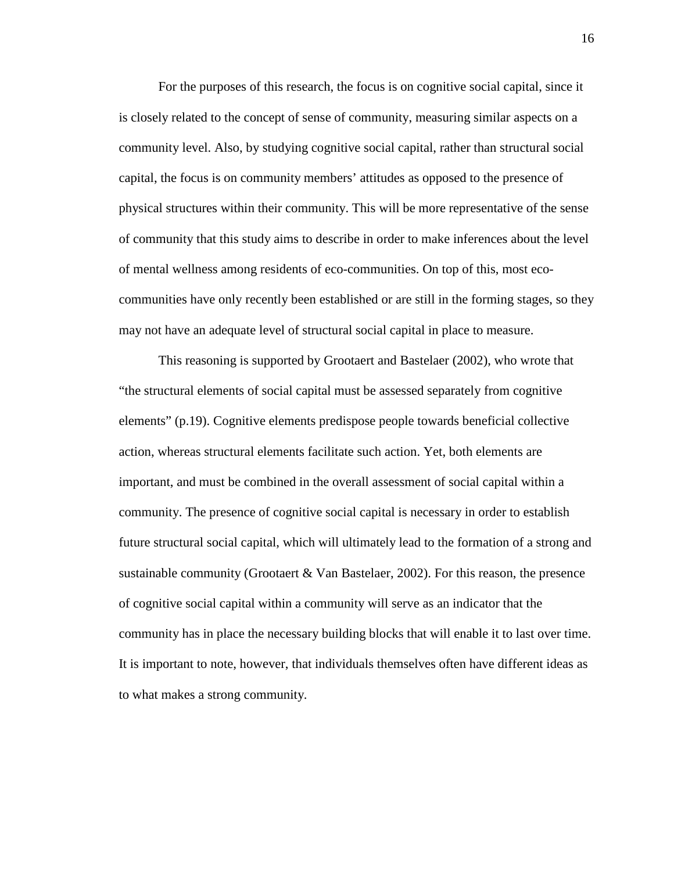For the purposes of this research, the focus is on cognitive social capital, since it is closely related to the concept of sense of community, measuring similar aspects on a community level. Also, by studying cognitive social capital, rather than structural social capital, the focus is on community members' attitudes as opposed to the presence of physical structures within their community. This will be more representative of the sense of community that this study aims to describe in order to make inferences about the level of mental wellness among residents of eco-communities. On top of this, most ecocommunities have only recently been established or are still in the forming stages, so they may not have an adequate level of structural social capital in place to measure.

This reasoning is supported by Grootaert and Bastelaer (2002), who wrote that "the structural elements of social capital must be assessed separately from cognitive elements" (p.19). Cognitive elements predispose people towards beneficial collective action, whereas structural elements facilitate such action. Yet, both elements are important, and must be combined in the overall assessment of social capital within a community. The presence of cognitive social capital is necessary in order to establish future structural social capital, which will ultimately lead to the formation of a strong and sustainable community (Grootaert & Van Bastelaer, 2002). For this reason, the presence of cognitive social capital within a community will serve as an indicator that the community has in place the necessary building blocks that will enable it to last over time. It is important to note, however, that individuals themselves often have different ideas as to what makes a strong community.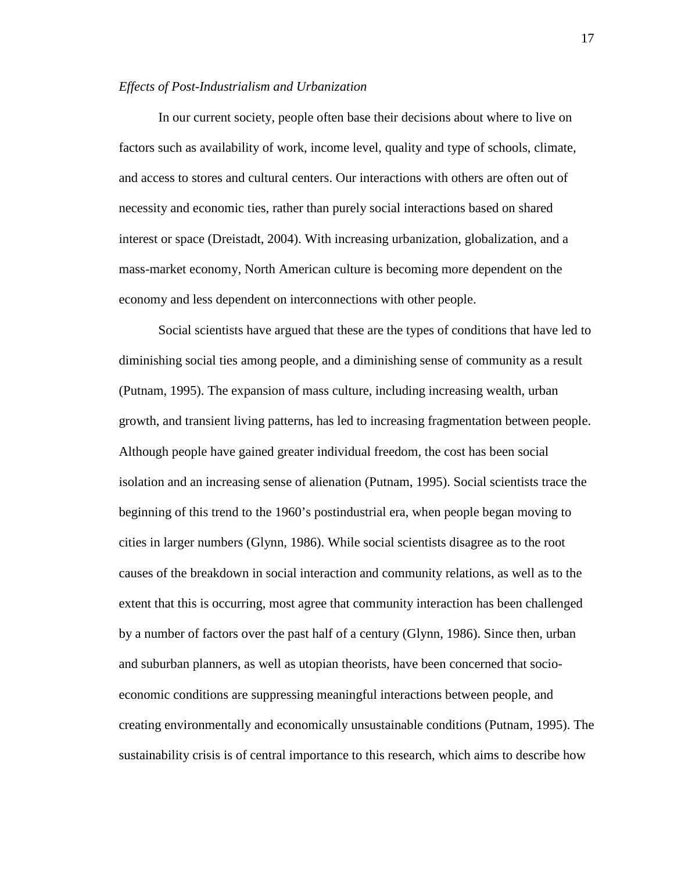### *Effects of Post-Industrialism and Urbanization*

In our current society, people often base their decisions about where to live on factors such as availability of work, income level, quality and type of schools, climate, and access to stores and cultural centers. Our interactions with others are often out of necessity and economic ties, rather than purely social interactions based on shared interest or space (Dreistadt, 2004). With increasing urbanization, globalization, and a mass-market economy, North American culture is becoming more dependent on the economy and less dependent on interconnections with other people.

Social scientists have argued that these are the types of conditions that have led to diminishing social ties among people, and a diminishing sense of community as a result (Putnam, 1995). The expansion of mass culture, including increasing wealth, urban growth, and transient living patterns, has led to increasing fragmentation between people. Although people have gained greater individual freedom, the cost has been social isolation and an increasing sense of alienation (Putnam, 1995). Social scientists trace the beginning of this trend to the 1960's postindustrial era, when people began moving to cities in larger numbers (Glynn, 1986). While social scientists disagree as to the root causes of the breakdown in social interaction and community relations, as well as to the extent that this is occurring, most agree that community interaction has been challenged by a number of factors over the past half of a century (Glynn, 1986). Since then, urban and suburban planners, as well as utopian theorists, have been concerned that socioeconomic conditions are suppressing meaningful interactions between people, and creating environmentally and economically unsustainable conditions (Putnam, 1995). The sustainability crisis is of central importance to this research, which aims to describe how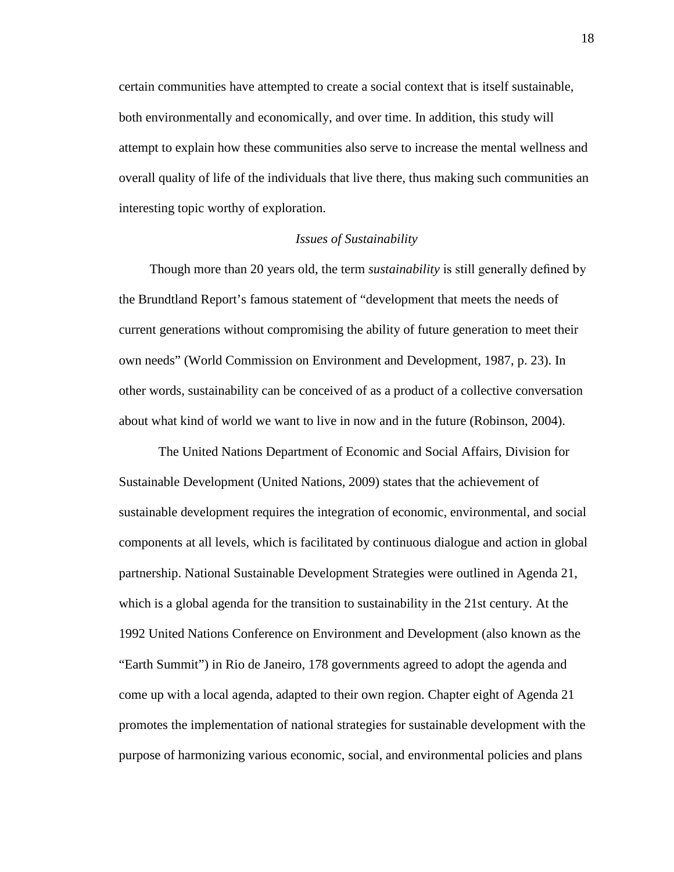certain communities have attempted to create a social context that is itself sustainable, both environmentally and economically, and over time. In addition, this study will attempt to explain how these communities also serve to increase the mental wellness and overall quality of life of the individuals that live there, thus making such communities an interesting topic worthy of exploration.

## *Issues of Sustainability*

Though more than 20 years old, the term *sustainability* is still generally defined by the Brundtland Report's famous statement of "development that meets the needs of current generations without compromising the ability of future generation to meet their own needs" (World Commission on Environment and Development, 1987, p. 23). In other words, sustainability can be conceived of as a product of a collective conversation about what kind of world we want to live in now and in the future (Robinson, 2004).

The United Nations Department of Economic and Social Affairs, Division for Sustainable Development (United Nations, 2009) states that the achievement of sustainable development requires the integration of economic, environmental, and social components at all levels, which is facilitated by continuous dialogue and action in global partnership. National Sustainable Development Strategies were outlined in Agenda 21, which is a global agenda for the transition to sustainability in the 21st century. At the 1992 United Nations Conference on Environment and Development (also known as the "Earth Summit") in Rio de Janeiro, 178 governments agreed to adopt the agenda and come up with a local agenda, adapted to their own region. Chapter eight of Agenda 21 promotes the implementation of national strategies for sustainable development with the purpose of harmonizing various economic, social, and environmental policies and plans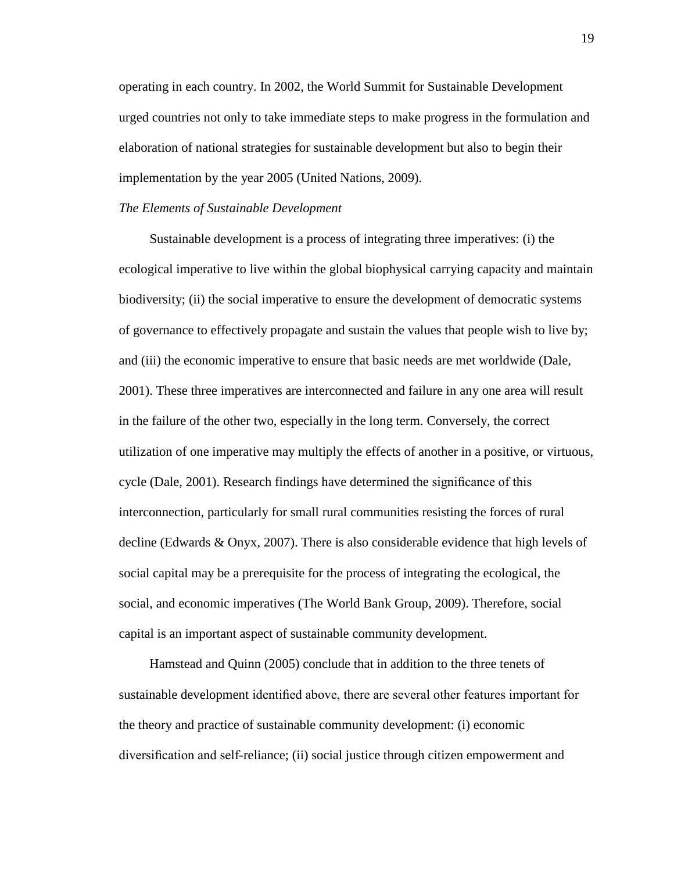operating in each country. In 2002, the World Summit for Sustainable Development urged countries not only to take immediate steps to make progress in the formulation and elaboration of national strategies for sustainable development but also to begin their implementation by the year 2005 (United Nations, 2009).

## *The Elements of Sustainable Development*

Sustainable development is a process of integrating three imperatives: (i) the ecological imperative to live within the global biophysical carrying capacity and maintain biodiversity; (ii) the social imperative to ensure the development of democratic systems of governance to effectively propagate and sustain the values that people wish to live by; and (iii) the economic imperative to ensure that basic needs are met worldwide (Dale, 2001). These three imperatives are interconnected and failure in any one area will result in the failure of the other two, especially in the long term. Conversely, the correct utilization of one imperative may multiply the effects of another in a positive, or virtuous, cycle (Dale, 2001). Research findings have determined the significance of this interconnection, particularly for small rural communities resisting the forces of rural decline (Edwards & Onyx, 2007). There is also considerable evidence that high levels of social capital may be a prerequisite for the process of integrating the ecological, the social, and economic imperatives (The World Bank Group, 2009). Therefore, social capital is an important aspect of sustainable community development.

Hamstead and Quinn (2005) conclude that in addition to the three tenets of sustainable development identified above, there are several other features important for the theory and practice of sustainable community development: (i) economic diversification and self-reliance; (ii) social justice through citizen empowerment and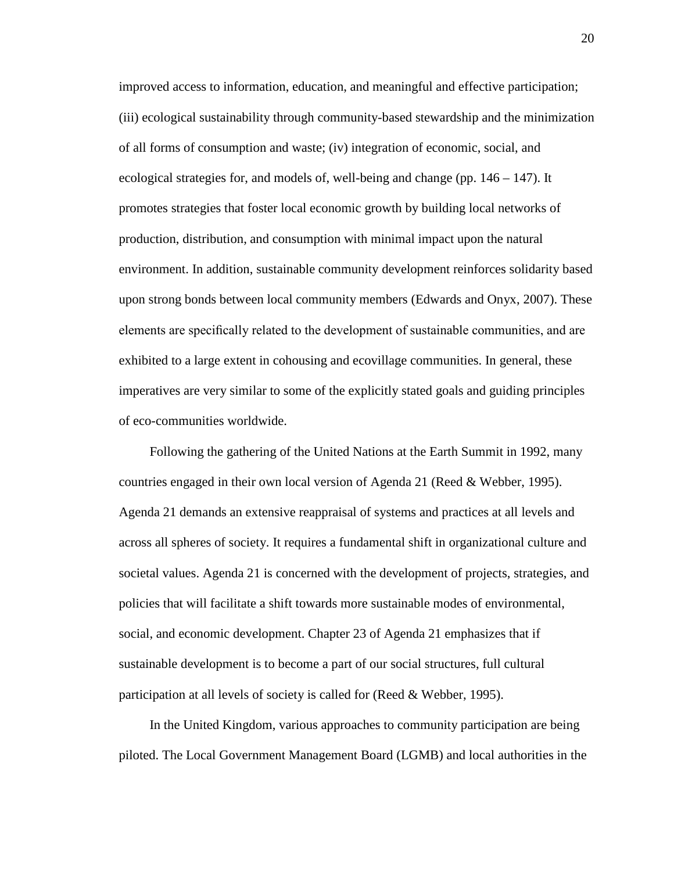improved access to information, education, and meaningful and effective participation; (iii) ecological sustainability through community-based stewardship and the minimization of all forms of consumption and waste; (iv) integration of economic, social, and ecological strategies for, and models of, well-being and change (pp.  $146 - 147$ ). It promotes strategies that foster local economic growth by building local networks of production, distribution, and consumption with minimal impact upon the natural environment. In addition, sustainable community development reinforces solidarity based upon strong bonds between local community members (Edwards and Onyx, 2007). These elements are specifically related to the development of sustainable communities, and are exhibited to a large extent in cohousing and ecovillage communities. In general, these imperatives are very similar to some of the explicitly stated goals and guiding principles of eco-communities worldwide.

Following the gathering of the United Nations at the Earth Summit in 1992, many countries engaged in their own local version of Agenda 21 (Reed & Webber, 1995). Agenda 21 demands an extensive reappraisal of systems and practices at all levels and across all spheres of society. It requires a fundamental shift in organizational culture and societal values. Agenda 21 is concerned with the development of projects, strategies, and policies that will facilitate a shift towards more sustainable modes of environmental, social, and economic development. Chapter 23 of Agenda 21 emphasizes that if sustainable development is to become a part of our social structures, full cultural participation at all levels of society is called for (Reed & Webber, 1995).

In the United Kingdom, various approaches to community participation are being piloted. The Local Government Management Board (LGMB) and local authorities in the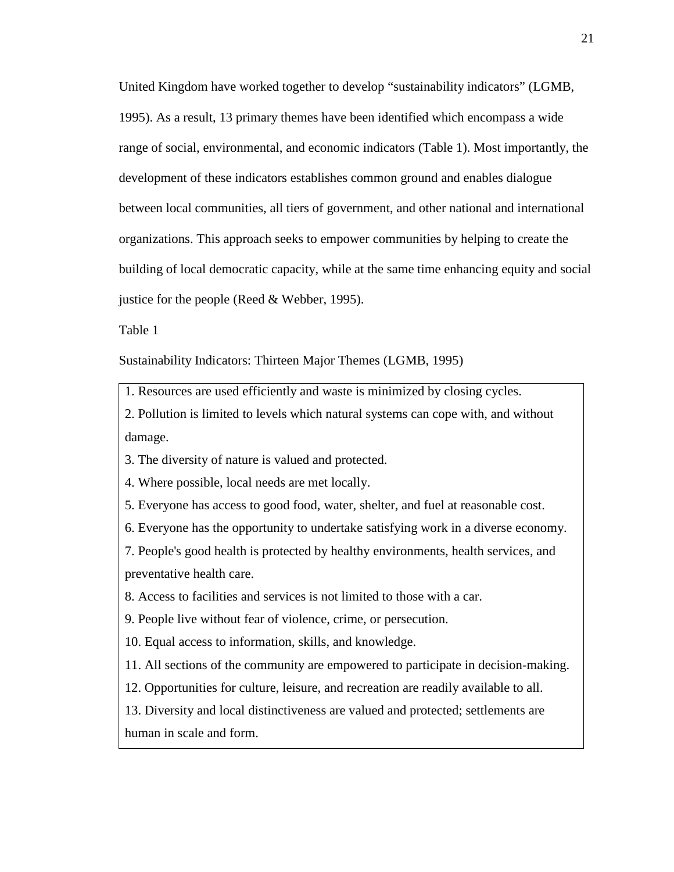United Kingdom have worked together to develop "sustainability indicators" (LGMB, 1995). As a result, 13 primary themes have been identified which encompass a wide range of social, environmental, and economic indicators (Table 1). Most importantly, the development of these indicators establishes common ground and enables dialogue between local communities, all tiers of government, and other national and international organizations. This approach seeks to empower communities by helping to create the building of local democratic capacity, while at the same time enhancing equity and social justice for the people (Reed & Webber, 1995).

Table 1

Sustainability Indicators: Thirteen Major Themes (LGMB, 1995)

1. Resources are used efficiently and waste is minimized by closing cycles.

2. Pollution is limited to levels which natural systems can cope with, and without damage.

3. The diversity of nature is valued and protected.

4. Where possible, local needs are met locally.

5. Everyone has access to good food, water, shelter, and fuel at reasonable cost.

6. Everyone has the opportunity to undertake satisfying work in a diverse economy.

7. People's good health is protected by healthy environments, health services, and preventative health care.

8. Access to facilities and services is not limited to those with a car.

9. People live without fear of violence, crime, or persecution.

10. Equal access to information, skills, and knowledge.

11. All sections of the community are empowered to participate in decision-making.

12. Opportunities for culture, leisure, and recreation are readily available to all.

13. Diversity and local distinctiveness are valued and protected; settlements are human in scale and form.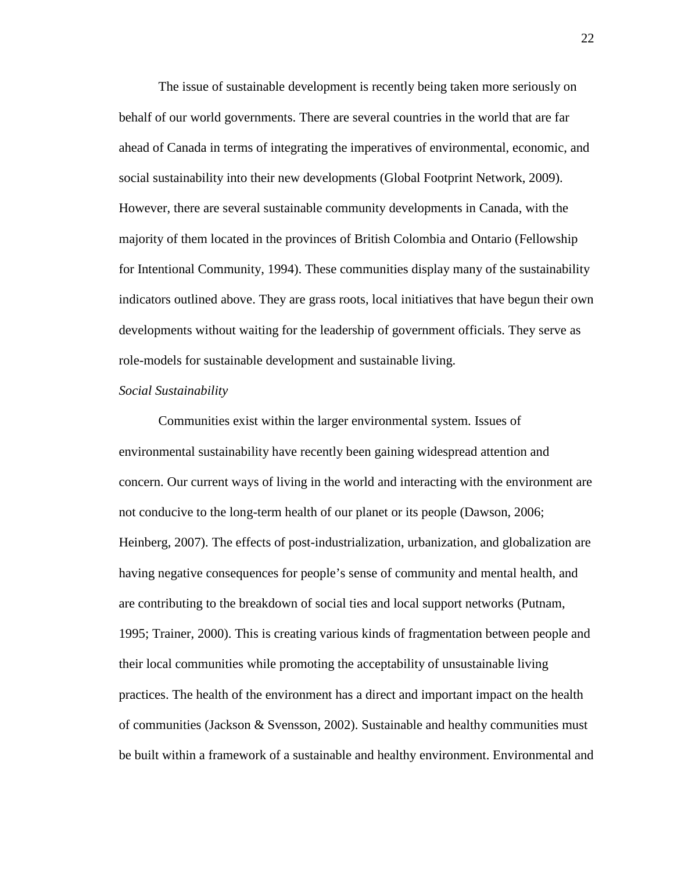The issue of sustainable development is recently being taken more seriously on behalf of our world governments. There are several countries in the world that are far ahead of Canada in terms of integrating the imperatives of environmental, economic, and social sustainability into their new developments (Global Footprint Network, 2009). However, there are several sustainable community developments in Canada, with the majority of them located in the provinces of British Colombia and Ontario (Fellowship for Intentional Community, 1994). These communities display many of the sustainability indicators outlined above. They are grass roots, local initiatives that have begun their own developments without waiting for the leadership of government officials. They serve as role-models for sustainable development and sustainable living.

#### *Social Sustainability*

Communities exist within the larger environmental system. Issues of environmental sustainability have recently been gaining widespread attention and concern. Our current ways of living in the world and interacting with the environment are not conducive to the long-term health of our planet or its people (Dawson, 2006; Heinberg, 2007). The effects of post-industrialization, urbanization, and globalization are having negative consequences for people's sense of community and mental health, and are contributing to the breakdown of social ties and local support networks (Putnam, 1995; Trainer, 2000). This is creating various kinds of fragmentation between people and their local communities while promoting the acceptability of unsustainable living practices. The health of the environment has a direct and important impact on the health of communities (Jackson  $\&$  Svensson, 2002). Sustainable and healthy communities must be built within a framework of a sustainable and healthy environment. Environmental and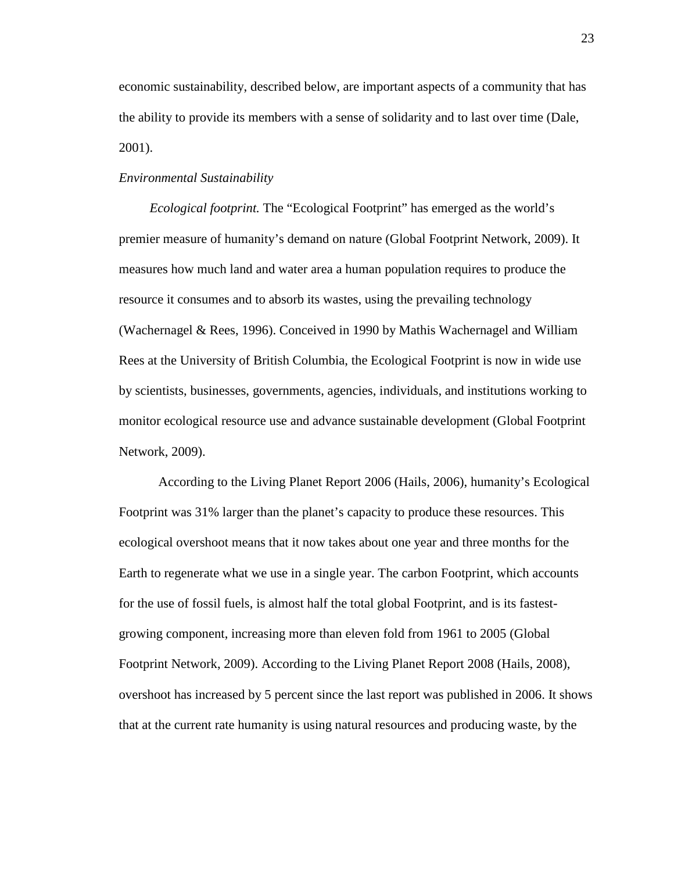economic sustainability, described below, are important aspects of a community that has the ability to provide its members with a sense of solidarity and to last over time (Dale, 2001).

## *Environmental Sustainability*

*Ecological footprint.* The "Ecological Footprint" has emerged as the world's premier measure of humanity's demand on nature (Global Footprint Network, 2009). It measures how much land and water area a human population requires to produce the resource it consumes and to absorb its wastes, using the prevailing technology (Wachernagel & Rees, 1996). Conceived in 1990 by Mathis Wachernagel and William Rees at the University of British Columbia, the Ecological Footprint is now in wide use by scientists, businesses, governments, agencies, individuals, and institutions working to monitor ecological resource use and advance sustainable development (Global Footprint Network, 2009).

According to the Living Planet Report 2006 (Hails, 2006), humanity's Ecological Footprint was 31% larger than the planet's capacity to produce these resources. This ecological overshoot means that it now takes about one year and three months for the Earth to regenerate what we use in a single year. The carbon Footprint, which accounts for the use of fossil fuels, is almost half the total global Footprint, and is its fastestgrowing component, increasing more than eleven fold from 1961 to 2005 (Global Footprint Network, 2009). According to the Living Planet Report 2008 (Hails, 2008), overshoot has increased by 5 percent since the last report was published in 2006. It shows that at the current rate humanity is using natural resources and producing waste, by the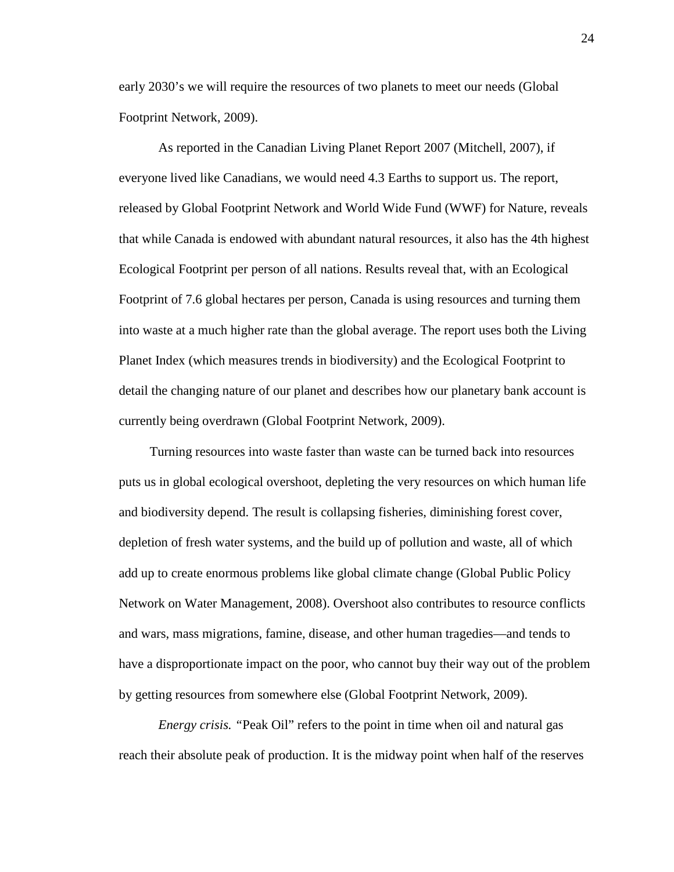early 2030's we will require the resources of two planets to meet our needs (Global Footprint Network, 2009).

As reported in the Canadian Living Planet Report 2007 (Mitchell, 2007), if everyone lived like Canadians, we would need 4.3 Earths to support us. The report, released by Global Footprint Network and World Wide Fund (WWF) for Nature, reveals that while Canada is endowed with abundant natural resources, it also has the 4th highest Ecological Footprint per person of all nations. Results reveal that, with an Ecological Footprint of 7.6 global hectares per person, Canada is using resources and turning them into waste at a much higher rate than the global average. The report uses both the Living Planet Index (which measures trends in biodiversity) and the Ecological Footprint to detail the changing nature of our planet and describes how our planetary bank account is currently being overdrawn (Global Footprint Network, 2009).

Turning resources into waste faster than waste can be turned back into resources puts us in global ecological overshoot, depleting the very resources on which human life and biodiversity depend. The result is collapsing fisheries, diminishing forest cover, depletion of fresh water systems, and the build up of pollution and waste, all of which add up to create enormous problems like global climate change (Global Public Policy Network on Water Management, 2008). Overshoot also contributes to resource conflicts and wars, mass migrations, famine, disease, and other human tragedies—and tends to have a disproportionate impact on the poor, who cannot buy their way out of the problem by getting resources from somewhere else (Global Footprint Network, 2009).

*Energy crisis.* "Peak Oil" refers to the point in time when oil and natural gas reach their absolute peak of production. It is the midway point when half of the reserves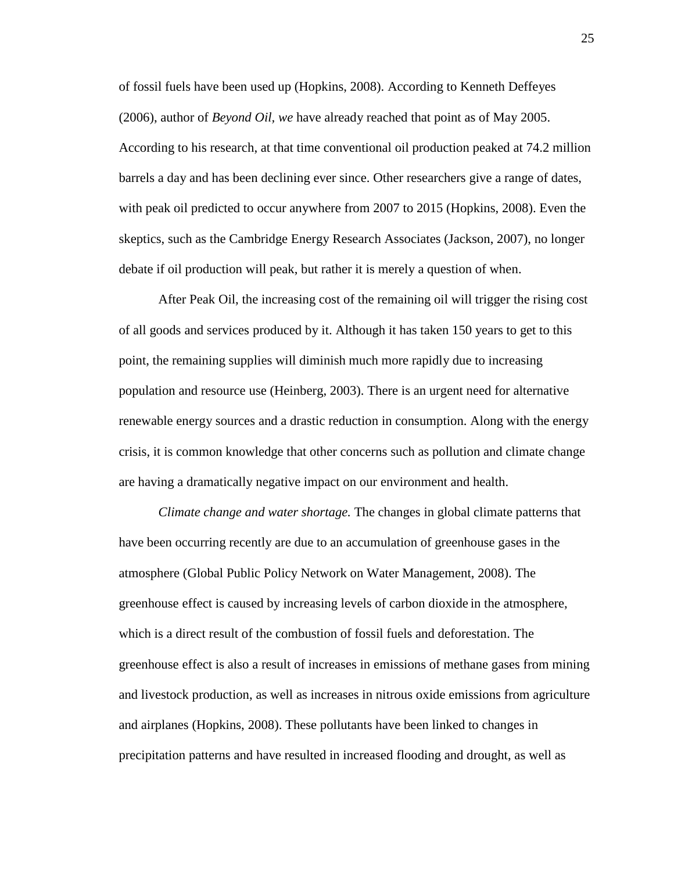of fossil fuels have been used up (Hopkins, 2008). According to Kenneth Deffeyes (2006), author of *Beyond Oil, we* have already reached that point as of May 2005. According to his research, at that time conventional oil production peaked at 74.2 million barrels a day and has been declining ever since. Other researchers give a range of dates, with peak oil predicted to occur anywhere from 2007 to 2015 (Hopkins, 2008). Even the skeptics, such as the Cambridge Energy Research Associates (Jackson, 2007), no longer debate if oil production will peak, but rather it is merely a question of when.

After Peak Oil, the increasing cost of the remaining oil will trigger the rising cost of all goods and services produced by it. Although it has taken 150 years to get to this point, the remaining supplies will diminish much more rapidly due to increasing population and resource use (Heinberg, 2003). There is an urgent need for alternative renewable energy sources and a drastic reduction in consumption. Along with the energy crisis, it is common knowledge that other concerns such as pollution and climate change are having a dramatically negative impact on our environment and health.

*Climate change and water shortage.* The changes in global climate patterns that have been occurring recently are due to an accumulation of greenhouse gases in the atmosphere (Global Public Policy Network on Water Management, 2008). The greenhouse effect is caused by increasing levels of carbon dioxide in the atmosphere, which is a direct result of the combustion of fossil fuels and deforestation. The greenhouse effect is also a result of increases in emissions of methane gases from mining and livestock production, as well as increases in nitrous oxide emissions from agriculture and airplanes (Hopkins, 2008). These pollutants have been linked to changes in precipitation patterns and have resulted in increased flooding and drought, as well as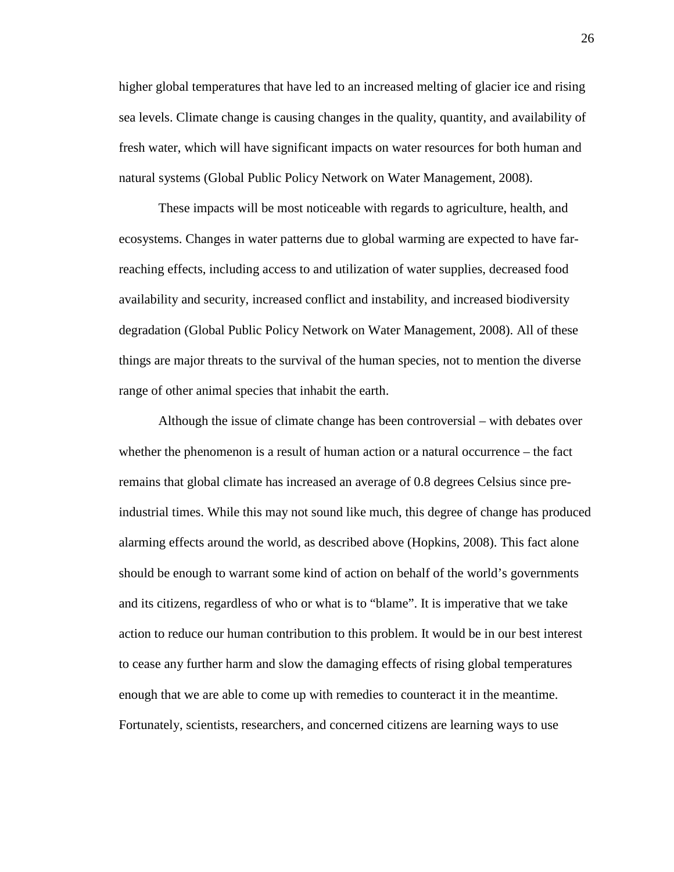higher global temperatures that have led to an increased melting of glacier ice and rising sea levels. Climate change is causing changes in the quality, quantity, and availability of fresh water, which will have significant impacts on water resources for both human and natural systems (Global Public Policy Network on Water Management, 2008).

These impacts will be most noticeable with regards to agriculture, health, and ecosystems. Changes in water patterns due to global warming are expected to have farreaching effects, including access to and utilization of water supplies, decreased food availability and security, increased conflict and instability, and increased biodiversity degradation (Global Public Policy Network on Water Management, 2008). All of these things are major threats to the survival of the human species, not to mention the diverse range of other animal species that inhabit the earth.

Although the issue of climate change has been controversial – with debates over whether the phenomenon is a result of human action or a natural occurrence – the fact remains that global climate has increased an average of 0.8 degrees Celsius since preindustrial times. While this may not sound like much, this degree of change has produced alarming effects around the world, as described above (Hopkins, 2008). This fact alone should be enough to warrant some kind of action on behalf of the world's governments and its citizens, regardless of who or what is to "blame". It is imperative that we take action to reduce our human contribution to this problem. It would be in our best interest to cease any further harm and slow the damaging effects of rising global temperatures enough that we are able to come up with remedies to counteract it in the meantime. Fortunately, scientists, researchers, and concerned citizens are learning ways to use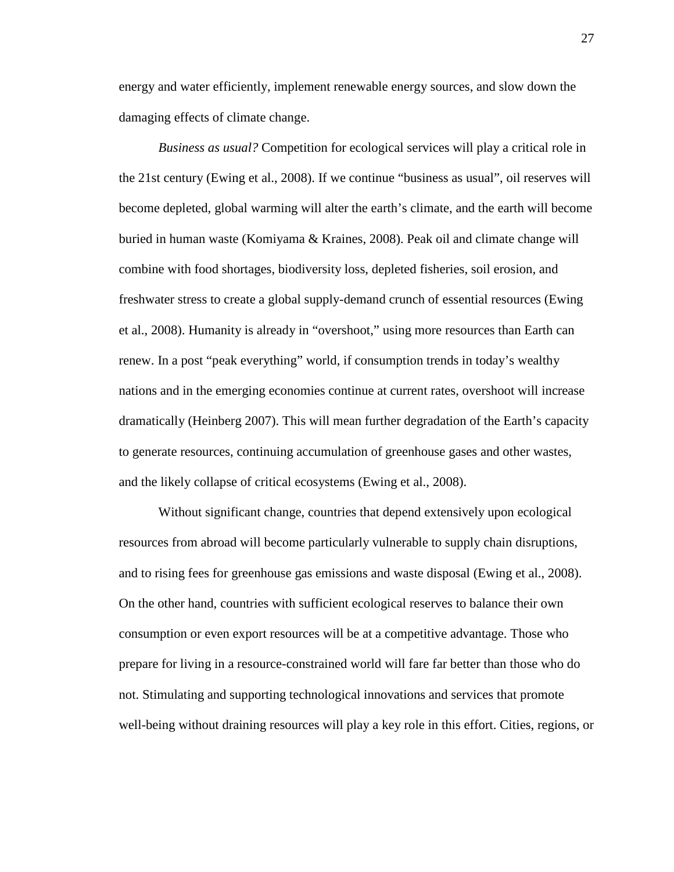energy and water efficiently, implement renewable energy sources, and slow down the damaging effects of climate change.

*Business as usual?* Competition for ecological services will play a critical role in the 21st century (Ewing et al., 2008). If we continue "business as usual", oil reserves will become depleted, global warming will alter the earth's climate, and the earth will become buried in human waste (Komiyama & Kraines, 2008). Peak oil and climate change will combine with food shortages, biodiversity loss, depleted fisheries, soil erosion, and freshwater stress to create a global supply-demand crunch of essential resources (Ewing et al., 2008). Humanity is already in "overshoot," using more resources than Earth can renew. In a post "peak everything" world, if consumption trends in today's wealthy nations and in the emerging economies continue at current rates, overshoot will increase dramatically (Heinberg 2007). This will mean further degradation of the Earth's capacity to generate resources, continuing accumulation of greenhouse gases and other wastes, and the likely collapse of critical ecosystems (Ewing et al., 2008).

Without significant change, countries that depend extensively upon ecological resources from abroad will become particularly vulnerable to supply chain disruptions, and to rising fees for greenhouse gas emissions and waste disposal (Ewing et al., 2008). On the other hand, countries with sufficient ecological reserves to balance their own consumption or even export resources will be at a competitive advantage. Those who prepare for living in a resource-constrained world will fare far better than those who do not. Stimulating and supporting technological innovations and services that promote well-being without draining resources will play a key role in this effort. Cities, regions, or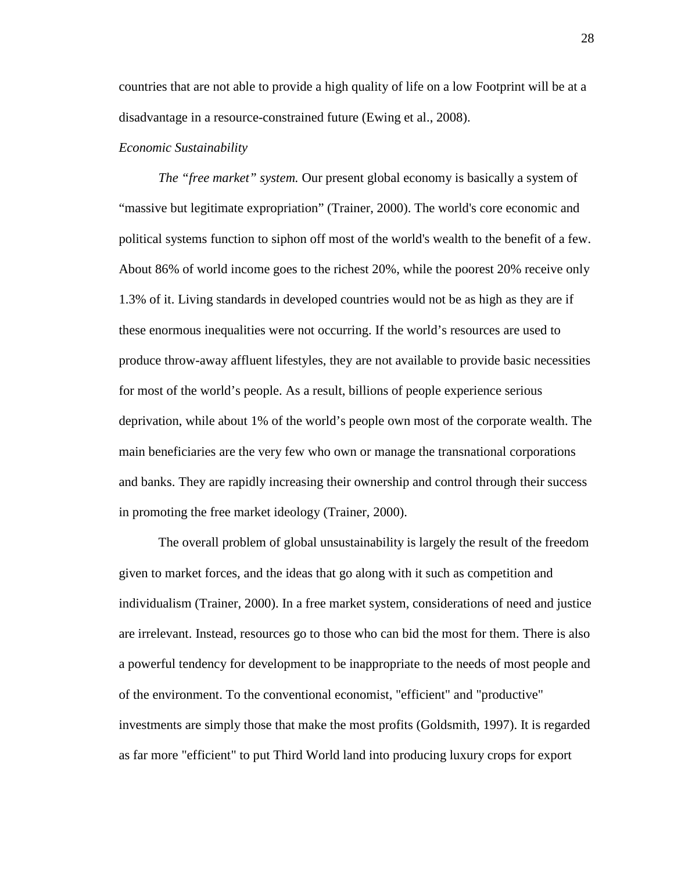countries that are not able to provide a high quality of life on a low Footprint will be at a disadvantage in a resource-constrained future (Ewing et al., 2008).

## *Economic Sustainability*

*The "free market" system.* Our present global economy is basically a system of "massive but legitimate expropriation" (Trainer, 2000). The world's core economic and political systems function to siphon off most of the world's wealth to the benefit of a few. About 86% of world income goes to the richest 20%, while the poorest 20% receive only 1.3% of it. Living standards in developed countries would not be as high as they are if these enormous inequalities were not occurring. If the world's resources are used to produce throw-away affluent lifestyles, they are not available to provide basic necessities for most of the world's people. As a result, billions of people experience serious deprivation, while about 1% of the world's people own most of the corporate wealth. The main beneficiaries are the very few who own or manage the transnational corporations and banks. They are rapidly increasing their ownership and control through their success in promoting the free market ideology (Trainer, 2000).

The overall problem of global unsustainability is largely the result of the freedom given to market forces, and the ideas that go along with it such as competition and individualism (Trainer, 2000). In a free market system, considerations of need and justice are irrelevant. Instead, resources go to those who can bid the most for them. There is also a powerful tendency for development to be inappropriate to the needs of most people and of the environment. To the conventional economist, "efficient" and "productive" investments are simply those that make the most profits (Goldsmith, 1997). It is regarded as far more "efficient" to put Third World land into producing luxury crops for export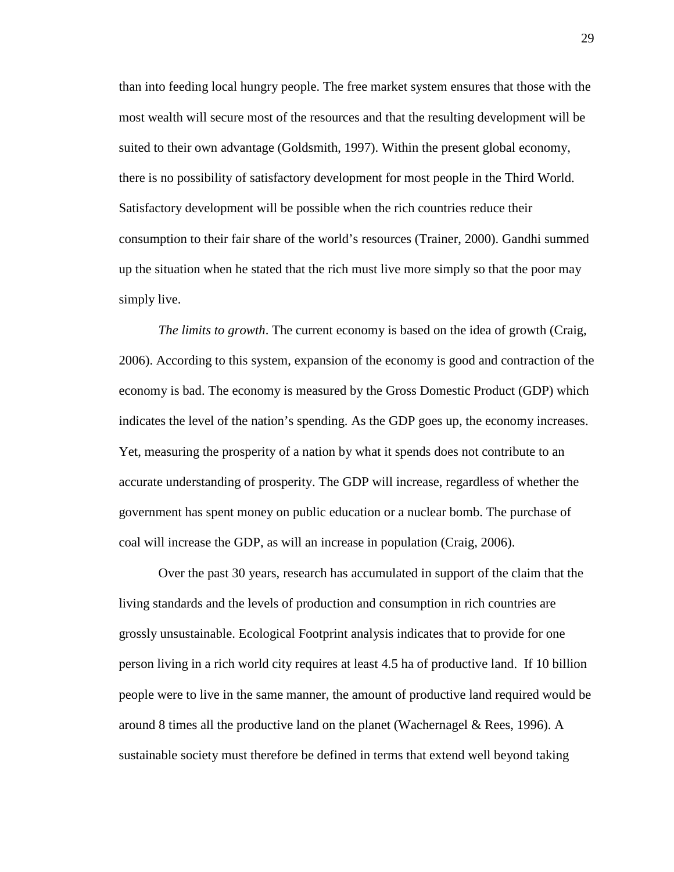than into feeding local hungry people. The free market system ensures that those with the most wealth will secure most of the resources and that the resulting development will be suited to their own advantage (Goldsmith, 1997). Within the present global economy, there is no possibility of satisfactory development for most people in the Third World. Satisfactory development will be possible when the rich countries reduce their consumption to their fair share of the world's resources (Trainer, 2000). Gandhi summed up the situation when he stated that the rich must live more simply so that the poor may simply live.

*The limits to growth*. The current economy is based on the idea of growth (Craig, 2006). According to this system, expansion of the economy is good and contraction of the economy is bad. The economy is measured by the Gross Domestic Product (GDP) which indicates the level of the nation's spending. As the GDP goes up, the economy increases. Yet, measuring the prosperity of a nation by what it spends does not contribute to an accurate understanding of prosperity. The GDP will increase, regardless of whether the government has spent money on public education or a nuclear bomb. The purchase of coal will increase the GDP, as will an increase in population (Craig, 2006).

Over the past 30 years, research has accumulated in support of the claim that the living standards and the levels of production and consumption in rich countries are grossly unsustainable. Ecological Footprint analysis indicates that to provide for one person living in a rich world city requires at least 4.5 ha of productive land. If 10 billion people were to live in the same manner, the amount of productive land required would be around 8 times all the productive land on the planet (Wachernagel & Rees, 1996). A sustainable society must therefore be defined in terms that extend well beyond taking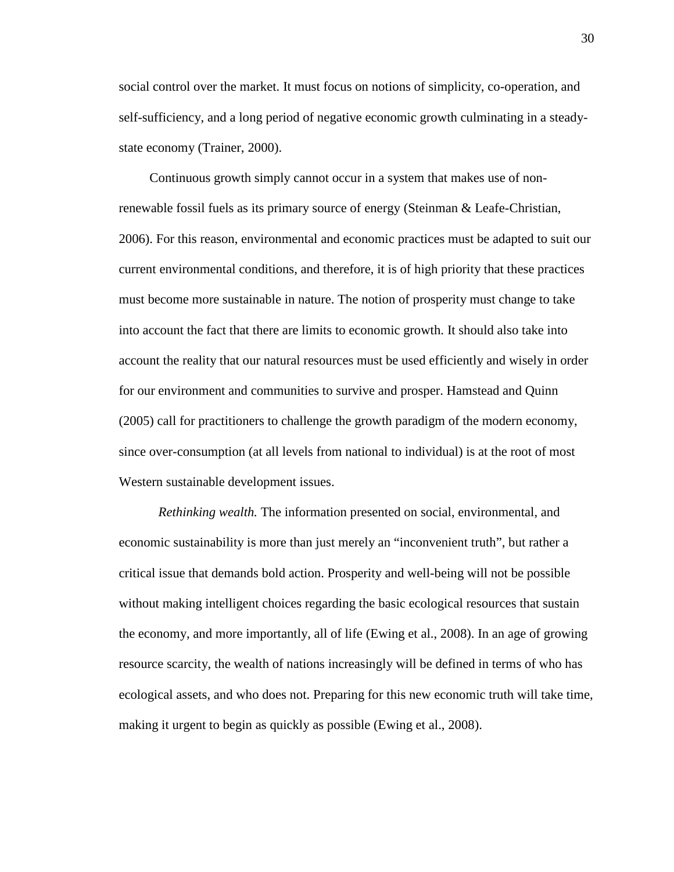social control over the market. It must focus on notions of simplicity, co-operation, and self-sufficiency, and a long period of negative economic growth culminating in a steadystate economy (Trainer, 2000).

Continuous growth simply cannot occur in a system that makes use of nonrenewable fossil fuels as its primary source of energy (Steinman & Leafe-Christian, 2006). For this reason, environmental and economic practices must be adapted to suit our current environmental conditions, and therefore, it is of high priority that these practices must become more sustainable in nature. The notion of prosperity must change to take into account the fact that there are limits to economic growth. It should also take into account the reality that our natural resources must be used efficiently and wisely in order for our environment and communities to survive and prosper. Hamstead and Quinn (2005) call for practitioners to challenge the growth paradigm of the modern economy, since over-consumption (at all levels from national to individual) is at the root of most Western sustainable development issues.

*Rethinking wealth.* The information presented on social, environmental, and economic sustainability is more than just merely an "inconvenient truth", but rather a critical issue that demands bold action. Prosperity and well-being will not be possible without making intelligent choices regarding the basic ecological resources that sustain the economy, and more importantly, all of life (Ewing et al., 2008). In an age of growing resource scarcity, the wealth of nations increasingly will be defined in terms of who has ecological assets, and who does not. Preparing for this new economic truth will take time, making it urgent to begin as quickly as possible (Ewing et al., 2008).

30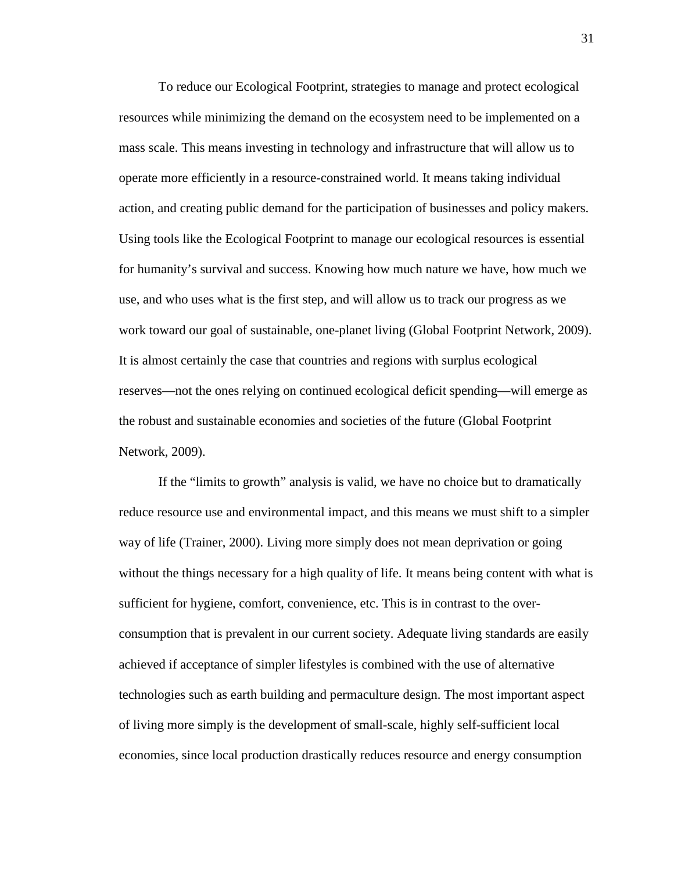To reduce our Ecological Footprint, strategies to manage and protect ecological resources while minimizing the demand on the ecosystem need to be implemented on a mass scale. This means investing in technology and infrastructure that will allow us to operate more efficiently in a resource-constrained world. It means taking individual action, and creating public demand for the participation of businesses and policy makers. Using tools like the Ecological Footprint to manage our ecological resources is essential for humanity's survival and success. Knowing how much nature we have, how much we use, and who uses what is the first step, and will allow us to track our progress as we work toward our goal of sustainable, one-planet living (Global Footprint Network, 2009). It is almost certainly the case that countries and regions with surplus ecological reserves—not the ones relying on continued ecological deficit spending—will emerge as the robust and sustainable economies and societies of the future (Global Footprint Network, 2009).

If the "limits to growth" analysis is valid, we have no choice but to dramatically reduce resource use and environmental impact, and this means we must shift to a simpler way of life (Trainer, 2000). Living more simply does not mean deprivation or going without the things necessary for a high quality of life. It means being content with what is sufficient for hygiene, comfort, convenience, etc. This is in contrast to the overconsumption that is prevalent in our current society. Adequate living standards are easily achieved if acceptance of simpler lifestyles is combined with the use of alternative technologies such as earth building and permaculture design. The most important aspect of living more simply is the development of small-scale, highly self-sufficient local economies, since local production drastically reduces resource and energy consumption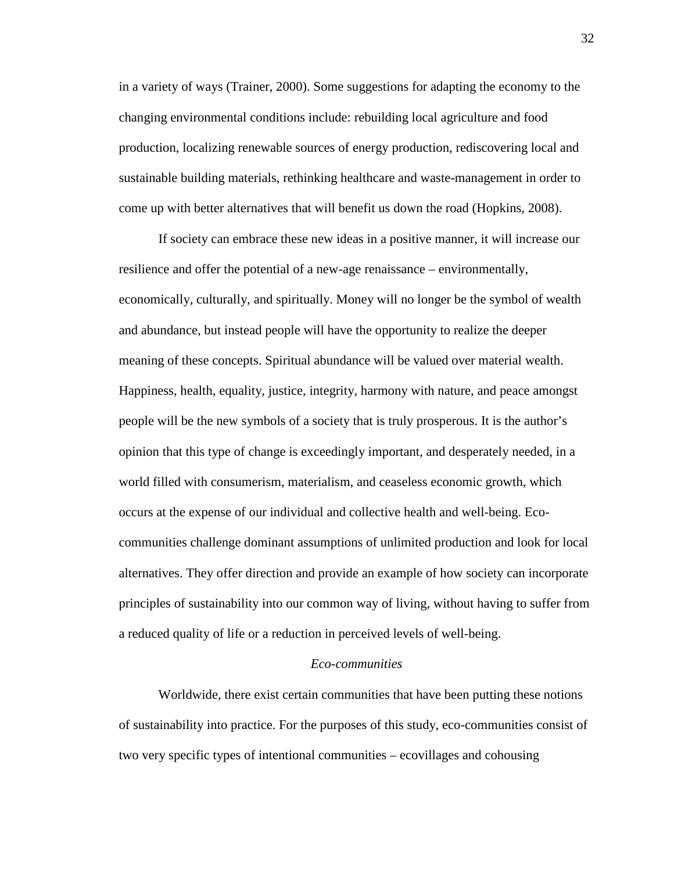in a variety of ways (Trainer, 2000). Some suggestions for adapting the economy to the changing environmental conditions include: rebuilding local agriculture and food production, localizing renewable sources of energy production, rediscovering local and sustainable building materials, rethinking healthcare and waste-management in order to come up with better alternatives that will benefit us down the road (Hopkins, 2008).

If society can embrace these new ideas in a positive manner, it will increase our resilience and offer the potential of a new-age renaissance – environmentally, economically, culturally, and spiritually. Money will no longer be the symbol of wealth and abundance, but instead people will have the opportunity to realize the deeper meaning of these concepts. Spiritual abundance will be valued over material wealth. Happiness, health, equality, justice, integrity, harmony with nature, and peace amongst people will be the new symbols of a society that is truly prosperous. It is the author's opinion that this type of change is exceedingly important, and desperately needed, in a world filled with consumerism, materialism, and ceaseless economic growth, which occurs at the expense of our individual and collective health and well-being. Ecocommunities challenge dominant assumptions of unlimited production and look for local alternatives. They offer direction and provide an example of how society can incorporate principles of sustainability into our common way of living, without having to suffer from a reduced quality of life or a reduction in perceived levels of well-being.

### *Eco-communities*

Worldwide, there exist certain communities that have been putting these notions of sustainability into practice. For the purposes of this study, eco-communities consist of two very specific types of intentional communities – ecovillages and cohousing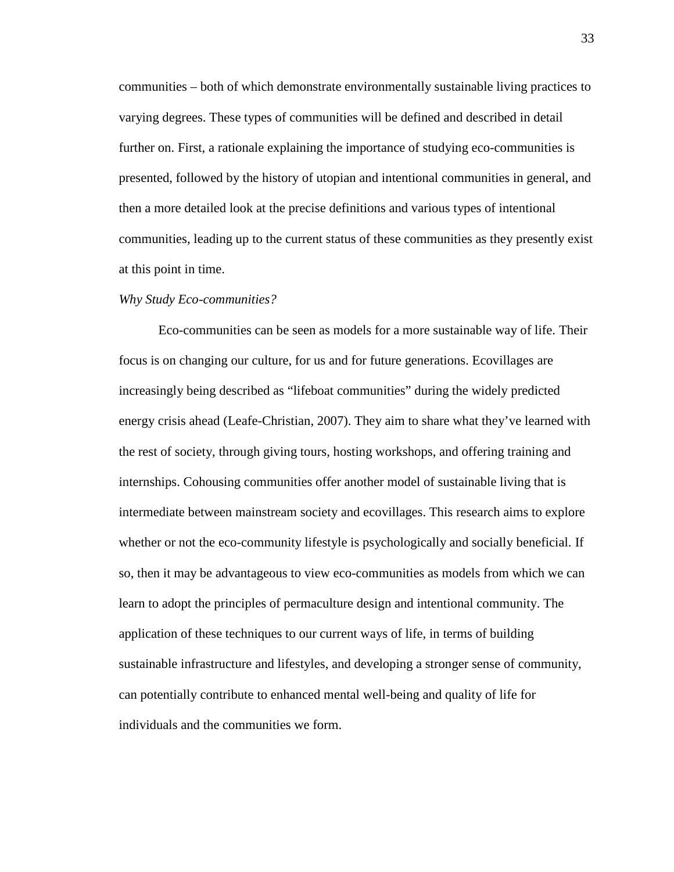communities – both of which demonstrate environmentally sustainable living practices to varying degrees. These types of communities will be defined and described in detail further on. First, a rationale explaining the importance of studying eco-communities is presented, followed by the history of utopian and intentional communities in general, and then a more detailed look at the precise definitions and various types of intentional communities, leading up to the current status of these communities as they presently exist at this point in time.

### *Why Study Eco-communities?*

Eco-communities can be seen as models for a more sustainable way of life. Their focus is on changing our culture, for us and for future generations. Ecovillages are increasingly being described as "lifeboat communities" during the widely predicted energy crisis ahead (Leafe-Christian, 2007). They aim to share what they've learned with the rest of society, through giving tours, hosting workshops, and offering training and internships. Cohousing communities offer another model of sustainable living that is intermediate between mainstream society and ecovillages. This research aims to explore whether or not the eco-community lifestyle is psychologically and socially beneficial. If so, then it may be advantageous to view eco-communities as models from which we can learn to adopt the principles of permaculture design and intentional community. The application of these techniques to our current ways of life, in terms of building sustainable infrastructure and lifestyles, and developing a stronger sense of community, can potentially contribute to enhanced mental well-being and quality of life for individuals and the communities we form.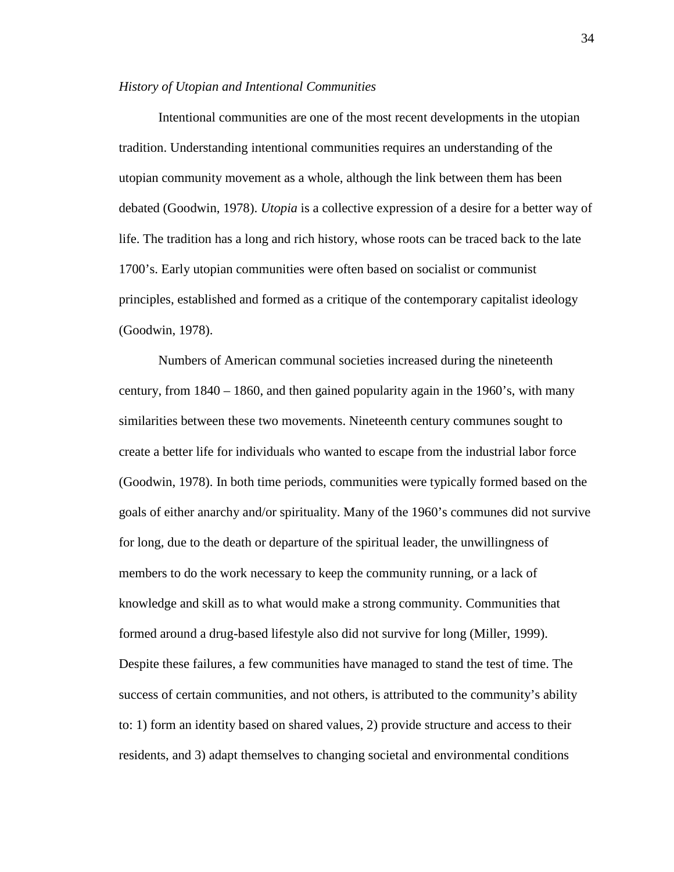### *History of Utopian and Intentional Communities*

Intentional communities are one of the most recent developments in the utopian tradition. Understanding intentional communities requires an understanding of the utopian community movement as a whole, although the link between them has been debated (Goodwin, 1978). *Utopia* is a collective expression of a desire for a better way of life. The tradition has a long and rich history, whose roots can be traced back to the late 1700's. Early utopian communities were often based on socialist or communist principles, established and formed as a critique of the contemporary capitalist ideology (Goodwin, 1978).

Numbers of American communal societies increased during the nineteenth century, from 1840 – 1860, and then gained popularity again in the 1960's, with many similarities between these two movements. Nineteenth century communes sought to create a better life for individuals who wanted to escape from the industrial labor force (Goodwin, 1978). In both time periods, communities were typically formed based on the goals of either anarchy and/or spirituality. Many of the 1960's communes did not survive for long, due to the death or departure of the spiritual leader, the unwillingness of members to do the work necessary to keep the community running, or a lack of knowledge and skill as to what would make a strong community. Communities that formed around a drug-based lifestyle also did not survive for long (Miller, 1999). Despite these failures, a few communities have managed to stand the test of time. The success of certain communities, and not others, is attributed to the community's ability to: 1) form an identity based on shared values, 2) provide structure and access to their residents, and 3) adapt themselves to changing societal and environmental conditions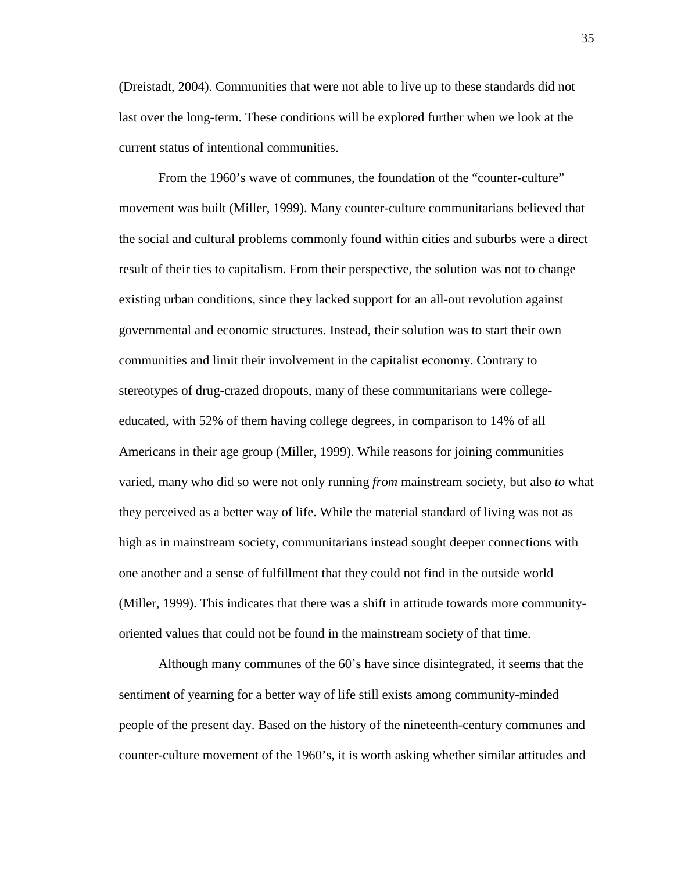(Dreistadt, 2004). Communities that were not able to live up to these standards did not last over the long-term. These conditions will be explored further when we look at the current status of intentional communities.

From the 1960's wave of communes, the foundation of the "counter-culture" movement was built (Miller, 1999). Many counter-culture communitarians believed that the social and cultural problems commonly found within cities and suburbs were a direct result of their ties to capitalism. From their perspective, the solution was not to change existing urban conditions, since they lacked support for an all-out revolution against governmental and economic structures. Instead, their solution was to start their own communities and limit their involvement in the capitalist economy. Contrary to stereotypes of drug-crazed dropouts, many of these communitarians were collegeeducated, with 52% of them having college degrees, in comparison to 14% of all Americans in their age group (Miller, 1999). While reasons for joining communities varied, many who did so were not only running *from* mainstream society, but also *to* what they perceived as a better way of life. While the material standard of living was not as high as in mainstream society, communitarians instead sought deeper connections with one another and a sense of fulfillment that they could not find in the outside world (Miller, 1999). This indicates that there was a shift in attitude towards more communityoriented values that could not be found in the mainstream society of that time.

Although many communes of the 60's have since disintegrated, it seems that the sentiment of yearning for a better way of life still exists among community-minded people of the present day. Based on the history of the nineteenth-century communes and counter-culture movement of the 1960's, it is worth asking whether similar attitudes and

35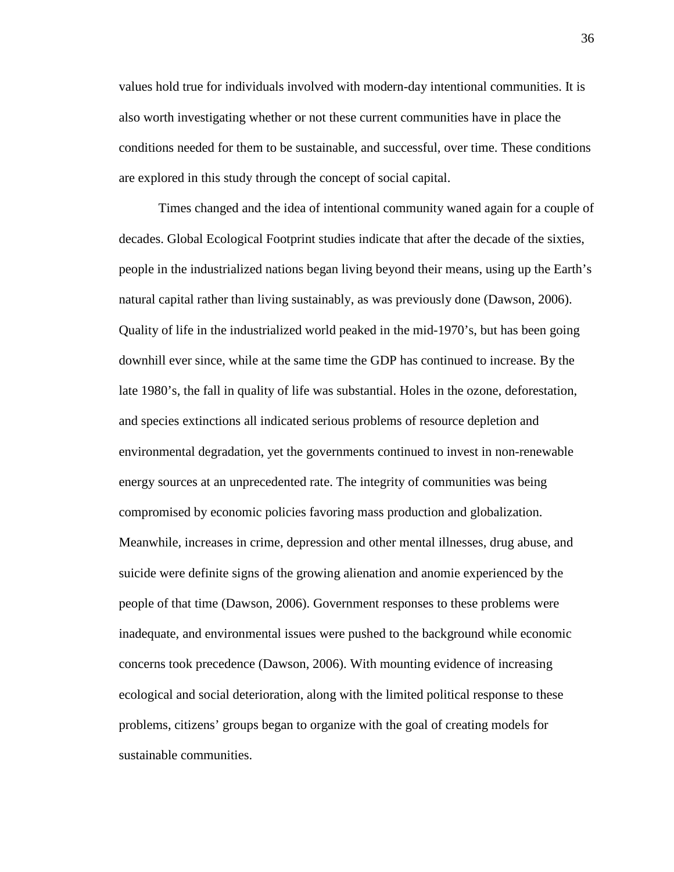values hold true for individuals involved with modern-day intentional communities. It is also worth investigating whether or not these current communities have in place the conditions needed for them to be sustainable, and successful, over time. These conditions are explored in this study through the concept of social capital.

Times changed and the idea of intentional community waned again for a couple of decades. Global Ecological Footprint studies indicate that after the decade of the sixties, people in the industrialized nations began living beyond their means, using up the Earth's natural capital rather than living sustainably, as was previously done (Dawson, 2006). Quality of life in the industrialized world peaked in the mid-1970's, but has been going downhill ever since, while at the same time the GDP has continued to increase. By the late 1980's, the fall in quality of life was substantial. Holes in the ozone, deforestation, and species extinctions all indicated serious problems of resource depletion and environmental degradation, yet the governments continued to invest in non-renewable energy sources at an unprecedented rate. The integrity of communities was being compromised by economic policies favoring mass production and globalization. Meanwhile, increases in crime, depression and other mental illnesses, drug abuse, and suicide were definite signs of the growing alienation and anomie experienced by the people of that time (Dawson, 2006). Government responses to these problems were inadequate, and environmental issues were pushed to the background while economic concerns took precedence (Dawson, 2006). With mounting evidence of increasing ecological and social deterioration, along with the limited political response to these problems, citizens' groups began to organize with the goal of creating models for sustainable communities.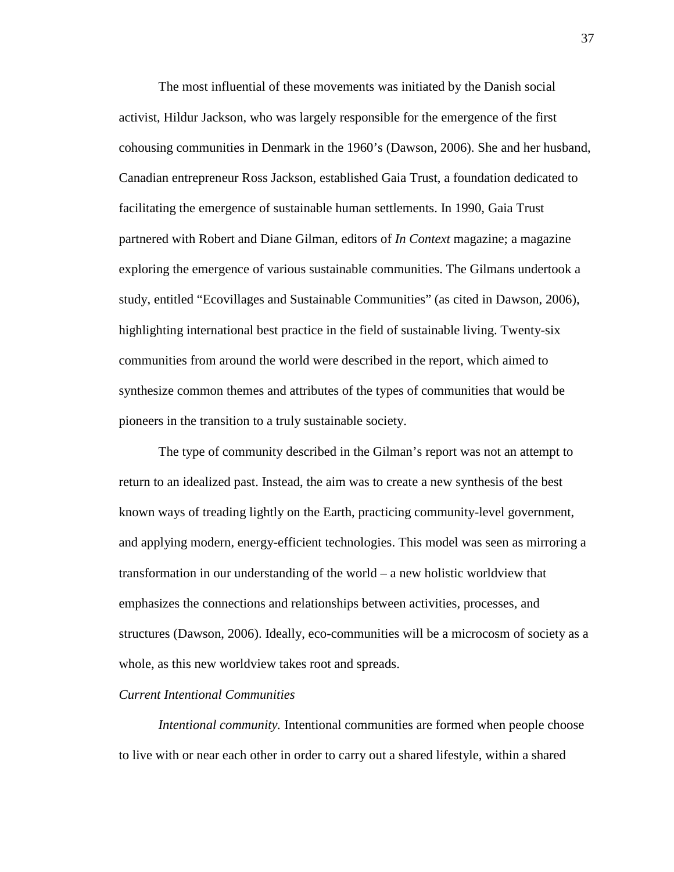The most influential of these movements was initiated by the Danish social activist, Hildur Jackson, who was largely responsible for the emergence of the first cohousing communities in Denmark in the 1960's (Dawson, 2006). She and her husband, Canadian entrepreneur Ross Jackson, established Gaia Trust, a foundation dedicated to facilitating the emergence of sustainable human settlements. In 1990, Gaia Trust partnered with Robert and Diane Gilman, editors of *In Context* magazine; a magazine exploring the emergence of various sustainable communities. The Gilmans undertook a study, entitled "Ecovillages and Sustainable Communities" (as cited in Dawson, 2006), highlighting international best practice in the field of sustainable living. Twenty-six communities from around the world were described in the report, which aimed to synthesize common themes and attributes of the types of communities that would be pioneers in the transition to a truly sustainable society.

The type of community described in the Gilman's report was not an attempt to return to an idealized past. Instead, the aim was to create a new synthesis of the best known ways of treading lightly on the Earth, practicing community-level government, and applying modern, energy-efficient technologies. This model was seen as mirroring a transformation in our understanding of the world – a new holistic worldview that emphasizes the connections and relationships between activities, processes, and structures (Dawson, 2006). Ideally, eco-communities will be a microcosm of society as a whole, as this new worldview takes root and spreads.

### *Current Intentional Communities*

*Intentional community.* Intentional communities are formed when people choose to live with or near each other in order to carry out a shared lifestyle, within a shared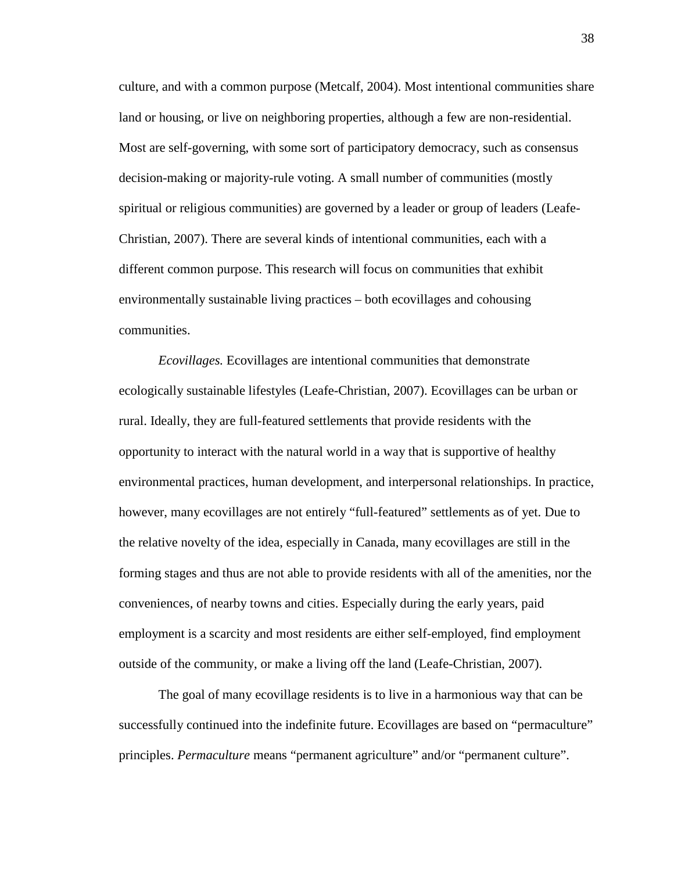culture, and with a common purpose (Metcalf, 2004). Most intentional communities share land or housing, or live on neighboring properties, although a few are non-residential. Most are self-governing, with some sort of participatory democracy, such as consensus decision-making or majority-rule voting. A small number of communities (mostly spiritual or religious communities) are governed by a leader or group of leaders (Leafe-Christian, 2007). There are several kinds of intentional communities, each with a different common purpose. This research will focus on communities that exhibit environmentally sustainable living practices – both ecovillages and cohousing communities.

*Ecovillages.* Ecovillages are intentional communities that demonstrate ecologically sustainable lifestyles (Leafe-Christian, 2007). Ecovillages can be urban or rural. Ideally, they are full-featured settlements that provide residents with the opportunity to interact with the natural world in a way that is supportive of healthy environmental practices, human development, and interpersonal relationships. In practice, however, many ecovillages are not entirely "full-featured" settlements as of yet. Due to the relative novelty of the idea, especially in Canada, many ecovillages are still in the forming stages and thus are not able to provide residents with all of the amenities, nor the conveniences, of nearby towns and cities. Especially during the early years, paid employment is a scarcity and most residents are either self-employed, find employment outside of the community, or make a living off the land (Leafe-Christian, 2007).

The goal of many ecovillage residents is to live in a harmonious way that can be successfully continued into the indefinite future. Ecovillages are based on "permaculture" principles. *Permaculture* means "permanent agriculture" and/or "permanent culture".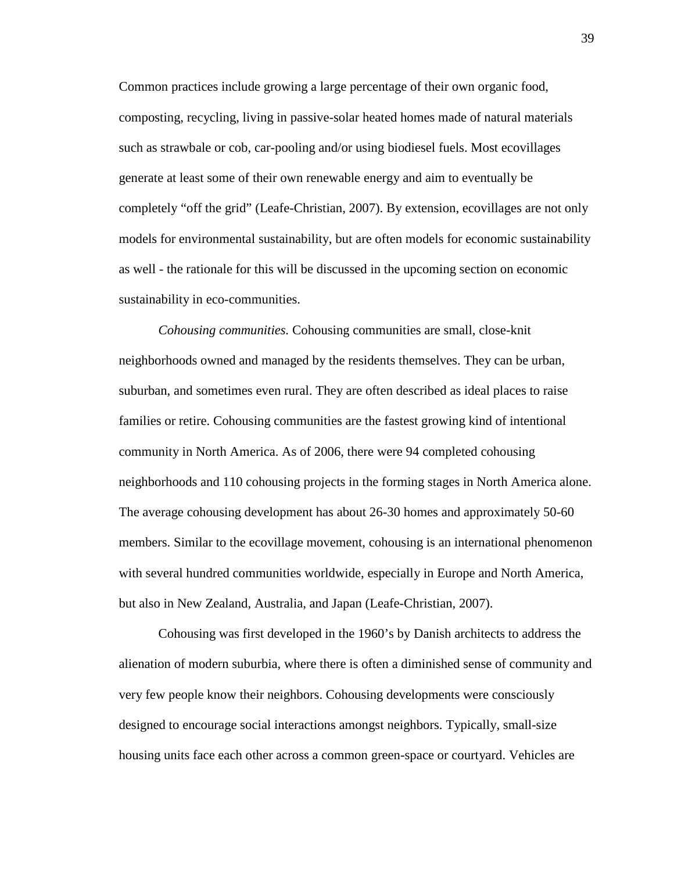Common practices include growing a large percentage of their own organic food, composting, recycling, living in passive-solar heated homes made of natural materials such as strawbale or cob, car-pooling and/or using biodiesel fuels. Most ecovillages generate at least some of their own renewable energy and aim to eventually be completely "off the grid" (Leafe-Christian, 2007). By extension, ecovillages are not only models for environmental sustainability, but are often models for economic sustainability as well - the rationale for this will be discussed in the upcoming section on economic sustainability in eco-communities.

*Cohousing communities.* Cohousing communities are small, close-knit neighborhoods owned and managed by the residents themselves. They can be urban, suburban, and sometimes even rural. They are often described as ideal places to raise families or retire. Cohousing communities are the fastest growing kind of intentional community in North America. As of 2006, there were 94 completed cohousing neighborhoods and 110 cohousing projects in the forming stages in North America alone. The average cohousing development has about 26-30 homes and approximately 50-60 members. Similar to the ecovillage movement, cohousing is an international phenomenon with several hundred communities worldwide, especially in Europe and North America, but also in New Zealand, Australia, and Japan (Leafe-Christian, 2007).

Cohousing was first developed in the 1960's by Danish architects to address the alienation of modern suburbia, where there is often a diminished sense of community and very few people know their neighbors. Cohousing developments were consciously designed to encourage social interactions amongst neighbors. Typically, small-size housing units face each other across a common green-space or courtyard. Vehicles are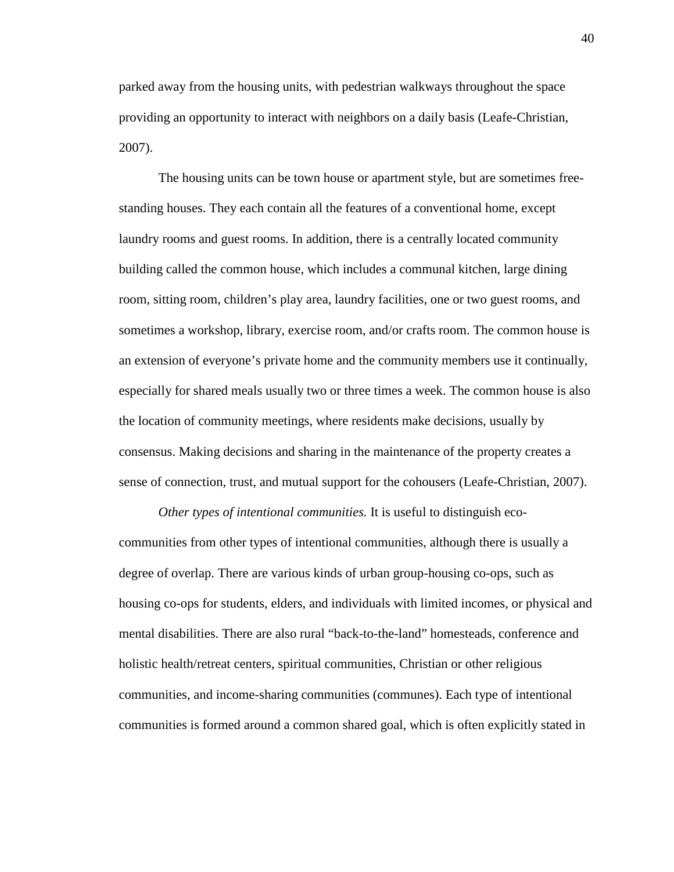parked away from the housing units, with pedestrian walkways throughout the space providing an opportunity to interact with neighbors on a daily basis (Leafe-Christian, 2007).

The housing units can be town house or apartment style, but are sometimes freestanding houses. They each contain all the features of a conventional home, except laundry rooms and guest rooms. In addition, there is a centrally located community building called the common house, which includes a communal kitchen, large dining room, sitting room, children's play area, laundry facilities, one or two guest rooms, and sometimes a workshop, library, exercise room, and/or crafts room. The common house is an extension of everyone's private home and the community members use it continually, especially for shared meals usually two or three times a week. The common house is also the location of community meetings, where residents make decisions, usually by consensus. Making decisions and sharing in the maintenance of the property creates a sense of connection, trust, and mutual support for the cohousers (Leafe-Christian, 2007).

*Other types of intentional communities.* It is useful to distinguish ecocommunities from other types of intentional communities, although there is usually a degree of overlap. There are various kinds of urban group-housing co-ops, such as housing co-ops for students, elders, and individuals with limited incomes, or physical and mental disabilities. There are also rural "back-to-the-land" homesteads, conference and holistic health/retreat centers, spiritual communities, Christian or other religious communities, and income-sharing communities (communes). Each type of intentional communities is formed around a common shared goal, which is often explicitly stated in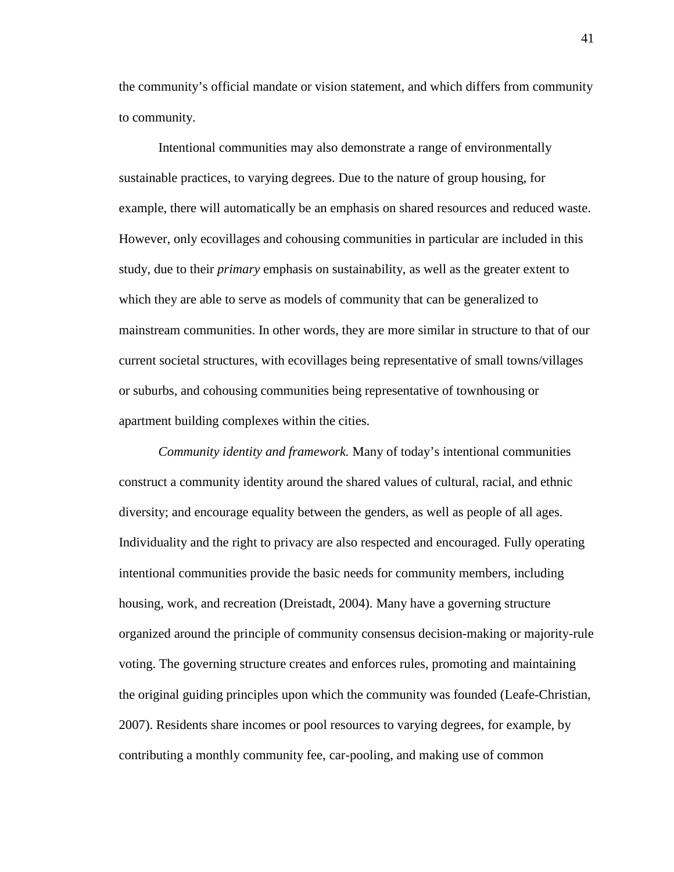the community's official mandate or vision statement, and which differs from community to community.

Intentional communities may also demonstrate a range of environmentally sustainable practices, to varying degrees. Due to the nature of group housing, for example, there will automatically be an emphasis on shared resources and reduced waste. However, only ecovillages and cohousing communities in particular are included in this study, due to their *primary* emphasis on sustainability, as well as the greater extent to which they are able to serve as models of community that can be generalized to mainstream communities. In other words, they are more similar in structure to that of our current societal structures, with ecovillages being representative of small towns/villages or suburbs, and cohousing communities being representative of townhousing or apartment building complexes within the cities.

*Community identity and framework.* Many of today's intentional communities construct a community identity around the shared values of cultural, racial, and ethnic diversity; and encourage equality between the genders, as well as people of all ages. Individuality and the right to privacy are also respected and encouraged. Fully operating intentional communities provide the basic needs for community members, including housing, work, and recreation (Dreistadt, 2004). Many have a governing structure organized around the principle of community consensus decision-making or majority-rule voting. The governing structure creates and enforces rules, promoting and maintaining the original guiding principles upon which the community was founded (Leafe-Christian, 2007). Residents share incomes or pool resources to varying degrees, for example, by contributing a monthly community fee, car-pooling, and making use of common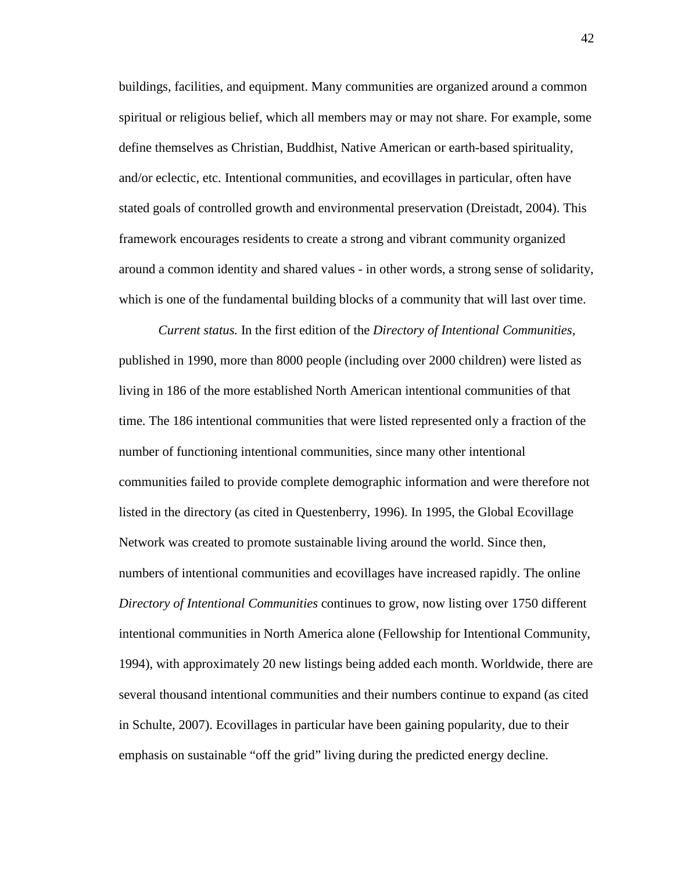buildings, facilities, and equipment. Many communities are organized around a common spiritual or religious belief, which all members may or may not share. For example, some define themselves as Christian, Buddhist, Native American or earth-based spirituality, and/or eclectic, etc. Intentional communities, and ecovillages in particular, often have stated goals of controlled growth and environmental preservation (Dreistadt, 2004). This framework encourages residents to create a strong and vibrant community organized around a common identity and shared values - in other words, a strong sense of solidarity, which is one of the fundamental building blocks of a community that will last over time.

*Current status.* In the first edition of the *Directory of Intentional Communities,* published in 1990, more than 8000 people (including over 2000 children) were listed as living in 186 of the more established North American intentional communities of that time. The 186 intentional communities that were listed represented only a fraction of the number of functioning intentional communities, since many other intentional communities failed to provide complete demographic information and were therefore not listed in the directory (as cited in Questenberry, 1996). In 1995, the Global Ecovillage Network was created to promote sustainable living around the world. Since then, numbers of intentional communities and ecovillages have increased rapidly. The online *Directory of Intentional Communities* continues to grow, now listing over 1750 different intentional communities in North America alone (Fellowship for Intentional Community, 1994), with approximately 20 new listings being added each month. Worldwide, there are several thousand intentional communities and their numbers continue to expand (as cited in Schulte, 2007). Ecovillages in particular have been gaining popularity, due to their emphasis on sustainable "off the grid" living during the predicted energy decline.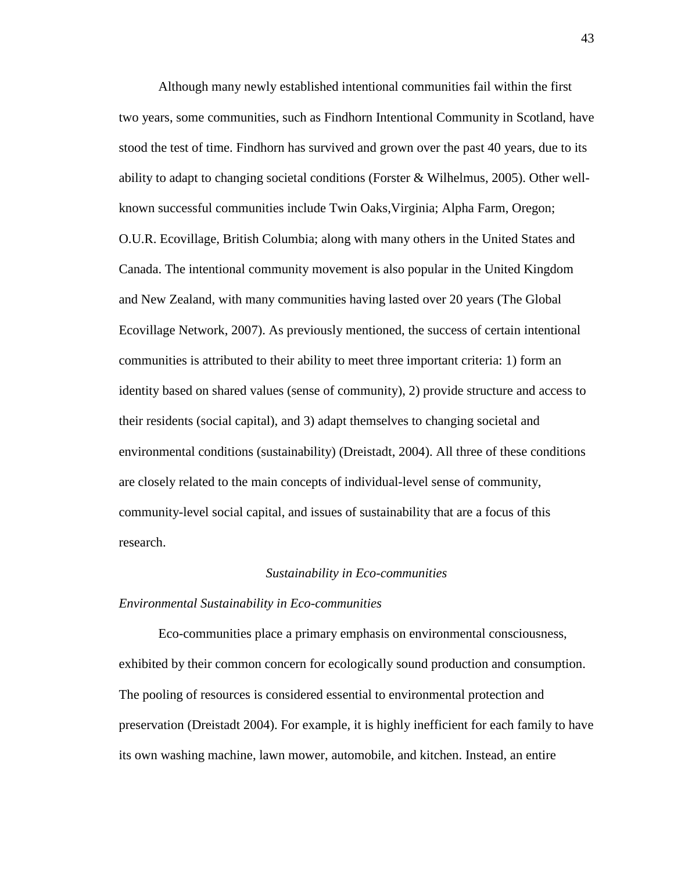Although many newly established intentional communities fail within the first two years, some communities, such as Findhorn Intentional Community in Scotland, have stood the test of time. Findhorn has survived and grown over the past 40 years, due to its ability to adapt to changing societal conditions (Forster & Wilhelmus, 2005). Other wellknown successful communities include Twin Oaks,Virginia; Alpha Farm, Oregon; O.U.R. Ecovillage, British Columbia; along with many others in the United States and Canada. The intentional community movement is also popular in the United Kingdom and New Zealand, with many communities having lasted over 20 years (The Global Ecovillage Network, 2007). As previously mentioned, the success of certain intentional communities is attributed to their ability to meet three important criteria: 1) form an identity based on shared values (sense of community), 2) provide structure and access to their residents (social capital), and 3) adapt themselves to changing societal and environmental conditions (sustainability) (Dreistadt, 2004). All three of these conditions are closely related to the main concepts of individual-level sense of community, community-level social capital, and issues of sustainability that are a focus of this research.

#### *Sustainability in Eco-communities*

#### *Environmental Sustainability in Eco-communities*

Eco-communities place a primary emphasis on environmental consciousness, exhibited by their common concern for ecologically sound production and consumption. The pooling of resources is considered essential to environmental protection and preservation (Dreistadt 2004). For example, it is highly inefficient for each family to have its own washing machine, lawn mower, automobile, and kitchen. Instead, an entire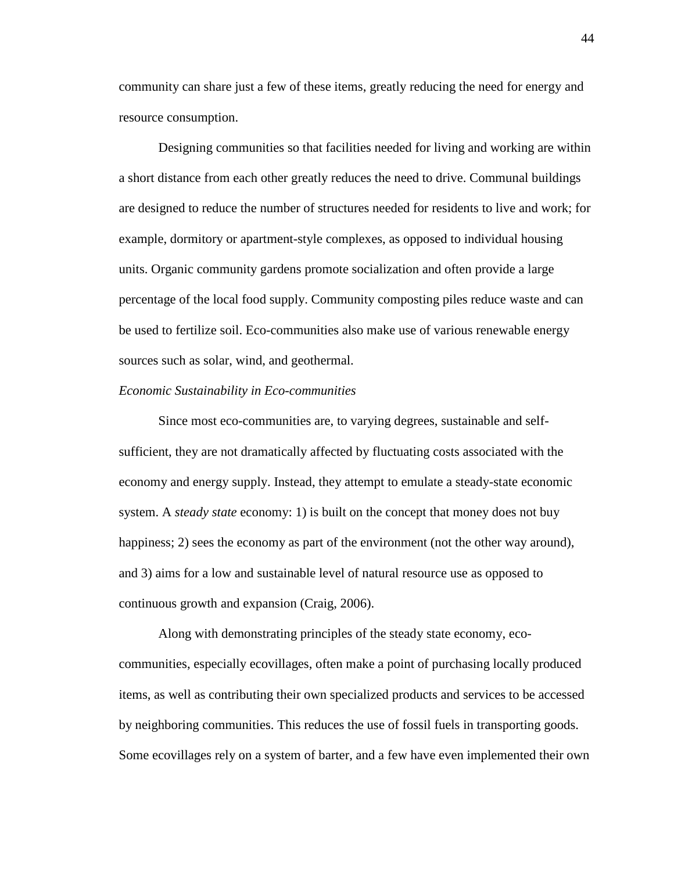community can share just a few of these items, greatly reducing the need for energy and resource consumption.

Designing communities so that facilities needed for living and working are within a short distance from each other greatly reduces the need to drive. Communal buildings are designed to reduce the number of structures needed for residents to live and work; for example, dormitory or apartment-style complexes, as opposed to individual housing units. Organic community gardens promote socialization and often provide a large percentage of the local food supply. Community composting piles reduce waste and can be used to fertilize soil. Eco-communities also make use of various renewable energy sources such as solar, wind, and geothermal.

#### *Economic Sustainability in Eco-communities*

Since most eco-communities are, to varying degrees, sustainable and selfsufficient, they are not dramatically affected by fluctuating costs associated with the economy and energy supply. Instead, they attempt to emulate a steady-state economic system. A *steady state* economy: 1) is built on the concept that money does not buy happiness; 2) sees the economy as part of the environment (not the other way around), and 3) aims for a low and sustainable level of natural resource use as opposed to continuous growth and expansion (Craig, 2006).

Along with demonstrating principles of the steady state economy, ecocommunities, especially ecovillages, often make a point of purchasing locally produced items, as well as contributing their own specialized products and services to be accessed by neighboring communities. This reduces the use of fossil fuels in transporting goods. Some ecovillages rely on a system of barter, and a few have even implemented their own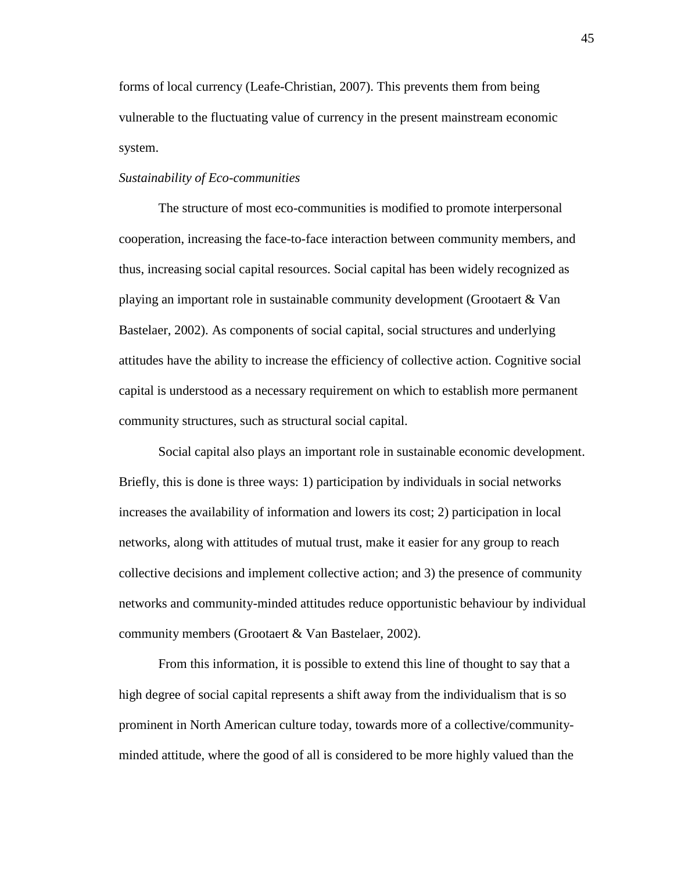forms of local currency (Leafe-Christian, 2007). This prevents them from being vulnerable to the fluctuating value of currency in the present mainstream economic system.

# *Sustainability of Eco-communities*

The structure of most eco-communities is modified to promote interpersonal cooperation, increasing the face-to-face interaction between community members, and thus, increasing social capital resources. Social capital has been widely recognized as playing an important role in sustainable community development (Grootaert & Van Bastelaer, 2002). As components of social capital, social structures and underlying attitudes have the ability to increase the efficiency of collective action. Cognitive social capital is understood as a necessary requirement on which to establish more permanent community structures, such as structural social capital.

Social capital also plays an important role in sustainable economic development. Briefly, this is done is three ways: 1) participation by individuals in social networks increases the availability of information and lowers its cost; 2) participation in local networks, along with attitudes of mutual trust, make it easier for any group to reach collective decisions and implement collective action; and 3) the presence of community networks and community-minded attitudes reduce opportunistic behaviour by individual community members (Grootaert & Van Bastelaer, 2002).

From this information, it is possible to extend this line of thought to say that a high degree of social capital represents a shift away from the individualism that is so prominent in North American culture today, towards more of a collective/communityminded attitude, where the good of all is considered to be more highly valued than the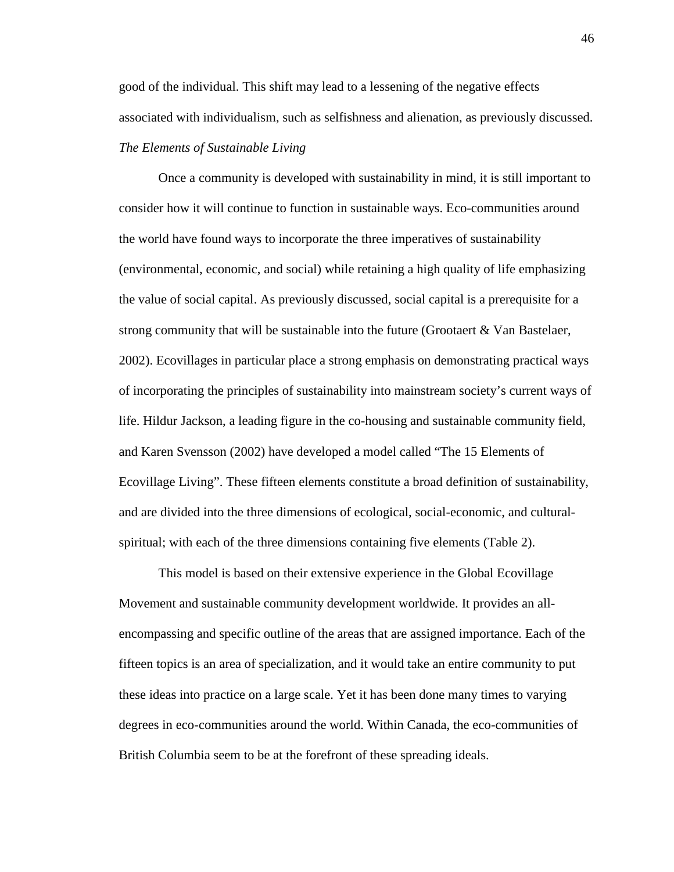good of the individual. This shift may lead to a lessening of the negative effects associated with individualism, such as selfishness and alienation, as previously discussed. *The Elements of Sustainable Living*

Once a community is developed with sustainability in mind, it is still important to consider how it will continue to function in sustainable ways. Eco-communities around the world have found ways to incorporate the three imperatives of sustainability (environmental, economic, and social) while retaining a high quality of life emphasizing the value of social capital. As previously discussed, social capital is a prerequisite for a strong community that will be sustainable into the future (Grootaert  $\&$  Van Bastelaer, 2002). Ecovillages in particular place a strong emphasis on demonstrating practical ways of incorporating the principles of sustainability into mainstream society's current ways of life. Hildur Jackson, a leading figure in the co-housing and sustainable community field, and Karen Svensson (2002) have developed a model called "The 15 Elements of Ecovillage Living". These fifteen elements constitute a broad definition of sustainability, and are divided into the three dimensions of ecological, social-economic, and culturalspiritual; with each of the three dimensions containing five elements (Table 2).

This model is based on their extensive experience in the Global Ecovillage Movement and sustainable community development worldwide. It provides an allencompassing and specific outline of the areas that are assigned importance. Each of the fifteen topics is an area of specialization, and it would take an entire community to put these ideas into practice on a large scale. Yet it has been done many times to varying degrees in eco-communities around the world. Within Canada, the eco-communities of British Columbia seem to be at the forefront of these spreading ideals.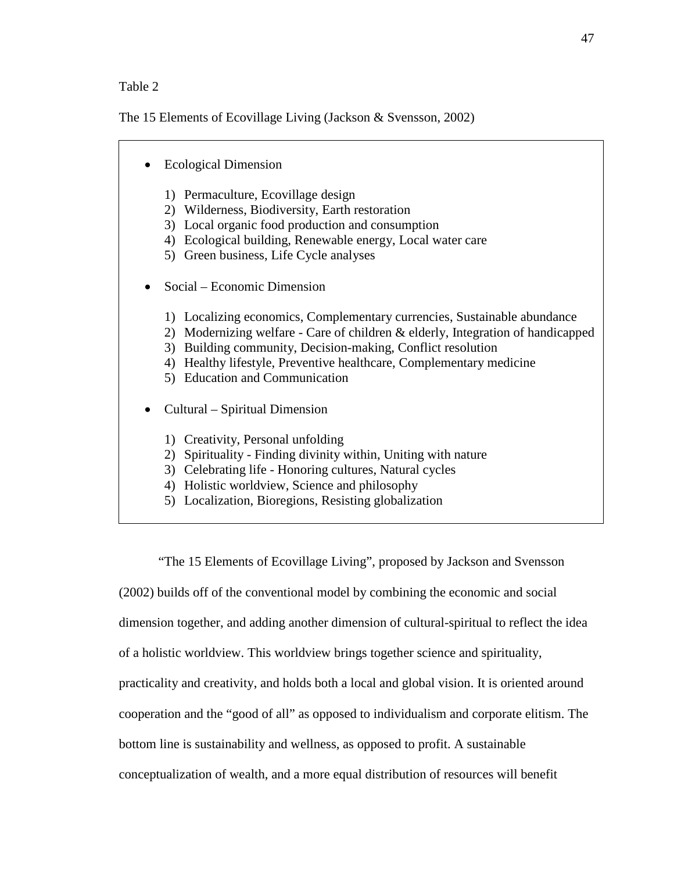# Table 2

The 15 Elements of Ecovillage Living (Jackson & Svensson, 2002)

• Ecological Dimension 1) Permaculture, Ecovillage design 2) Wilderness, Biodiversity, Earth restoration 3) Local organic food production and consumption 4) Ecological building, Renewable energy, Local water care 5) Green business, Life Cycle analyses • Social – Economic Dimension 1) Localizing economics, Complementary currencies, Sustainable abundance 2) Modernizing welfare - Care of children & elderly, Integration of handicapped 3) Building community, Decision-making, Conflict resolution 4) Healthy lifestyle, Preventive healthcare, Complementary medicine 5) Education and Communication • Cultural – Spiritual Dimension 1) Creativity, Personal unfolding 2) Spirituality - Finding divinity within, Uniting with nature 3) Celebrating life - Honoring cultures, Natural cycles 4) Holistic worldview, Science and philosophy 5) Localization, Bioregions, Resisting globalization

"The 15 Elements of Ecovillage Living", proposed by Jackson and Svensson (2002) builds off of the conventional model by combining the economic and social dimension together, and adding another dimension of cultural-spiritual to reflect the idea of a holistic worldview. This worldview brings together science and spirituality, practicality and creativity, and holds both a local and global vision. It is oriented around cooperation and the "good of all" as opposed to individualism and corporate elitism. The bottom line is sustainability and wellness, as opposed to profit. A sustainable conceptualization of wealth, and a more equal distribution of resources will benefit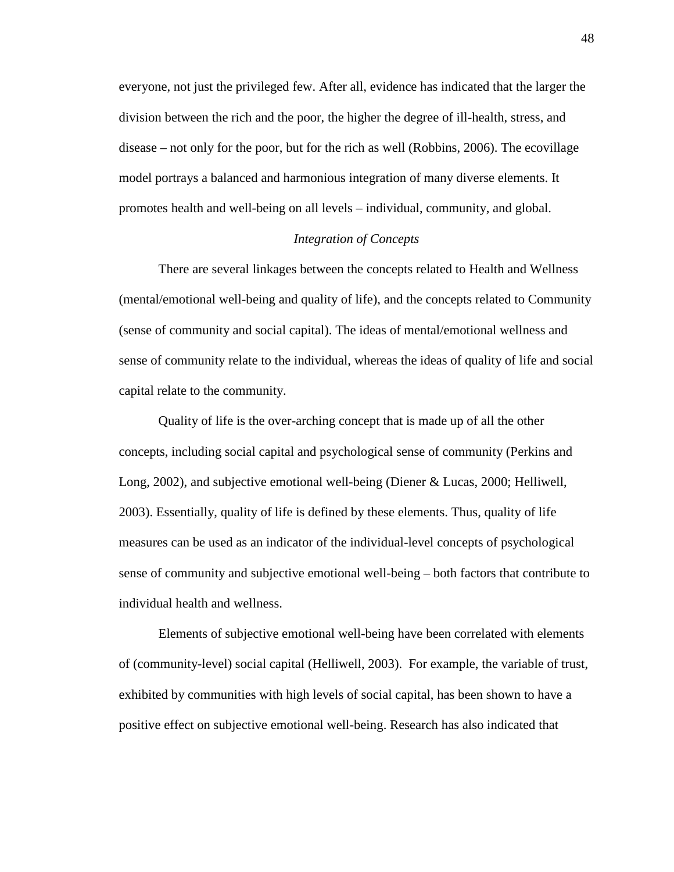everyone, not just the privileged few. After all, evidence has indicated that the larger the division between the rich and the poor, the higher the degree of ill-health, stress, and disease – not only for the poor, but for the rich as well (Robbins, 2006). The ecovillage model portrays a balanced and harmonious integration of many diverse elements. It promotes health and well-being on all levels – individual, community, and global.

## *Integration of Concepts*

There are several linkages between the concepts related to Health and Wellness (mental/emotional well-being and quality of life), and the concepts related to Community (sense of community and social capital). The ideas of mental/emotional wellness and sense of community relate to the individual, whereas the ideas of quality of life and social capital relate to the community.

Quality of life is the over-arching concept that is made up of all the other concepts, including social capital and psychological sense of community (Perkins and Long, 2002), and subjective emotional well-being (Diener & Lucas, 2000; Helliwell, 2003). Essentially, quality of life is defined by these elements. Thus, quality of life measures can be used as an indicator of the individual-level concepts of psychological sense of community and subjective emotional well-being – both factors that contribute to individual health and wellness.

Elements of subjective emotional well-being have been correlated with elements of (community-level) social capital (Helliwell, 2003). For example, the variable of trust, exhibited by communities with high levels of social capital, has been shown to have a positive effect on subjective emotional well-being. Research has also indicated that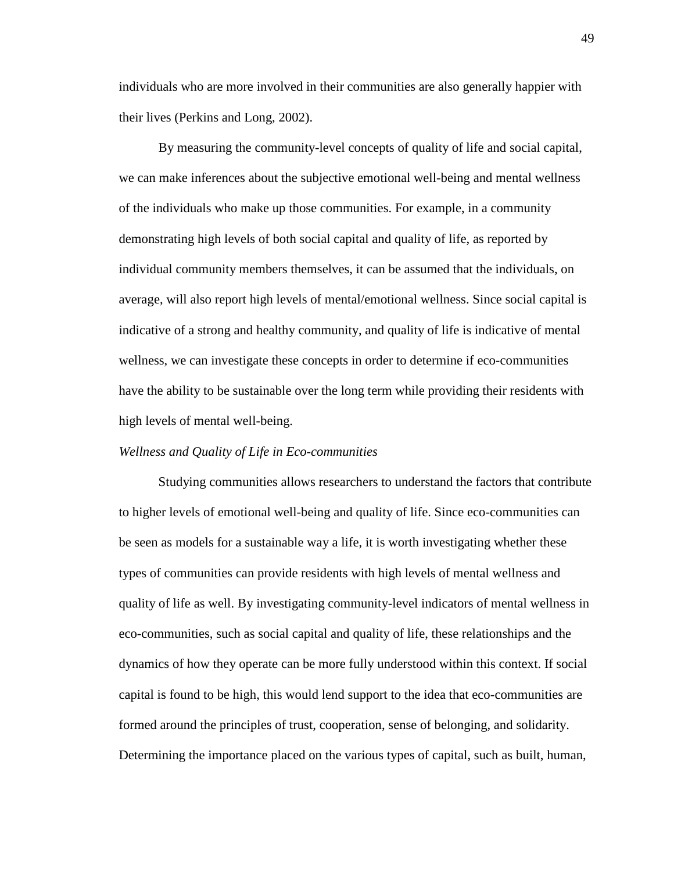individuals who are more involved in their communities are also generally happier with their lives (Perkins and Long, 2002).

By measuring the community-level concepts of quality of life and social capital, we can make inferences about the subjective emotional well-being and mental wellness of the individuals who make up those communities. For example, in a community demonstrating high levels of both social capital and quality of life, as reported by individual community members themselves, it can be assumed that the individuals, on average, will also report high levels of mental/emotional wellness. Since social capital is indicative of a strong and healthy community, and quality of life is indicative of mental wellness, we can investigate these concepts in order to determine if eco-communities have the ability to be sustainable over the long term while providing their residents with high levels of mental well-being.

# *Wellness and Quality of Life in Eco-communities*

Studying communities allows researchers to understand the factors that contribute to higher levels of emotional well-being and quality of life. Since eco-communities can be seen as models for a sustainable way a life, it is worth investigating whether these types of communities can provide residents with high levels of mental wellness and quality of life as well. By investigating community-level indicators of mental wellness in eco-communities, such as social capital and quality of life, these relationships and the dynamics of how they operate can be more fully understood within this context. If social capital is found to be high, this would lend support to the idea that eco-communities are formed around the principles of trust, cooperation, sense of belonging, and solidarity. Determining the importance placed on the various types of capital, such as built, human,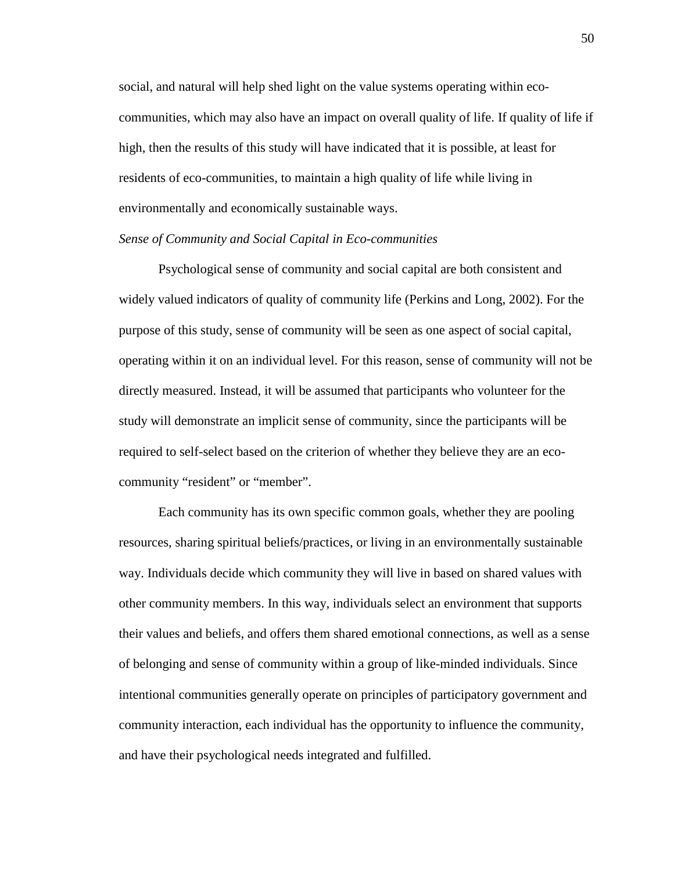social, and natural will help shed light on the value systems operating within ecocommunities, which may also have an impact on overall quality of life. If quality of life if high, then the results of this study will have indicated that it is possible, at least for residents of eco-communities, to maintain a high quality of life while living in environmentally and economically sustainable ways.

### *Sense of Community and Social Capital in Eco-communities*

Psychological sense of community and social capital are both consistent and widely valued indicators of quality of community life (Perkins and Long, 2002). For the purpose of this study, sense of community will be seen as one aspect of social capital, operating within it on an individual level. For this reason, sense of community will not be directly measured. Instead, it will be assumed that participants who volunteer for the study will demonstrate an implicit sense of community, since the participants will be required to self-select based on the criterion of whether they believe they are an ecocommunity "resident" or "member".

Each community has its own specific common goals, whether they are pooling resources, sharing spiritual beliefs/practices, or living in an environmentally sustainable way. Individuals decide which community they will live in based on shared values with other community members. In this way, individuals select an environment that supports their values and beliefs, and offers them shared emotional connections, as well as a sense of belonging and sense of community within a group of like-minded individuals. Since intentional communities generally operate on principles of participatory government and community interaction, each individual has the opportunity to influence the community, and have their psychological needs integrated and fulfilled.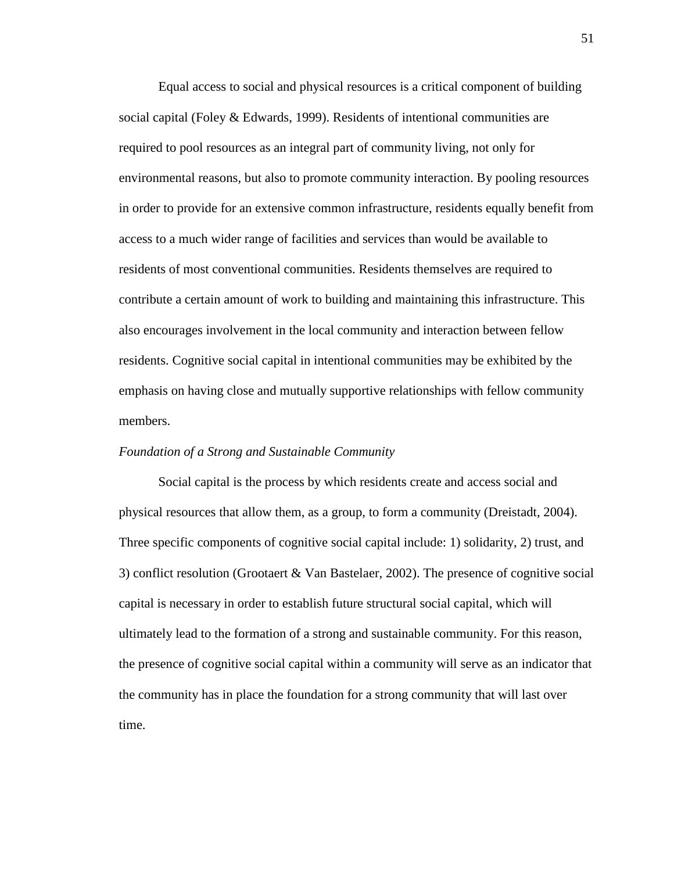Equal access to social and physical resources is a critical component of building social capital (Foley & Edwards, 1999). Residents of intentional communities are required to pool resources as an integral part of community living, not only for environmental reasons, but also to promote community interaction. By pooling resources in order to provide for an extensive common infrastructure, residents equally benefit from access to a much wider range of facilities and services than would be available to residents of most conventional communities. Residents themselves are required to contribute a certain amount of work to building and maintaining this infrastructure. This also encourages involvement in the local community and interaction between fellow residents. Cognitive social capital in intentional communities may be exhibited by the emphasis on having close and mutually supportive relationships with fellow community members.

## *Foundation of a Strong and Sustainable Community*

Social capital is the process by which residents create and access social and physical resources that allow them, as a group, to form a community (Dreistadt, 2004). Three specific components of cognitive social capital include: 1) solidarity, 2) trust, and 3) conflict resolution (Grootaert & Van Bastelaer, 2002). The presence of cognitive social capital is necessary in order to establish future structural social capital, which will ultimately lead to the formation of a strong and sustainable community. For this reason, the presence of cognitive social capital within a community will serve as an indicator that the community has in place the foundation for a strong community that will last over time.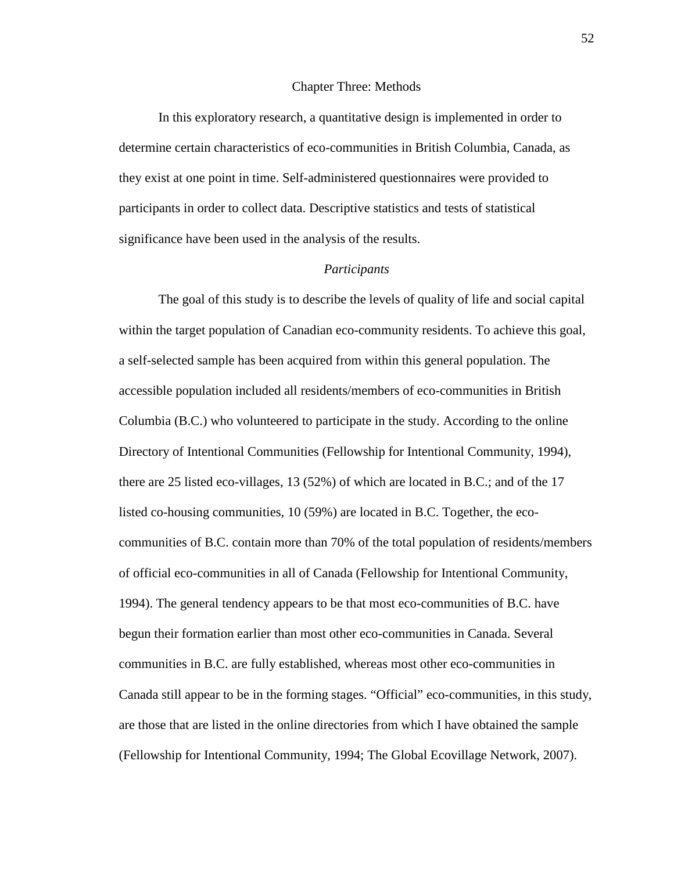#### Chapter Three: Methods

In this exploratory research, a quantitative design is implemented in order to determine certain characteristics of eco-communities in British Columbia, Canada, as they exist at one point in time. Self-administered questionnaires were provided to participants in order to collect data. Descriptive statistics and tests of statistical significance have been used in the analysis of the results.

# *Participants*

The goal of this study is to describe the levels of quality of life and social capital within the target population of Canadian eco-community residents. To achieve this goal, a self-selected sample has been acquired from within this general population. The accessible population included all residents/members of eco-communities in British Columbia (B.C.) who volunteered to participate in the study. According to the online Directory of Intentional Communities (Fellowship for Intentional Community, 1994), there are 25 listed eco-villages, 13 (52%) of which are located in B.C.; and of the 17 listed co-housing communities, 10 (59%) are located in B.C. Together, the ecocommunities of B.C. contain more than 70% of the total population of residents/members of official eco-communities in all of Canada (Fellowship for Intentional Community, 1994). The general tendency appears to be that most eco-communities of B.C. have begun their formation earlier than most other eco-communities in Canada. Several communities in B.C. are fully established, whereas most other eco-communities in Canada still appear to be in the forming stages. "Official" eco-communities, in this study, are those that are listed in the online directories from which I have obtained the sample (Fellowship for Intentional Community, 1994; The Global Ecovillage Network, 2007).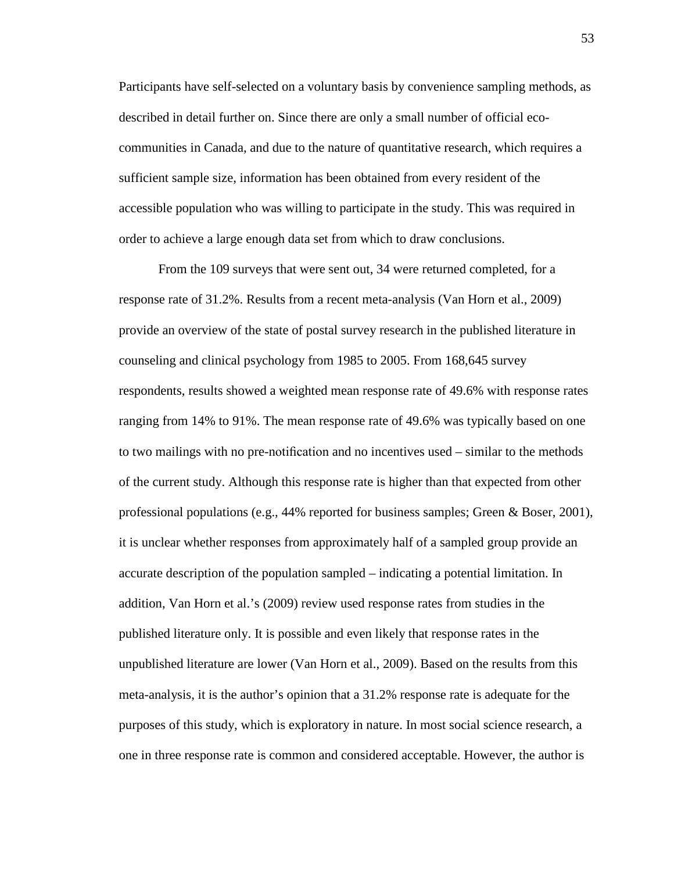Participants have self-selected on a voluntary basis by convenience sampling methods, as described in detail further on. Since there are only a small number of official ecocommunities in Canada, and due to the nature of quantitative research, which requires a sufficient sample size, information has been obtained from every resident of the accessible population who was willing to participate in the study. This was required in order to achieve a large enough data set from which to draw conclusions.

From the 109 surveys that were sent out, 34 were returned completed, for a response rate of 31.2%. Results from a recent meta-analysis (Van Horn et al., 2009) provide an overview of the state of postal survey research in the published literature in counseling and clinical psychology from 1985 to 2005. From 168,645 survey respondents, results showed a weighted mean response rate of 49.6% with response rates ranging from 14% to 91%. The mean response rate of 49.6% was typically based on one to two mailings with no pre-notification and no incentives used – similar to the methods of the current study. Although this response rate is higher than that expected from other professional populations (e.g., 44% reported for business samples; Green & Boser, 2001), it is unclear whether responses from approximately half of a sampled group provide an accurate description of the population sampled – indicating a potential limitation. In addition, Van Horn et al.'s (2009) review used response rates from studies in the published literature only. It is possible and even likely that response rates in the unpublished literature are lower (Van Horn et al., 2009). Based on the results from this meta-analysis, it is the author's opinion that a 31.2% response rate is adequate for the purposes of this study, which is exploratory in nature. In most social science research, a one in three response rate is common and considered acceptable. However, the author is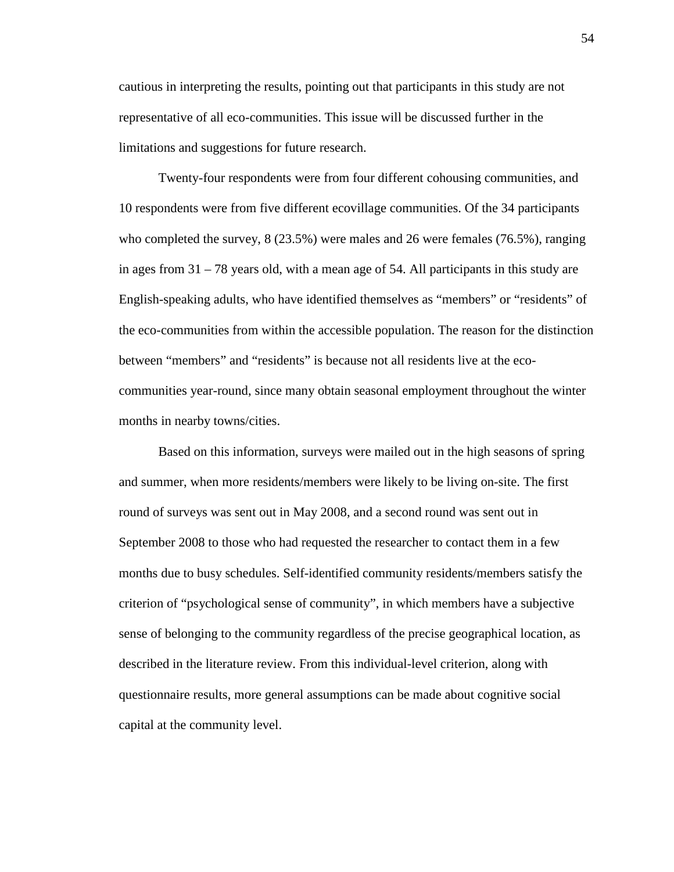cautious in interpreting the results, pointing out that participants in this study are not representative of all eco-communities. This issue will be discussed further in the limitations and suggestions for future research.

Twenty-four respondents were from four different cohousing communities, and 10 respondents were from five different ecovillage communities. Of the 34 participants who completed the survey, 8 (23.5%) were males and 26 were females (76.5%), ranging in ages from 31 – 78 years old, with a mean age of 54. All participants in this study are English-speaking adults, who have identified themselves as "members" or "residents" of the eco-communities from within the accessible population. The reason for the distinction between "members" and "residents" is because not all residents live at the ecocommunities year-round, since many obtain seasonal employment throughout the winter months in nearby towns/cities.

Based on this information, surveys were mailed out in the high seasons of spring and summer, when more residents/members were likely to be living on-site. The first round of surveys was sent out in May 2008, and a second round was sent out in September 2008 to those who had requested the researcher to contact them in a few months due to busy schedules. Self-identified community residents/members satisfy the criterion of "psychological sense of community", in which members have a subjective sense of belonging to the community regardless of the precise geographical location, as described in the literature review. From this individual-level criterion, along with questionnaire results, more general assumptions can be made about cognitive social capital at the community level.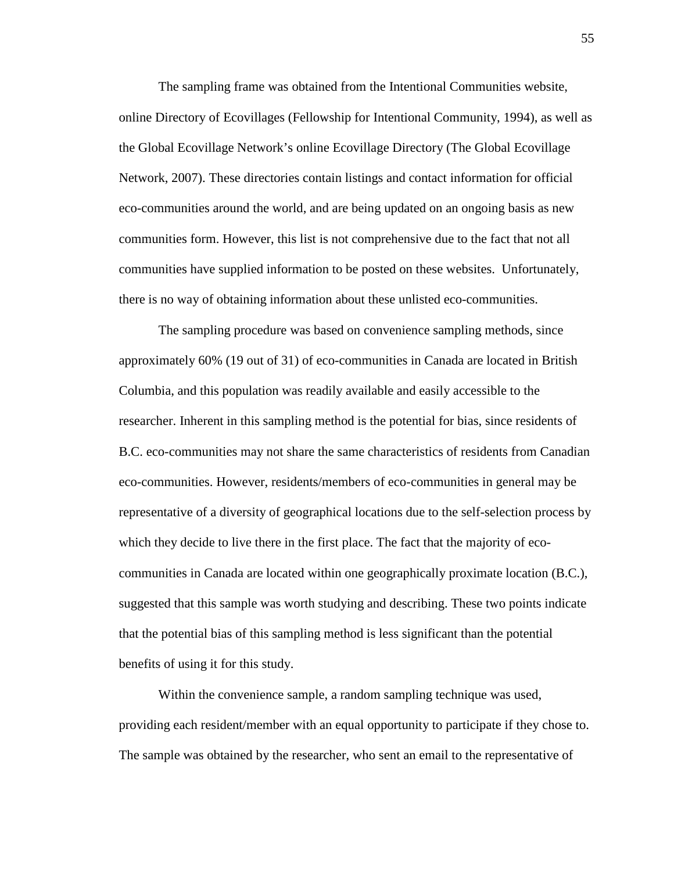The sampling frame was obtained from the Intentional Communities website, online Directory of Ecovillages (Fellowship for Intentional Community, 1994), as well as the Global Ecovillage Network's online Ecovillage Directory (The Global Ecovillage Network, 2007). These directories contain listings and contact information for official eco-communities around the world, and are being updated on an ongoing basis as new communities form. However, this list is not comprehensive due to the fact that not all communities have supplied information to be posted on these websites. Unfortunately, there is no way of obtaining information about these unlisted eco-communities.

The sampling procedure was based on convenience sampling methods, since approximately 60% (19 out of 31) of eco-communities in Canada are located in British Columbia, and this population was readily available and easily accessible to the researcher. Inherent in this sampling method is the potential for bias, since residents of B.C. eco-communities may not share the same characteristics of residents from Canadian eco-communities. However, residents/members of eco-communities in general may be representative of a diversity of geographical locations due to the self-selection process by which they decide to live there in the first place. The fact that the majority of ecocommunities in Canada are located within one geographically proximate location (B.C.), suggested that this sample was worth studying and describing. These two points indicate that the potential bias of this sampling method is less significant than the potential benefits of using it for this study.

Within the convenience sample, a random sampling technique was used, providing each resident/member with an equal opportunity to participate if they chose to. The sample was obtained by the researcher, who sent an email to the representative of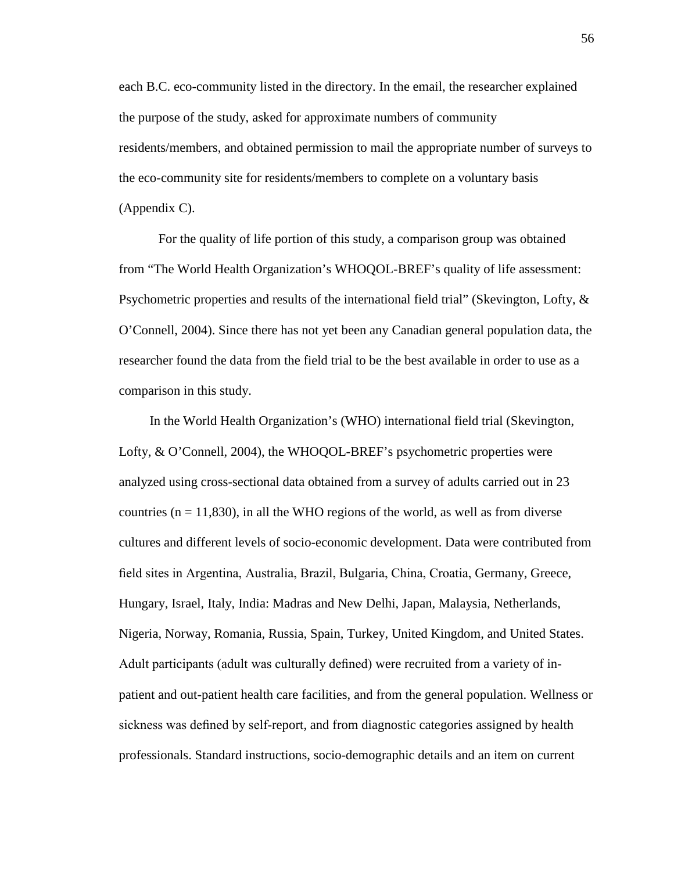each B.C. eco-community listed in the directory. In the email, the researcher explained the purpose of the study, asked for approximate numbers of community residents/members, and obtained permission to mail the appropriate number of surveys to the eco-community site for residents/members to complete on a voluntary basis (Appendix C).

For the quality of life portion of this study, a comparison group was obtained from "The World Health Organization's WHOQOL-BREF's quality of life assessment: Psychometric properties and results of the international field trial" (Skevington, Lofty, & O'Connell, 2004). Since there has not yet been any Canadian general population data, the researcher found the data from the field trial to be the best available in order to use as a comparison in this study.

In the World Health Organization's (WHO) international field trial (Skevington, Lofty, & O'Connell, 2004), the WHOQOL-BREF's psychometric properties were analyzed using cross-sectional data obtained from a survey of adults carried out in 23 countries ( $n = 11,830$ ), in all the WHO regions of the world, as well as from diverse cultures and different levels of socio-economic development. Data were contributed from field sites in Argentina, Australia, Brazil, Bulgaria, China, Croatia, Germany, Greece, Hungary, Israel, Italy, India: Madras and New Delhi, Japan, Malaysia, Netherlands, Nigeria, Norway, Romania, Russia, Spain, Turkey, United Kingdom, and United States. Adult participants (adult was culturally defined) were recruited from a variety of inpatient and out-patient health care facilities, and from the general population. Wellness or sickness was defined by self-report, and from diagnostic categories assigned by health professionals. Standard instructions, socio-demographic details and an item on current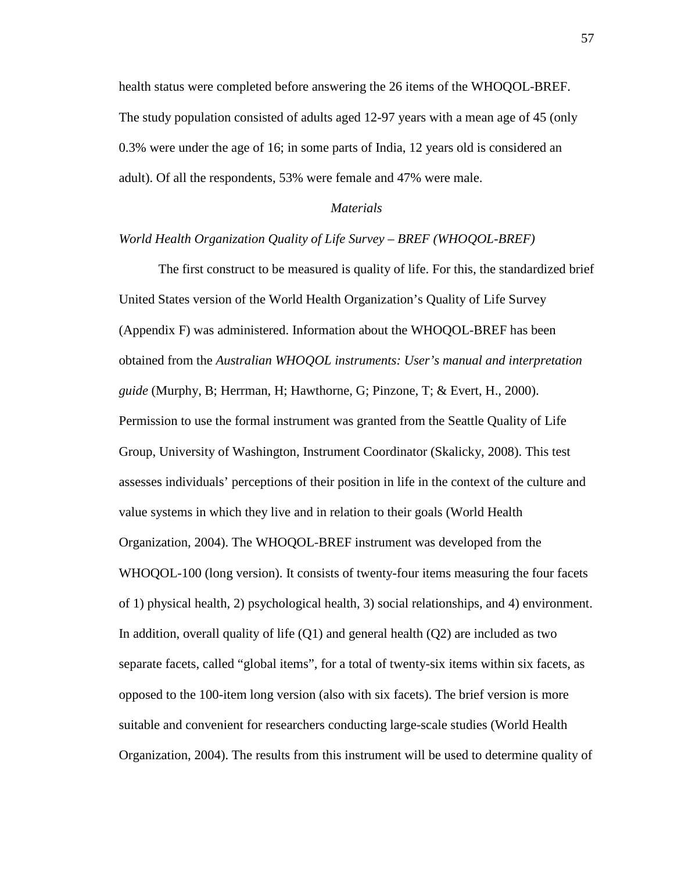health status were completed before answering the 26 items of the WHOQOL-BREF. The study population consisted of adults aged 12-97 years with a mean age of 45 (only 0.3% were under the age of 16; in some parts of India, 12 years old is considered an adult). Of all the respondents, 53% were female and 47% were male.

# *Materials*

# *World Health Organization Quality of Life Survey – BREF (WHOQOL-BREF)*

The first construct to be measured is quality of life. For this, the standardized brief United States version of the World Health Organization's Quality of Life Survey (Appendix F) was administered. Information about the WHOQOL-BREF has been obtained from the *Australian WHOQOL instruments: User's manual and interpretation guide* (Murphy, B; Herrman, H; Hawthorne, G; Pinzone, T; & Evert, H., 2000). Permission to use the formal instrument was granted from the Seattle Quality of Life Group, University of Washington, Instrument Coordinator (Skalicky, 2008). This test assesses individuals' perceptions of their position in life in the context of the culture and value systems in which they live and in relation to their goals (World Health Organization, 2004). The WHOQOL-BREF instrument was developed from the WHOQOL-100 (long version). It consists of twenty-four items measuring the four facets of 1) physical health, 2) psychological health, 3) social relationships, and 4) environment. In addition, overall quality of life  $(Q1)$  and general health  $(Q2)$  are included as two separate facets, called "global items", for a total of twenty-six items within six facets, as opposed to the 100-item long version (also with six facets). The brief version is more suitable and convenient for researchers conducting large-scale studies (World Health Organization, 2004). The results from this instrument will be used to determine quality of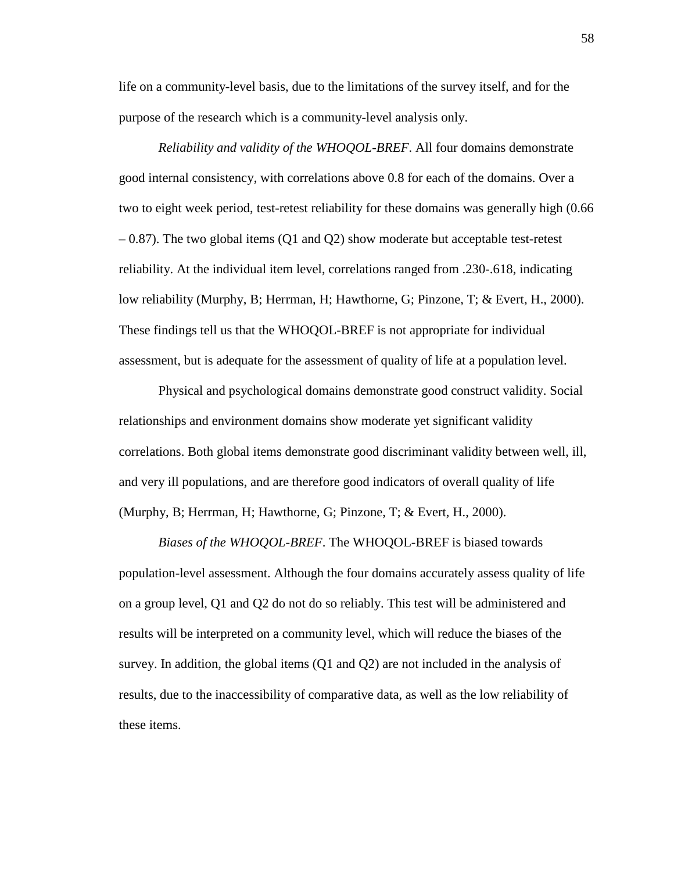life on a community-level basis, due to the limitations of the survey itself, and for the purpose of the research which is a community-level analysis only.

*Reliability and validity of the WHOQOL-BREF*. All four domains demonstrate good internal consistency, with correlations above 0.8 for each of the domains. Over a two to eight week period, test-retest reliability for these domains was generally high (0.66  $-0.87$ ). The two global items (Q1 and Q2) show moderate but acceptable test-retest reliability. At the individual item level, correlations ranged from .230-.618, indicating low reliability (Murphy, B; Herrman, H; Hawthorne, G; Pinzone, T; & Evert, H., 2000). These findings tell us that the WHOQOL-BREF is not appropriate for individual assessment, but is adequate for the assessment of quality of life at a population level.

Physical and psychological domains demonstrate good construct validity. Social relationships and environment domains show moderate yet significant validity correlations. Both global items demonstrate good discriminant validity between well, ill, and very ill populations, and are therefore good indicators of overall quality of life (Murphy, B; Herrman, H; Hawthorne, G; Pinzone, T; & Evert, H., 2000).

*Biases of the WHOQOL-BREF*. The WHOQOL-BREF is biased towards population-level assessment. Although the four domains accurately assess quality of life on a group level, Q1 and Q2 do not do so reliably. This test will be administered and results will be interpreted on a community level, which will reduce the biases of the survey. In addition, the global items (Q1 and Q2) are not included in the analysis of results, due to the inaccessibility of comparative data, as well as the low reliability of these items.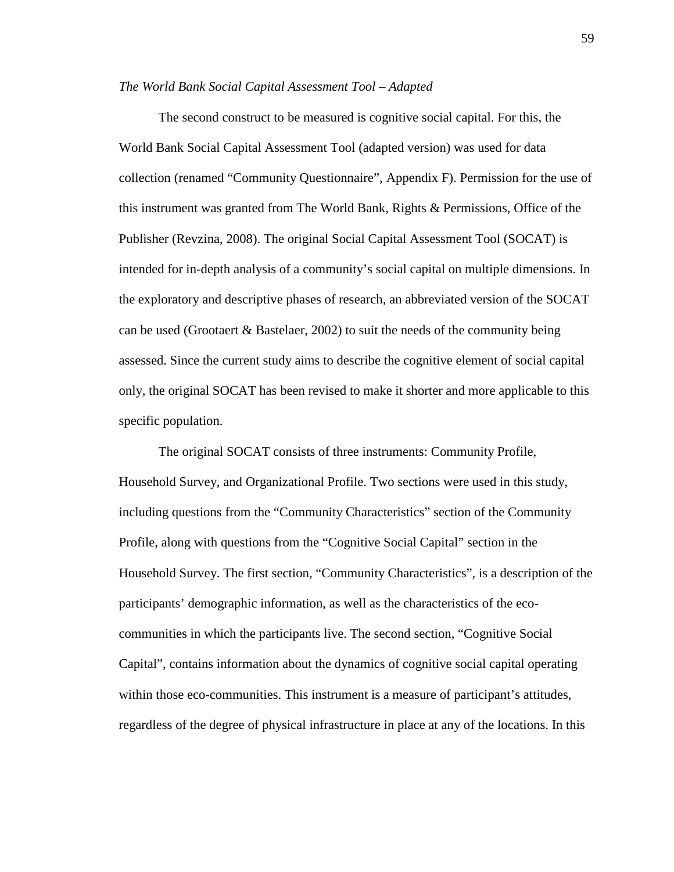#### *The World Bank Social Capital Assessment Tool – Adapted*

The second construct to be measured is cognitive social capital. For this, the World Bank Social Capital Assessment Tool (adapted version) was used for data collection (renamed "Community Questionnaire", Appendix F). Permission for the use of this instrument was granted from The World Bank, Rights & Permissions, Office of the Publisher (Revzina, 2008). The original Social Capital Assessment Tool (SOCAT) is intended for in-depth analysis of a community's social capital on multiple dimensions. In the exploratory and descriptive phases of research, an abbreviated version of the SOCAT can be used (Grootaert  $\&$  Bastelaer, 2002) to suit the needs of the community being assessed. Since the current study aims to describe the cognitive element of social capital only, the original SOCAT has been revised to make it shorter and more applicable to this specific population.

The original SOCAT consists of three instruments: Community Profile, Household Survey, and Organizational Profile. Two sections were used in this study, including questions from the "Community Characteristics" section of the Community Profile, along with questions from the "Cognitive Social Capital" section in the Household Survey. The first section, "Community Characteristics", is a description of the participants' demographic information, as well as the characteristics of the ecocommunities in which the participants live. The second section, "Cognitive Social Capital", contains information about the dynamics of cognitive social capital operating within those eco-communities. This instrument is a measure of participant's attitudes, regardless of the degree of physical infrastructure in place at any of the locations. In this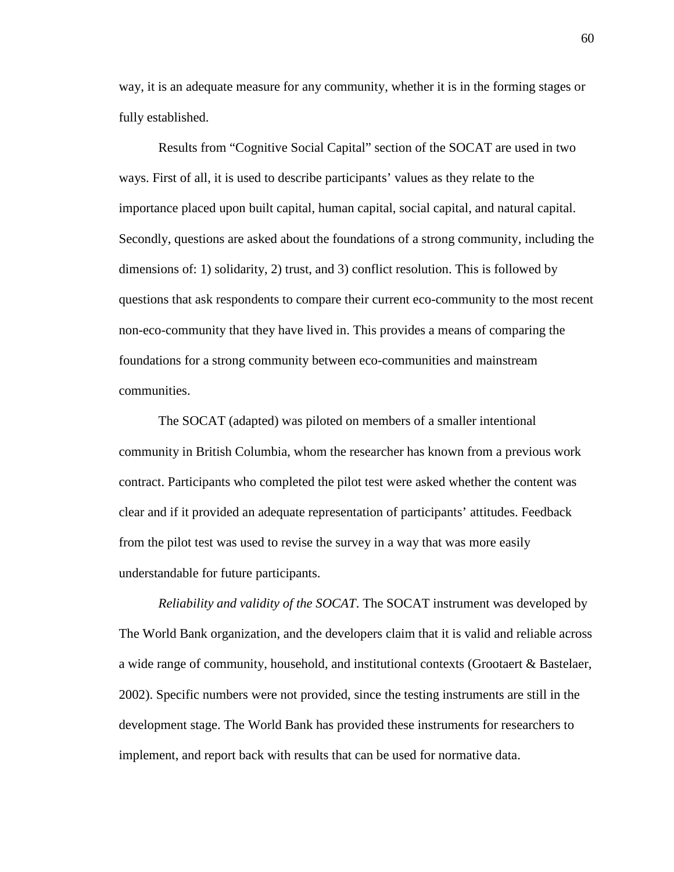way, it is an adequate measure for any community, whether it is in the forming stages or fully established.

Results from "Cognitive Social Capital" section of the SOCAT are used in two ways. First of all, it is used to describe participants' values as they relate to the importance placed upon built capital, human capital, social capital, and natural capital. Secondly, questions are asked about the foundations of a strong community, including the dimensions of: 1) solidarity, 2) trust, and 3) conflict resolution. This is followed by questions that ask respondents to compare their current eco-community to the most recent non-eco-community that they have lived in. This provides a means of comparing the foundations for a strong community between eco-communities and mainstream communities.

The SOCAT (adapted) was piloted on members of a smaller intentional community in British Columbia, whom the researcher has known from a previous work contract. Participants who completed the pilot test were asked whether the content was clear and if it provided an adequate representation of participants' attitudes. Feedback from the pilot test was used to revise the survey in a way that was more easily understandable for future participants.

*Reliability and validity of the SOCAT*. The SOCAT instrument was developed by The World Bank organization, and the developers claim that it is valid and reliable across a wide range of community, household, and institutional contexts (Grootaert & Bastelaer, 2002). Specific numbers were not provided, since the testing instruments are still in the development stage. The World Bank has provided these instruments for researchers to implement, and report back with results that can be used for normative data.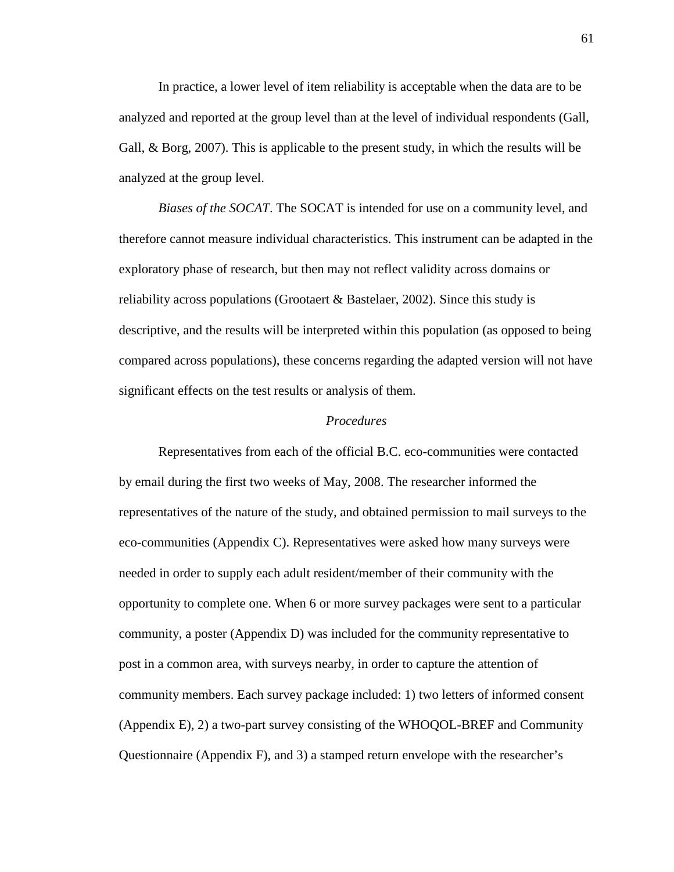In practice, a lower level of item reliability is acceptable when the data are to be analyzed and reported at the group level than at the level of individual respondents (Gall, Gall, & Borg, 2007). This is applicable to the present study, in which the results will be analyzed at the group level.

*Biases of the SOCAT*. The SOCAT is intended for use on a community level, and therefore cannot measure individual characteristics. This instrument can be adapted in the exploratory phase of research, but then may not reflect validity across domains or reliability across populations (Grootaert & Bastelaer, 2002). Since this study is descriptive, and the results will be interpreted within this population (as opposed to being compared across populations), these concerns regarding the adapted version will not have significant effects on the test results or analysis of them.

### *Procedures*

Representatives from each of the official B.C. eco-communities were contacted by email during the first two weeks of May, 2008. The researcher informed the representatives of the nature of the study, and obtained permission to mail surveys to the eco-communities (Appendix C). Representatives were asked how many surveys were needed in order to supply each adult resident/member of their community with the opportunity to complete one. When 6 or more survey packages were sent to a particular community, a poster (Appendix D) was included for the community representative to post in a common area, with surveys nearby, in order to capture the attention of community members. Each survey package included: 1) two letters of informed consent (Appendix E), 2) a two-part survey consisting of the WHOQOL-BREF and Community Questionnaire (Appendix F), and 3) a stamped return envelope with the researcher's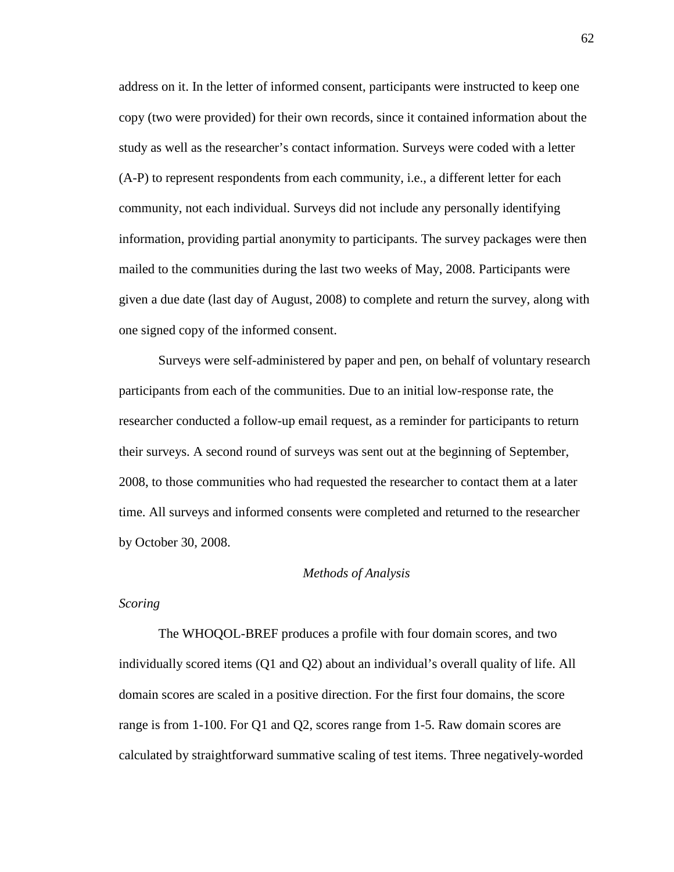address on it. In the letter of informed consent, participants were instructed to keep one copy (two were provided) for their own records, since it contained information about the study as well as the researcher's contact information. Surveys were coded with a letter (A-P) to represent respondents from each community, i.e., a different letter for each community, not each individual. Surveys did not include any personally identifying information, providing partial anonymity to participants. The survey packages were then mailed to the communities during the last two weeks of May, 2008. Participants were given a due date (last day of August, 2008) to complete and return the survey, along with one signed copy of the informed consent.

Surveys were self-administered by paper and pen, on behalf of voluntary research participants from each of the communities. Due to an initial low-response rate, the researcher conducted a follow-up email request, as a reminder for participants to return their surveys. A second round of surveys was sent out at the beginning of September, 2008, to those communities who had requested the researcher to contact them at a later time. All surveys and informed consents were completed and returned to the researcher by October 30, 2008.

#### *Methods of Analysis*

### *Scoring*

The WHOQOL-BREF produces a profile with four domain scores, and two individually scored items (Q1 and Q2) about an individual's overall quality of life. All domain scores are scaled in a positive direction. For the first four domains, the score range is from 1-100. For Q1 and Q2, scores range from 1-5. Raw domain scores are calculated by straightforward summative scaling of test items. Three negatively-worded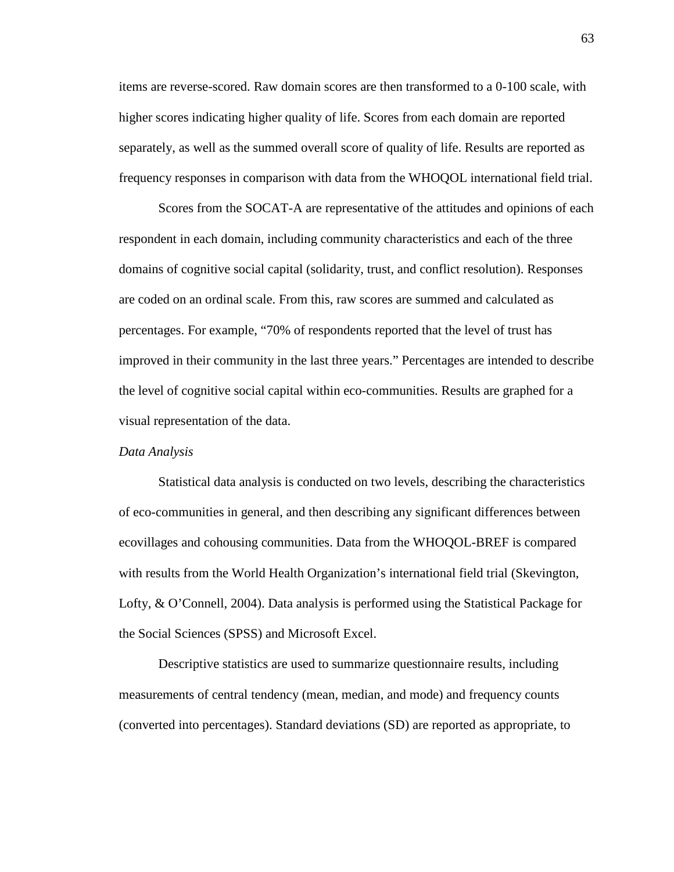items are reverse-scored. Raw domain scores are then transformed to a 0-100 scale, with higher scores indicating higher quality of life. Scores from each domain are reported separately, as well as the summed overall score of quality of life. Results are reported as frequency responses in comparison with data from the WHOQOL international field trial.

Scores from the SOCAT-A are representative of the attitudes and opinions of each respondent in each domain, including community characteristics and each of the three domains of cognitive social capital (solidarity, trust, and conflict resolution). Responses are coded on an ordinal scale. From this, raw scores are summed and calculated as percentages. For example, "70% of respondents reported that the level of trust has improved in their community in the last three years." Percentages are intended to describe the level of cognitive social capital within eco-communities. Results are graphed for a visual representation of the data.

### *Data Analysis*

Statistical data analysis is conducted on two levels, describing the characteristics of eco-communities in general, and then describing any significant differences between ecovillages and cohousing communities. Data from the WHOQOL-BREF is compared with results from the World Health Organization's international field trial (Skevington, Lofty, & O'Connell, 2004). Data analysis is performed using the Statistical Package for the Social Sciences (SPSS) and Microsoft Excel.

Descriptive statistics are used to summarize questionnaire results, including measurements of central tendency (mean, median, and mode) and frequency counts (converted into percentages). Standard deviations (SD) are reported as appropriate, to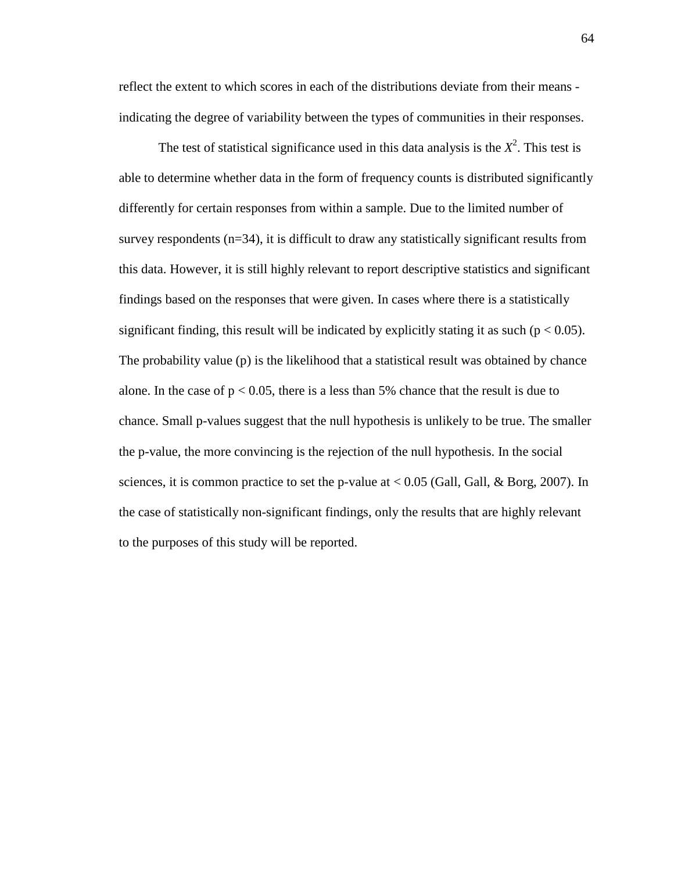reflect the extent to which scores in each of the distributions deviate from their means indicating the degree of variability between the types of communities in their responses.

The test of statistical significance used in this data analysis is the  $X^2$ . This test is able to determine whether data in the form of frequency counts is distributed significantly differently for certain responses from within a sample. Due to the limited number of survey respondents  $(n=34)$ , it is difficult to draw any statistically significant results from this data. However, it is still highly relevant to report descriptive statistics and significant findings based on the responses that were given. In cases where there is a statistically significant finding, this result will be indicated by explicitly stating it as such ( $p < 0.05$ ). The probability value (p) is the likelihood that a statistical result was obtained by chance alone. In the case of  $p < 0.05$ , there is a less than 5% chance that the result is due to chance. Small p-values suggest that the null hypothesis is unlikely to be true. The smaller the p-value, the more convincing is the rejection of the null hypothesis. In the social sciences, it is common practice to set the p-value at  $< 0.05$  (Gall, Gall, & Borg, 2007). In the case of statistically non-significant findings, only the results that are highly relevant to the purposes of this study will be reported.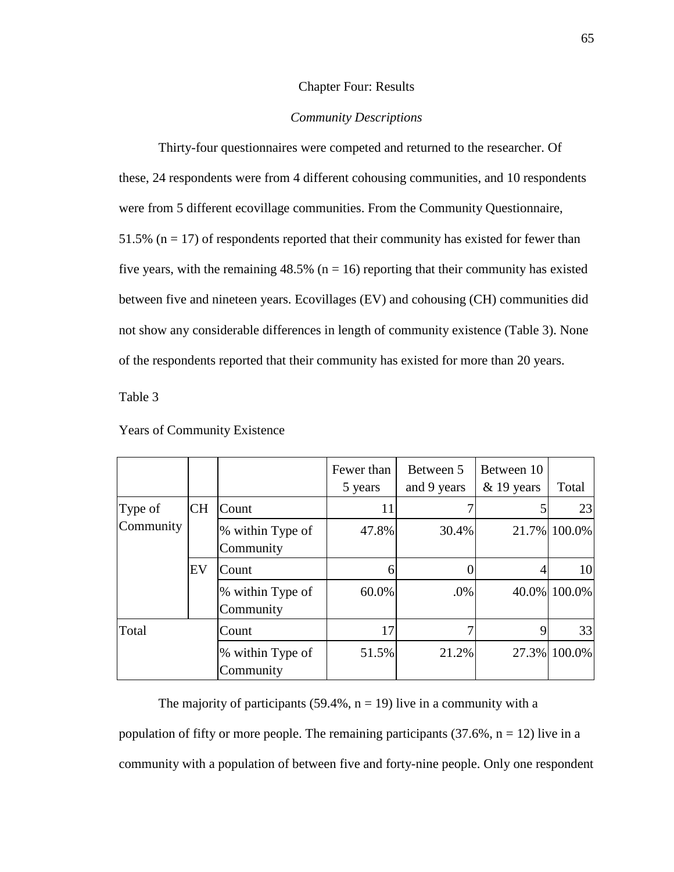#### Chapter Four: Results

### *Community Descriptions*

Thirty-four questionnaires were competed and returned to the researcher. Of these, 24 respondents were from 4 different cohousing communities, and 10 respondents were from 5 different ecovillage communities. From the Community Questionnaire, 51.5% ( $n = 17$ ) of respondents reported that their community has existed for fewer than five years, with the remaining  $48.5\%$  (n = 16) reporting that their community has existed between five and nineteen years. Ecovillages (EV) and cohousing (CH) communities did not show any considerable differences in length of community existence (Table 3). None of the respondents reported that their community has existed for more than 20 years.

Table 3

|           |           |                               | Fewer than<br>5 years | Between 5<br>and 9 years | Between 10<br>& 19 years | Total        |
|-----------|-----------|-------------------------------|-----------------------|--------------------------|--------------------------|--------------|
|           |           |                               |                       |                          |                          |              |
| Type of   | <b>CH</b> | Count                         | 11                    |                          |                          | 23           |
| Community |           | % within Type of<br>Community | 47.8%                 | 30.4%                    |                          | 21.7% 100.0% |
|           |           |                               |                       |                          |                          |              |
|           | EV        | Count                         |                       |                          | 4                        | 10           |
|           |           | % within Type of<br>Community | 60.0%                 | $.0\%$                   |                          | 40.0% 100.0% |
| Total     |           | Count                         | 17                    |                          | 9                        | 33           |
|           |           | % within Type of<br>Community | 51.5%                 | 21.2%                    |                          | 27.3% 100.0% |

Years of Community Existence

The majority of participants (59.4%,  $n = 19$ ) live in a community with a

population of fifty or more people. The remaining participants  $(37.6\%, n = 12)$  live in a community with a population of between five and forty-nine people. Only one respondent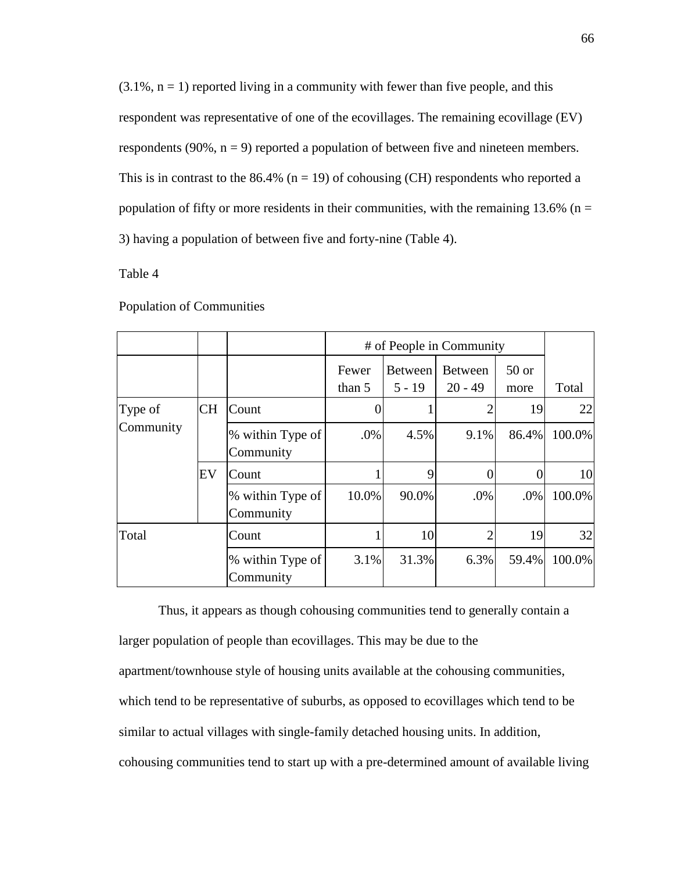$(3.1\%$ ,  $n = 1)$  reported living in a community with fewer than five people, and this respondent was representative of one of the ecovillages. The remaining ecovillage (EV) respondents (90%,  $n = 9$ ) reported a population of between five and nineteen members. This is in contrast to the 86.4% ( $n = 19$ ) of cohousing (CH) respondents who reported a population of fifty or more residents in their communities, with the remaining 13.6% ( $n =$ 3) having a population of between five and forty-nine (Table 4).

Table 4

Population of Communities

|           |           |                               | # of People in Community |                            |                             |                 |        |
|-----------|-----------|-------------------------------|--------------------------|----------------------------|-----------------------------|-----------------|--------|
|           |           |                               | Fewer<br>than 5          | <b>Between</b><br>$5 - 19$ | <b>Between</b><br>$20 - 49$ | $50$ or<br>more | Total  |
| Type of   | <b>CH</b> | Count                         |                          |                            | $\overline{2}$              | 19              | 22     |
| Community |           | % within Type of<br>Community | .0%                      | 4.5%                       | 9.1%                        | 86.4%           | 100.0% |
|           | EV        | Count                         |                          | 9                          | $\Omega$                    |                 | 10     |
|           |           | % within Type of<br>Community | 10.0%                    | 90.0%                      | $.0\%$                      | $.0\%$          | 100.0% |
| Total     |           | Count                         |                          | 10                         | $\overline{2}$              | 19              | 32     |
|           |           | % within Type of<br>Community | 3.1%                     | 31.3%                      | 6.3%                        | 59.4%           | 100.0% |

Thus, it appears as though cohousing communities tend to generally contain a larger population of people than ecovillages. This may be due to the apartment/townhouse style of housing units available at the cohousing communities, which tend to be representative of suburbs, as opposed to ecovillages which tend to be similar to actual villages with single-family detached housing units. In addition, cohousing communities tend to start up with a pre-determined amount of available living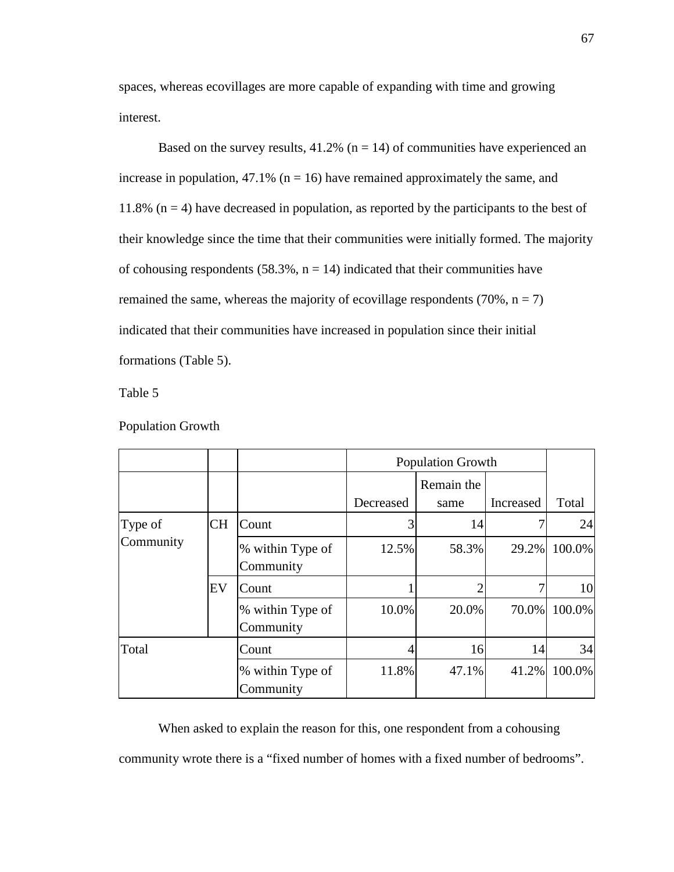spaces, whereas ecovillages are more capable of expanding with time and growing interest.

Based on the survey results,  $41.2\%$  (n = 14) of communities have experienced an increase in population,  $47.1\%$  (n = 16) have remained approximately the same, and 11.8%  $(n = 4)$  have decreased in population, as reported by the participants to the best of their knowledge since the time that their communities were initially formed. The majority of cohousing respondents (58.3%,  $n = 14$ ) indicated that their communities have remained the same, whereas the majority of ecovillage respondents (70%,  $n = 7$ ) indicated that their communities have increased in population since their initial formations (Table 5).

Table 5

Population Growth

|           |     |                               | <b>Population Growth</b> |            |           |           |
|-----------|-----|-------------------------------|--------------------------|------------|-----------|-----------|
|           |     |                               |                          | Remain the |           |           |
|           |     |                               | Decreased                | same       | Increased | Total     |
| Type of   | CH. | Count                         |                          | 14         |           | 24        |
| Community |     | % within Type of<br>Community | 12.5%                    | 58.3%      | 29.2%     | $100.0\%$ |
|           | EV  | lCount.                       |                          |            | 7         | 10        |
|           |     | % within Type of<br>Community | 10.0%                    | 20.0%      | 70.0%     | $100.0\%$ |
| Total     |     | Count                         | 4                        | 16         | 14        | 34        |
|           |     | % within Type of<br>Community | 11.8%                    | 47.1%      | 41.2%     | $100.0\%$ |

When asked to explain the reason for this, one respondent from a cohousing

community wrote there is a "fixed number of homes with a fixed number of bedrooms".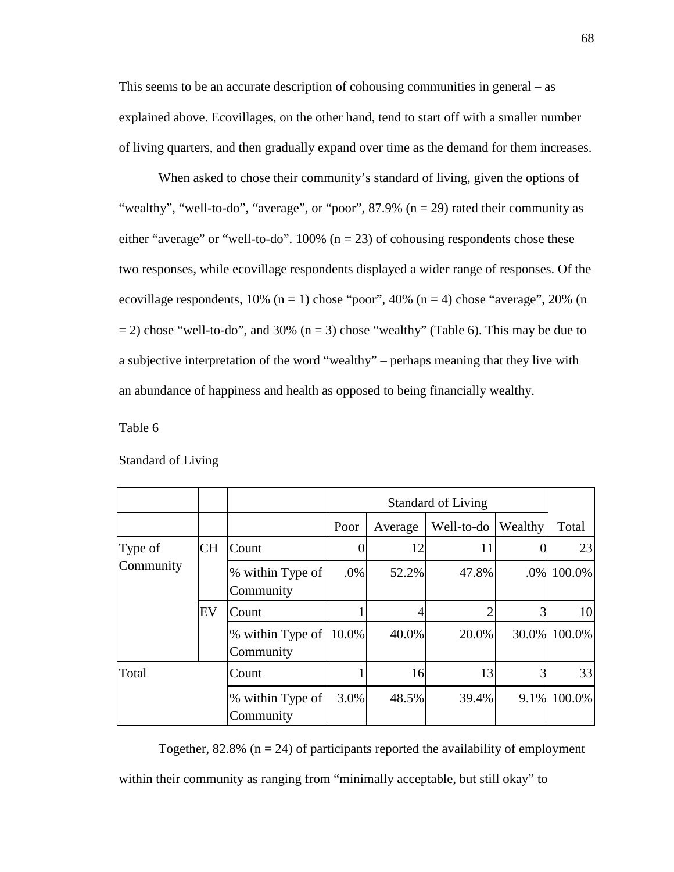This seems to be an accurate description of cohousing communities in general – as explained above. Ecovillages, on the other hand, tend to start off with a smaller number of living quarters, and then gradually expand over time as the demand for them increases.

When asked to chose their community's standard of living, given the options of "wealthy", "well-to-do", "average", or "poor", 87.9% (n = 29) rated their community as either "average" or "well-to-do".  $100\%$  (n = 23) of cohousing respondents chose these two responses, while ecovillage respondents displayed a wider range of responses. Of the ecovillage respondents,  $10\%$  (n = 1) chose "poor",  $40\%$  (n = 4) chose "average",  $20\%$  (n  $= 2$ ) chose "well-to-do", and 30% (n = 3) chose "wealthy" (Table 6). This may be due to a subjective interpretation of the word "wealthy" – perhaps meaning that they live with an abundance of happiness and health as opposed to being financially wealthy.

Table 6

Standard of Living

|                      |           |                               | <b>Standard of Living</b> |         |                |         |               |
|----------------------|-----------|-------------------------------|---------------------------|---------|----------------|---------|---------------|
|                      |           |                               | Poor                      | Average | Well-to-do     | Wealthy | Total         |
| Type of<br>Community | <b>CH</b> | Count                         |                           | 12      | 11             |         | 23            |
|                      |           | % within Type of<br>Community | $.0\%$                    | 52.2%   | 47.8%          |         | $.0\%$ 100.0% |
|                      | EV        | Count                         |                           |         | $\overline{2}$ |         | 10            |
|                      |           | % within Type of<br>Community | 10.0%                     | 40.0%   | 20.0%          |         | 30.0% 100.0%  |
| Total                |           | Count                         |                           | 16      | 13             | 3       | 33            |
|                      |           | % within Type of<br>Community | 3.0%                      | 48.5%   | 39.4%          |         | 9.1% 100.0%   |

Together, 82.8% ( $n = 24$ ) of participants reported the availability of employment within their community as ranging from "minimally acceptable, but still okay" to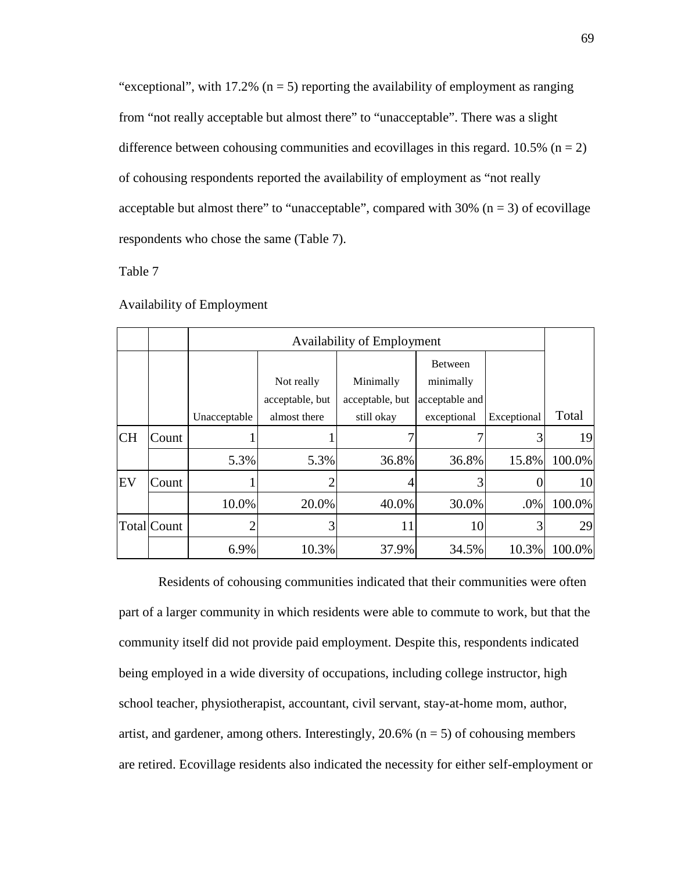"exceptional", with 17.2% ( $n = 5$ ) reporting the availability of employment as ranging from "not really acceptable but almost there" to "unacceptable". There was a slight difference between cohousing communities and ecovillages in this regard. 10.5% ( $n = 2$ ) of cohousing respondents reported the availability of employment as "not really acceptable but almost there" to "unacceptable", compared with  $30\%$  (n = 3) of ecovillage respondents who chose the same (Table 7).

Table 7

Availability of Employment

|           |                    |              |                 | Availability of Employment |                |             |        |
|-----------|--------------------|--------------|-----------------|----------------------------|----------------|-------------|--------|
|           |                    |              |                 |                            | <b>Between</b> |             |        |
|           |                    |              | Not really      | Minimally                  | minimally      |             |        |
|           |                    |              | acceptable, but | acceptable, but            | acceptable and |             |        |
|           |                    | Unacceptable | almost there    | still okay                 | exceptional    | Exceptional | Total  |
| <b>CH</b> | Count              |              |                 |                            |                | 3           | 19     |
|           |                    | 5.3%         | 5.3%            | 36.8%                      | 36.8%          | 15.8%       | 100.0% |
| EV        | Count              |              |                 | 4                          |                |             | 10     |
|           |                    | 10.0%        | 20.0%           | 40.0%                      | 30.0%          | .0%         | 100.0% |
|           | <b>Total</b> Count |              | 3               | 11                         | 10             | 3           | 29     |
|           |                    | 6.9%         | 10.3%           | 37.9%                      | 34.5%          | 10.3%       | 100.0% |

Residents of cohousing communities indicated that their communities were often part of a larger community in which residents were able to commute to work, but that the community itself did not provide paid employment. Despite this, respondents indicated being employed in a wide diversity of occupations, including college instructor, high school teacher, physiotherapist, accountant, civil servant, stay-at-home mom, author, artist, and gardener, among others. Interestingly,  $20.6\%$  (n = 5) of cohousing members are retired. Ecovillage residents also indicated the necessity for either self-employment or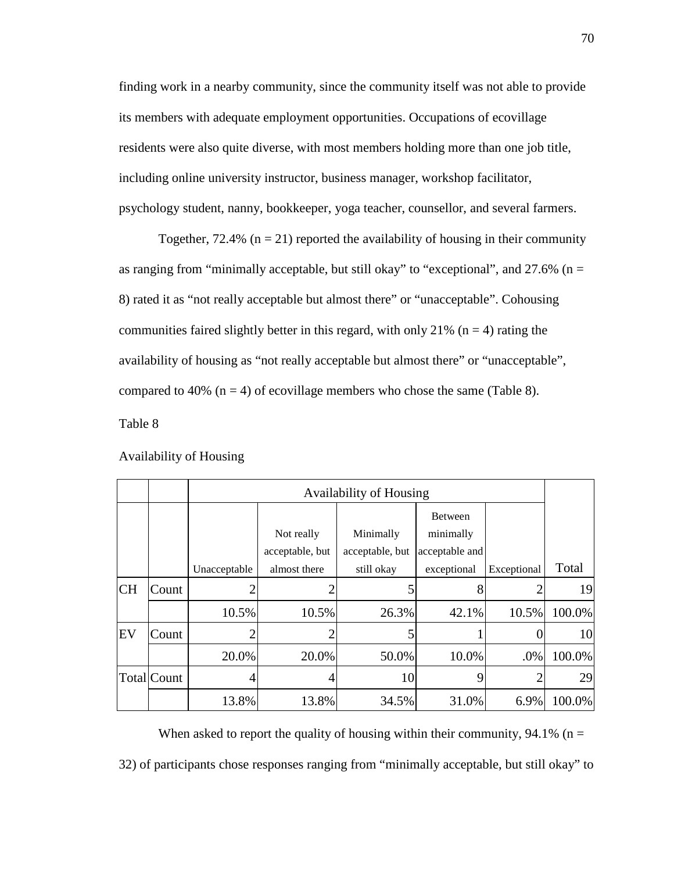finding work in a nearby community, since the community itself was not able to provide its members with adequate employment opportunities. Occupations of ecovillage residents were also quite diverse, with most members holding more than one job title, including online university instructor, business manager, workshop facilitator, psychology student, nanny, bookkeeper, yoga teacher, counsellor, and several farmers.

Together, 72.4% ( $n = 21$ ) reported the availability of housing in their community as ranging from "minimally acceptable, but still okay" to "exceptional", and 27.6% ( $n =$ 8) rated it as "not really acceptable but almost there" or "unacceptable". Cohousing communities faired slightly better in this regard, with only 21% ( $n = 4$ ) rating the availability of housing as "not really acceptable but almost there" or "unacceptable", compared to 40% ( $n = 4$ ) of ecovillage members who chose the same (Table 8).

Table 8

| Availability of Housing |  |
|-------------------------|--|
|                         |  |

|           |                    |              |                 | <b>Availability of Housing</b> |                |                |        |
|-----------|--------------------|--------------|-----------------|--------------------------------|----------------|----------------|--------|
|           |                    |              |                 |                                | <b>Between</b> |                |        |
|           |                    |              | Not really      | Minimally                      | minimally      |                |        |
|           |                    |              | acceptable, but | acceptable, but                | acceptable and |                |        |
|           |                    | Unacceptable | almost there    | still okay                     | exceptional    | Exceptional    | Total  |
| <b>CH</b> | Count              |              |                 | 5                              | 8              |                | 19     |
|           |                    | 10.5%        | 10.5%           | 26.3%                          | 42.1%          | 10.5%          | 100.0% |
| EV        | Count              | ി            |                 | 5                              |                |                | 10     |
|           |                    | 20.0%        | 20.0%           | 50.0%                          | 10.0%          | .0%            | 100.0% |
|           | <b>Total</b> Count |              |                 | 10                             |                | $\overline{2}$ | 29     |
|           |                    | 13.8%        | 13.8%           | 34.5%                          | 31.0%          | 6.9%           | 100.0% |

When asked to report the quality of housing within their community,  $94.1\%$  (n = 32) of participants chose responses ranging from "minimally acceptable, but still okay" to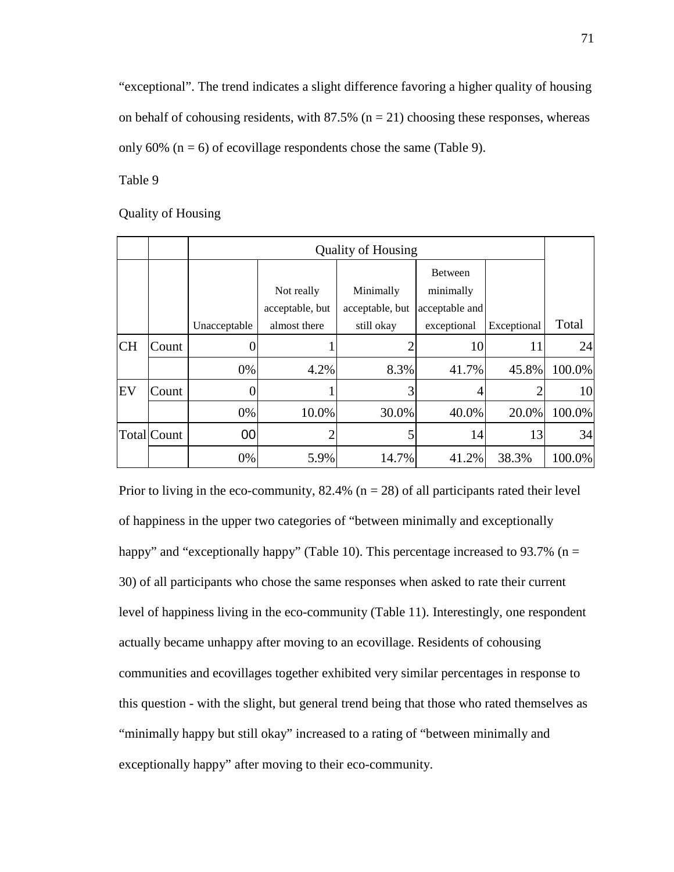"exceptional". The trend indicates a slight difference favoring a higher quality of housing on behalf of cohousing residents, with  $87.5\%$  (n = 21) choosing these responses, whereas only 60% ( $n = 6$ ) of ecovillage respondents chose the same (Table 9).

Table 9

Quality of Housing

|           |             |              |                 | <b>Quality of Housing</b> |                |                |        |
|-----------|-------------|--------------|-----------------|---------------------------|----------------|----------------|--------|
|           |             |              |                 |                           | <b>Between</b> |                |        |
|           |             |              | Not really      | Minimally                 | minimally      |                |        |
|           |             |              | acceptable, but | acceptable, but           | acceptable and |                |        |
|           |             | Unacceptable | almost there    | still okay                | exceptional    | Exceptional    | Total  |
| <b>CH</b> | Count       | 0            |                 |                           | 10             | 11             | 24     |
|           |             | 0%           | 4.2%            | 8.3%                      | 41.7%          | 45.8%          | 100.0% |
| EV        | Count       | 0            |                 | 3                         | 4              | $\overline{2}$ | 10     |
|           |             | 0%           | 10.0%           | 30.0%                     | 40.0%          | 20.0%          | 100.0% |
|           | Total Count | 00           |                 | 5                         | 14             | 13             | 34     |
|           |             | 0%           | 5.9%            | 14.7%                     | 41.2%          | 38.3%          | 100.0% |

Prior to living in the eco-community,  $82.4\%$  (n = 28) of all participants rated their level of happiness in the upper two categories of "between minimally and exceptionally happy" and "exceptionally happy" (Table 10). This percentage increased to 93.7% ( $n =$ 30) of all participants who chose the same responses when asked to rate their current level of happiness living in the eco-community (Table 11). Interestingly, one respondent actually became unhappy after moving to an ecovillage. Residents of cohousing communities and ecovillages together exhibited very similar percentages in response to this question - with the slight, but general trend being that those who rated themselves as "minimally happy but still okay" increased to a rating of "between minimally and exceptionally happy" after moving to their eco-community.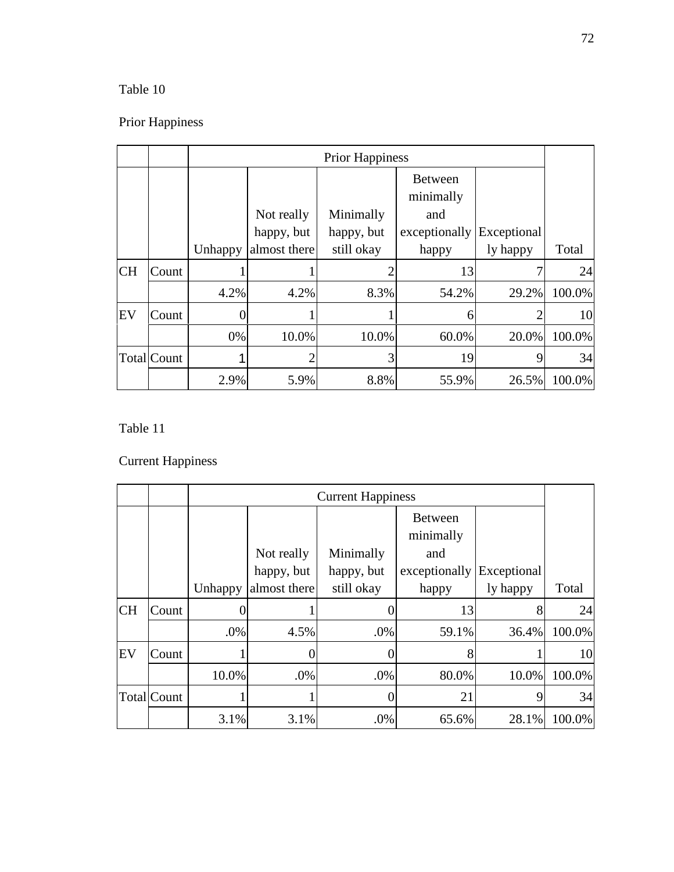# Table 10

# Prior Happiness

|           |             |         |              | <b>Prior Happiness</b> |                |             |        |
|-----------|-------------|---------|--------------|------------------------|----------------|-------------|--------|
|           |             |         |              |                        | <b>Between</b> |             |        |
|           |             |         |              |                        | minimally      |             |        |
|           |             |         | Not really   | Minimally              | and            |             |        |
|           |             |         | happy, but   | happy, but             | exceptionally  | Exceptional |        |
|           |             | Unhappy | almost there | still okay             | happy          | ly happy    | Total  |
| <b>CH</b> | Count       |         |              |                        | 13             |             | 24     |
|           |             | 4.2%    | 4.2%         | 8.3%                   | 54.2%          | 29.2%       | 100.0% |
| EV        | Count       | 0       |              |                        | 6              |             | 10     |
|           |             | 0%      | 10.0%        | 10.0%                  | 60.0%          | 20.0%       | 100.0% |
|           | Total Count |         | 2            |                        | 19             | 9           | 34     |
|           |             | 2.9%    | 5.9%         | 8.8%                   | 55.9%          | 26.5%       | 100.0% |

# Table 11

# Current Happiness

|           |                    |         |              | <b>Current Happiness</b> |                |             |        |
|-----------|--------------------|---------|--------------|--------------------------|----------------|-------------|--------|
|           |                    |         |              |                          | <b>Between</b> |             |        |
|           |                    |         |              |                          | minimally      |             |        |
|           |                    |         | Not really   | Minimally                | and            |             |        |
|           |                    |         | happy, but   | happy, but               | exceptionally  | Exceptional |        |
|           |                    | Unhappy | almost there | still okay               | happy          | ly happy    | Total  |
| <b>CH</b> | Count              |         |              |                          | 13             | 8           | 24     |
|           |                    | .0%     | 4.5%         | .0%                      | 59.1%          | 36.4%       | 100.0% |
| EV        | Count              |         |              |                          | 8              |             | 10     |
|           |                    | 10.0%   | .0%          | .0%                      | 80.0%          | 10.0%       | 100.0% |
|           | <b>Total</b> Count |         |              |                          | 21             | 9           | 34     |
|           |                    | 3.1%    | 3.1%         | .0%                      | 65.6%          | 28.1%       | 100.0% |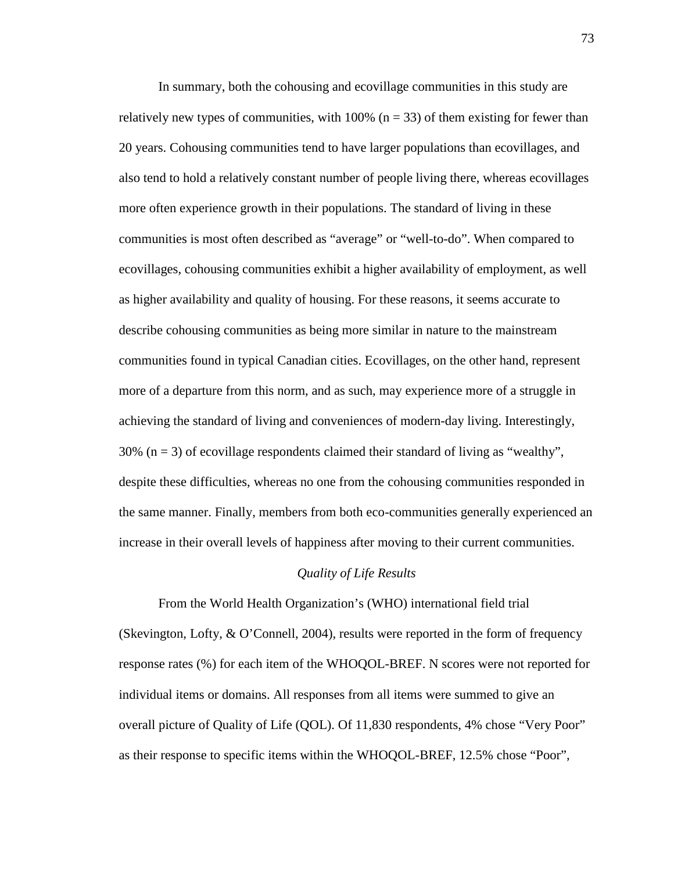In summary, both the cohousing and ecovillage communities in this study are relatively new types of communities, with  $100\%$  (n = 33) of them existing for fewer than 20 years. Cohousing communities tend to have larger populations than ecovillages, and also tend to hold a relatively constant number of people living there, whereas ecovillages more often experience growth in their populations. The standard of living in these communities is most often described as "average" or "well-to-do". When compared to ecovillages, cohousing communities exhibit a higher availability of employment, as well as higher availability and quality of housing. For these reasons, it seems accurate to describe cohousing communities as being more similar in nature to the mainstream communities found in typical Canadian cities. Ecovillages, on the other hand, represent more of a departure from this norm, and as such, may experience more of a struggle in achieving the standard of living and conveniences of modern-day living. Interestingly, 30% ( $n = 3$ ) of ecovillage respondents claimed their standard of living as "wealthy", despite these difficulties, whereas no one from the cohousing communities responded in the same manner. Finally, members from both eco-communities generally experienced an increase in their overall levels of happiness after moving to their current communities.

#### *Quality of Life Results*

From the World Health Organization's (WHO) international field trial (Skevington, Lofty, & O'Connell, 2004), results were reported in the form of frequency response rates (%) for each item of the WHOQOL-BREF. N scores were not reported for individual items or domains. All responses from all items were summed to give an overall picture of Quality of Life (QOL). Of 11,830 respondents, 4% chose "Very Poor" as their response to specific items within the WHOQOL-BREF, 12.5% chose "Poor",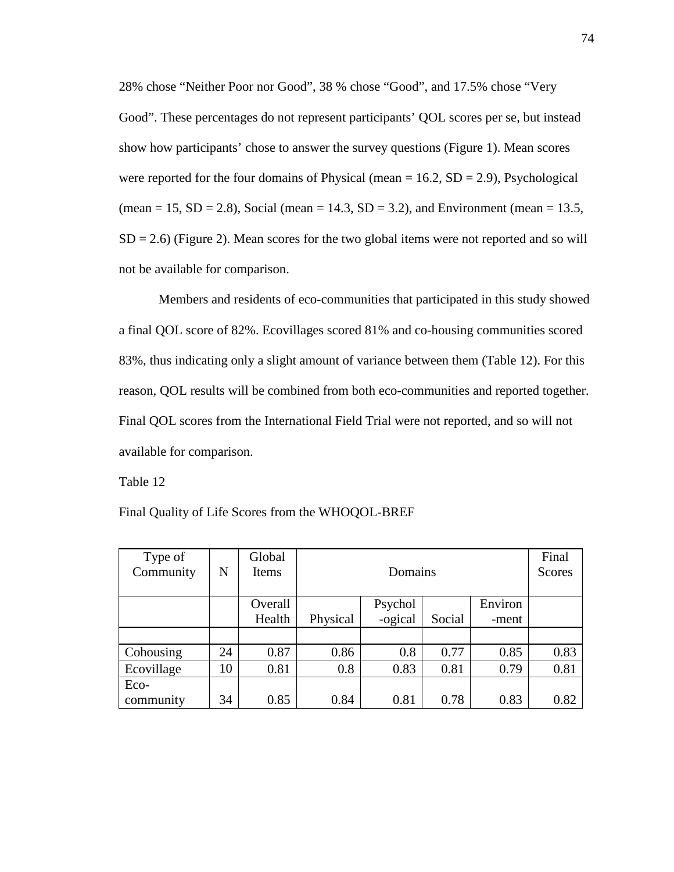28% chose "Neither Poor nor Good", 38 % chose "Good", and 17.5% chose "Very Good". These percentages do not represent participants' QOL scores per se, but instead show how participants' chose to answer the survey questions (Figure 1). Mean scores were reported for the four domains of Physical (mean  $= 16.2$ , SD  $= 2.9$ ), Psychological (mean = 15, SD = 2.8), Social (mean = 14.3, SD = 3.2), and Environment (mean = 13.5,  $SD = 2.6$ ) (Figure 2). Mean scores for the two global items were not reported and so will not be available for comparison.

Members and residents of eco-communities that participated in this study showed a final QOL score of 82%. Ecovillages scored 81% and co-housing communities scored 83%, thus indicating only a slight amount of variance between them (Table 12). For this reason, QOL results will be combined from both eco-communities and reported together. Final QOL scores from the International Field Trial were not reported, and so will not available for comparison.

Table 12

Final Quality of Life Scores from the WHOQOL-BREF

| Type of    |    | Global  |          |         |        |         | Final |  |
|------------|----|---------|----------|---------|--------|---------|-------|--|
| Community  | N  | Items   |          | Domains |        |         |       |  |
|            |    |         |          |         |        |         |       |  |
|            |    | Overall |          | Psychol |        | Environ |       |  |
|            |    | Health  | Physical | -ogical | Social | -ment   |       |  |
|            |    |         |          |         |        |         |       |  |
| Cohousing  | 24 | 0.87    | 0.86     | 0.8     | 0.77   | 0.85    | 0.83  |  |
| Ecovillage | 10 | 0.81    | 0.8      | 0.83    | 0.81   | 0.79    | 0.81  |  |
| Eco-       |    |         |          |         |        |         |       |  |
| community  | 34 | 0.85    | 0.84     | 0.81    | 0.78   | 0.83    | 0.82  |  |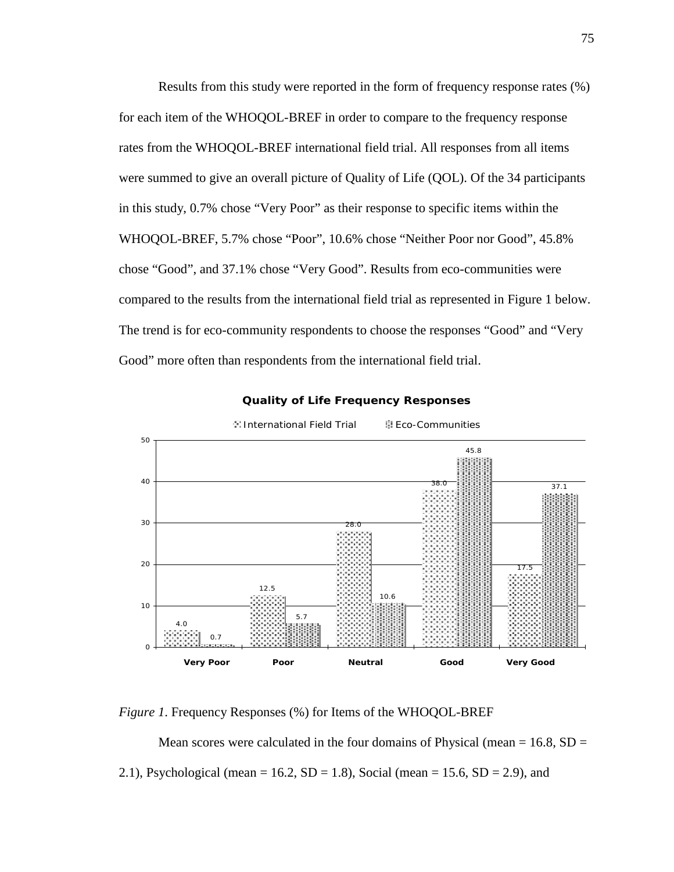Results from this study were reported in the form of frequency response rates (%) for each item of the WHOQOL-BREF in order to compare to the frequency response rates from the WHOQOL-BREF international field trial. All responses from all items were summed to give an overall picture of Quality of Life (QOL). Of the 34 participants in this study, 0.7% chose "Very Poor" as their response to specific items within the WHOQOL-BREF, 5.7% chose "Poor", 10.6% chose "Neither Poor nor Good", 45.8% chose "Good", and 37.1% chose "Very Good". Results from eco-communities were compared to the results from the international field trial as represented in Figure 1 below. The trend is for eco-community respondents to choose the responses "Good" and "Very Good" more often than respondents from the international field trial.



**Quality of Life Frequency Responses**

*Figure 1*. Frequency Responses (%) for Items of the WHOQOL-BREF

Mean scores were calculated in the four domains of Physical (mean  $= 16.8$ , SD  $=$ 2.1), Psychological (mean = 16.2,  $SD = 1.8$ ), Social (mean = 15.6,  $SD = 2.9$ ), and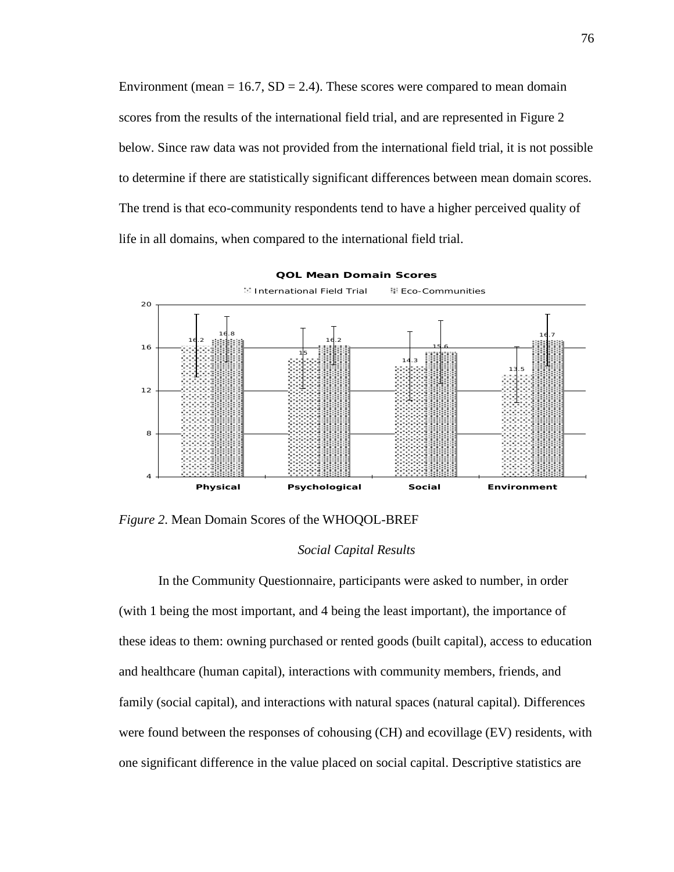Environment (mean =  $16.7$ , SD = 2.4). These scores were compared to mean domain scores from the results of the international field trial, and are represented in Figure 2 below. Since raw data was not provided from the international field trial, it is not possible to determine if there are statistically significant differences between mean domain scores. The trend is that eco-community respondents tend to have a higher perceived quality of life in all domains, when compared to the international field trial.



*Figure 2*. Mean Domain Scores of the WHOQOL-BREF

# *Social Capital Results*

In the Community Questionnaire, participants were asked to number, in order (with 1 being the most important, and 4 being the least important), the importance of these ideas to them: owning purchased or rented goods (built capital), access to education and healthcare (human capital), interactions with community members, friends, and family (social capital), and interactions with natural spaces (natural capital). Differences were found between the responses of cohousing (CH) and ecovillage (EV) residents, with one significant difference in the value placed on social capital. Descriptive statistics are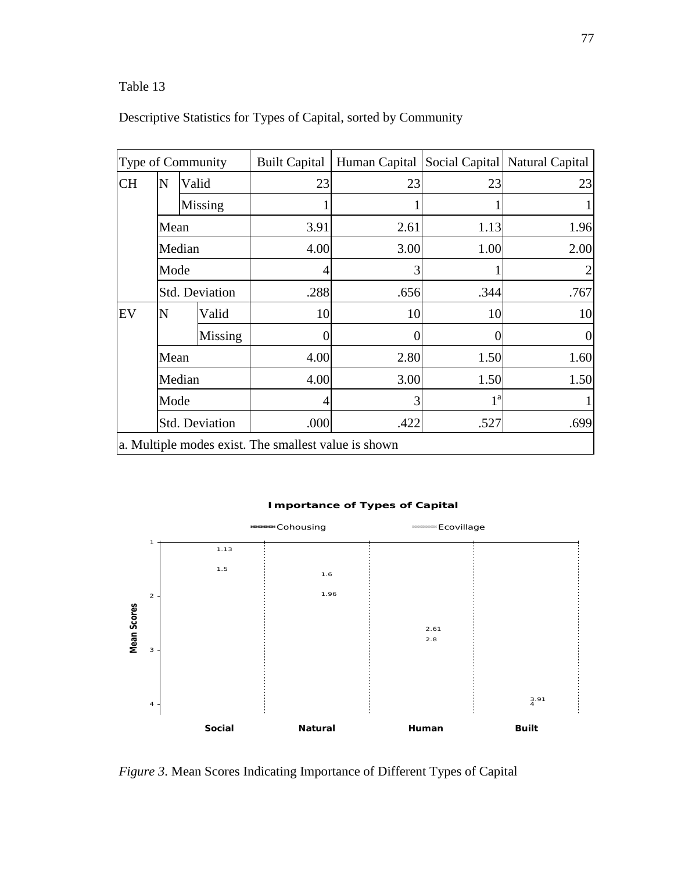# Table 13

|           |                        | Type of Community     | <b>Built Capital</b>                                 | Human Capital |                  | Social Capital   Natural Capital |
|-----------|------------------------|-----------------------|------------------------------------------------------|---------------|------------------|----------------------------------|
| <b>CH</b> | N                      | Valid                 | 23                                                   | 23            | 23               | 23                               |
|           |                        | Missing               |                                                      |               |                  |                                  |
|           | Mean<br>Median<br>Mode |                       | 3.91                                                 | 2.61          | 1.13             | 1.96                             |
|           |                        |                       | 4.00                                                 | 3.00          | 1.00             | 2.00                             |
|           |                        |                       | 4                                                    | 3             |                  |                                  |
|           |                        | <b>Std. Deviation</b> | .288                                                 | .656          | .344             | .767                             |
| EV        | N                      | Valid                 | 10                                                   | 10            | 10               | 10                               |
|           |                        | Missing               | $\left( \right)$                                     |               | 0                |                                  |
|           | Mean                   |                       | 4.00                                                 | 2.80          | 1.50             | 1.60                             |
|           |                        | Median                | 4.00                                                 | 3.00          | 1.50             | 1.50                             |
|           | Mode                   |                       | 4                                                    | 3             | $1^{\mathrm{a}}$ |                                  |
|           |                        | <b>Std. Deviation</b> | .000                                                 | .422          | .527             | .699                             |
|           |                        |                       | a. Multiple modes exist. The smallest value is shown |               |                  |                                  |

# Descriptive Statistics for Types of Capital, sorted by Community

#### **Importance of Types of Capital**



*Figure 3*. Mean Scores Indicating Importance of Different Types of Capital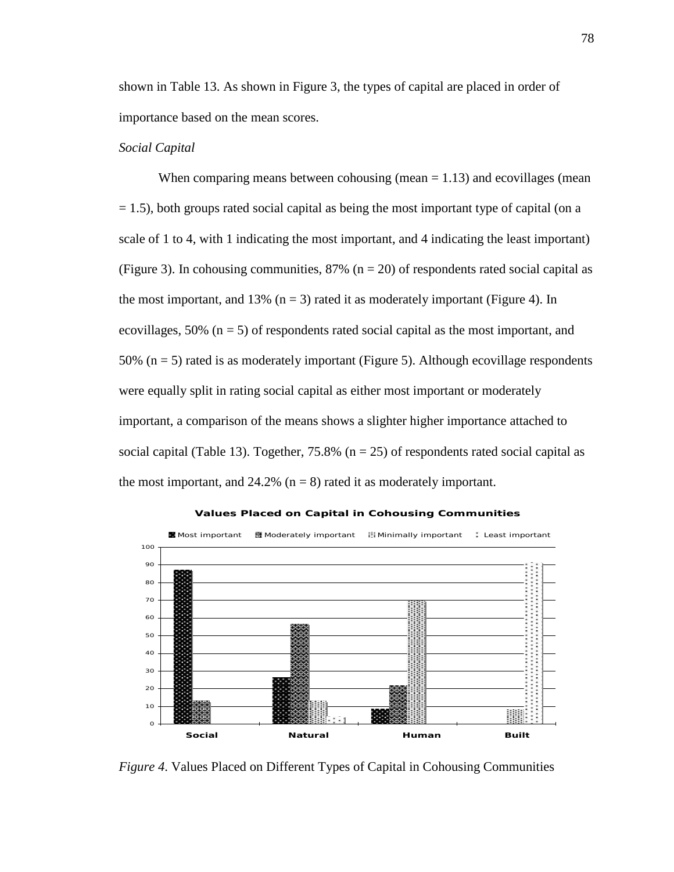shown in Table 13. As shown in Figure 3, the types of capital are placed in order of importance based on the mean scores.

# *Social Capital*

When comparing means between cohousing (mean  $= 1.13$ ) and ecovillages (mean  $= 1.5$ ), both groups rated social capital as being the most important type of capital (on a scale of 1 to 4, with 1 indicating the most important, and 4 indicating the least important) (Figure 3). In cohousing communities, 87% ( $n = 20$ ) of respondents rated social capital as the most important, and 13% ( $n = 3$ ) rated it as moderately important (Figure 4). In ecovillages,  $50\%$  ( $n = 5$ ) of respondents rated social capital as the most important, and 50% ( $n = 5$ ) rated is as moderately important (Figure 5). Although ecovillage respondents were equally split in rating social capital as either most important or moderately important, a comparison of the means shows a slighter higher importance attached to social capital (Table 13). Together, 75.8% ( $n = 25$ ) of respondents rated social capital as the most important, and  $24.2\%$  (n = 8) rated it as moderately important.



**Values Placed on Capital in Cohousing Communities**

*Figure 4*. Values Placed on Different Types of Capital in Cohousing Communities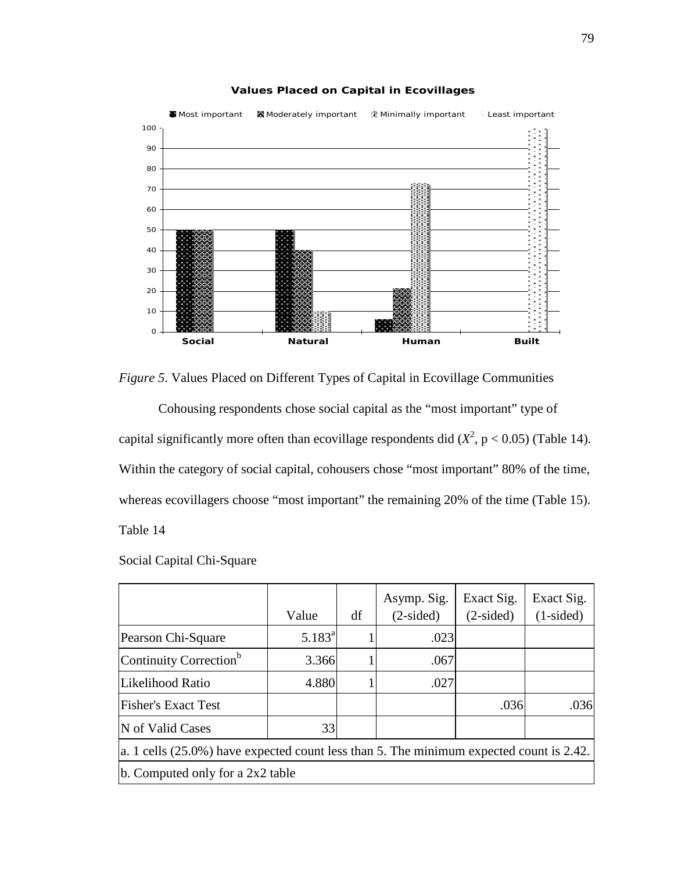

#### **Values Placed on Capital in Ecovillages**

*Figure 5*. Values Placed on Different Types of Capital in Ecovillage Communities

Cohousing respondents chose social capital as the "most important" type of capital significantly more often than ecovillage respondents did  $(X^2, p < 0.05)$  (Table 14). Within the category of social capital, cohousers chose "most important" 80% of the time, whereas ecovillagers choose "most important" the remaining 20% of the time (Table 15). Table 14

|                                                                                                  | Value       | df | Asymp. Sig.<br>$(2-sided)$ | Exact Sig.<br>$(2-sided)$ | Exact Sig.<br>$(1-sided)$ |  |  |  |
|--------------------------------------------------------------------------------------------------|-------------|----|----------------------------|---------------------------|---------------------------|--|--|--|
| Pearson Chi-Square                                                                               | $5.183^{a}$ |    | .023                       |                           |                           |  |  |  |
| Continuity Correction <sup>b</sup>                                                               | 3.366       |    | .067                       |                           |                           |  |  |  |
| Likelihood Ratio                                                                                 | 4.880       |    | .027                       |                           |                           |  |  |  |
| <b>Fisher's Exact Test</b>                                                                       |             |    |                            | .036                      | .036                      |  |  |  |
| N of Valid Cases                                                                                 | 33          |    |                            |                           |                           |  |  |  |
| $\alpha$ a. 1 cells (25.0%) have expected count less than 5. The minimum expected count is 2.42. |             |    |                            |                           |                           |  |  |  |
| $ b.$ Computed only for a 2x2 table                                                              |             |    |                            |                           |                           |  |  |  |

Social Capital Chi-Square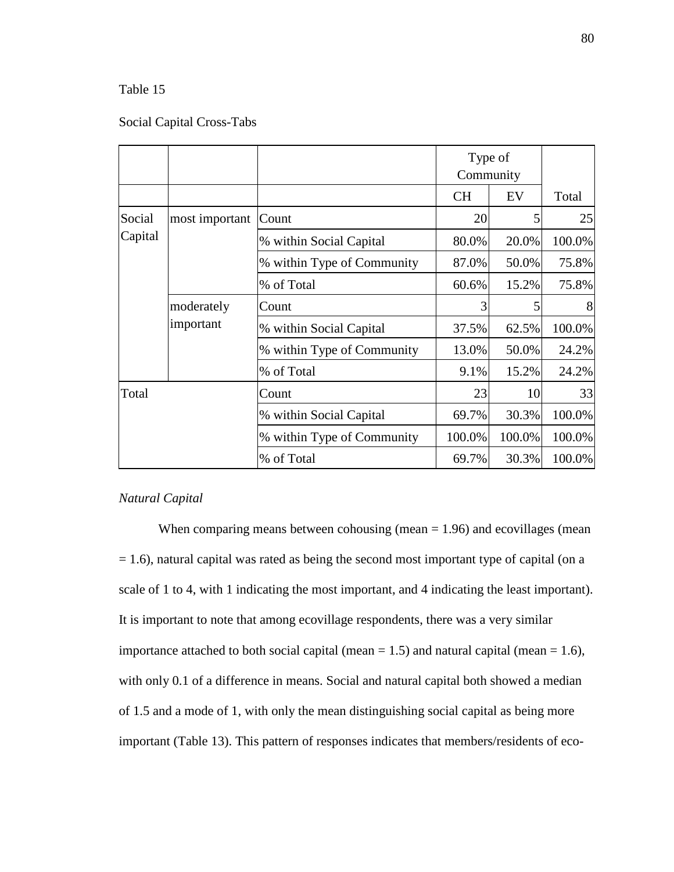# Table 15

# Social Capital Cross-Tabs

|         |                         |                            | Type of<br>Community |        |        |
|---------|-------------------------|----------------------------|----------------------|--------|--------|
|         |                         |                            |                      |        |        |
|         |                         |                            | <b>CH</b>            | EV     | Total  |
| Social  | most important          | Count                      | 20                   | 5      | 25     |
| Capital |                         | % within Social Capital    | 80.0%                | 20.0%  | 100.0% |
|         |                         | % within Type of Community | 87.0%                | 50.0%  | 75.8%  |
|         |                         | % of Total                 | 60.6%                | 15.2%  | 75.8%  |
|         | moderately<br>important | Count                      | 3                    | 5      | 8      |
|         |                         | % within Social Capital    | 37.5%                | 62.5%  | 100.0% |
|         |                         | % within Type of Community | 13.0%                | 50.0%  | 24.2%  |
|         |                         | % of Total                 | 9.1%                 | 15.2%  | 24.2%  |
| Total   |                         | Count                      | 23                   | 10     | 33     |
|         |                         | % within Social Capital    | 69.7%                | 30.3%  | 100.0% |
|         |                         | % within Type of Community | 100.0%               | 100.0% | 100.0% |
|         |                         | % of Total                 | 69.7%                | 30.3%  | 100.0% |

# *Natural Capital*

When comparing means between cohousing (mean  $= 1.96$ ) and ecovillages (mean  $= 1.6$ ), natural capital was rated as being the second most important type of capital (on a scale of 1 to 4, with 1 indicating the most important, and 4 indicating the least important). It is important to note that among ecovillage respondents, there was a very similar importance attached to both social capital (mean  $= 1.5$ ) and natural capital (mean  $= 1.6$ ), with only 0.1 of a difference in means. Social and natural capital both showed a median of 1.5 and a mode of 1, with only the mean distinguishing social capital as being more important (Table 13). This pattern of responses indicates that members/residents of eco-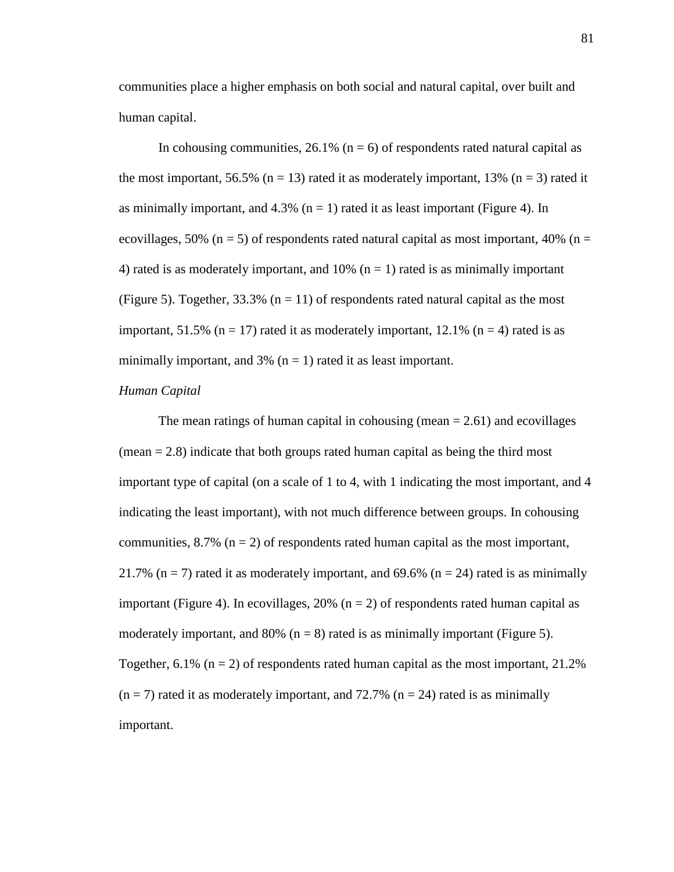communities place a higher emphasis on both social and natural capital, over built and human capital.

In cohousing communities, 26.1% ( $n = 6$ ) of respondents rated natural capital as the most important, 56.5% (n = 13) rated it as moderately important, 13% (n = 3) rated it as minimally important, and  $4.3\%$  (n = 1) rated it as least important (Figure 4). In ecovillages, 50% ( $n = 5$ ) of respondents rated natural capital as most important, 40% ( $n =$ 4) rated is as moderately important, and  $10\%$  (n = 1) rated is as minimally important (Figure 5). Together, 33.3% ( $n = 11$ ) of respondents rated natural capital as the most important, 51.5% ( $n = 17$ ) rated it as moderately important, 12.1% ( $n = 4$ ) rated is as minimally important, and 3% ( $n = 1$ ) rated it as least important.

#### *Human Capital*

The mean ratings of human capital in cohousing (mean  $= 2.61$ ) and ecovillages  $(mean = 2.8)$  indicate that both groups rated human capital as being the third most important type of capital (on a scale of 1 to 4, with 1 indicating the most important, and 4 indicating the least important), with not much difference between groups. In cohousing communities,  $8.7\%$  (n = 2) of respondents rated human capital as the most important, 21.7% ( $n = 7$ ) rated it as moderately important, and 69.6% ( $n = 24$ ) rated is as minimally important (Figure 4). In ecovillages, 20% ( $n = 2$ ) of respondents rated human capital as moderately important, and 80% ( $n = 8$ ) rated is as minimally important (Figure 5). Together, 6.1% ( $n = 2$ ) of respondents rated human capital as the most important, 21.2%  $(n = 7)$  rated it as moderately important, and 72.7%  $(n = 24)$  rated is as minimally important.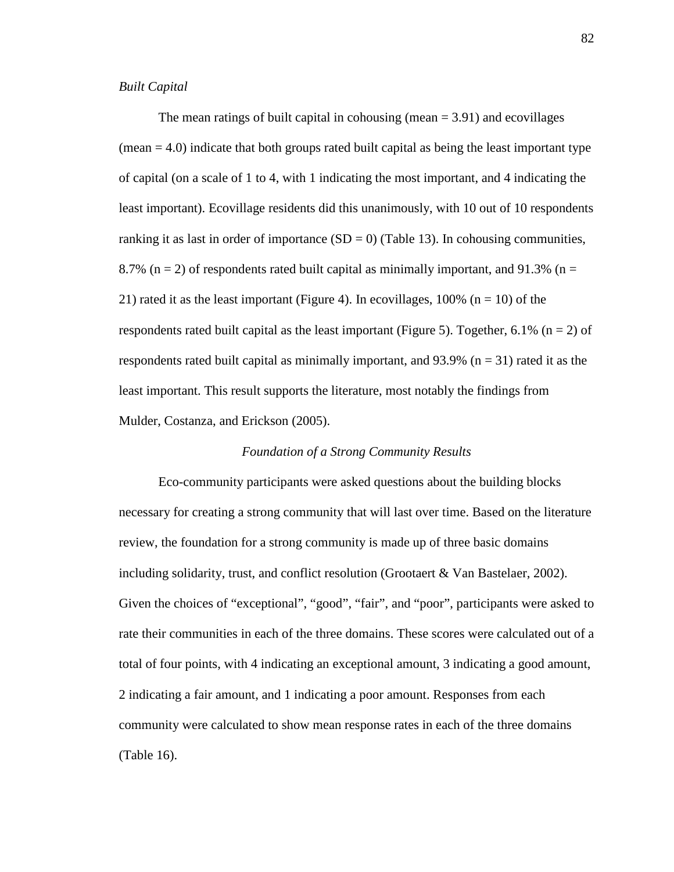#### *Built Capital*

The mean ratings of built capital in cohousing (mean  $= 3.91$ ) and ecovillages  $(mean = 4.0)$  indicate that both groups rated built capital as being the least important type of capital (on a scale of 1 to 4, with 1 indicating the most important, and 4 indicating the least important). Ecovillage residents did this unanimously, with 10 out of 10 respondents ranking it as last in order of importance  $(SD = 0)$  (Table 13). In cohousing communities, 8.7% ( $n = 2$ ) of respondents rated built capital as minimally important, and 91.3% ( $n =$ 21) rated it as the least important (Figure 4). In ecovillages,  $100\%$  (n = 10) of the respondents rated built capital as the least important (Figure 5). Together, 6.1% ( $n = 2$ ) of respondents rated built capital as minimally important, and  $93.9\%$  (n = 31) rated it as the least important. This result supports the literature, most notably the findings from Mulder, Costanza, and Erickson (2005).

### *Foundation of a Strong Community Results*

Eco-community participants were asked questions about the building blocks necessary for creating a strong community that will last over time. Based on the literature review, the foundation for a strong community is made up of three basic domains including solidarity, trust, and conflict resolution (Grootaert  $\&$  Van Bastelaer, 2002). Given the choices of "exceptional", "good", "fair", and "poor", participants were asked to rate their communities in each of the three domains. These scores were calculated out of a total of four points, with 4 indicating an exceptional amount, 3 indicating a good amount, 2 indicating a fair amount, and 1 indicating a poor amount. Responses from each community were calculated to show mean response rates in each of the three domains (Table 16).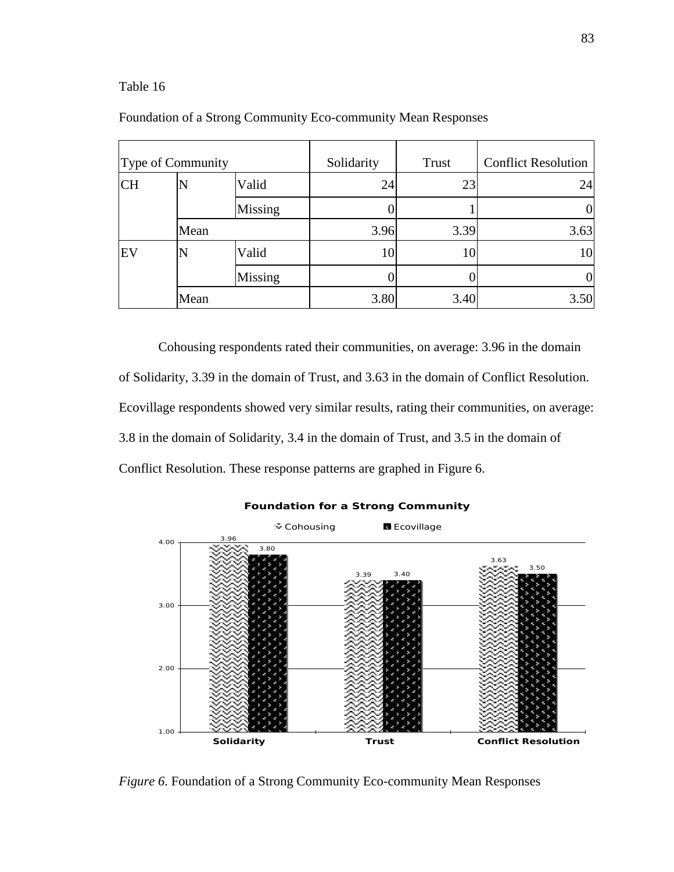# Table 16

| Type of Community |      | Solidarity | Trust | <b>Conflict Resolution</b> |      |
|-------------------|------|------------|-------|----------------------------|------|
| <b>CH</b>         |      | Valid      | 24    | 23                         | 24   |
|                   |      | Missing    |       |                            |      |
| Mean              |      | 3.96       | 3.39  | 3.63                       |      |
| EV                |      | Valid      | 10    | 10                         | 10   |
|                   |      | Missing    |       |                            |      |
|                   | Mean |            | 3.80  | 3.40                       | 3.50 |

Foundation of a Strong Community Eco-community Mean Responses

Cohousing respondents rated their communities, on average: 3.96 in the domain of Solidarity, 3.39 in the domain of Trust, and 3.63 in the domain of Conflict Resolution. Ecovillage respondents showed very similar results, rating their communities, on average: 3.8 in the domain of Solidarity, 3.4 in the domain of Trust, and 3.5 in the domain of Conflict Resolution. These response patterns are graphed in Figure 6.



#### **Foundation for a Strong Community**

*Figure 6*. Foundation of a Strong Community Eco-community Mean Responses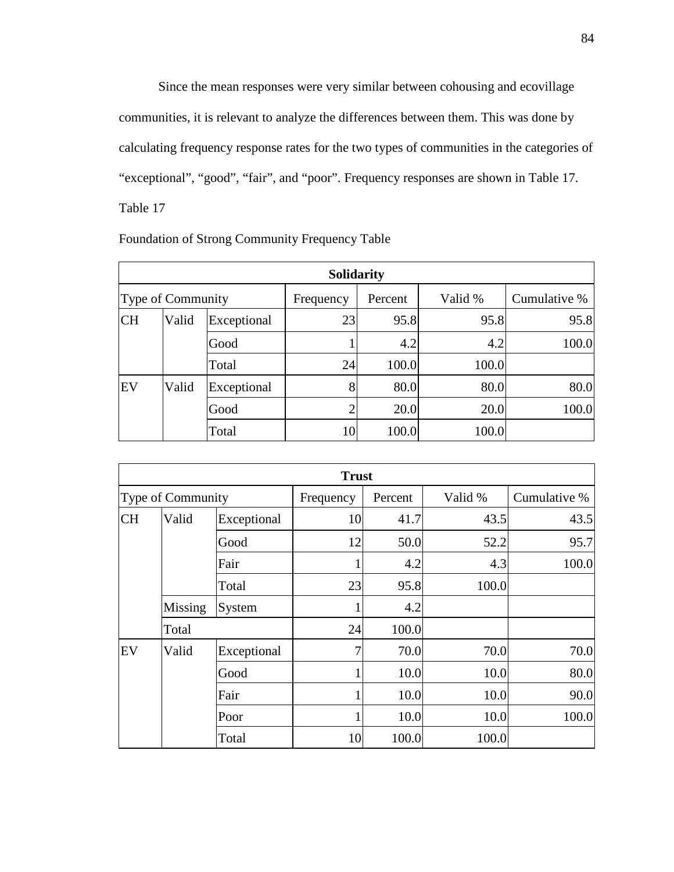Since the mean responses were very similar between cohousing and ecovillage communities, it is relevant to analyze the differences between them. This was done by calculating frequency response rates for the two types of communities in the categories of "exceptional", "good", "fair", and "poor". Frequency responses are shown in Table 17. Table 17

| <b>Solidarity</b> |                   |             |           |         |         |              |  |  |
|-------------------|-------------------|-------------|-----------|---------|---------|--------------|--|--|
|                   | Type of Community |             | Frequency | Percent | Valid % | Cumulative % |  |  |
| <b>CH</b>         | Valid             | Exceptional | 23        | 95.8    | 95.8    | 95.8         |  |  |
|                   |                   | Good        |           | 4.2     | 4.2     | 100.0        |  |  |
|                   |                   | Total       | 24        | 100.0   | 100.0   |              |  |  |
| EV                | Valid             | Exceptional | 8         | 80.0    | 80.0    | 80.0         |  |  |
|                   |                   | Good        | ി         | 20.0    | 20.0    | 100.0        |  |  |
|                   |                   | Total       | 10        | 100.0   | 100.0   |              |  |  |

Foundation of Strong Community Frequency Table

|           | <b>Trust</b>      |             |           |         |         |              |  |  |
|-----------|-------------------|-------------|-----------|---------|---------|--------------|--|--|
|           | Type of Community |             | Frequency | Percent | Valid % | Cumulative % |  |  |
| <b>CH</b> | Valid             | Exceptional | 10        | 41.7    | 43.5    | 43.5         |  |  |
|           |                   | Good        | 12        | 50.0    | 52.2    | 95.7         |  |  |
|           |                   | Fair        |           | 4.2     | 4.3     | 100.0        |  |  |
|           |                   | Total       | 23        | 95.8    | 100.0   |              |  |  |
|           | Missing           | System      |           | 4.2     |         |              |  |  |
|           | Total             |             | 24        | 100.0   |         |              |  |  |
| EV        | Valid             | Exceptional | 7         | 70.0    | 70.0    | 70.0         |  |  |
|           |                   | Good        |           | 10.0    | 10.0    | 80.0         |  |  |
|           |                   | Fair        |           | 10.0    | 10.0    | 90.0         |  |  |
|           |                   | Poor        |           | 10.0    | 10.0    | 100.0        |  |  |
|           |                   | Total       | 10        | 100.0   | 100.0   |              |  |  |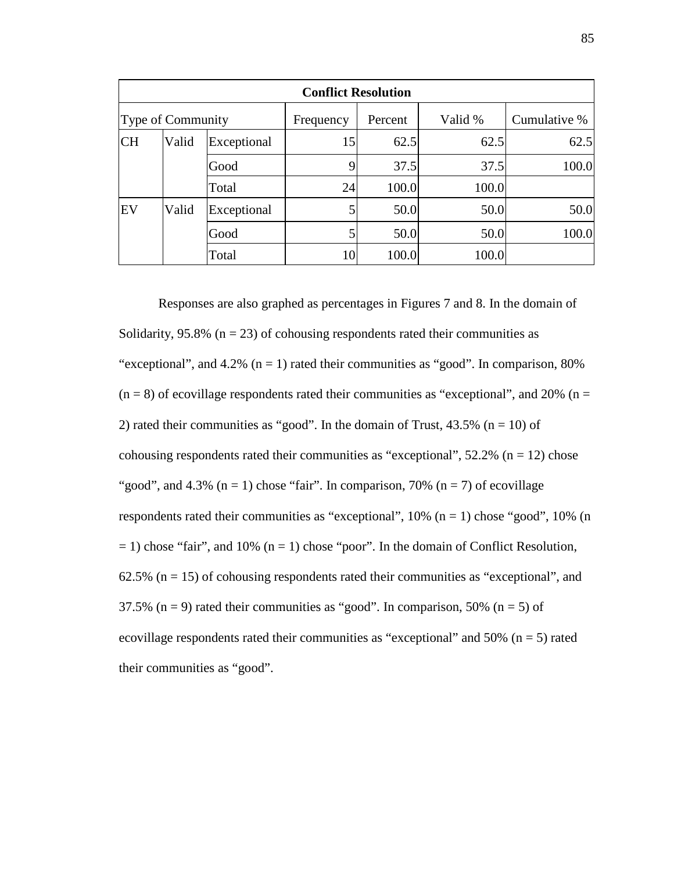| <b>Conflict Resolution</b> |       |             |         |         |              |       |  |  |
|----------------------------|-------|-------------|---------|---------|--------------|-------|--|--|
| <b>Type of Community</b>   |       | Frequency   | Percent | Valid % | Cumulative % |       |  |  |
| <b>CH</b>                  | Valid | Exceptional | 15      | 62.5    | 62.5         | 62.5  |  |  |
|                            |       | Good        | 9       | 37.5    | 37.5         | 100.0 |  |  |
|                            |       | Total       | 24      | 100.0   | 100.0        |       |  |  |
| EV                         | Valid | Exceptional | 5       | 50.0    | 50.0         | 50.0  |  |  |
|                            |       | Good        | 5       | 50.0    | 50.0         | 100.0 |  |  |
|                            |       | Total       | 10      | 100.0   | 100.0        |       |  |  |

Responses are also graphed as percentages in Figures 7 and 8. In the domain of Solidarity, 95.8% ( $n = 23$ ) of cohousing respondents rated their communities as "exceptional", and 4.2% ( $n = 1$ ) rated their communities as "good". In comparison, 80%  $(n = 8)$  of ecovillage respondents rated their communities as "exceptional", and 20% (n = 2) rated their communities as "good". In the domain of Trust,  $43.5\%$  (n = 10) of cohousing respondents rated their communities as "exceptional",  $52.2\%$  (n = 12) chose "good", and 4.3% ( $n = 1$ ) chose "fair". In comparison, 70% ( $n = 7$ ) of ecovillage respondents rated their communities as "exceptional",  $10\%$  (n = 1) chose "good",  $10\%$  (n  $= 1$ ) chose "fair", and 10% (n  $= 1$ ) chose "poor". In the domain of Conflict Resolution, 62.5% ( $n = 15$ ) of cohousing respondents rated their communities as "exceptional", and 37.5% ( $n = 9$ ) rated their communities as "good". In comparison, 50% ( $n = 5$ ) of ecovillage respondents rated their communities as "exceptional" and 50% ( $n = 5$ ) rated their communities as "good".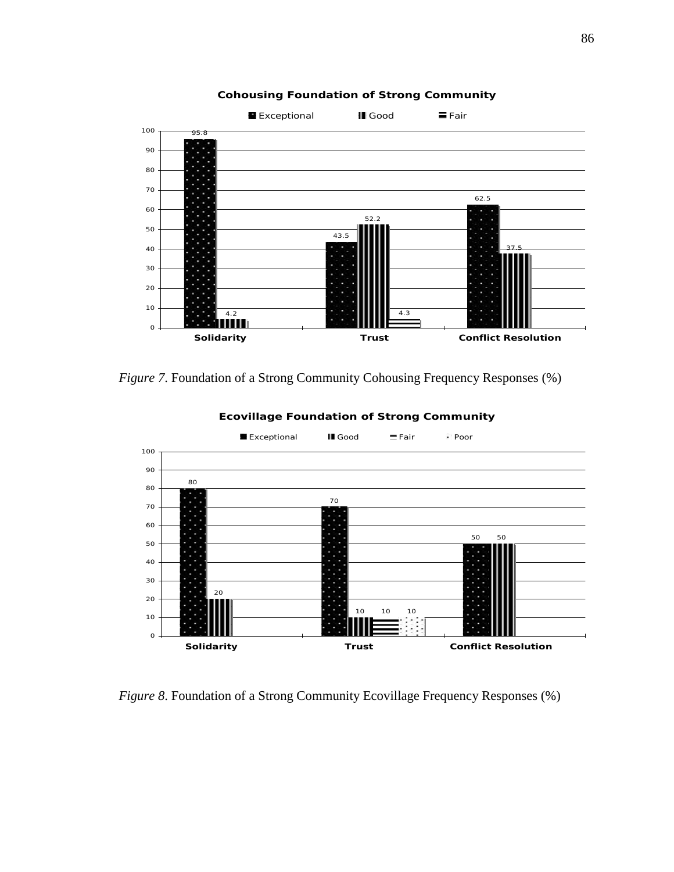

**Cohousing Foundation of Strong Community**

*Figure 7*. Foundation of a Strong Community Cohousing Frequency Responses (%)



**Ecovillage Foundation of Strong Community**

*Figure 8*. Foundation of a Strong Community Ecovillage Frequency Responses (%)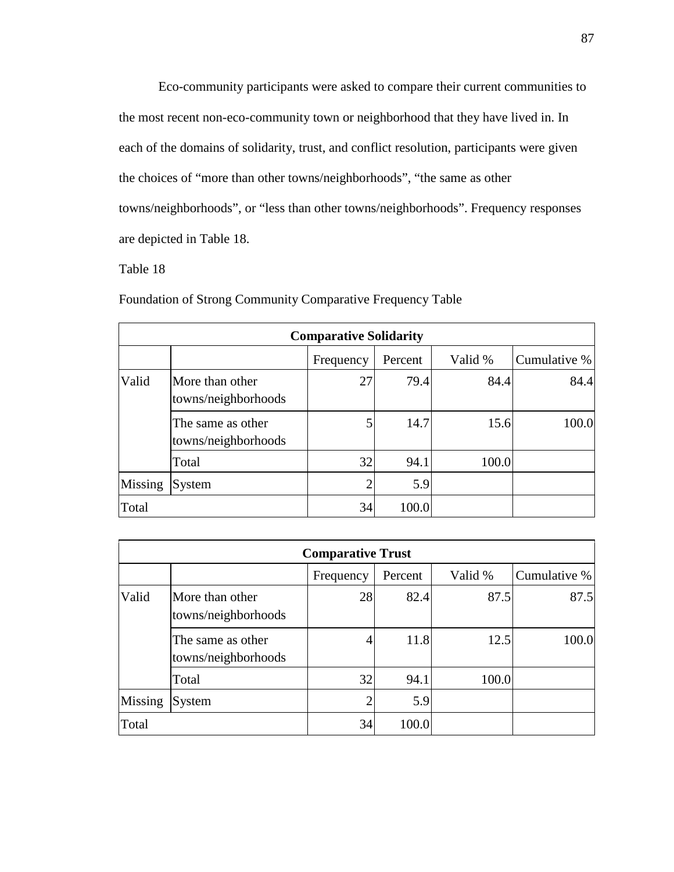Eco-community participants were asked to compare their current communities to the most recent non-eco-community town or neighborhood that they have lived in. In each of the domains of solidarity, trust, and conflict resolution, participants were given the choices of "more than other towns/neighborhoods", "the same as other towns/neighborhoods", or "less than other towns/neighborhoods". Frequency responses are depicted in Table 18.

Table 18

Foundation of Strong Community Comparative Frequency Table

|         | <b>Comparative Solidarity</b>            |           |         |         |              |  |  |  |
|---------|------------------------------------------|-----------|---------|---------|--------------|--|--|--|
|         |                                          | Frequency | Percent | Valid % | Cumulative % |  |  |  |
| Valid   | More than other<br>towns/neighborhoods   | 27        | 79.4    | 84.4    | 84.4         |  |  |  |
|         | The same as other<br>towns/neighborhoods | 5         | 14.7    | 15.6    | 100.0        |  |  |  |
|         | Total                                    | 32        | 94.1    | 100.0   |              |  |  |  |
| Missing | System                                   | ി         | 5.9     |         |              |  |  |  |
| Total   |                                          | 34        | 100.0   |         |              |  |  |  |

| <b>Comparative Trust</b> |                                          |           |         |         |              |  |  |
|--------------------------|------------------------------------------|-----------|---------|---------|--------------|--|--|
|                          |                                          | Frequency | Percent | Valid % | Cumulative % |  |  |
| Valid                    | More than other<br>towns/neighborhoods   | 28        | 82.4    | 87.5    | 87.5         |  |  |
|                          | The same as other<br>towns/neighborhoods | 4         | 11.8    | 12.5    | 100.0        |  |  |
|                          | Total                                    | 32        | 94.1    | 100.0   |              |  |  |
| Missing                  | System                                   | 2         | 5.9     |         |              |  |  |
| Total                    |                                          | 34        | 100.0   |         |              |  |  |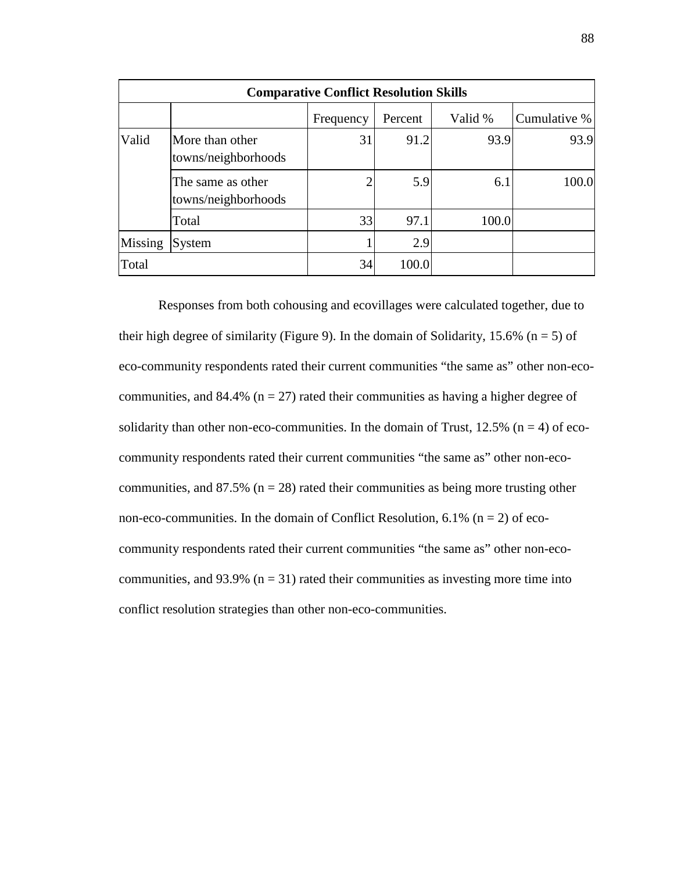| <b>Comparative Conflict Resolution Skills</b> |                                          |           |         |         |              |  |  |
|-----------------------------------------------|------------------------------------------|-----------|---------|---------|--------------|--|--|
|                                               |                                          | Frequency | Percent | Valid % | Cumulative % |  |  |
| Valid                                         | More than other<br>towns/neighborhoods   | 31        | 91.2    | 93.9    | 93.9         |  |  |
|                                               | The same as other<br>towns/neighborhoods | ◠         | 5.9     | 6.1     | 100.0        |  |  |
|                                               | Total                                    | 33        | 97.1    | 100.0   |              |  |  |
| Missing                                       | System                                   |           | 2.9     |         |              |  |  |
| Total                                         |                                          | 34        | 100.0   |         |              |  |  |

Responses from both cohousing and ecovillages were calculated together, due to their high degree of similarity (Figure 9). In the domain of Solidarity, 15.6% ( $n = 5$ ) of eco-community respondents rated their current communities "the same as" other non-ecocommunities, and  $84.4\%$  (n = 27) rated their communities as having a higher degree of solidarity than other non-eco-communities. In the domain of Trust,  $12.5\%$  (n = 4) of ecocommunity respondents rated their current communities "the same as" other non-ecocommunities, and 87.5% ( $n = 28$ ) rated their communities as being more trusting other non-eco-communities. In the domain of Conflict Resolution,  $6.1\%$  (n = 2) of ecocommunity respondents rated their current communities "the same as" other non-ecocommunities, and 93.9% ( $n = 31$ ) rated their communities as investing more time into conflict resolution strategies than other non-eco-communities.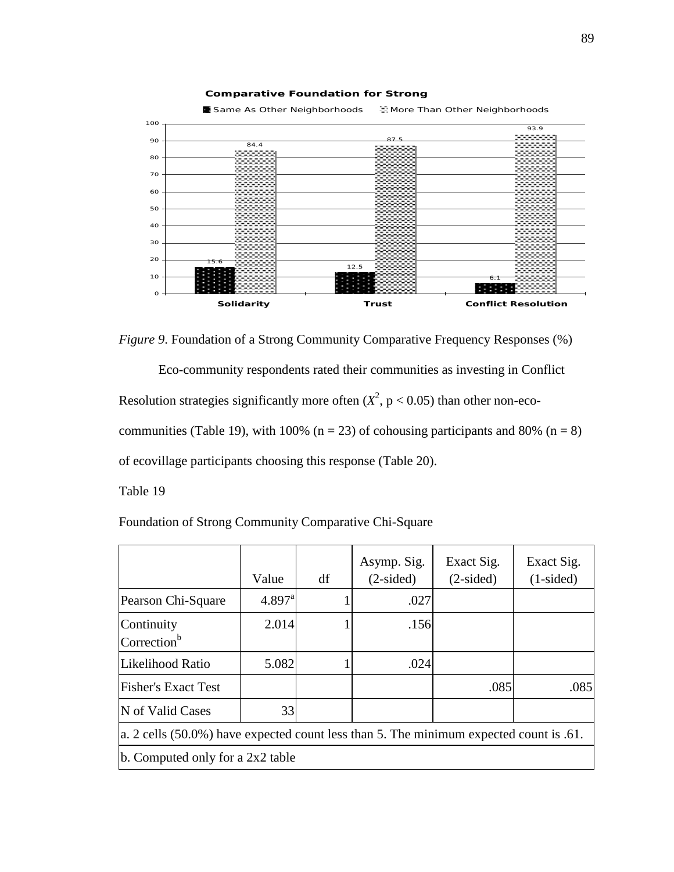#### **Comparative Foundation for Strong**



*Figure 9.* Foundation of a Strong Community Comparative Frequency Responses (%)

Eco-community respondents rated their communities as investing in Conflict Resolution strategies significantly more often  $(X^2, p < 0.05)$  than other non-ecocommunities (Table 19), with 100% ( $n = 23$ ) of cohousing participants and 80% ( $n = 8$ ) of ecovillage participants choosing this response (Table 20).

Table 19

|                                                                                           | Value           | df | Asymp. Sig.<br>$(2-sided)$ | Exact Sig.<br>$(2-sided)$ | Exact Sig.<br>$(1-sided)$ |  |  |
|-------------------------------------------------------------------------------------------|-----------------|----|----------------------------|---------------------------|---------------------------|--|--|
| Pearson Chi-Square                                                                        | $4.897^{\rm a}$ |    | .027                       |                           |                           |  |  |
| Continuity<br>Correction <sup>b</sup>                                                     | 2.014           |    | .156                       |                           |                           |  |  |
| Likelihood Ratio                                                                          | 5.082           |    | .024                       |                           |                           |  |  |
| <b>Fisher's Exact Test</b>                                                                |                 |    |                            | .085                      | .085                      |  |  |
| N of Valid Cases                                                                          | 33              |    |                            |                           |                           |  |  |
| $ a. 2$ cells (50.0%) have expected count less than 5. The minimum expected count is .61. |                 |    |                            |                           |                           |  |  |
| $ b.$ Computed only for a 2x2 table                                                       |                 |    |                            |                           |                           |  |  |

Foundation of Strong Community Comparative Chi-Square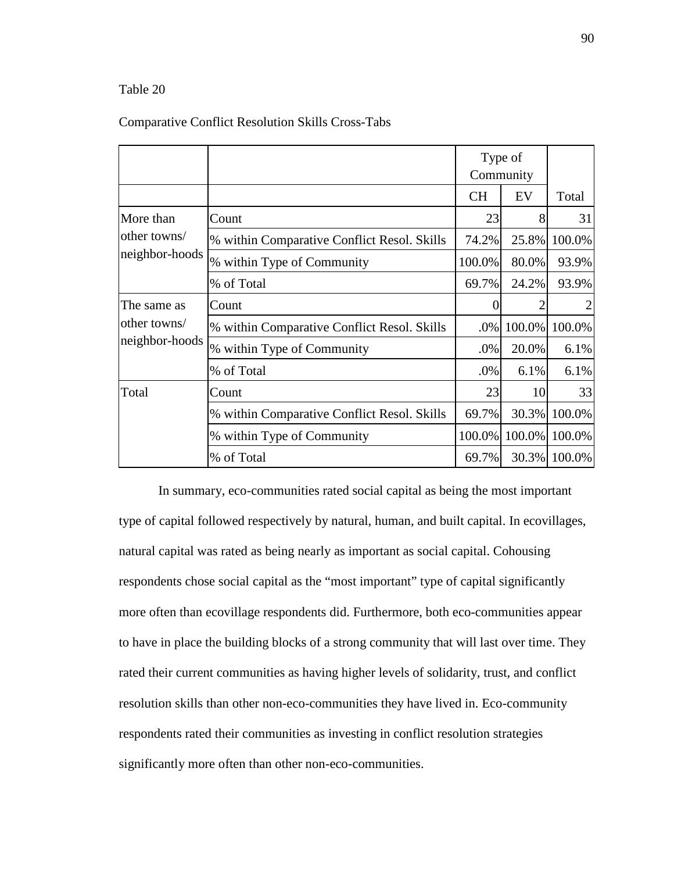# Table 20

# Comparative Conflict Resolution Skills Cross-Tabs

|                |                                             |           | Type of<br>Community |               |
|----------------|---------------------------------------------|-----------|----------------------|---------------|
|                |                                             | <b>CH</b> | EV                   | Total         |
| More than      | Count                                       | 23        | 8                    | 31            |
| other towns/   | % within Comparative Conflict Resol. Skills | 74.2%     | 25.8%                | 100.0%        |
| neighbor-hoods | % within Type of Community                  | 100.0%    | 80.0%                | 93.9%         |
|                | % of Total                                  | 69.7%     | 24.2%                | 93.9%         |
| The same as    | Count                                       | 0         | 2                    | 2             |
| other towns/   | % within Comparative Conflict Resol. Skills | .0%       | 100.0%               | 100.0%        |
| neighbor-hoods | % within Type of Community                  | .0%       | 20.0%                | 6.1%          |
|                | % of Total                                  | .0%       | 6.1%                 | 6.1%          |
| Total          | Count                                       | 23        | 10                   | 33            |
|                | % within Comparative Conflict Resol. Skills | 69.7%     | 30.3%                | 100.0%        |
|                | % within Type of Community                  | 100.0%    |                      | 100.0% 100.0% |
|                | % of Total                                  | 69.7%     | 30.3%                | 100.0%        |

In summary, eco-communities rated social capital as being the most important type of capital followed respectively by natural, human, and built capital. In ecovillages, natural capital was rated as being nearly as important as social capital. Cohousing respondents chose social capital as the "most important" type of capital significantly more often than ecovillage respondents did. Furthermore, both eco-communities appear to have in place the building blocks of a strong community that will last over time. They rated their current communities as having higher levels of solidarity, trust, and conflict resolution skills than other non-eco-communities they have lived in. Eco-community respondents rated their communities as investing in conflict resolution strategies significantly more often than other non-eco-communities.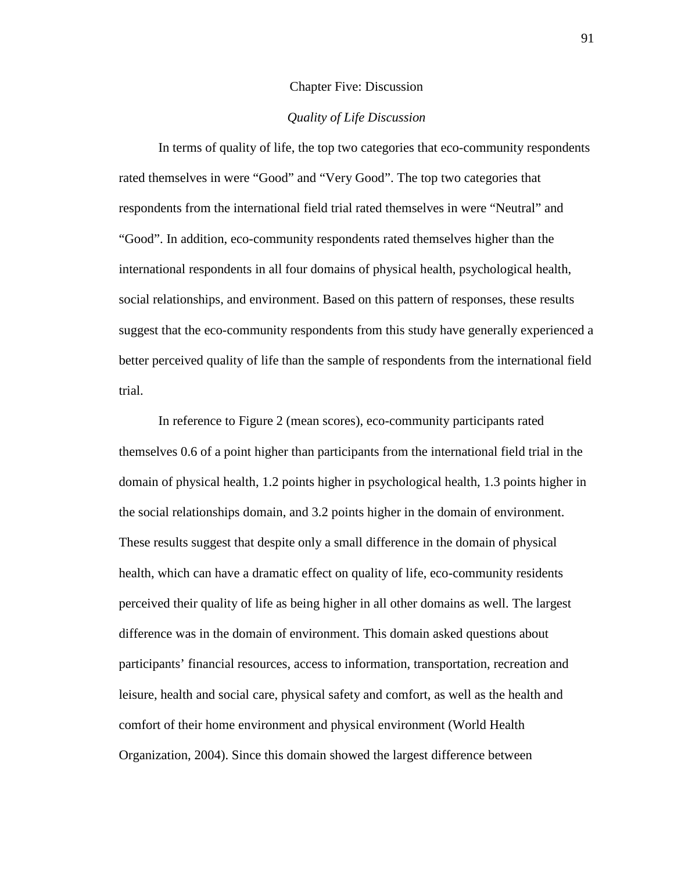#### Chapter Five: Discussion

# *Quality of Life Discussion*

In terms of quality of life, the top two categories that eco-community respondents rated themselves in were "Good" and "Very Good". The top two categories that respondents from the international field trial rated themselves in were "Neutral" and "Good". In addition, eco-community respondents rated themselves higher than the international respondents in all four domains of physical health, psychological health, social relationships, and environment. Based on this pattern of responses, these results suggest that the eco-community respondents from this study have generally experienced a better perceived quality of life than the sample of respondents from the international field trial.

In reference to Figure 2 (mean scores), eco-community participants rated themselves 0.6 of a point higher than participants from the international field trial in the domain of physical health, 1.2 points higher in psychological health, 1.3 points higher in the social relationships domain, and 3.2 points higher in the domain of environment. These results suggest that despite only a small difference in the domain of physical health, which can have a dramatic effect on quality of life, eco-community residents perceived their quality of life as being higher in all other domains as well. The largest difference was in the domain of environment. This domain asked questions about participants' financial resources, access to information, transportation, recreation and leisure, health and social care, physical safety and comfort, as well as the health and comfort of their home environment and physical environment (World Health Organization, 2004). Since this domain showed the largest difference between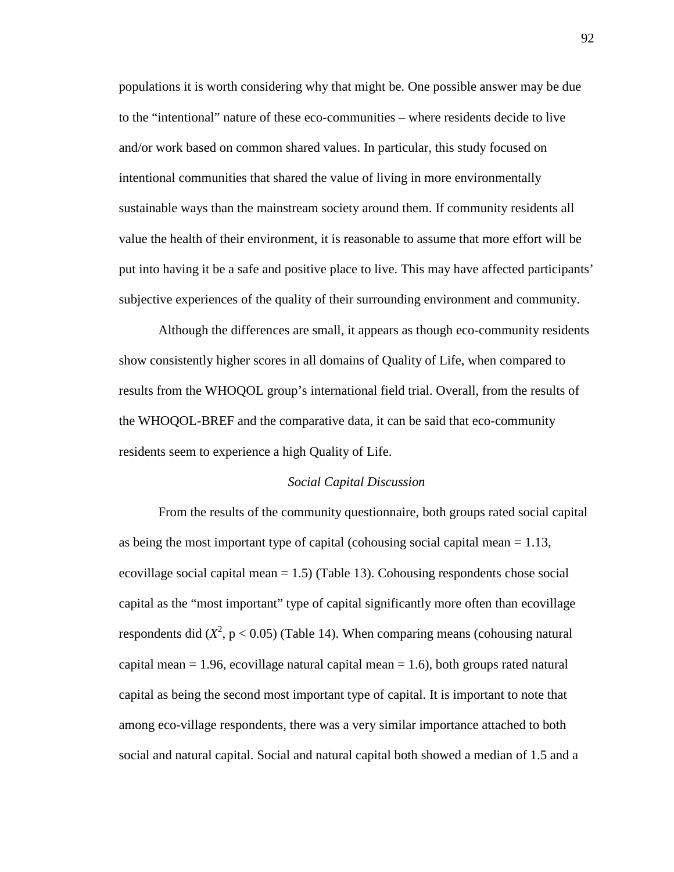populations it is worth considering why that might be. One possible answer may be due to the "intentional" nature of these eco-communities – where residents decide to live and/or work based on common shared values. In particular, this study focused on intentional communities that shared the value of living in more environmentally sustainable ways than the mainstream society around them. If community residents all value the health of their environment, it is reasonable to assume that more effort will be put into having it be a safe and positive place to live. This may have affected participants' subjective experiences of the quality of their surrounding environment and community.

Although the differences are small, it appears as though eco-community residents show consistently higher scores in all domains of Quality of Life, when compared to results from the WHOQOL group's international field trial. Overall, from the results of the WHOQOL-BREF and the comparative data, it can be said that eco-community residents seem to experience a high Quality of Life.

#### *Social Capital Discussion*

From the results of the community questionnaire, both groups rated social capital as being the most important type of capital (cohousing social capital mean  $= 1.13$ , ecovillage social capital mean  $= 1.5$ ) (Table 13). Cohousing respondents chose social capital as the "most important" type of capital significantly more often than ecovillage respondents did  $(X^2, p < 0.05)$  (Table 14). When comparing means (cohousing natural capital mean  $= 1.96$ , ecovillage natural capital mean  $= 1.6$ ), both groups rated natural capital as being the second most important type of capital. It is important to note that among eco-village respondents, there was a very similar importance attached to both social and natural capital. Social and natural capital both showed a median of 1.5 and a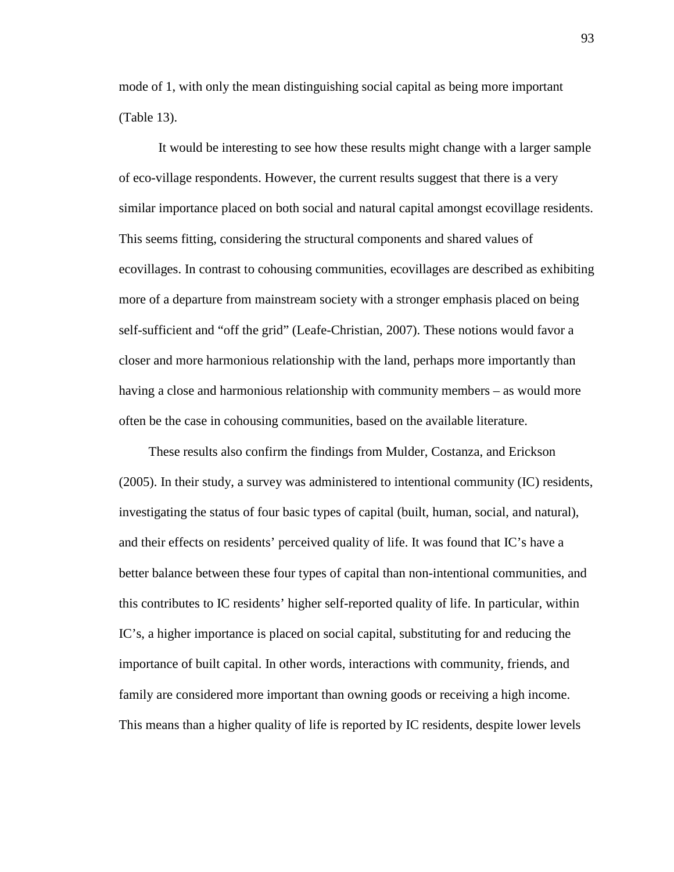mode of 1, with only the mean distinguishing social capital as being more important (Table 13).

It would be interesting to see how these results might change with a larger sample of eco-village respondents. However, the current results suggest that there is a very similar importance placed on both social and natural capital amongst ecovillage residents. This seems fitting, considering the structural components and shared values of ecovillages. In contrast to cohousing communities, ecovillages are described as exhibiting more of a departure from mainstream society with a stronger emphasis placed on being self-sufficient and "off the grid" (Leafe-Christian, 2007). These notions would favor a closer and more harmonious relationship with the land, perhaps more importantly than having a close and harmonious relationship with community members – as would more often be the case in cohousing communities, based on the available literature.

These results also confirm the findings from Mulder, Costanza, and Erickson (2005). In their study, a survey was administered to intentional community (IC) residents, investigating the status of four basic types of capital (built, human, social, and natural), and their effects on residents' perceived quality of life. It was found that IC's have a better balance between these four types of capital than non-intentional communities, and this contributes to IC residents' higher self-reported quality of life. In particular, within IC's, a higher importance is placed on social capital, substituting for and reducing the importance of built capital. In other words, interactions with community, friends, and family are considered more important than owning goods or receiving a high income. This means than a higher quality of life is reported by IC residents, despite lower levels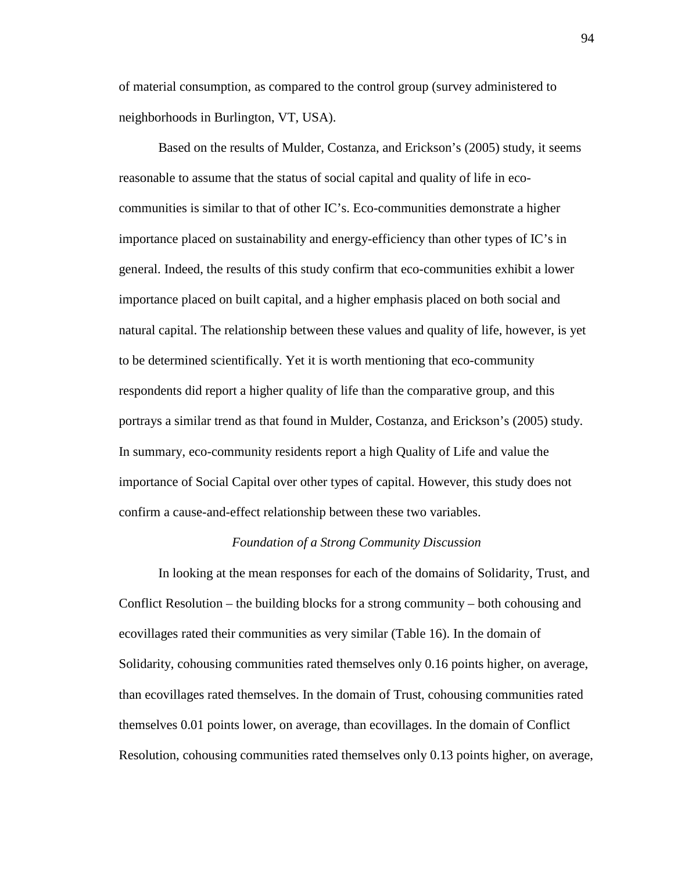of material consumption, as compared to the control group (survey administered to neighborhoods in Burlington, VT, USA).

Based on the results of Mulder, Costanza, and Erickson's (2005) study, it seems reasonable to assume that the status of social capital and quality of life in ecocommunities is similar to that of other IC's. Eco-communities demonstrate a higher importance placed on sustainability and energy-efficiency than other types of IC's in general. Indeed, the results of this study confirm that eco-communities exhibit a lower importance placed on built capital, and a higher emphasis placed on both social and natural capital. The relationship between these values and quality of life, however, is yet to be determined scientifically. Yet it is worth mentioning that eco-community respondents did report a higher quality of life than the comparative group, and this portrays a similar trend as that found in Mulder, Costanza, and Erickson's (2005) study. In summary, eco-community residents report a high Quality of Life and value the importance of Social Capital over other types of capital. However, this study does not confirm a cause-and-effect relationship between these two variables.

#### *Foundation of a Strong Community Discussion*

In looking at the mean responses for each of the domains of Solidarity, Trust, and Conflict Resolution – the building blocks for a strong community – both cohousing and ecovillages rated their communities as very similar (Table 16). In the domain of Solidarity, cohousing communities rated themselves only 0.16 points higher, on average, than ecovillages rated themselves. In the domain of Trust, cohousing communities rated themselves 0.01 points lower, on average, than ecovillages. In the domain of Conflict Resolution, cohousing communities rated themselves only 0.13 points higher, on average,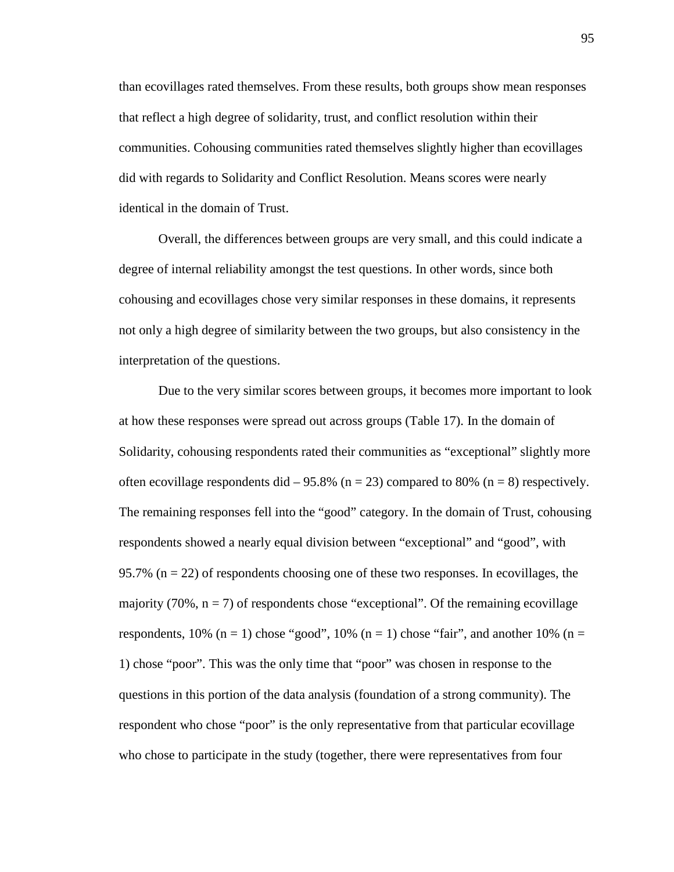than ecovillages rated themselves. From these results, both groups show mean responses that reflect a high degree of solidarity, trust, and conflict resolution within their communities. Cohousing communities rated themselves slightly higher than ecovillages did with regards to Solidarity and Conflict Resolution. Means scores were nearly identical in the domain of Trust.

Overall, the differences between groups are very small, and this could indicate a degree of internal reliability amongst the test questions. In other words, since both cohousing and ecovillages chose very similar responses in these domains, it represents not only a high degree of similarity between the two groups, but also consistency in the interpretation of the questions.

Due to the very similar scores between groups, it becomes more important to look at how these responses were spread out across groups (Table 17). In the domain of Solidarity, cohousing respondents rated their communities as "exceptional" slightly more often ecovillage respondents did – 95.8% (n = 23) compared to 80% (n = 8) respectively. The remaining responses fell into the "good" category. In the domain of Trust, cohousing respondents showed a nearly equal division between "exceptional" and "good", with 95.7% ( $n = 22$ ) of respondents choosing one of these two responses. In ecovillages, the majority (70%,  $n = 7$ ) of respondents chose "exceptional". Of the remaining ecovillage respondents,  $10\%$  (n = 1) chose "good",  $10\%$  (n = 1) chose "fair", and another  $10\%$  (n = 1) chose "poor". This was the only time that "poor" was chosen in response to the questions in this portion of the data analysis (foundation of a strong community). The respondent who chose "poor" is the only representative from that particular ecovillage who chose to participate in the study (together, there were representatives from four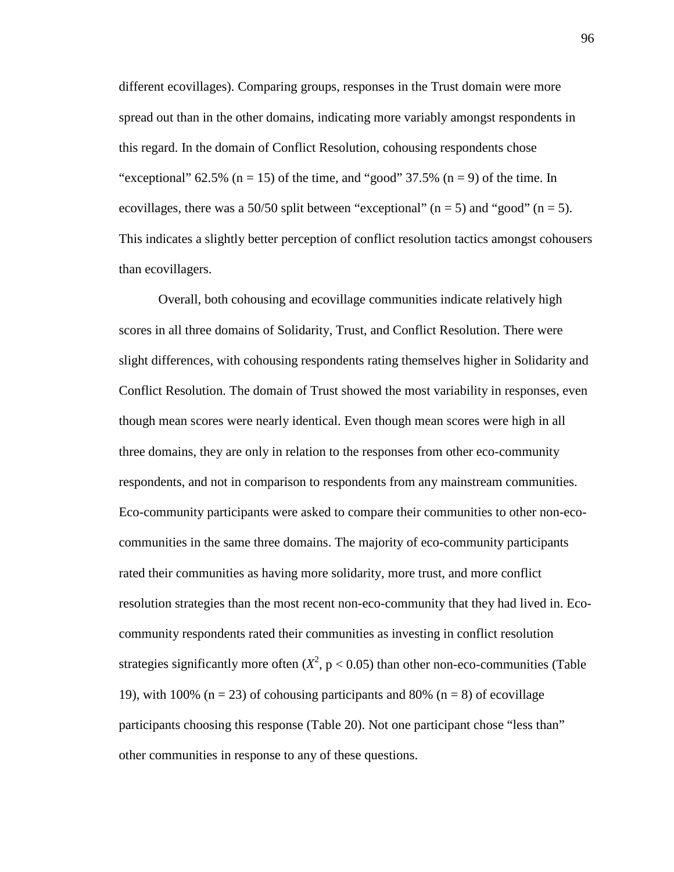different ecovillages). Comparing groups, responses in the Trust domain were more spread out than in the other domains, indicating more variably amongst respondents in this regard. In the domain of Conflict Resolution, cohousing respondents chose "exceptional"  $62.5\%$  (n = 15) of the time, and "good" 37.5% (n = 9) of the time. In ecovillages, there was a 50/50 split between "exceptional" ( $n = 5$ ) and "good" ( $n = 5$ ). This indicates a slightly better perception of conflict resolution tactics amongst cohousers than ecovillagers.

Overall, both cohousing and ecovillage communities indicate relatively high scores in all three domains of Solidarity, Trust, and Conflict Resolution. There were slight differences, with cohousing respondents rating themselves higher in Solidarity and Conflict Resolution. The domain of Trust showed the most variability in responses, even though mean scores were nearly identical. Even though mean scores were high in all three domains, they are only in relation to the responses from other eco-community respondents, and not in comparison to respondents from any mainstream communities. Eco-community participants were asked to compare their communities to other non-ecocommunities in the same three domains. The majority of eco-community participants rated their communities as having more solidarity, more trust, and more conflict resolution strategies than the most recent non-eco-community that they had lived in. Ecocommunity respondents rated their communities as investing in conflict resolution strategies significantly more often  $(X^2, p < 0.05)$  than other non-eco-communities (Table 19), with 100% ( $n = 23$ ) of cohousing participants and 80% ( $n = 8$ ) of ecovillage participants choosing this response (Table 20). Not one participant chose "less than" other communities in response to any of these questions.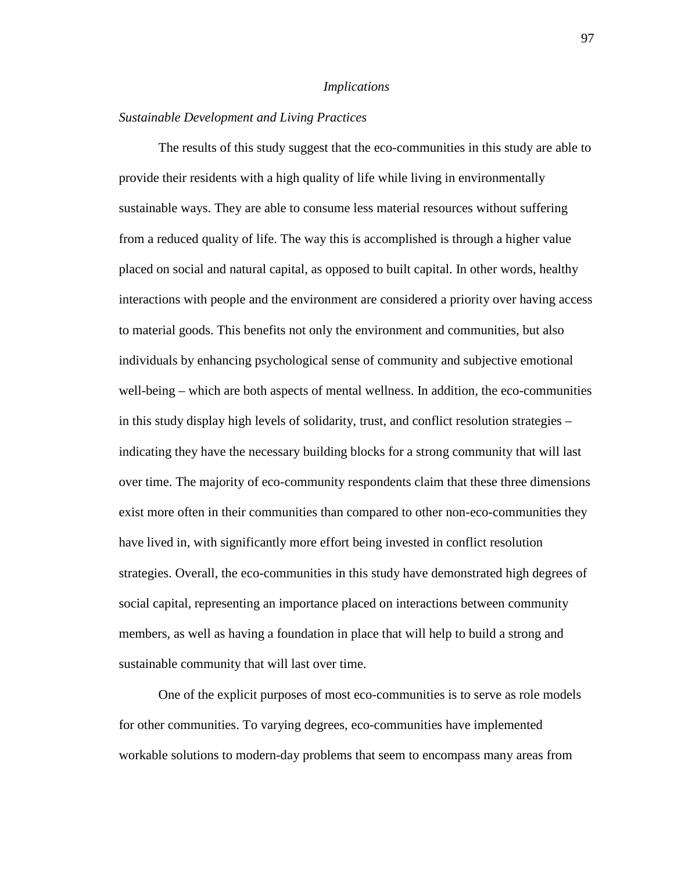#### *Implications*

# *Sustainable Development and Living Practices*

The results of this study suggest that the eco-communities in this study are able to provide their residents with a high quality of life while living in environmentally sustainable ways. They are able to consume less material resources without suffering from a reduced quality of life. The way this is accomplished is through a higher value placed on social and natural capital, as opposed to built capital. In other words, healthy interactions with people and the environment are considered a priority over having access to material goods. This benefits not only the environment and communities, but also individuals by enhancing psychological sense of community and subjective emotional well-being – which are both aspects of mental wellness. In addition, the eco-communities in this study display high levels of solidarity, trust, and conflict resolution strategies – indicating they have the necessary building blocks for a strong community that will last over time. The majority of eco-community respondents claim that these three dimensions exist more often in their communities than compared to other non-eco-communities they have lived in, with significantly more effort being invested in conflict resolution strategies. Overall, the eco-communities in this study have demonstrated high degrees of social capital, representing an importance placed on interactions between community members, as well as having a foundation in place that will help to build a strong and sustainable community that will last over time.

One of the explicit purposes of most eco-communities is to serve as role models for other communities. To varying degrees, eco-communities have implemented workable solutions to modern-day problems that seem to encompass many areas from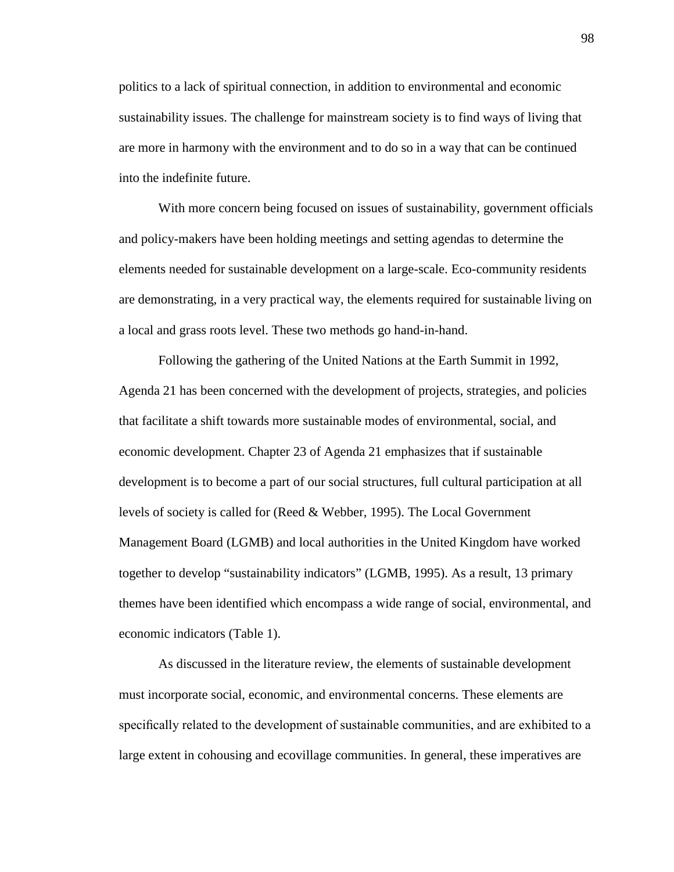politics to a lack of spiritual connection, in addition to environmental and economic sustainability issues. The challenge for mainstream society is to find ways of living that are more in harmony with the environment and to do so in a way that can be continued into the indefinite future.

With more concern being focused on issues of sustainability, government officials and policy-makers have been holding meetings and setting agendas to determine the elements needed for sustainable development on a large-scale. Eco-community residents are demonstrating, in a very practical way, the elements required for sustainable living on a local and grass roots level. These two methods go hand-in-hand.

Following the gathering of the United Nations at the Earth Summit in 1992, Agenda 21 has been concerned with the development of projects, strategies, and policies that facilitate a shift towards more sustainable modes of environmental, social, and economic development. Chapter 23 of Agenda 21 emphasizes that if sustainable development is to become a part of our social structures, full cultural participation at all levels of society is called for (Reed & Webber, 1995). The Local Government Management Board (LGMB) and local authorities in the United Kingdom have worked together to develop "sustainability indicators" (LGMB, 1995). As a result, 13 primary themes have been identified which encompass a wide range of social, environmental, and economic indicators (Table 1).

As discussed in the literature review, the elements of sustainable development must incorporate social, economic, and environmental concerns. These elements are specifically related to the development of sustainable communities, and are exhibited to a large extent in cohousing and ecovillage communities. In general, these imperatives are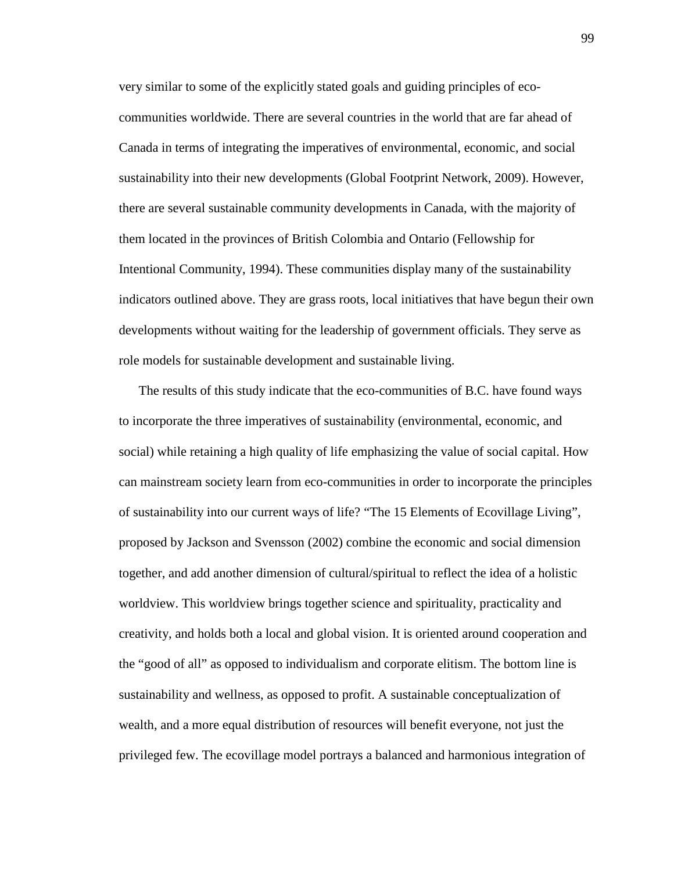very similar to some of the explicitly stated goals and guiding principles of ecocommunities worldwide. There are several countries in the world that are far ahead of Canada in terms of integrating the imperatives of environmental, economic, and social sustainability into their new developments (Global Footprint Network, 2009). However, there are several sustainable community developments in Canada, with the majority of them located in the provinces of British Colombia and Ontario (Fellowship for Intentional Community, 1994). These communities display many of the sustainability indicators outlined above. They are grass roots, local initiatives that have begun their own developments without waiting for the leadership of government officials. They serve as role models for sustainable development and sustainable living.

The results of this study indicate that the eco-communities of B.C. have found ways to incorporate the three imperatives of sustainability (environmental, economic, and social) while retaining a high quality of life emphasizing the value of social capital. How can mainstream society learn from eco-communities in order to incorporate the principles of sustainability into our current ways of life? "The 15 Elements of Ecovillage Living", proposed by Jackson and Svensson (2002) combine the economic and social dimension together, and add another dimension of cultural/spiritual to reflect the idea of a holistic worldview. This worldview brings together science and spirituality, practicality and creativity, and holds both a local and global vision. It is oriented around cooperation and the "good of all" as opposed to individualism and corporate elitism. The bottom line is sustainability and wellness, as opposed to profit. A sustainable conceptualization of wealth, and a more equal distribution of resources will benefit everyone, not just the privileged few. The ecovillage model portrays a balanced and harmonious integration of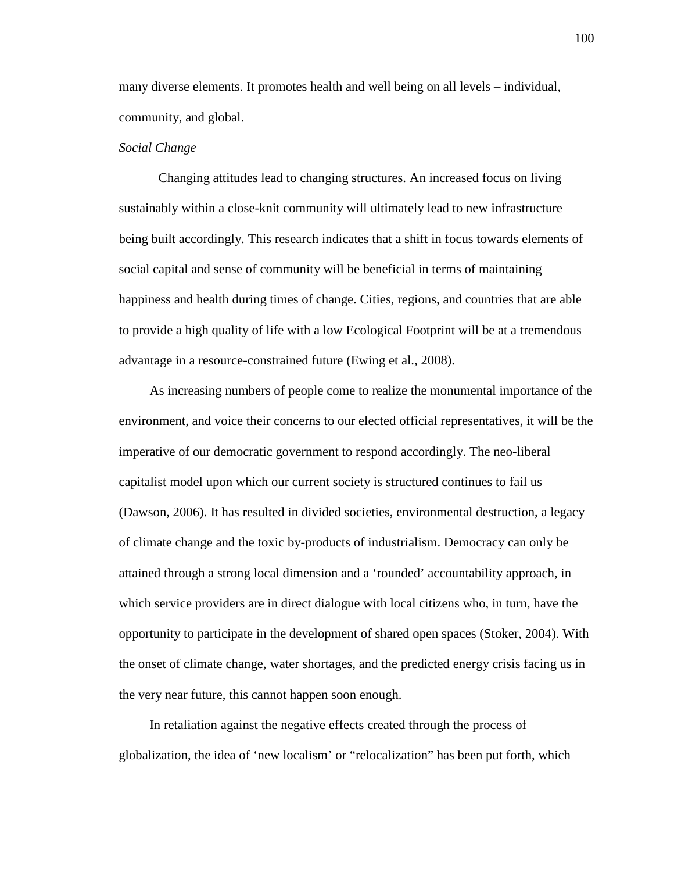many diverse elements. It promotes health and well being on all levels – individual, community, and global.

#### *Social Change*

Changing attitudes lead to changing structures. An increased focus on living sustainably within a close-knit community will ultimately lead to new infrastructure being built accordingly. This research indicates that a shift in focus towards elements of social capital and sense of community will be beneficial in terms of maintaining happiness and health during times of change. Cities, regions, and countries that are able to provide a high quality of life with a low Ecological Footprint will be at a tremendous advantage in a resource-constrained future (Ewing et al., 2008).

As increasing numbers of people come to realize the monumental importance of the environment, and voice their concerns to our elected official representatives, it will be the imperative of our democratic government to respond accordingly. The neo-liberal capitalist model upon which our current society is structured continues to fail us (Dawson, 2006). It has resulted in divided societies, environmental destruction, a legacy of climate change and the toxic by-products of industrialism. Democracy can only be attained through a strong local dimension and a 'rounded' accountability approach, in which service providers are in direct dialogue with local citizens who, in turn, have the opportunity to participate in the development of shared open spaces (Stoker, 2004). With the onset of climate change, water shortages, and the predicted energy crisis facing us in the very near future, this cannot happen soon enough.

In retaliation against the negative effects created through the process of globalization, the idea of 'new localism' or "relocalization" has been put forth, which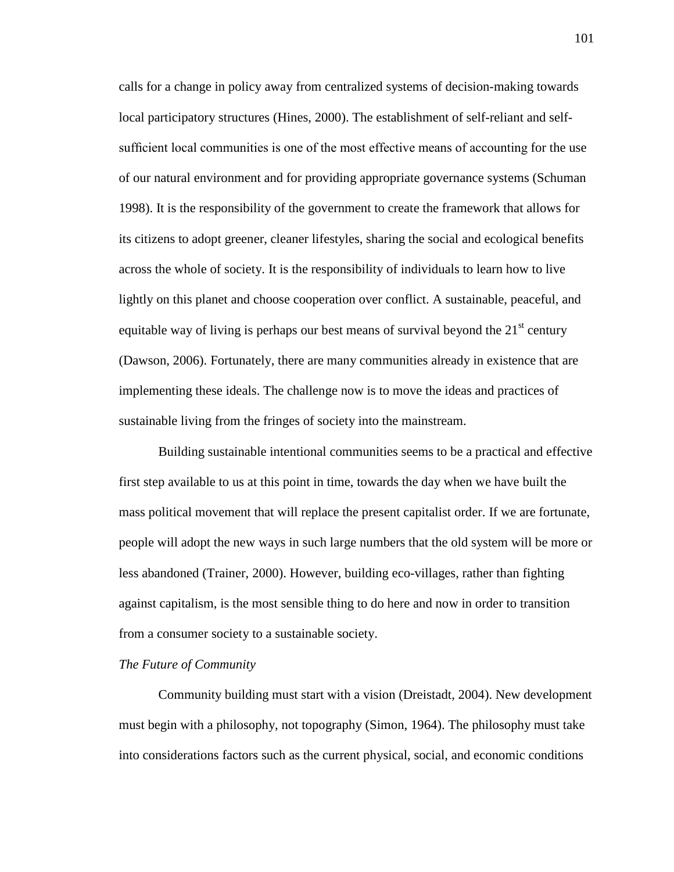calls for a change in policy away from centralized systems of decision-making towards local participatory structures (Hines, 2000). The establishment of self-reliant and selfsufficient local communities is one of the most effective means of accounting for the use of our natural environment and for providing appropriate governance systems (Schuman 1998). It is the responsibility of the government to create the framework that allows for its citizens to adopt greener, cleaner lifestyles, sharing the social and ecological benefits across the whole of society. It is the responsibility of individuals to learn how to live lightly on this planet and choose cooperation over conflict. A sustainable, peaceful, and equitable way of living is perhaps our best means of survival beyond the  $21<sup>st</sup>$  century (Dawson, 2006). Fortunately, there are many communities already in existence that are implementing these ideals. The challenge now is to move the ideas and practices of sustainable living from the fringes of society into the mainstream.

Building sustainable intentional communities seems to be a practical and effective first step available to us at this point in time, towards the day when we have built the mass political movement that will replace the present capitalist order. If we are fortunate, people will adopt the new ways in such large numbers that the old system will be more or less abandoned (Trainer, 2000). However, building eco-villages, rather than fighting against capitalism, is the most sensible thing to do here and now in order to transition from a consumer society to a sustainable society.

#### *The Future of Community*

Community building must start with a vision (Dreistadt, 2004). New development must begin with a philosophy, not topography (Simon, 1964). The philosophy must take into considerations factors such as the current physical, social, and economic conditions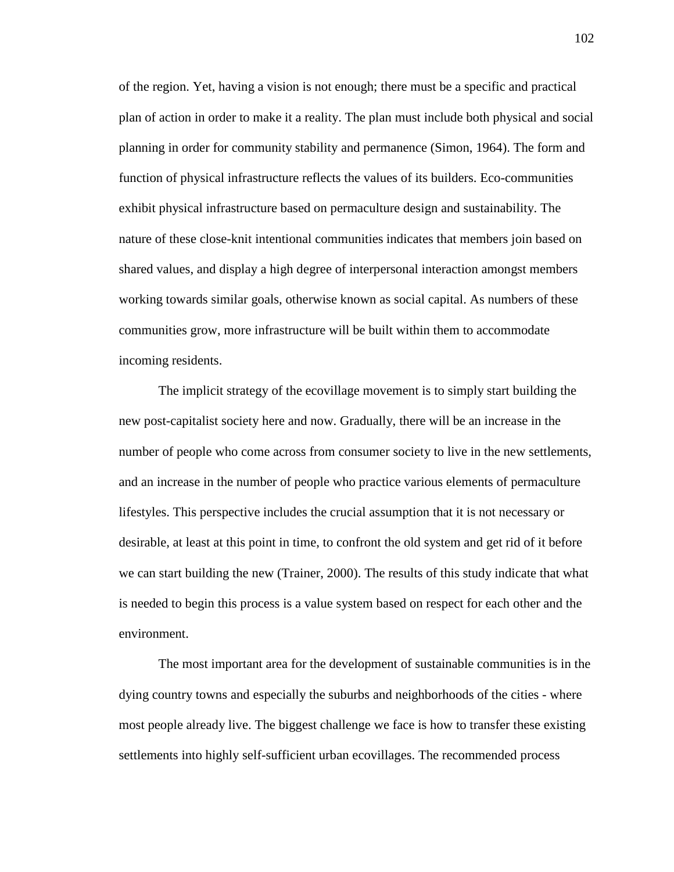of the region. Yet, having a vision is not enough; there must be a specific and practical plan of action in order to make it a reality. The plan must include both physical and social planning in order for community stability and permanence (Simon, 1964). The form and function of physical infrastructure reflects the values of its builders. Eco-communities exhibit physical infrastructure based on permaculture design and sustainability. The nature of these close-knit intentional communities indicates that members join based on shared values, and display a high degree of interpersonal interaction amongst members working towards similar goals, otherwise known as social capital. As numbers of these communities grow, more infrastructure will be built within them to accommodate incoming residents.

The implicit strategy of the ecovillage movement is to simply start building the new post-capitalist society here and now. Gradually, there will be an increase in the number of people who come across from consumer society to live in the new settlements, and an increase in the number of people who practice various elements of permaculture lifestyles. This perspective includes the crucial assumption that it is not necessary or desirable, at least at this point in time, to confront the old system and get rid of it before we can start building the new (Trainer, 2000). The results of this study indicate that what is needed to begin this process is a value system based on respect for each other and the environment.

The most important area for the development of sustainable communities is in the dying country towns and especially the suburbs and neighborhoods of the cities - where most people already live. The biggest challenge we face is how to transfer these existing settlements into highly self-sufficient urban ecovillages. The recommended process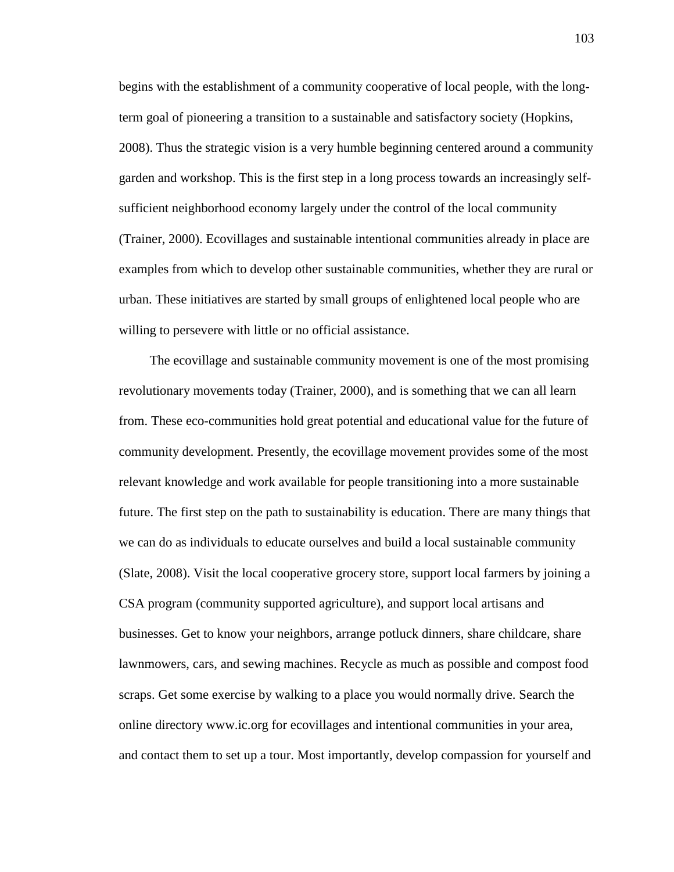begins with the establishment of a community cooperative of local people, with the longterm goal of pioneering a transition to a sustainable and satisfactory society (Hopkins, 2008). Thus the strategic vision is a very humble beginning centered around a community garden and workshop. This is the first step in a long process towards an increasingly selfsufficient neighborhood economy largely under the control of the local community (Trainer, 2000). Ecovillages and sustainable intentional communities already in place are examples from which to develop other sustainable communities, whether they are rural or urban. These initiatives are started by small groups of enlightened local people who are willing to persevere with little or no official assistance.

The ecovillage and sustainable community movement is one of the most promising revolutionary movements today (Trainer, 2000), and is something that we can all learn from. These eco-communities hold great potential and educational value for the future of community development. Presently, the ecovillage movement provides some of the most relevant knowledge and work available for people transitioning into a more sustainable future. The first step on the path to sustainability is education. There are many things that we can do as individuals to educate ourselves and build a local sustainable community (Slate, 2008). Visit the local cooperative grocery store, support local farmers by joining a CSA program (community supported agriculture), and support local artisans and businesses. Get to know your neighbors, arrange potluck dinners, share childcare, share lawnmowers, cars, and sewing machines. Recycle as much as possible and compost food scraps. Get some exercise by walking to a place you would normally drive. Search the online directory www.ic.org for ecovillages and intentional communities in your area, and contact them to set up a tour. Most importantly, develop compassion for yourself and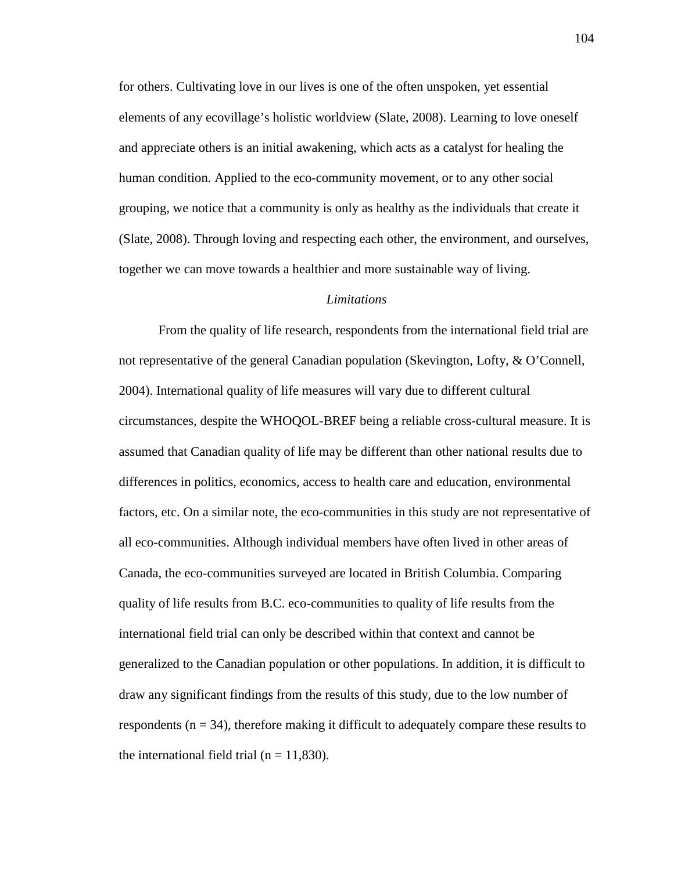for others. Cultivating love in our lives is one of the often unspoken, yet essential elements of any ecovillage's holistic worldview (Slate, 2008). Learning to love oneself and appreciate others is an initial awakening, which acts as a catalyst for healing the human condition. Applied to the eco-community movement, or to any other social grouping, we notice that a community is only as healthy as the individuals that create it (Slate, 2008). Through loving and respecting each other, the environment, and ourselves, together we can move towards a healthier and more sustainable way of living.

#### *Limitations*

From the quality of life research, respondents from the international field trial are not representative of the general Canadian population (Skevington, Lofty, & O'Connell, 2004). International quality of life measures will vary due to different cultural circumstances, despite the WHOQOL-BREF being a reliable cross-cultural measure. It is assumed that Canadian quality of life may be different than other national results due to differences in politics, economics, access to health care and education, environmental factors, etc. On a similar note, the eco-communities in this study are not representative of all eco-communities. Although individual members have often lived in other areas of Canada, the eco-communities surveyed are located in British Columbia. Comparing quality of life results from B.C. eco-communities to quality of life results from the international field trial can only be described within that context and cannot be generalized to the Canadian population or other populations. In addition, it is difficult to draw any significant findings from the results of this study, due to the low number of respondents ( $n = 34$ ), therefore making it difficult to adequately compare these results to the international field trial ( $n = 11,830$ ).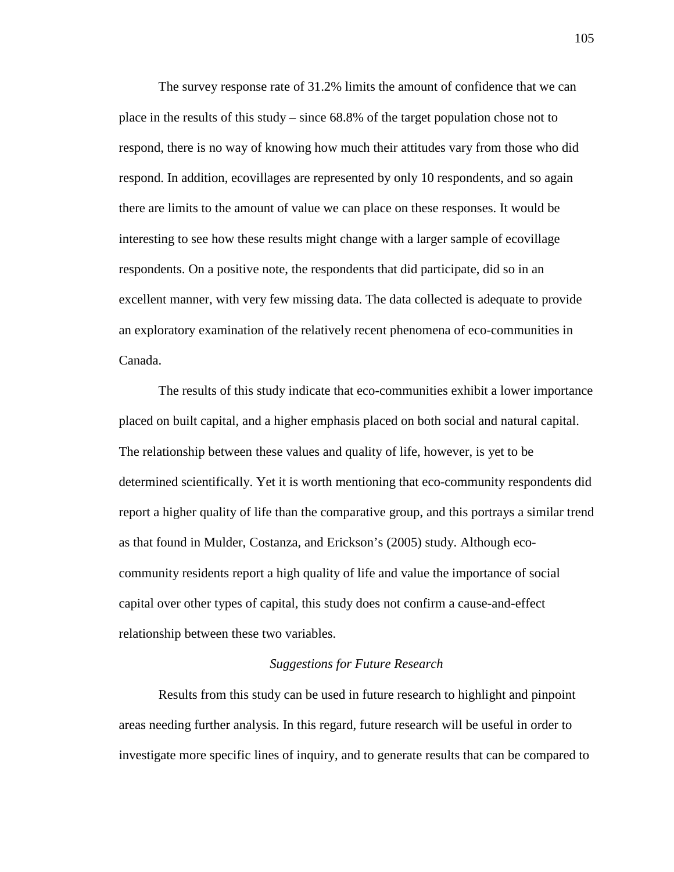The survey response rate of 31.2% limits the amount of confidence that we can place in the results of this study – since 68.8% of the target population chose not to respond, there is no way of knowing how much their attitudes vary from those who did respond. In addition, ecovillages are represented by only 10 respondents, and so again there are limits to the amount of value we can place on these responses. It would be interesting to see how these results might change with a larger sample of ecovillage respondents. On a positive note, the respondents that did participate, did so in an excellent manner, with very few missing data. The data collected is adequate to provide an exploratory examination of the relatively recent phenomena of eco-communities in Canada.

The results of this study indicate that eco-communities exhibit a lower importance placed on built capital, and a higher emphasis placed on both social and natural capital. The relationship between these values and quality of life, however, is yet to be determined scientifically. Yet it is worth mentioning that eco-community respondents did report a higher quality of life than the comparative group, and this portrays a similar trend as that found in Mulder, Costanza, and Erickson's (2005) study. Although ecocommunity residents report a high quality of life and value the importance of social capital over other types of capital, this study does not confirm a cause-and-effect relationship between these two variables.

#### *Suggestions for Future Research*

Results from this study can be used in future research to highlight and pinpoint areas needing further analysis. In this regard, future research will be useful in order to investigate more specific lines of inquiry, and to generate results that can be compared to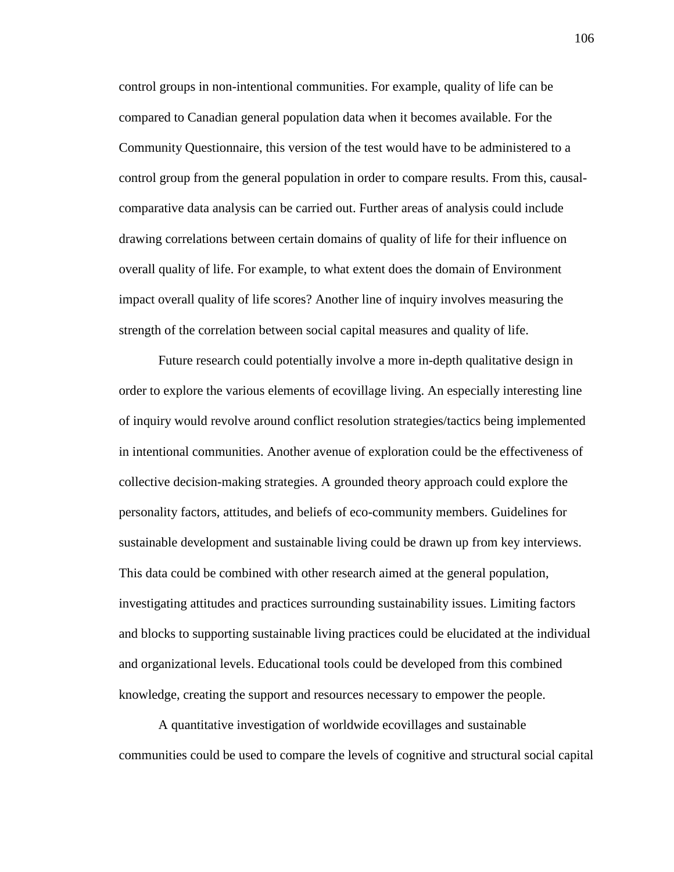control groups in non-intentional communities. For example, quality of life can be compared to Canadian general population data when it becomes available. For the Community Questionnaire, this version of the test would have to be administered to a control group from the general population in order to compare results. From this, causalcomparative data analysis can be carried out. Further areas of analysis could include drawing correlations between certain domains of quality of life for their influence on overall quality of life. For example, to what extent does the domain of Environment impact overall quality of life scores? Another line of inquiry involves measuring the strength of the correlation between social capital measures and quality of life.

Future research could potentially involve a more in-depth qualitative design in order to explore the various elements of ecovillage living. An especially interesting line of inquiry would revolve around conflict resolution strategies/tactics being implemented in intentional communities. Another avenue of exploration could be the effectiveness of collective decision-making strategies. A grounded theory approach could explore the personality factors, attitudes, and beliefs of eco-community members. Guidelines for sustainable development and sustainable living could be drawn up from key interviews. This data could be combined with other research aimed at the general population, investigating attitudes and practices surrounding sustainability issues. Limiting factors and blocks to supporting sustainable living practices could be elucidated at the individual and organizational levels. Educational tools could be developed from this combined knowledge, creating the support and resources necessary to empower the people.

A quantitative investigation of worldwide ecovillages and sustainable communities could be used to compare the levels of cognitive and structural social capital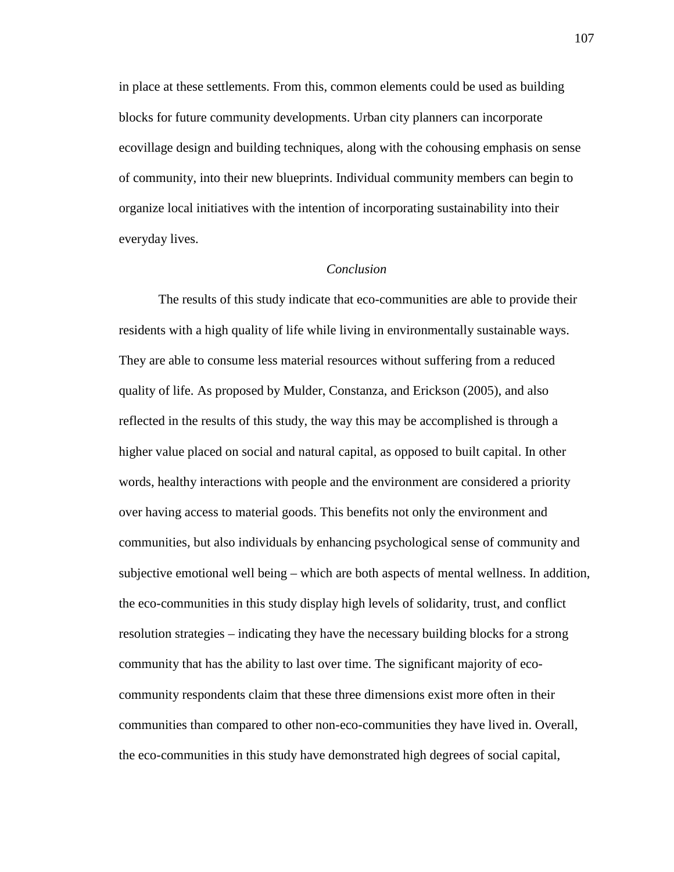in place at these settlements. From this, common elements could be used as building blocks for future community developments. Urban city planners can incorporate ecovillage design and building techniques, along with the cohousing emphasis on sense of community, into their new blueprints. Individual community members can begin to organize local initiatives with the intention of incorporating sustainability into their everyday lives.

#### *Conclusion*

The results of this study indicate that eco-communities are able to provide their residents with a high quality of life while living in environmentally sustainable ways. They are able to consume less material resources without suffering from a reduced quality of life. As proposed by Mulder, Constanza, and Erickson (2005), and also reflected in the results of this study, the way this may be accomplished is through a higher value placed on social and natural capital, as opposed to built capital. In other words, healthy interactions with people and the environment are considered a priority over having access to material goods. This benefits not only the environment and communities, but also individuals by enhancing psychological sense of community and subjective emotional well being – which are both aspects of mental wellness. In addition, the eco-communities in this study display high levels of solidarity, trust, and conflict resolution strategies – indicating they have the necessary building blocks for a strong community that has the ability to last over time. The significant majority of ecocommunity respondents claim that these three dimensions exist more often in their communities than compared to other non-eco-communities they have lived in. Overall, the eco-communities in this study have demonstrated high degrees of social capital,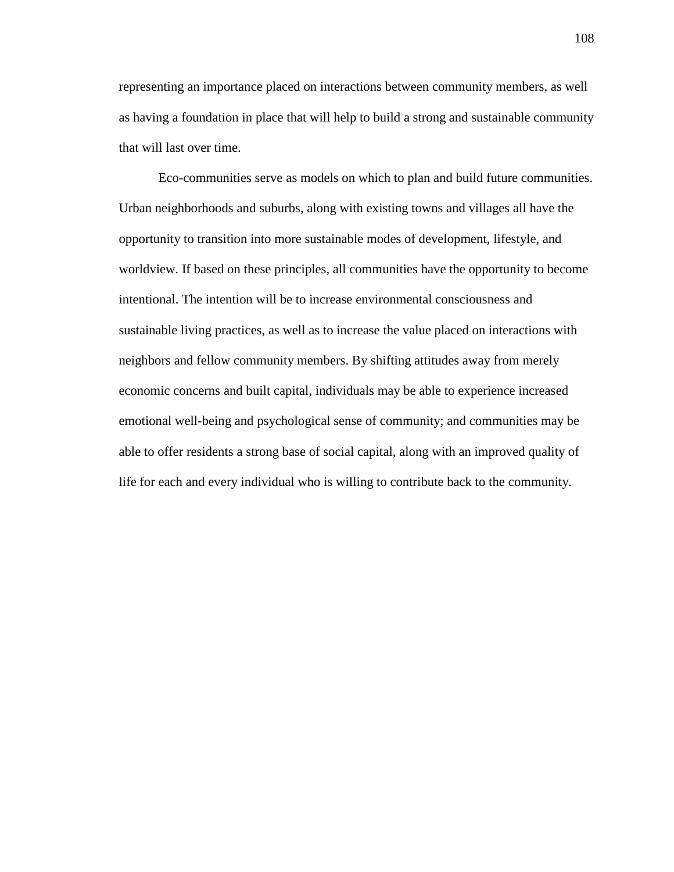representing an importance placed on interactions between community members, as well as having a foundation in place that will help to build a strong and sustainable community that will last over time.

Eco-communities serve as models on which to plan and build future communities. Urban neighborhoods and suburbs, along with existing towns and villages all have the opportunity to transition into more sustainable modes of development, lifestyle, and worldview. If based on these principles, all communities have the opportunity to become intentional. The intention will be to increase environmental consciousness and sustainable living practices, as well as to increase the value placed on interactions with neighbors and fellow community members. By shifting attitudes away from merely economic concerns and built capital, individuals may be able to experience increased emotional well-being and psychological sense of community; and communities may be able to offer residents a strong base of social capital, along with an improved quality of life for each and every individual who is willing to contribute back to the community.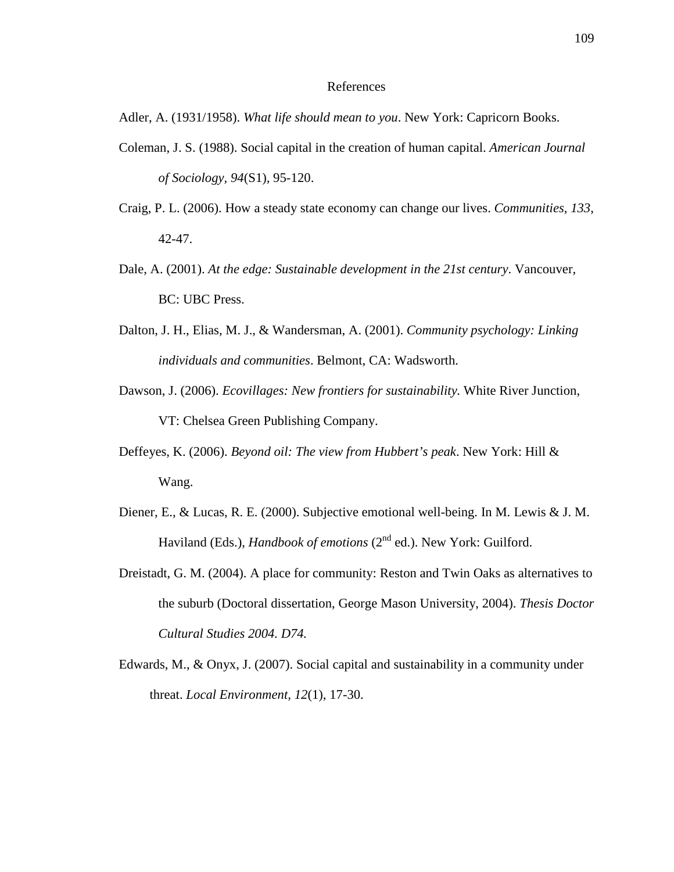#### References

Adler, A. (1931/1958). *What life should mean to you*. New York: Capricorn Books.

- Coleman, J. S. (1988). Social capital in the creation of human capital. *American Journal of Sociology, 94*(S1)*,* 95-120.
- Craig, P. L. (2006). How a steady state economy can change our lives. *Communities, 133*, 42-47.
- Dale, A. (2001). *At the edge: Sustainable development in the 21st century*. Vancouver, BC: UBC Press.
- Dalton, J. H., Elias, M. J., & Wandersman, A. (2001). *Community psychology: Linking individuals and communities*. Belmont, CA: Wadsworth.
- Dawson, J. (2006). *Ecovillages: New frontiers for sustainability.* White River Junction, VT: Chelsea Green Publishing Company.
- Deffeyes, K. (2006). *Beyond oil: The view from Hubbert's peak*. New York: Hill & Wang.
- Diener, E., & Lucas, R. E. (2000). Subjective emotional well-being. In M. Lewis & J. M. Haviland (Eds.), *Handbook of emotions* (2<sup>nd</sup> ed.). New York: Guilford.
- Dreistadt, G. M. (2004). A place for community: Reston and Twin Oaks as alternatives to the suburb (Doctoral dissertation, George Mason University, 2004). *Thesis Doctor Cultural Studies 2004. D74.*
- Edwards, M., & Onyx, J. (2007). Social capital and sustainability in a community under threat. *Local Environment, 12*(1), 17-30.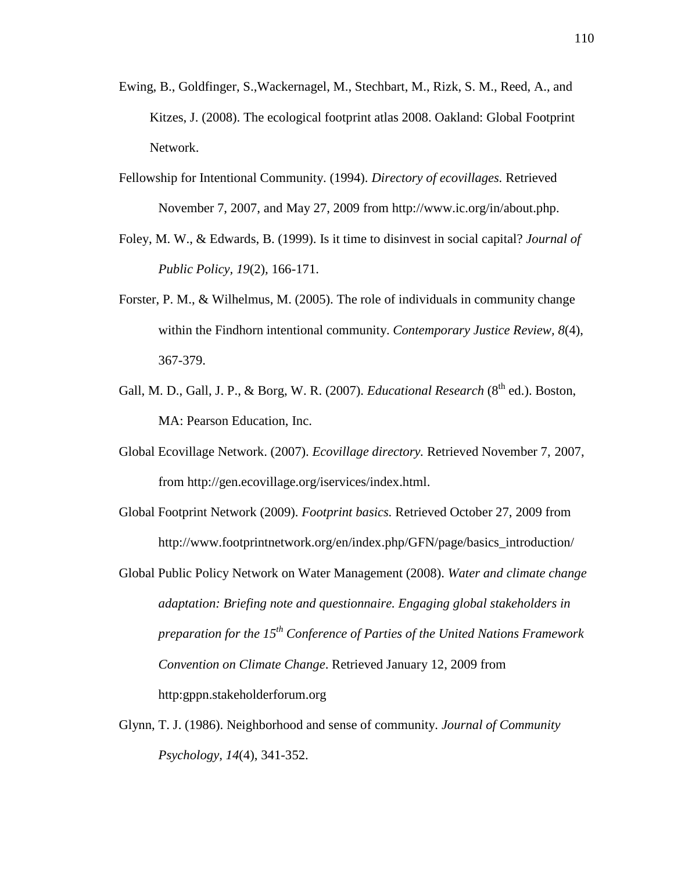- Ewing, B., Goldfinger, S.,Wackernagel, M., Stechbart, M., Rizk, S. M., Reed, A., and Kitzes, J. (2008). The ecological footprint atlas 2008. Oakland: Global Footprint Network.
- Fellowship for Intentional Community. (1994). *Directory of ecovillages.* Retrieved November 7, 2007, and May 27, 2009 from http://www.ic.org/in/about.php.
- Foley, M. W., & Edwards, B. (1999). Is it time to disinvest in social capital? *Journal of Public Policy, 19*(2)*,* 166-171.
- Forster, P. M., & Wilhelmus, M. (2005). The role of individuals in community change within the Findhorn intentional community. *Contemporary Justice Review, 8*(4), 367-379.
- Gall, M. D., Gall, J. P., & Borg, W. R. (2007). *Educational Research* (8<sup>th</sup> ed.). Boston, MA: Pearson Education, Inc.
- Global Ecovillage Network. (2007). *Ecovillage directory.* Retrieved November 7, 2007, from http://gen.ecovillage.org/iservices/index.html.
- Global Footprint Network (2009). *Footprint basics.* Retrieved October 27, 2009 from http://www.footprintnetwork.org/en/index.php/GFN/page/basics\_introduction/
- Global Public Policy Network on Water Management (2008). *Water and climate change adaptation: Briefing note and questionnaire. Engaging global stakeholders in preparation for the 15th Conference of Parties of the United Nations Framework Convention on Climate Change*. Retrieved January 12, 2009 from http:gppn.stakeholderforum.org
- Glynn, T. J. (1986). Neighborhood and sense of community. *Journal of Community Psychology, 14*(4), 341-352.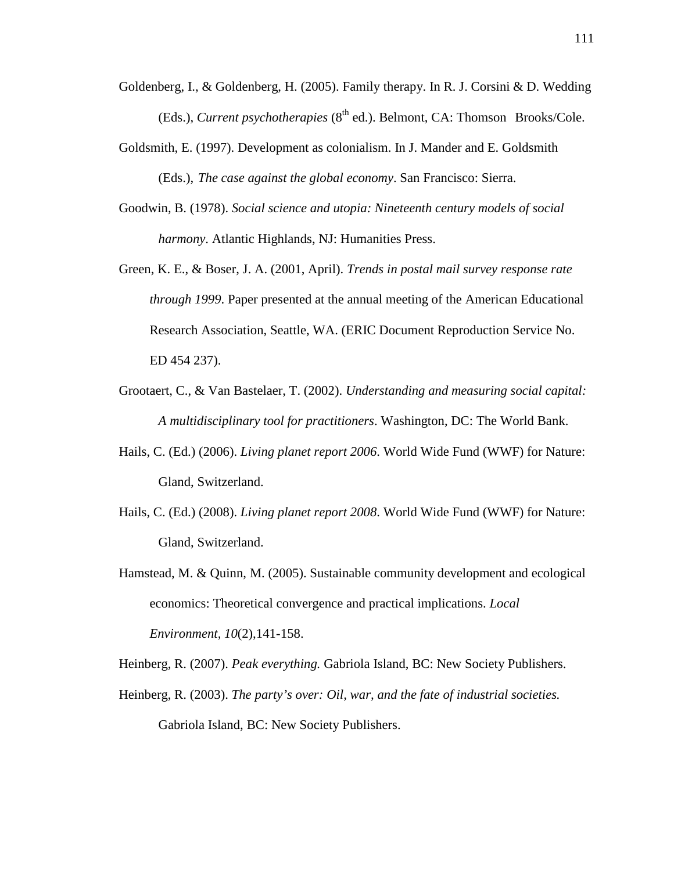- Goldenberg, I., & Goldenberg, H. (2005). Family therapy. In R. J. Corsini & D. Wedding (Eds.), *Current psychotherapies* (8<sup>th</sup> ed.). Belmont, CA: Thomson Brooks/Cole.
- Goldsmith, E. (1997). Development as colonialism. In J. Mander and E. Goldsmith (Eds.), *The case against the global economy*. San Francisco: Sierra.
- Goodwin, B. (1978). *Social science and utopia: Nineteenth century models of social harmony*. Atlantic Highlands, NJ: Humanities Press.
- Green, K. E., & Boser, J. A. (2001, April). *Trends in postal mail survey response rate through 1999*. Paper presented at the annual meeting of the American Educational Research Association, Seattle, WA. (ERIC Document Reproduction Service No. ED 454 237).
- Grootaert, C., & Van Bastelaer, T. (2002). *Understanding and measuring social capital: A multidisciplinary tool for practitioners*. Washington, DC: The World Bank.
- Hails, C. (Ed.) (2006). *Living planet report 2006*. World Wide Fund (WWF) for Nature: Gland, Switzerland.
- Hails, C. (Ed.) (2008). *Living planet report 2008*. World Wide Fund (WWF) for Nature: Gland, Switzerland.
- Hamstead, M. & Quinn, M. (2005). Sustainable community development and ecological economics: Theoretical convergence and practical implications. *Local Environment, 10*(2),141-158.

Heinberg, R. (2007). *Peak everything.* Gabriola Island, BC: New Society Publishers.

Heinberg, R. (2003). *The party's over: Oil, war, and the fate of industrial societies.* Gabriola Island, BC: New Society Publishers.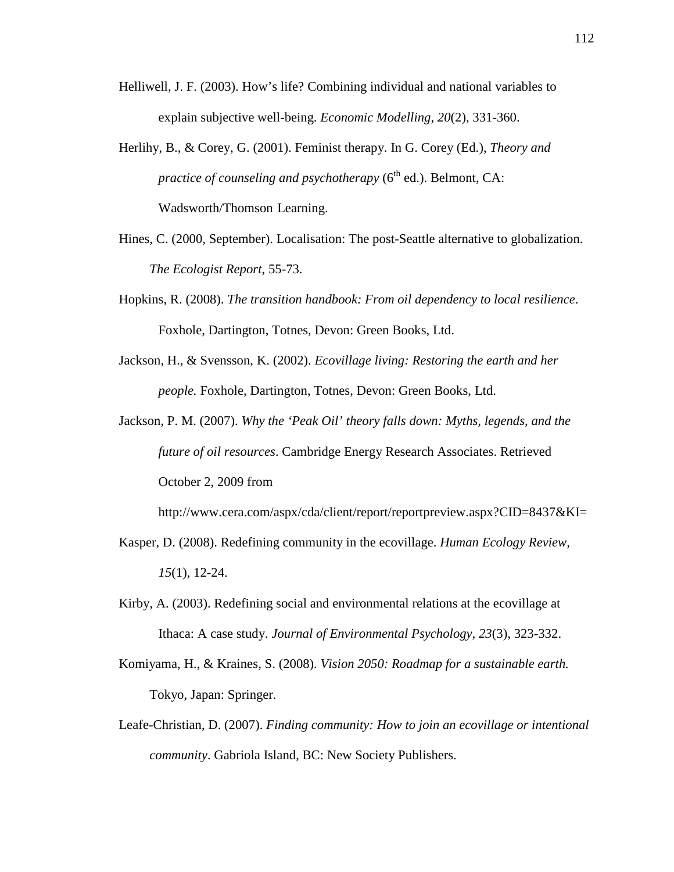- Helliwell, J. F. (2003). How's life? Combining individual and national variables to explain subjective well-being. *Economic Modelling, 20*(2), 331-360.
- Herlihy, B., & Corey, G. (2001). Feminist therapy. In G. Corey (Ed.), *Theory and practice of counseling and psychotherapy* (6<sup>th</sup> ed.). Belmont, CA: Wadsworth/Thomson Learning.
- Hines, C. (2000*,* September). Localisation: The post-Seattle alternative to globalization. *The Ecologist Report*, 55-73.
- Hopkins, R. (2008). *The transition handbook: From oil dependency to local resilience*. Foxhole, Dartington, Totnes, Devon: Green Books, Ltd.
- Jackson, H., & Svensson, K. (2002). *Ecovillage living: Restoring the earth and her people.* Foxhole, Dartington, Totnes, Devon: Green Books, Ltd.

Jackson, P. M. (2007). *Why the 'Peak Oil' theory falls down: Myths, legends, and the future of oil resources*. Cambridge Energy Research Associates. Retrieved October 2, 2009 from

http://www.cera.com/aspx/cda/client/report/reportpreview.aspx?CID=8437&KI=

- Kasper, D. (2008). Redefining community in the ecovillage. *Human Ecology Review, 15*(1), 12-24.
- Kirby, A. (2003). Redefining social and environmental relations at the ecovillage at Ithaca: A case study. *Journal of Environmental Psychology*, *23*(3), 323-332.
- Komiyama, H., & Kraines, S. (2008). *Vision 2050: Roadmap for a sustainable earth.* Tokyo, Japan: Springer.
- Leafe-Christian, D. (2007). *Finding community: How to join an ecovillage or intentional community*. Gabriola Island, BC: New Society Publishers.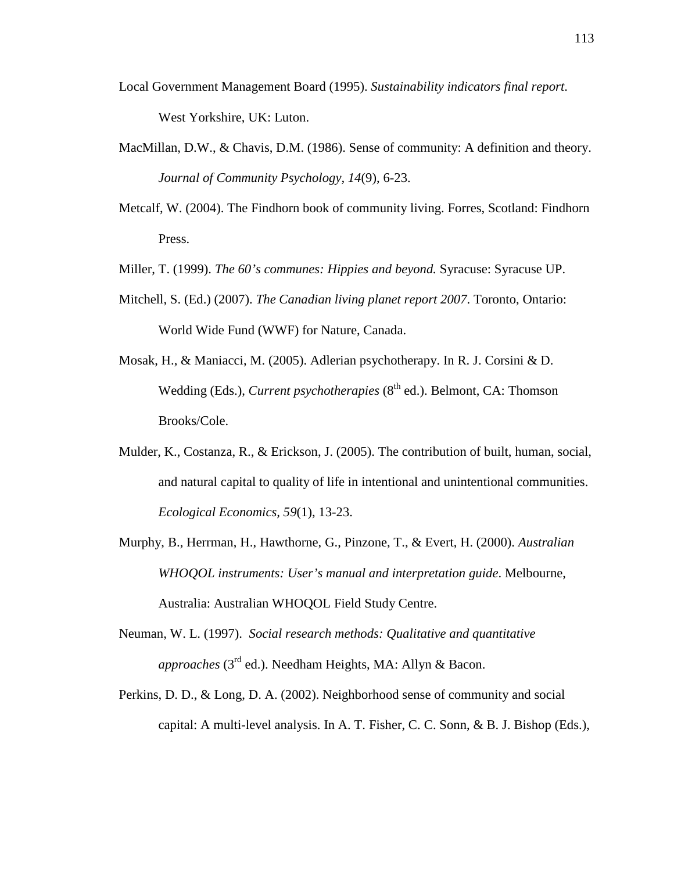- Local Government Management Board (1995). *Sustainability indicators final report*. West Yorkshire, UK: Luton.
- MacMillan, D.W., & Chavis, D.M. (1986). Sense of community: A definition and theory. *Journal of Community Psychology, 14*(9), 6-23.
- Metcalf, W. (2004). The Findhorn book of community living. Forres, Scotland: Findhorn Press.

Miller, T. (1999). *The 60's communes: Hippies and beyond.* Syracuse: Syracuse UP.

- Mitchell, S. (Ed.) (2007). *The Canadian living planet report 2007*. Toronto, Ontario: World Wide Fund (WWF) for Nature, Canada.
- Mosak, H., & Maniacci, M. (2005). Adlerian psychotherapy. In R. J. Corsini & D. Wedding (Eds.), *Current psychotherapies* (8<sup>th</sup> ed.). Belmont, CA: Thomson Brooks/Cole.
- Mulder, K., Costanza, R., & Erickson, J. (2005). The contribution of built, human, social, and natural capital to quality of life in intentional and unintentional communities. *Ecological Economics, 59*(1), 13-23.
- Murphy, B., Herrman, H., Hawthorne, G., Pinzone, T., & Evert, H. (2000). *Australian WHOQOL instruments: User's manual and interpretation guide*. Melbourne, Australia: Australian WHOQOL Field Study Centre.
- Neuman, W. L. (1997). *Social research methods: Qualitative and quantitative approaches* (3<sup>rd</sup> ed.). Needham Heights, MA: Allyn & Bacon.
- Perkins, D. D., & Long, D. A. (2002). Neighborhood sense of community and social capital: A multi-level analysis. In A. T. Fisher, C. C. Sonn, & B. J. Bishop (Eds.),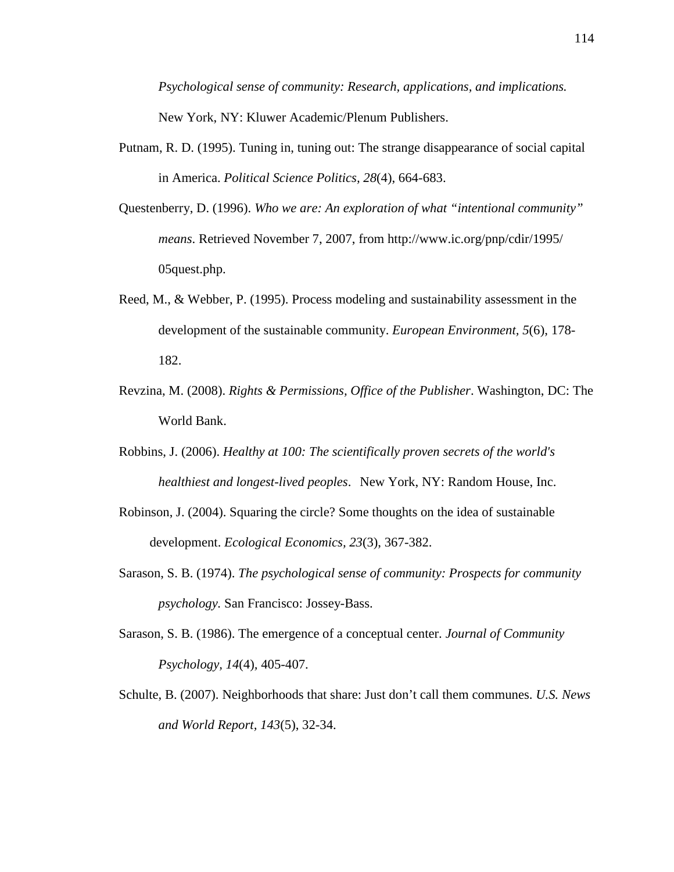*Psychological sense of community: Research, applications, and implications.* New York, NY: Kluwer Academic/Plenum Publishers.

- Putnam, R. D. (1995). Tuning in, tuning out: The strange disappearance of social capital in America. *Political Science Politics, 28*(4), 664-683.
- Questenberry, D. (1996). *Who we are: An exploration of what "intentional community" means*. Retrieved November 7, 2007, from http://www.ic.org/pnp/cdir/1995/ 05quest.php.
- Reed, M., & Webber, P. (1995). Process modeling and sustainability assessment in the development of the sustainable community. *European Environment, 5*(6), 178- 182.
- Revzina, M. (2008). *Rights & Permissions, Office of the Publisher*. Washington, DC: The World Bank.
- Robbins, J. (2006). *Healthy at 100: The scientifically proven secrets of the world's healthiest and longest-lived peoples*. New York, NY: Random House, Inc.
- Robinson, J. (2004). Squaring the circle? Some thoughts on the idea of sustainable development. *Ecological Economics, 23*(3), 367-382.
- Sarason, S. B. (1974). *The psychological sense of community: Prospects for community psychology.* San Francisco: Jossey-Bass.
- Sarason, S. B. (1986). The emergence of a conceptual center. *Journal of Community Psychology, 14*(4)*,* 405-407.
- Schulte, B. (2007). Neighborhoods that share: Just don't call them communes. *U.S. News and World Report, 143*(5), 32-34.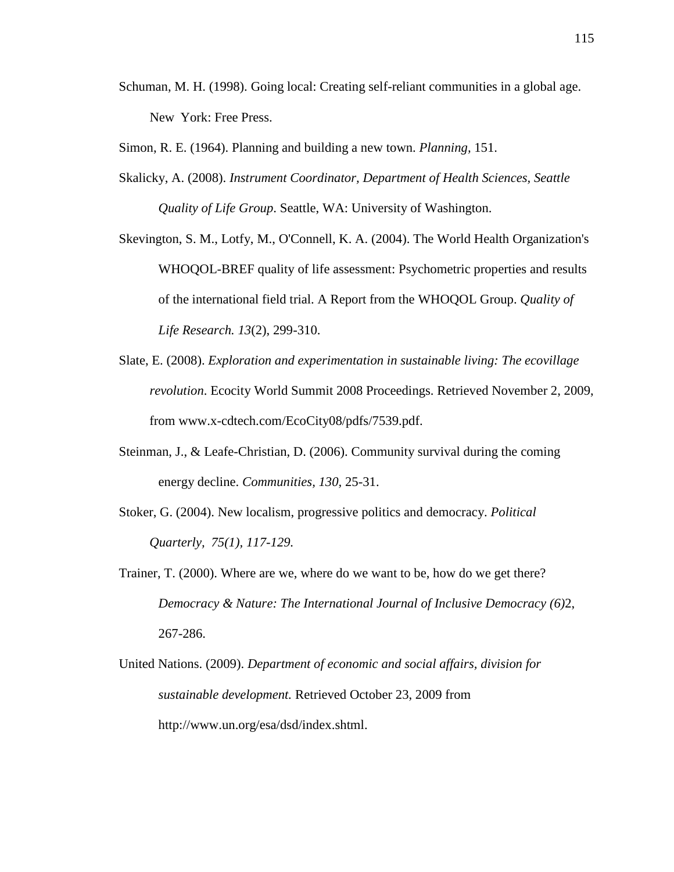- Schuman, M. H. (1998). Going local: Creating self-reliant communities in a global age. New York: Free Press.
- Simon, R. E. (1964). Planning and building a new town. *Planning,* 151.
- Skalicky, A. (2008). *Instrument Coordinator, Department of Health Sciences, Seattle Quality of Life Group*. Seattle, WA: University of Washington.
- Skevington, S. M., Lotfy, M., O'Connell, K. A. (2004). The World Health Organization's WHOQOL-BREF quality of life assessment: Psychometric properties and results of the international field trial. A Report from the WHOQOL Group. *Quality of Life Research. 13*(2), 299-310.
- Slate, E. (2008). *Exploration and experimentation in sustainable living: The ecovillage revolution*. Ecocity World Summit 2008 Proceedings. Retrieved November 2, 2009, from www.x-cdtech.com/EcoCity08/pdfs/7539.pdf.
- Steinman, J., & Leafe-Christian, D. (2006). Community survival during the coming energy decline. *Communities, 130,* 25-31.
- Stoker, G. (2004). New localism, progressive politics and democracy. *Political Quarterly, 75(1), 117-129.*
- Trainer, T. (2000). Where are we, where do we want to be, how do we get there? *Democracy & Nature: The International Journal of Inclusive Democracy (6)*2, 267-286.
- United Nations. (2009). *Department of economic and social affairs, division for sustainable development.* Retrieved October 23, 2009 from http://www.un.org/esa/dsd/index.shtml.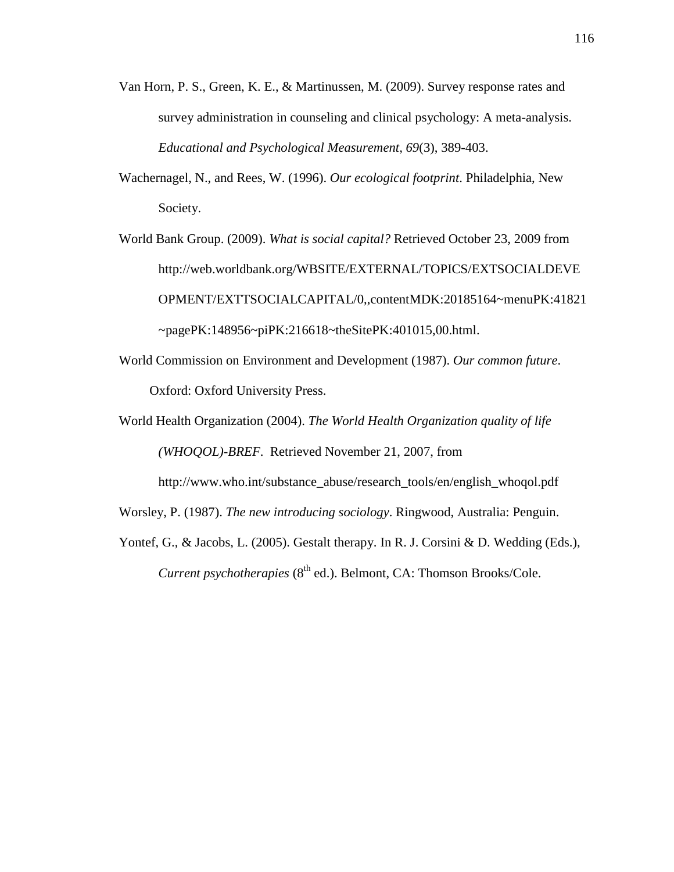- Van Horn, P. S., Green, K. E., & Martinussen, M. (2009). Survey response rates and survey administration in counseling and clinical psychology: A meta-analysis. *Educational and Psychological Measurement, 69*(3), 389-403.
- Wachernagel, N., and Rees, W. (1996). *Our ecological footprint*. Philadelphia, New Society.
- World Bank Group. (2009). *What is social capital?* Retrieved October 23, 2009 from http://web.worldbank.org/WBSITE/EXTERNAL/TOPICS/EXTSOCIALDEVE OPMENT/EXTTSOCIALCAPITAL/0,,contentMDK:20185164~menuPK:41821 ~pagePK:148956~piPK:216618~theSitePK:401015,00.html.
- World Commission on Environment and Development (1987). *Our common future*. Oxford: Oxford University Press.
- World Health Organization (2004). *The World Health Organization quality of life (WHOQOL)-BREF*. Retrieved November 21, 2007, from

http://www.who.int/substance\_abuse/research\_tools/en/english\_whoqol.pdf

Worsley, P. (1987). *The new introducing sociology*. Ringwood, Australia: Penguin.

Yontef, G., & Jacobs, L. (2005). Gestalt therapy. In R. J. Corsini & D. Wedding (Eds.), *Current psychotherapies* (8<sup>th</sup> ed.). Belmont, CA: Thomson Brooks/Cole.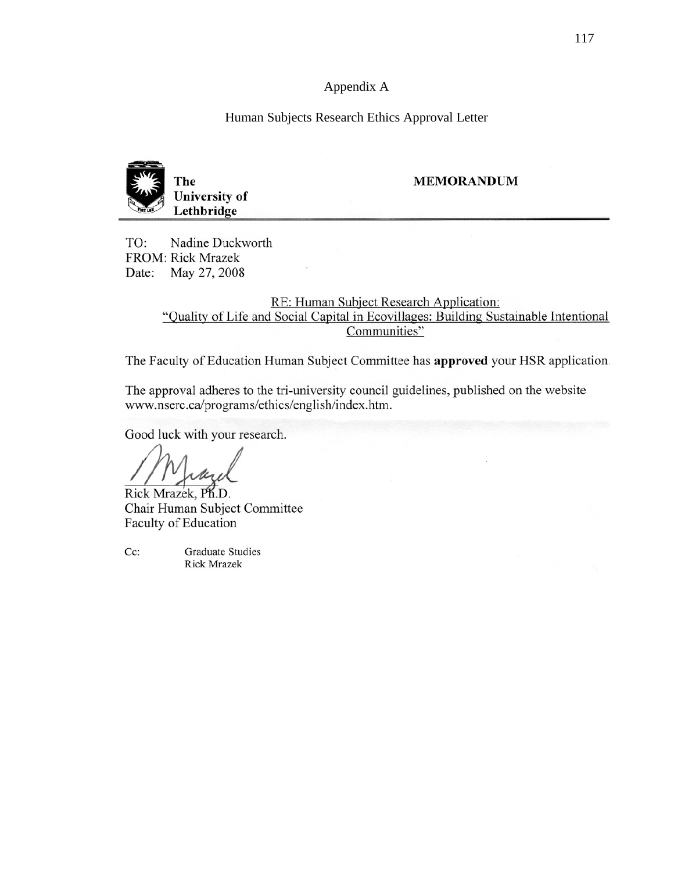#### Appendix A

#### Human Subjects Research Ethics Approval Letter



#### **MEMORANDUM**

TO: Nadine Duckworth FROM: Rick Mrazek May 27, 2008 Date:

#### RE: Human Subject Research Application: "Quality of Life and Social Capital in Ecovillages: Building Sustainable Intentional Communities"

The Faculty of Education Human Subject Committee has approved your HSR application.

The approval adheres to the tri-university council guidelines, published on the website www.nserc.ca/programs/ethics/english/index.htm.

Good luck with your research.

Rick Mrazek, Ph.D. Chair Human Subject Committee Faculty of Education

Cc: **Graduate Studies Rick Mrazek**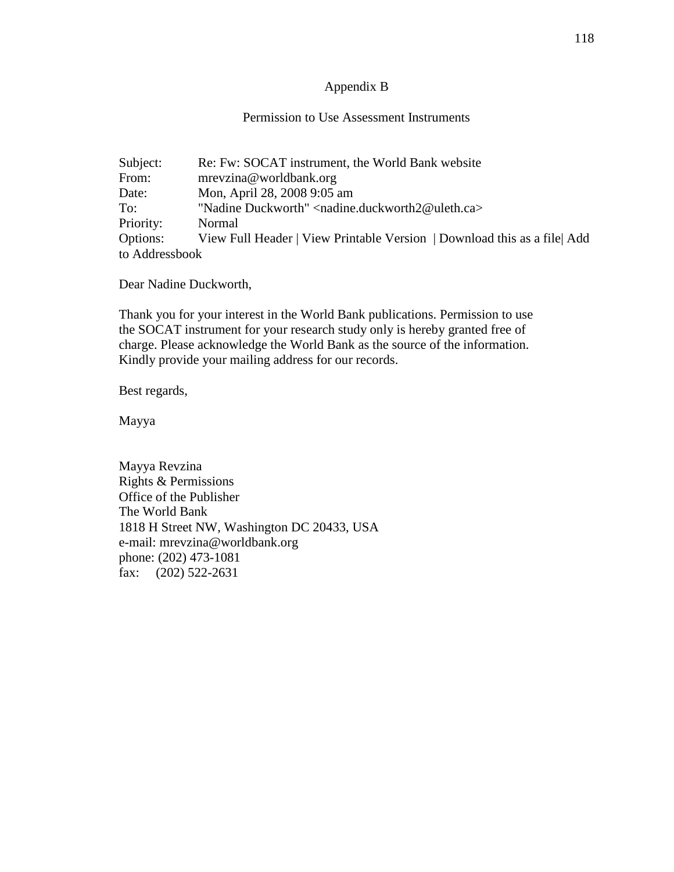#### Appendix B

#### Permission to Use Assessment Instruments

| Subject:       | Re: Fw: SOCAT instrument, the World Bank website                             |
|----------------|------------------------------------------------------------------------------|
| From:          | mrevzina@worldbank.org                                                       |
| Date:          | Mon, April 28, 2008 9:05 am                                                  |
| To:            | "Nadine Duckworth" <nadine.duckworth2@uleth.ca></nadine.duckworth2@uleth.ca> |
| Priority:      | Normal                                                                       |
| Options:       | View Full Header   View Printable Version   Download this as a file Add      |
| to Addressbook |                                                                              |

Dear Nadine Duckworth,

Thank you for your interest in the World Bank publications. Permission to use the SOCAT instrument for your research study only is hereby granted free of charge. Please acknowledge the World Bank as the source of the information. Kindly provide your mailing address for our records.

Best regards,

Mayya

Mayya Revzina Rights & Permissions Office of the Publisher The World Bank 1818 H Street NW, Washington DC 20433, USA e-mail: mrevzina@worldbank.org phone: (202) 473-1081 fax: (202) 522-2631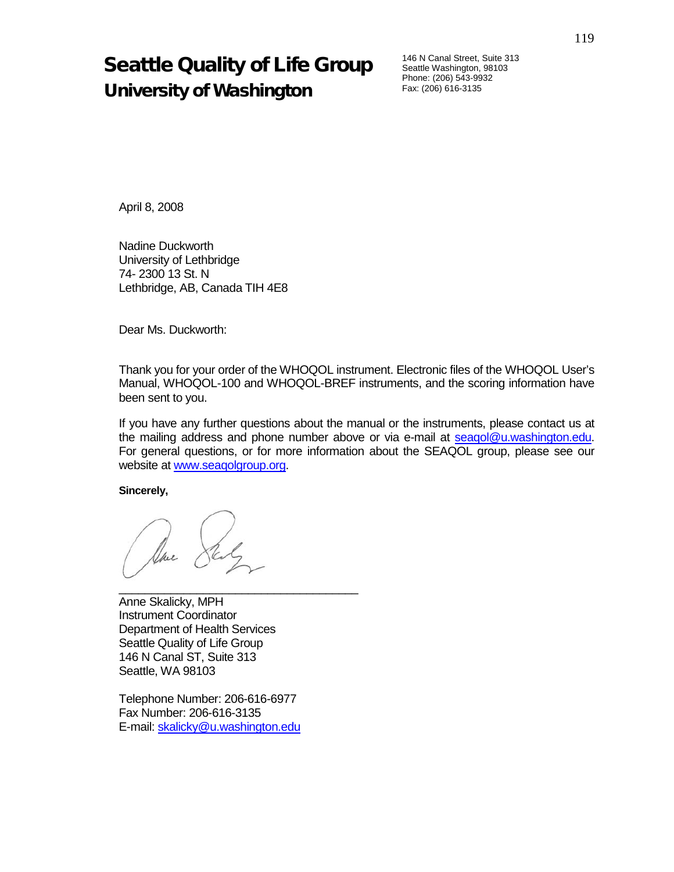# Seattle Quality of Life Group University of Washington

146 N Canal Street, Suite 313 Seattle Washington, 98103 Phone: (206) 543-9932 Fax: (206) 616-3135

April 8, 2008

Nadine Duckworth University of Lethbridge 74- 2300 13 St. N Lethbridge, AB, Canada TIH 4E8

Dear Ms. Duckworth:

Thank you for your order of the WHOQOL instrument. Electronic files of the WHOQOL User's Manual, WHOQOL-100 and WHOQOL-BREF instruments, and the scoring information have been sent to you.

If you have any further questions about the manual or the instruments, please contact us at the mailing address and phone number above or via e-mail at [seaqol@u.washington.edu.](mailto:yqol@u.washington.edu) For general questions, or for more information about the SEAQOL group, please see our website at [www.seaqolgroup.org.](http://www.seaqolgroup.org/)

**Sincerely,**

Anne Skalicky, MPH Instrument Coordinator Department of Health Services Seattle Quality of Life Group 146 N Canal ST, Suite 313 Seattle, WA 98103

\_\_\_\_\_\_\_\_\_\_\_\_\_\_\_\_\_\_\_\_\_\_\_\_\_\_\_\_\_\_\_\_\_\_\_\_\_

Telephone Number: 206-616-6977 Fax Number: 206-616-3135 E-mail: [skalicky@u.washington.edu](mailto:skalicky@u.washington.edu)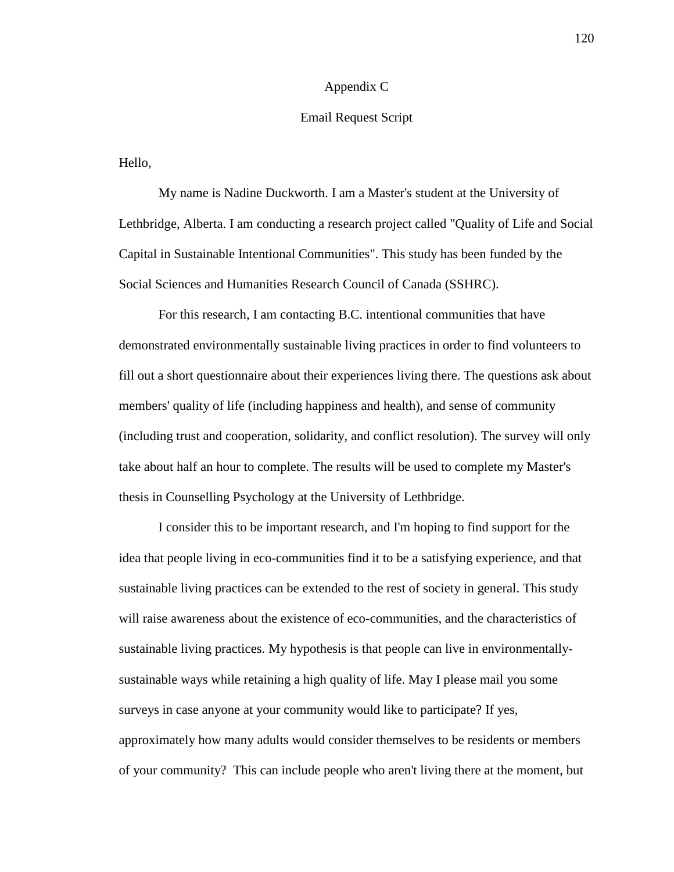#### Appendix C

#### Email Request Script

Hello,

My name is Nadine Duckworth. I am a Master's student at the University of Lethbridge, Alberta. I am conducting a research project called "Quality of Life and Social Capital in Sustainable Intentional Communities". This study has been funded by the Social Sciences and Humanities Research Council of Canada (SSHRC).

For this research, I am contacting B.C. intentional communities that have demonstrated environmentally sustainable living practices in order to find volunteers to fill out a short questionnaire about their experiences living there. The questions ask about members' quality of life (including happiness and health), and sense of community (including trust and cooperation, solidarity, and conflict resolution). The survey will only take about half an hour to complete. The results will be used to complete my Master's thesis in Counselling Psychology at the University of Lethbridge.

I consider this to be important research, and I'm hoping to find support for the idea that people living in eco-communities find it to be a satisfying experience, and that sustainable living practices can be extended to the rest of society in general. This study will raise awareness about the existence of eco-communities, and the characteristics of sustainable living practices. My hypothesis is that people can live in environmentallysustainable ways while retaining a high quality of life. May I please mail you some surveys in case anyone at your community would like to participate? If yes, approximately how many adults would consider themselves to be residents or members of your community? This can include people who aren't living there at the moment, but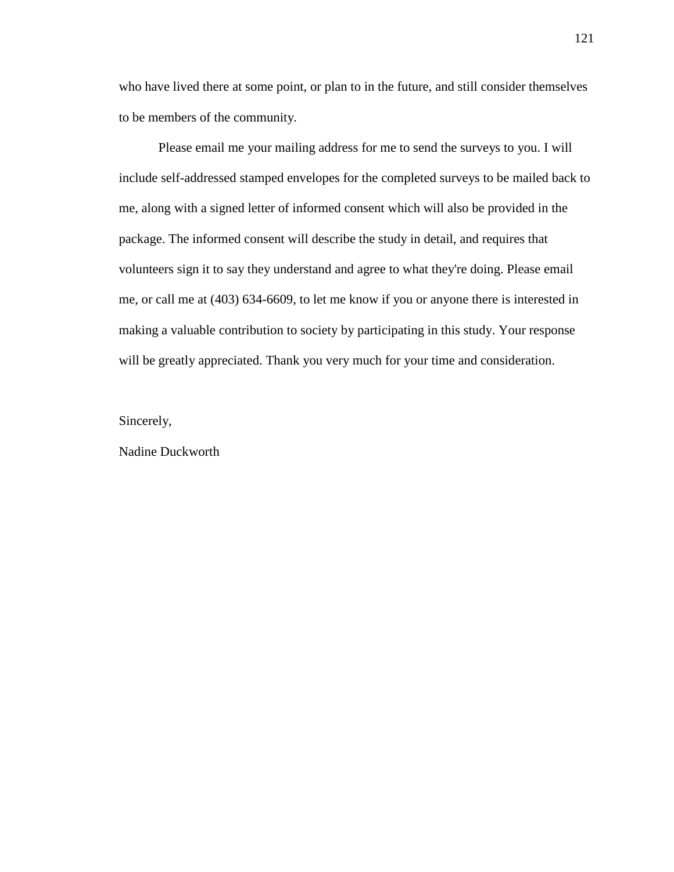who have lived there at some point, or plan to in the future, and still consider themselves to be members of the community.

Please email me your mailing address for me to send the surveys to you. I will include self-addressed stamped envelopes for the completed surveys to be mailed back to me, along with a signed letter of informed consent which will also be provided in the package. The informed consent will describe the study in detail, and requires that volunteers sign it to say they understand and agree to what they're doing. Please email me, or call me at (403) 634-6609, to let me know if you or anyone there is interested in making a valuable contribution to society by participating in this study. Your response will be greatly appreciated. Thank you very much for your time and consideration.

Sincerely,

Nadine Duckworth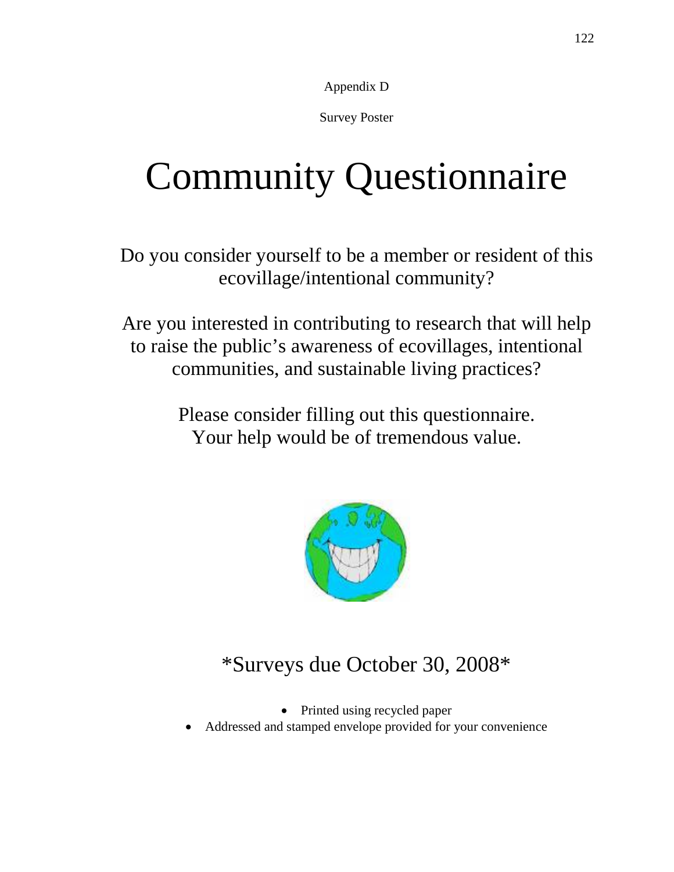Appendix D

Survey Poster

# Community Questionnaire

Do you consider yourself to be a member or resident of this ecovillage/intentional community?

Are you interested in contributing to research that will help to raise the public's awareness of ecovillages, intentional communities, and sustainable living practices?

> Please consider filling out this questionnaire. Your help would be of tremendous value.



# \*Surveys due October 30, 2008\*

- Printed using recycled paper
- Addressed and stamped envelope provided for your convenience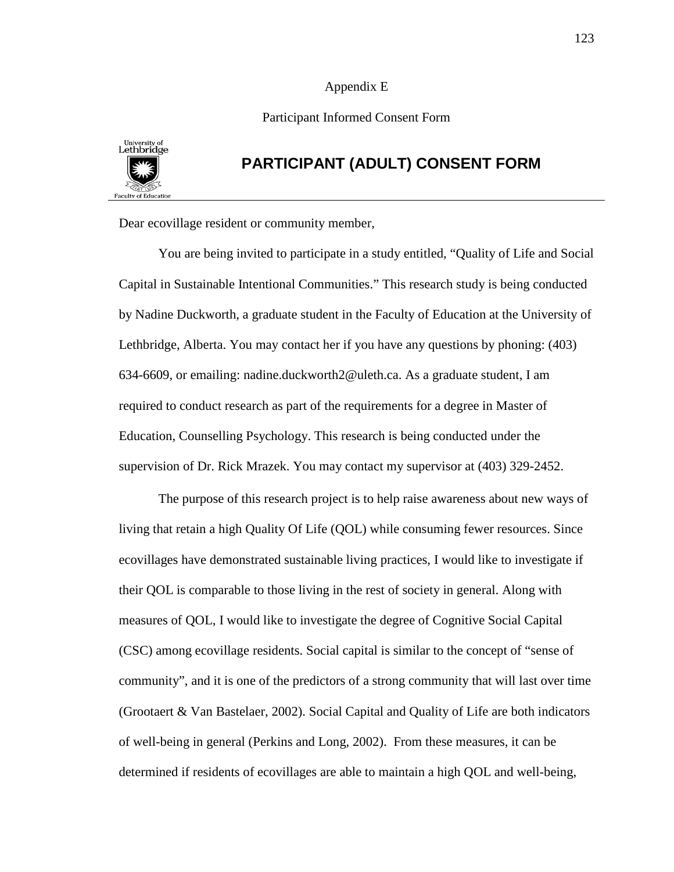#### Appendix E

Participant Informed Consent Form



## **PARTICIPANT (ADULT) CONSENT FORM**

Dear ecovillage resident or community member,

You are being invited to participate in a study entitled, "Quality of Life and Social Capital in Sustainable Intentional Communities." This research study is being conducted by Nadine Duckworth, a graduate student in the Faculty of Education at the University of Lethbridge, Alberta. You may contact her if you have any questions by phoning: (403) 634-6609, or emailing: nadine.duckworth2@uleth.ca. As a graduate student, I am required to conduct research as part of the requirements for a degree in Master of Education, Counselling Psychology. This research is being conducted under the supervision of Dr. Rick Mrazek. You may contact my supervisor at (403) 329-2452.

The purpose of this research project is to help raise awareness about new ways of living that retain a high Quality Of Life (QOL) while consuming fewer resources. Since ecovillages have demonstrated sustainable living practices, I would like to investigate if their QOL is comparable to those living in the rest of society in general. Along with measures of QOL, I would like to investigate the degree of Cognitive Social Capital (CSC) among ecovillage residents. Social capital is similar to the concept of "sense of community", and it is one of the predictors of a strong community that will last over time (Grootaert & Van Bastelaer, 2002). Social Capital and Quality of Life are both indicators of well-being in general (Perkins and Long, 2002). From these measures, it can be determined if residents of ecovillages are able to maintain a high QOL and well-being,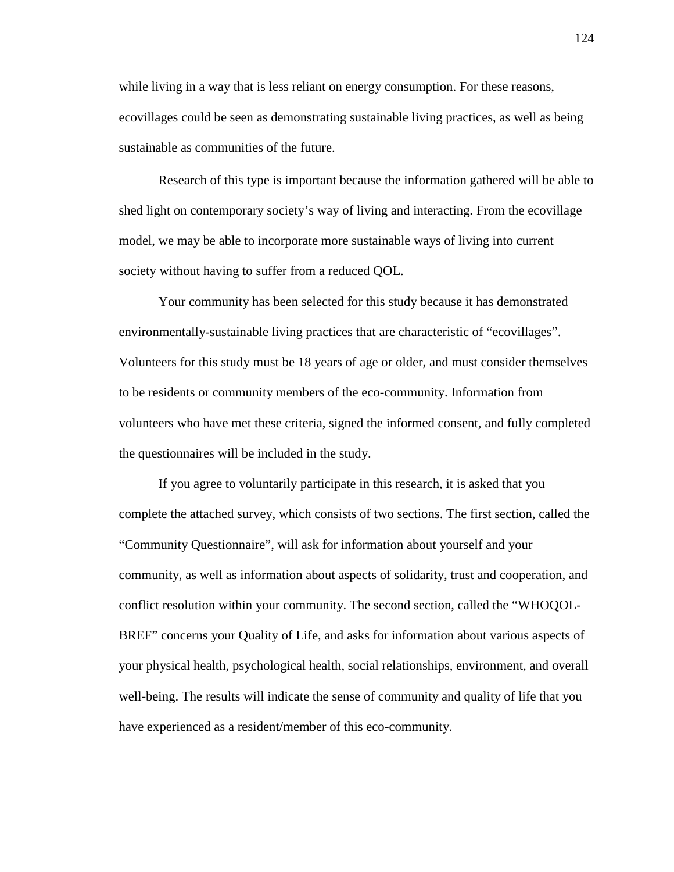while living in a way that is less reliant on energy consumption. For these reasons, ecovillages could be seen as demonstrating sustainable living practices, as well as being sustainable as communities of the future.

Research of this type is important because the information gathered will be able to shed light on contemporary society's way of living and interacting. From the ecovillage model, we may be able to incorporate more sustainable ways of living into current society without having to suffer from a reduced QOL.

Your community has been selected for this study because it has demonstrated environmentally-sustainable living practices that are characteristic of "ecovillages". Volunteers for this study must be 18 years of age or older, and must consider themselves to be residents or community members of the eco-community. Information from volunteers who have met these criteria, signed the informed consent, and fully completed the questionnaires will be included in the study.

If you agree to voluntarily participate in this research, it is asked that you complete the attached survey, which consists of two sections. The first section, called the "Community Questionnaire", will ask for information about yourself and your community, as well as information about aspects of solidarity, trust and cooperation, and conflict resolution within your community. The second section, called the "WHOQOL-BREF" concerns your Quality of Life, and asks for information about various aspects of your physical health, psychological health, social relationships, environment, and overall well-being. The results will indicate the sense of community and quality of life that you have experienced as a resident/member of this eco-community.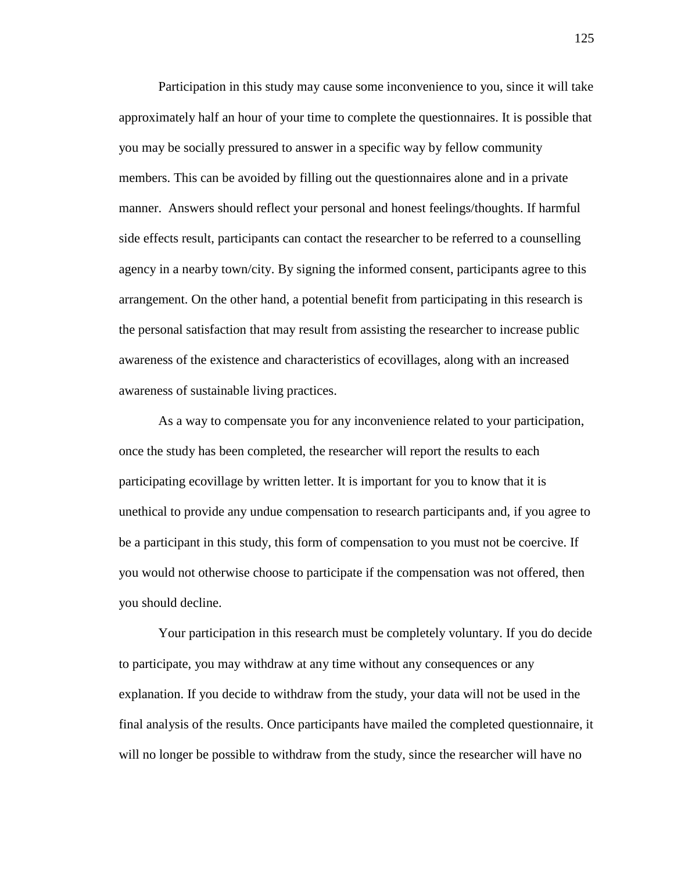Participation in this study may cause some inconvenience to you, since it will take approximately half an hour of your time to complete the questionnaires. It is possible that you may be socially pressured to answer in a specific way by fellow community members. This can be avoided by filling out the questionnaires alone and in a private manner. Answers should reflect your personal and honest feelings/thoughts. If harmful side effects result, participants can contact the researcher to be referred to a counselling agency in a nearby town/city. By signing the informed consent, participants agree to this arrangement. On the other hand, a potential benefit from participating in this research is the personal satisfaction that may result from assisting the researcher to increase public awareness of the existence and characteristics of ecovillages, along with an increased awareness of sustainable living practices.

As a way to compensate you for any inconvenience related to your participation, once the study has been completed, the researcher will report the results to each participating ecovillage by written letter. It is important for you to know that it is unethical to provide any undue compensation to research participants and, if you agree to be a participant in this study, this form of compensation to you must not be coercive. If you would not otherwise choose to participate if the compensation was not offered, then you should decline.

Your participation in this research must be completely voluntary. If you do decide to participate, you may withdraw at any time without any consequences or any explanation. If you decide to withdraw from the study, your data will not be used in the final analysis of the results. Once participants have mailed the completed questionnaire, it will no longer be possible to withdraw from the study, since the researcher will have no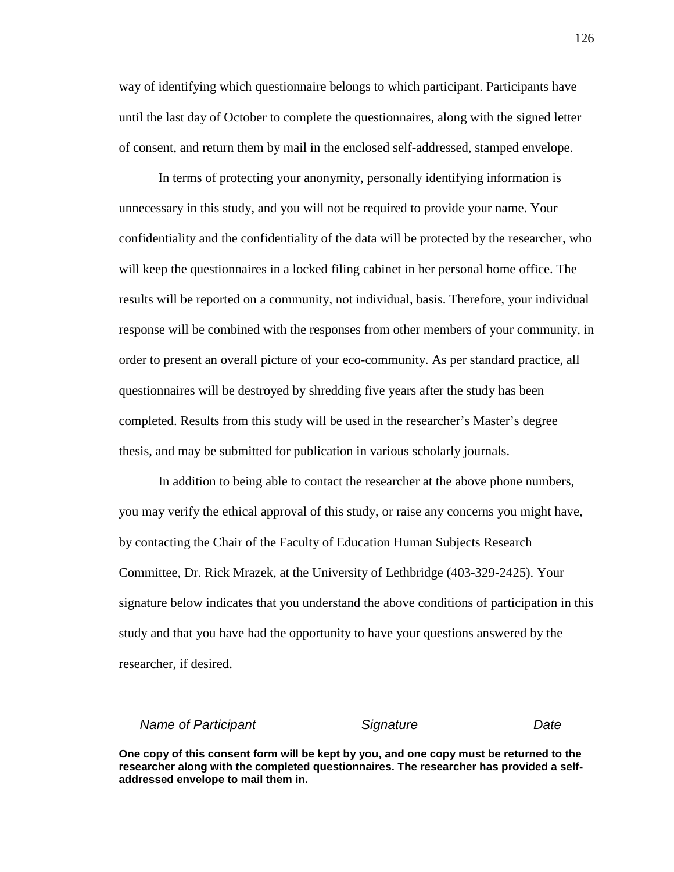way of identifying which questionnaire belongs to which participant. Participants have until the last day of October to complete the questionnaires, along with the signed letter of consent, and return them by mail in the enclosed self-addressed, stamped envelope.

In terms of protecting your anonymity, personally identifying information is unnecessary in this study, and you will not be required to provide your name. Your confidentiality and the confidentiality of the data will be protected by the researcher, who will keep the questionnaires in a locked filing cabinet in her personal home office. The results will be reported on a community, not individual, basis. Therefore, your individual response will be combined with the responses from other members of your community, in order to present an overall picture of your eco-community. As per standard practice, all questionnaires will be destroyed by shredding five years after the study has been completed. Results from this study will be used in the researcher's Master's degree thesis, and may be submitted for publication in various scholarly journals.

In addition to being able to contact the researcher at the above phone numbers, you may verify the ethical approval of this study, or raise any concerns you might have, by contacting the Chair of the Faculty of Education Human Subjects Research Committee, Dr. Rick Mrazek, at the University of Lethbridge (403-329-2425). Your signature below indicates that you understand the above conditions of participation in this study and that you have had the opportunity to have your questions answered by the researcher, if desired.

*Name of Participant Signature Date*

**One copy of this consent form will be kept by you, and one copy must be returned to the researcher along with the completed questionnaires. The researcher has provided a selfaddressed envelope to mail them in.**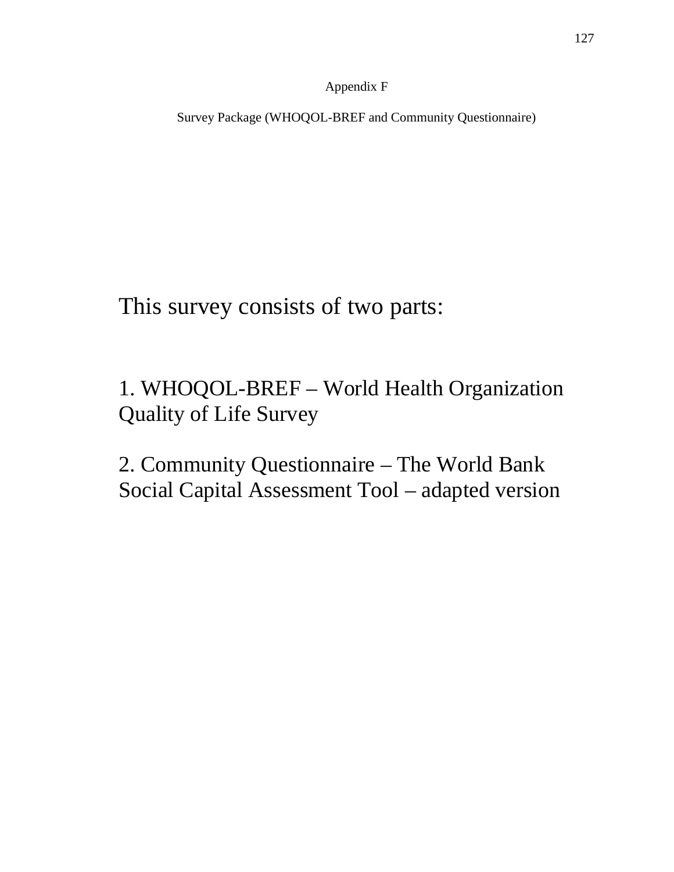### Appendix F

Survey Package (WHOQOL-BREF and Community Questionnaire)

This survey consists of two parts:

1. WHOQOL-BREF – World Health Organization Quality of Life Survey

2. Community Questionnaire – The World Bank Social Capital Assessment Tool – adapted version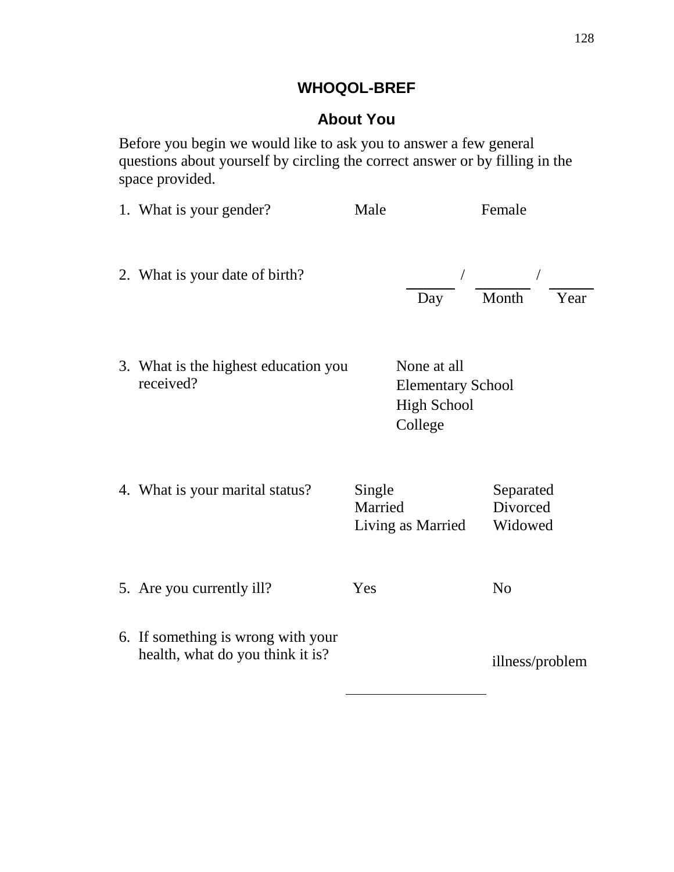## **WHOQOL-BREF**

## **About You**

Before you begin we would like to ask you to answer a few general questions about yourself by circling the correct answer or by filling in the space provided.

| 1. What is your gender?                                                | Male                                                                     | Female                           |
|------------------------------------------------------------------------|--------------------------------------------------------------------------|----------------------------------|
| 2. What is your date of birth?                                         | $\frac{1}{\text{Day}}$ $\frac{1}{\text{Month}}$                          | Year                             |
| 3. What is the highest education you<br>received?                      | None at all<br><b>Elementary School</b><br><b>High School</b><br>College |                                  |
| 4. What is your marital status?                                        | Single<br>Married<br>Living as Married                                   | Separated<br>Divorced<br>Widowed |
| 5. Are you currently ill?                                              | Yes                                                                      | N <sub>o</sub>                   |
| 6. If something is wrong with your<br>health, what do you think it is? |                                                                          | illness/problem                  |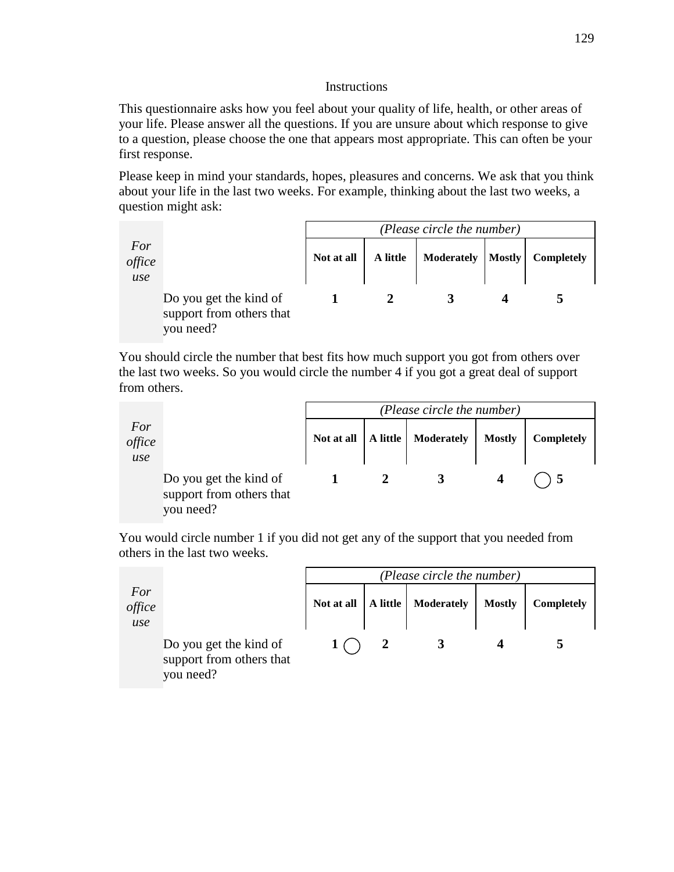#### **Instructions**

This questionnaire asks how you feel about your quality of life, health, or other areas of your life. Please answer all the questions. If you are unsure about which response to give to a question, please choose the one that appears most appropriate. This can often be your first response.

Please keep in mind your standards, hopes, pleasures and concerns. We ask that you think about your life in the last two weeks. For example, thinking about the last two weeks, a question might ask:

|                      |                                                                 |            |          | (Please circle the number) |               |            |
|----------------------|-----------------------------------------------------------------|------------|----------|----------------------------|---------------|------------|
| For<br>office<br>use |                                                                 | Not at all | A little | Moderately                 | <b>Mostly</b> | Completely |
|                      | Do you get the kind of<br>support from others that<br>you need? |            |          |                            |               |            |

You should circle the number that best fits how much support you got from others over the last two weeks. So you would circle the number 4 if you got a great deal of support from others.

|                      |                                                                 |            |          | (Please circle the number) |               |            |
|----------------------|-----------------------------------------------------------------|------------|----------|----------------------------|---------------|------------|
| For<br>office<br>use |                                                                 | Not at all | A little | <b>Moderately</b>          | <b>Mostly</b> | Completely |
|                      | Do you get the kind of<br>support from others that<br>you need? |            |          |                            |               | 5          |

You would circle number 1 if you did not get any of the support that you needed from others in the last two weeks.

|                      |                                                                 |            |          | (Please circle the number) |               |            |
|----------------------|-----------------------------------------------------------------|------------|----------|----------------------------|---------------|------------|
| For<br>office<br>use |                                                                 | Not at all | A little | Moderately                 | <b>Mostly</b> | Completely |
|                      | Do you get the kind of<br>support from others that<br>you need? |            |          |                            |               |            |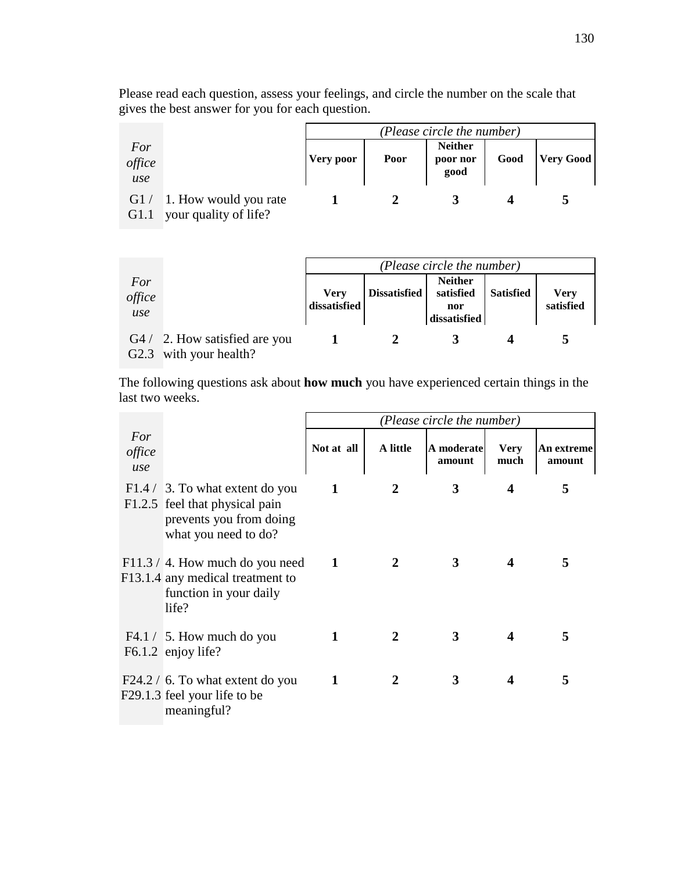Please read each question, assess your feelings, and circle the number on the scale that gives the best answer for you for each question.

|                      |                                                        | (Please circle the number) |      |                                    |      |                  |
|----------------------|--------------------------------------------------------|----------------------------|------|------------------------------------|------|------------------|
| For<br>office<br>use |                                                        | Very poor                  | Poor | <b>Neither</b><br>poor nor<br>good | Good | <b>Very Good</b> |
| G1.1                 | $G1 / 1$ . How would you rate<br>your quality of life? |                            |      |                                    |      |                  |

|                      |                                                            | (Please circle the number)  |                     |                                                    |                  |                   |
|----------------------|------------------------------------------------------------|-----------------------------|---------------------|----------------------------------------------------|------------------|-------------------|
| For<br>office<br>use |                                                            | <b>Very</b><br>dissatisfied | <b>Dissatisfied</b> | <b>Neither</b><br>satisfied<br>nor<br>dissatisfied | <b>Satisfied</b> | Very<br>satisfied |
|                      | $G4 / 2$ . How satisfied are you<br>G2.3 with your health? |                             |                     |                                                    |                  |                   |

The following questions ask about **how much** you have experienced certain things in the last two weeks.

|                      |                                                                                                                         |              |              | (Please circle the number) |                     |                      |
|----------------------|-------------------------------------------------------------------------------------------------------------------------|--------------|--------------|----------------------------|---------------------|----------------------|
| For<br>office<br>use |                                                                                                                         | Not at all   | A little     | A moderate<br>amount       | <b>Very</b><br>much | An extreme<br>amount |
|                      | $F1.4 / 3$ . To what extent do you<br>F1.2.5 feel that physical pain<br>prevents you from doing<br>what you need to do? | 1            | $\mathbf{2}$ | 3                          | 4                   | 5                    |
|                      | $F11.3 / 4$ . How much do you need<br>F13.1.4 any medical treatment to<br>function in your daily<br>life?               | $\mathbf{1}$ | $\mathbf{2}$ | 3                          | 4                   | 5                    |
|                      | $F4.1 / 5$ . How much do you<br>F6.1.2 enjoy life?                                                                      | 1            | 2            | 3                          | 4                   | 5                    |
|                      | $F24.2 / 6$ . To what extent do you<br>F29.1.3 feel your life to be<br>meaningful?                                      | 1            | 2            | 3                          | 4                   | 5                    |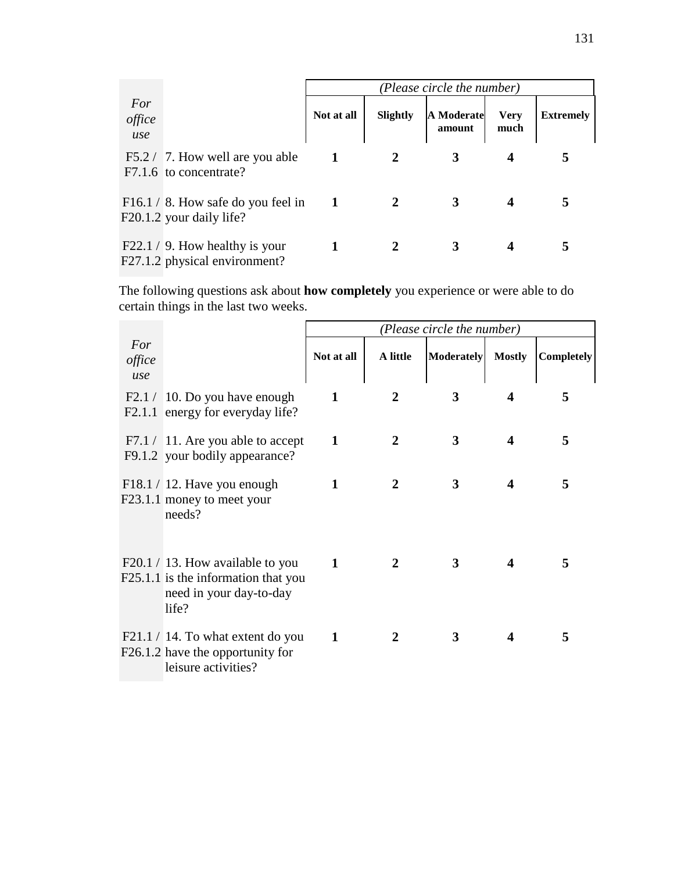|                      |                                                                     | (Please circle the number) |          |                      |                     |                  |
|----------------------|---------------------------------------------------------------------|----------------------------|----------|----------------------|---------------------|------------------|
| For<br>office<br>use |                                                                     | Not at all                 | Slightly | A Moderate<br>amount | <b>Very</b><br>much | <b>Extremely</b> |
|                      | F5.2 / 7. How well are you able<br>F7.1.6 to concentrate?           |                            |          |                      |                     |                  |
|                      | F16.1 $\ell$ 8. How safe do you feel in<br>F20.1.2 your daily life? | 1                          |          |                      |                     |                  |
|                      | $F22.1 / 9$ . How healthy is your<br>F27.1.2 physical environment?  |                            |          |                      |                     | 5                |

The following questions ask about **how completely** you experience or were able to do certain things in the last two weeks.

|                      |                                                                                                               | (Please circle the number) |                |                   |               |                   |
|----------------------|---------------------------------------------------------------------------------------------------------------|----------------------------|----------------|-------------------|---------------|-------------------|
| For<br>office<br>use |                                                                                                               | Not at all                 | A little       | <b>Moderately</b> | <b>Mostly</b> | <b>Completely</b> |
|                      | $F2.1 / 10$ . Do you have enough<br>F2.1.1 energy for everyday life?                                          | $\mathbf{1}$               | $\overline{2}$ | 3                 | 4             | 5                 |
|                      | $F7.1 / 11$ . Are you able to accept<br>F9.1.2 your bodily appearance?                                        | 1                          | $\mathbf{2}$   | 3                 | 4             | 5                 |
|                      | F18.1 / 12. Have you enough<br>F23.1.1 money to meet your<br>needs?                                           | 1                          | $\mathbf{2}$   | 3                 | 4             | 5                 |
|                      | F20.1 $/$ 13. How available to you<br>F25.1.1 is the information that you<br>need in your day-to-day<br>life? | 1                          | 2              | 3                 | 4             | 5                 |
|                      | $F21.1 / 14$ . To what extent do you<br>F26.1.2 have the opportunity for<br>leisure activities?               | 1                          | 2              | 3                 | 4             | 5                 |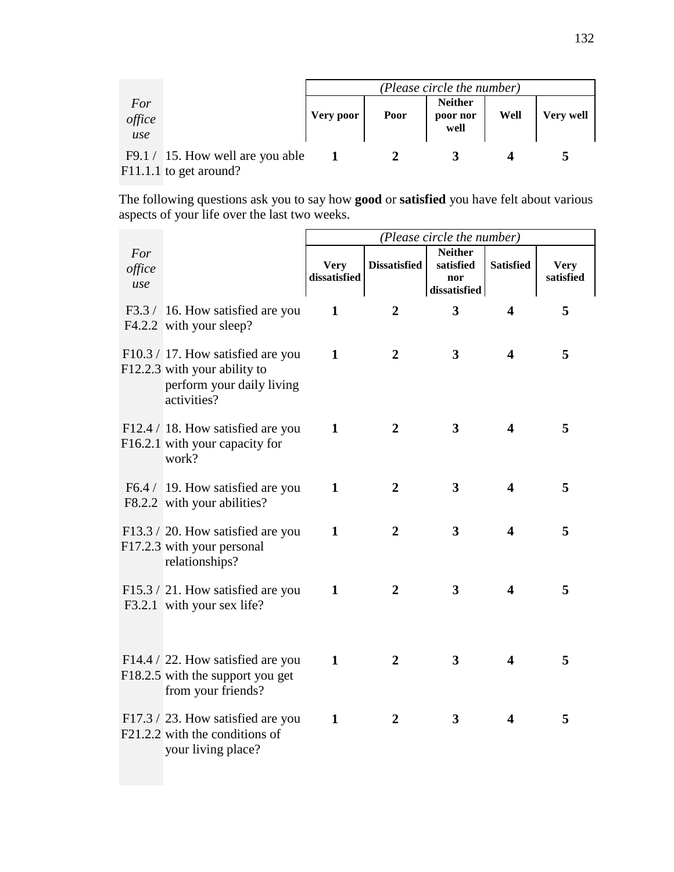|                      |                                                                 |           |      | (Please circle the number)         |      |           |
|----------------------|-----------------------------------------------------------------|-----------|------|------------------------------------|------|-----------|
| For<br>office<br>use |                                                                 | Very poor | Poor | <b>Neither</b><br>poor nor<br>well | Well | Very well |
|                      | F9.1 $\ell$ 15. How well are you able<br>F11.1.1 to get around? |           |      |                                    |      |           |

The following questions ask you to say how **good** or **satisfied** you have felt about various aspects of your life over the last two weeks.

|                      |                                                                                                               | (Please circle the number)  |                     |                                                    |                         |                          |
|----------------------|---------------------------------------------------------------------------------------------------------------|-----------------------------|---------------------|----------------------------------------------------|-------------------------|--------------------------|
| For<br>office<br>use |                                                                                                               | <b>Very</b><br>dissatisfied | <b>Dissatisfied</b> | <b>Neither</b><br>satisfied<br>nor<br>dissatisfied | <b>Satisfied</b>        | <b>Very</b><br>satisfied |
|                      | F3.3 / 16. How satisfied are you<br>F4.2.2 with your sleep?                                                   | 1                           | $\overline{2}$      | 3                                                  | $\overline{\mathbf{4}}$ | 5                        |
|                      | F10.3 / 17. How satisfied are you<br>F12.2.3 with your ability to<br>perform your daily living<br>activities? | $\mathbf{1}$                | $\overline{2}$      | 3                                                  | 4                       | 5                        |
|                      | F12.4 / 18. How satisfied are you<br>F16.2.1 with your capacity for<br>work?                                  | $\mathbf{1}$                | $\boldsymbol{2}$    | $\mathbf{3}$                                       | 4                       | 5                        |
|                      | F6.4 / 19. How satisfied are you<br>F8.2.2 with your abilities?                                               | $\mathbf{1}$                | $\overline{2}$      | $\mathbf{3}$                                       | 4                       | 5                        |
|                      | F13.3 / 20. How satisfied are you<br>F17.2.3 with your personal<br>relationships?                             | $\mathbf{1}$                | $\overline{2}$      | 3                                                  | 4                       | 5                        |
|                      | $F15.3 / 21$ . How satisfied are you<br>F3.2.1 with your sex life?                                            | 1                           | $\overline{2}$      | $\overline{\mathbf{3}}$                            | 4                       | 5                        |
|                      | F14.4 / 22. How satisfied are you<br>F18.2.5 with the support you get<br>from your friends?                   | 1                           | 2                   | 3                                                  | 4                       | 5                        |
|                      | F17.3 / 23. How satisfied are you<br>F <sub>21.2.2</sub> with the conditions of<br>your living place?         | $\mathbf{1}$                | $\overline{2}$      | 3                                                  | 4                       | 5                        |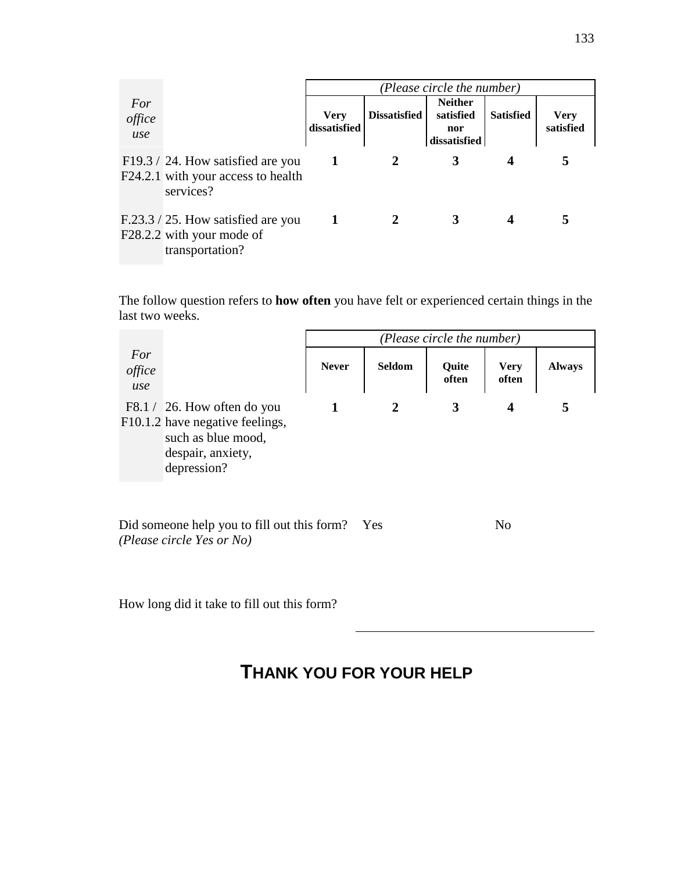|                      |                                                                                         | (Please circle the number)  |                     |                                                    |                  |                          |
|----------------------|-----------------------------------------------------------------------------------------|-----------------------------|---------------------|----------------------------------------------------|------------------|--------------------------|
| For<br>office<br>use |                                                                                         | <b>Very</b><br>dissatisfied | <b>Dissatisfied</b> | <b>Neither</b><br>satisfied<br>nor<br>dissatisfied | <b>Satisfied</b> | <b>Very</b><br>satisfied |
|                      | $F19.3 / 24$ . How satisfied are you<br>F24.2.1 with your access to health<br>services? |                             |                     | 3                                                  |                  |                          |
|                      | $F.23.3 / 25$ . How satisfied are you<br>F28.2.2 with your mode of<br>transportation?   |                             |                     | 3                                                  | 4                |                          |

The follow question refers to **how often** you have felt or experienced certain things in the last two weeks.

|                      |                                                                                                                               | (Please circle the number) |               |                |                      |               |
|----------------------|-------------------------------------------------------------------------------------------------------------------------------|----------------------------|---------------|----------------|----------------------|---------------|
| For<br>office<br>use |                                                                                                                               | <b>Never</b>               | <b>Seldom</b> | Quite<br>often | <b>Very</b><br>often | <b>Always</b> |
|                      | F8.1 $\div$ 26. How often do you<br>F10.1.2 have negative feelings,<br>such as blue mood,<br>despair, anxiety,<br>depression? |                            | 2             | 3              | 4                    | 5             |
|                      |                                                                                                                               |                            |               |                |                      |               |

| Did someone help you to fill out this form? Yes | No |
|-------------------------------------------------|----|
| (Please circle Yes or $No$ )                    |    |

How long did it take to fill out this form?

# **THANK YOU FOR YOUR HELP**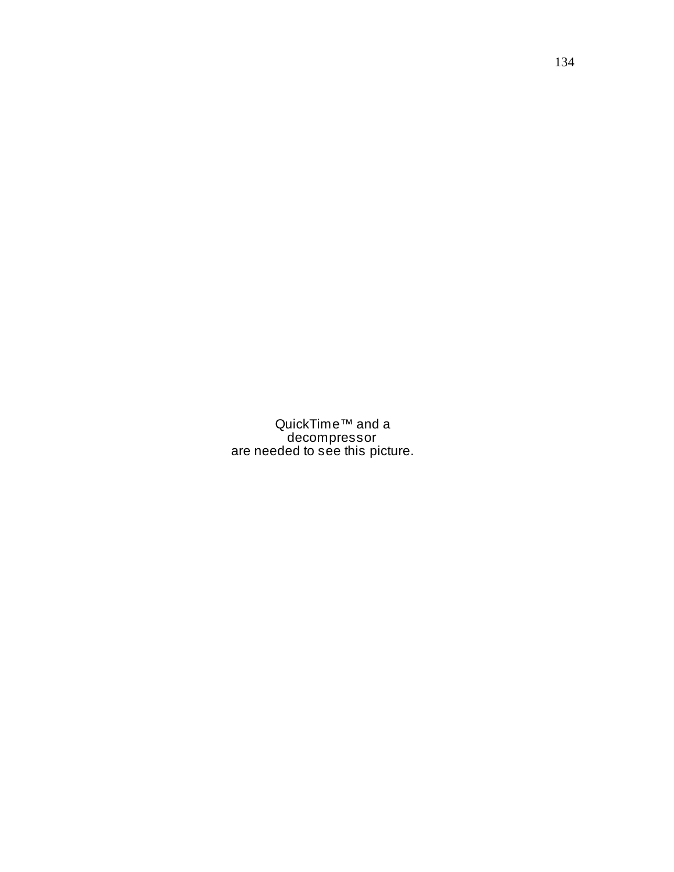QuickTime™ and a decompressor are needed to see this picture.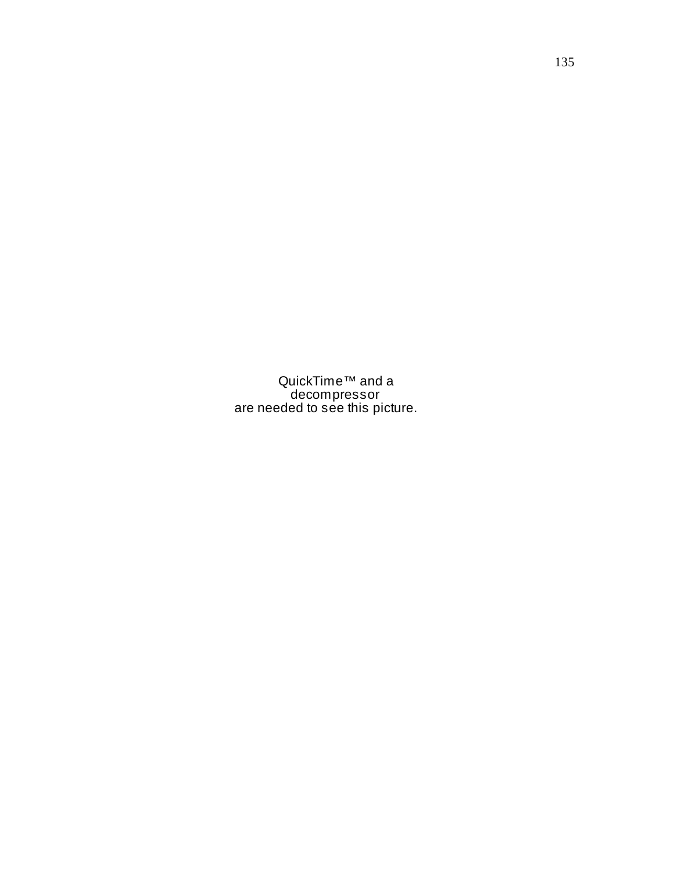QuickTime™ and a decompressor are needed to see this picture.